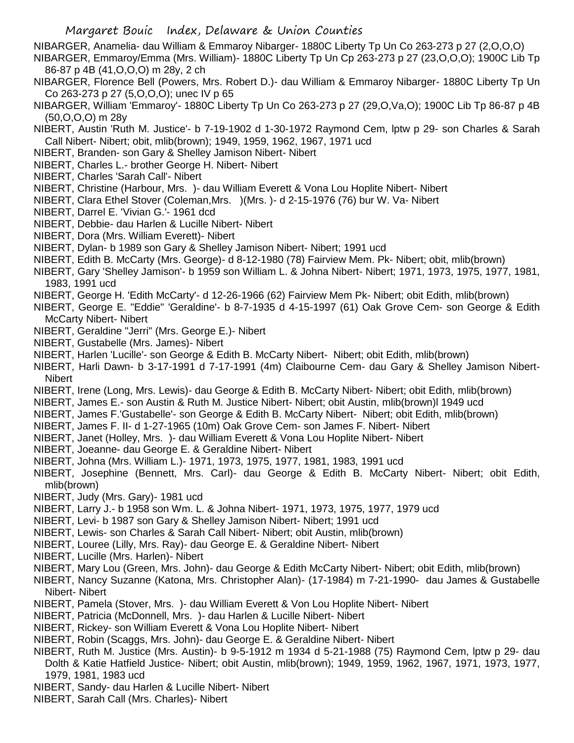NIBARGER, Anamelia- dau William & Emmaroy Nibarger- 1880C Liberty Tp Un Co 263-273 p 27 (2,O,O,O)

NIBARGER, Emmaroy/Emma (Mrs. William)- 1880C Liberty Tp Un Cp 263-273 p 27 (23,O,O,O); 1900C Lib Tp 86-87 p 4B (41,O,O,O) m 28y, 2 ch

- NIBARGER, Florence Bell (Powers, Mrs. Robert D.)- dau William & Emmaroy Nibarger- 1880C Liberty Tp Un Co 263-273 p 27 (5,O,O,O); unec IV p 65
- NIBARGER, William 'Emmaroy'- 1880C Liberty Tp Un Co 263-273 p 27 (29,O,Va,O); 1900C Lib Tp 86-87 p 4B (50,O,O,O) m 28y
- NIBERT, Austin 'Ruth M. Justice'- b 7-19-1902 d 1-30-1972 Raymond Cem, lptw p 29- son Charles & Sarah Call Nibert- Nibert; obit, mlib(brown); 1949, 1959, 1962, 1967, 1971 ucd
- NIBERT, Branden- son Gary & Shelley Jamison Nibert- Nibert
- NIBERT, Charles L.- brother George H. Nibert- Nibert
- NIBERT, Charles 'Sarah Call'- Nibert
- NIBERT, Christine (Harbour, Mrs. )- dau William Everett & Vona Lou Hoplite Nibert- Nibert
- NIBERT, Clara Ethel Stover (Coleman,Mrs. )(Mrs. )- d 2-15-1976 (76) bur W. Va- Nibert
- NIBERT, Darrel E. 'Vivian G.'- 1961 dcd
- NIBERT, Debbie- dau Harlen & Lucille Nibert- Nibert
- NIBERT, Dora (Mrs. William Everett)- Nibert
- NIBERT, Dylan- b 1989 son Gary & Shelley Jamison Nibert- Nibert; 1991 ucd
- NIBERT, Edith B. McCarty (Mrs. George)- d 8-12-1980 (78) Fairview Mem. Pk- Nibert; obit, mlib(brown)
- NIBERT, Gary 'Shelley Jamison'- b 1959 son William L. & Johna Nibert- Nibert; 1971, 1973, 1975, 1977, 1981, 1983, 1991 ucd
- NIBERT, George H. 'Edith McCarty'- d 12-26-1966 (62) Fairview Mem Pk- Nibert; obit Edith, mlib(brown)
- NIBERT, George E. "Eddie" 'Geraldine'- b 8-7-1935 d 4-15-1997 (61) Oak Grove Cem- son George & Edith McCarty Nibert- Nibert
- NIBERT, Geraldine "Jerri" (Mrs. George E.)- Nibert
- NIBERT, Gustabelle (Mrs. James)- Nibert
- NIBERT, Harlen 'Lucille'- son George & Edith B. McCarty Nibert- Nibert; obit Edith, mlib(brown)
- NIBERT, Harli Dawn- b 3-17-1991 d 7-17-1991 (4m) Claibourne Cem- dau Gary & Shelley Jamison Nibert-Nibert
- NIBERT, Irene (Long, Mrs. Lewis)- dau George & Edith B. McCarty Nibert- Nibert; obit Edith, mlib(brown)
- NIBERT, James E.- son Austin & Ruth M. Justice Nibert- Nibert; obit Austin, mlib(brown)l 1949 ucd
- NIBERT, James F.'Gustabelle'- son George & Edith B. McCarty Nibert- Nibert; obit Edith, mlib(brown)
- NIBERT, James F. II- d 1-27-1965 (10m) Oak Grove Cem- son James F. Nibert- Nibert
- NIBERT, Janet (Holley, Mrs. )- dau William Everett & Vona Lou Hoplite Nibert- Nibert
- NIBERT, Joeanne- dau George E. & Geraldine Nibert- Nibert
- NIBERT, Johna (Mrs. William L.)- 1971, 1973, 1975, 1977, 1981, 1983, 1991 ucd
- NIBERT, Josephine (Bennett, Mrs. Carl)- dau George & Edith B. McCarty Nibert- Nibert; obit Edith, mlib(brown)
- NIBERT, Judy (Mrs. Gary)- 1981 ucd
- NIBERT, Larry J.- b 1958 son Wm. L. & Johna Nibert- 1971, 1973, 1975, 1977, 1979 ucd
- NIBERT, Levi- b 1987 son Gary & Shelley Jamison Nibert- Nibert; 1991 ucd
- NIBERT, Lewis- son Charles & Sarah Call Nibert- Nibert; obit Austin, mlib(brown)
- NIBERT, Louree (Lilly, Mrs. Ray)- dau George E. & Geraldine Nibert- Nibert
- NIBERT, Lucille (Mrs. Harlen)- Nibert
- NIBERT, Mary Lou (Green, Mrs. John)- dau George & Edith McCarty Nibert- Nibert; obit Edith, mlib(brown)
- NIBERT, Nancy Suzanne (Katona, Mrs. Christopher Alan)- (17-1984) m 7-21-1990- dau James & Gustabelle Nibert- Nibert
- NIBERT, Pamela (Stover, Mrs. )- dau William Everett & Von Lou Hoplite Nibert- Nibert
- NIBERT, Patricia (McDonnell, Mrs. )- dau Harlen & Lucille Nibert- Nibert
- NIBERT, Rickey- son William Everett & Vona Lou Hoplite Nibert- Nibert
- NIBERT, Robin (Scaggs, Mrs. John)- dau George E. & Geraldine Nibert- Nibert
- NIBERT, Ruth M. Justice (Mrs. Austin)- b 9-5-1912 m 1934 d 5-21-1988 (75) Raymond Cem, lptw p 29- dau Dolth & Katie Hatfield Justice- Nibert; obit Austin, mlib(brown); 1949, 1959, 1962, 1967, 1971, 1973, 1977, 1979, 1981, 1983 ucd
- NIBERT, Sandy- dau Harlen & Lucille Nibert- Nibert
- NIBERT, Sarah Call (Mrs. Charles)- Nibert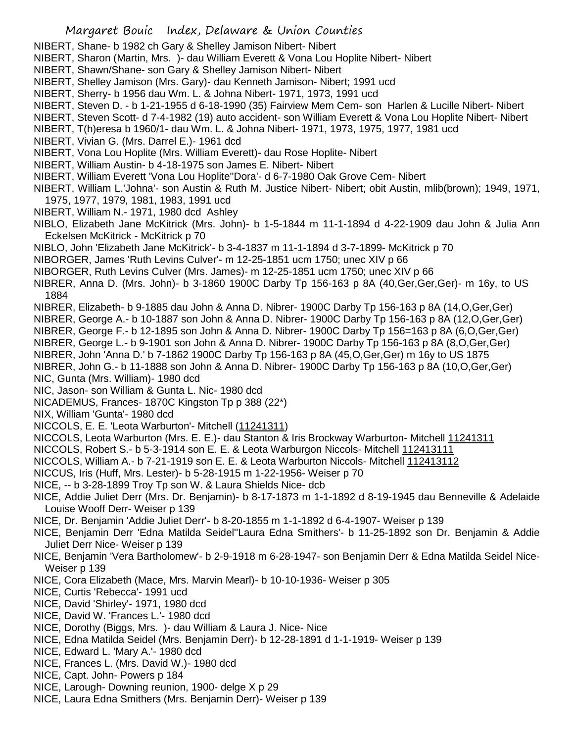- NIBERT, Shane- b 1982 ch Gary & Shelley Jamison Nibert- Nibert
- NIBERT, Sharon (Martin, Mrs. )- dau William Everett & Vona Lou Hoplite Nibert- Nibert
- NIBERT, Shawn/Shane- son Gary & Shelley Jamison Nibert- Nibert
- NIBERT, Shelley Jamison (Mrs. Gary)- dau Kenneth Jamison- Nibert; 1991 ucd
- NIBERT, Sherry- b 1956 dau Wm. L. & Johna Nibert- 1971, 1973, 1991 ucd
- NIBERT, Steven D. b 1-21-1955 d 6-18-1990 (35) Fairview Mem Cem- son Harlen & Lucille Nibert- Nibert
- NIBERT, Steven Scott- d 7-4-1982 (19) auto accident- son William Everett & Vona Lou Hoplite Nibert- Nibert
- NIBERT, T(h)eresa b 1960/1- dau Wm. L. & Johna Nibert- 1971, 1973, 1975, 1977, 1981 ucd
- NIBERT, Vivian G. (Mrs. Darrel E.)- 1961 dcd
- NIBERT, Vona Lou Hoplite (Mrs. William Everett)- dau Rose Hoplite- Nibert
- NIBERT, William Austin- b 4-18-1975 son James E. Nibert- Nibert
- NIBERT, William Everett 'Vona Lou Hoplite''Dora'- d 6-7-1980 Oak Grove Cem- Nibert
- NIBERT, William L.'Johna'- son Austin & Ruth M. Justice Nibert- Nibert; obit Austin, mlib(brown); 1949, 1971, 1975, 1977, 1979, 1981, 1983, 1991 ucd
- NIBERT, William N.- 1971, 1980 dcd Ashley
- NIBLO, Elizabeth Jane McKitrick (Mrs. John)- b 1-5-1844 m 11-1-1894 d 4-22-1909 dau John & Julia Ann Eckelsen McKitrick - McKitrick p 70
- NIBLO, John 'Elizabeth Jane McKitrick'- b 3-4-1837 m 11-1-1894 d 3-7-1899- McKitrick p 70
- NIBORGER, James 'Ruth Levins Culver'- m 12-25-1851 ucm 1750; unec XIV p 66
- NIBORGER, Ruth Levins Culver (Mrs. James)- m 12-25-1851 ucm 1750; unec XIV p 66
- NIBRER, Anna D. (Mrs. John)- b 3-1860 1900C Darby Tp 156-163 p 8A (40,Ger,Ger,Ger)- m 16y, to US 1884
- NIBRER, Elizabeth- b 9-1885 dau John & Anna D. Nibrer- 1900C Darby Tp 156-163 p 8A (14,O,Ger,Ger)
- NIBRER, George A.- b 10-1887 son John & Anna D. Nibrer- 1900C Darby Tp 156-163 p 8A (12,O,Ger,Ger)
- NIBRER, George F.- b 12-1895 son John & Anna D. Nibrer- 1900C Darby Tp 156=163 p 8A (6,O,Ger,Ger)
- NIBRER, George L.- b 9-1901 son John & Anna D. Nibrer- 1900C Darby Tp 156-163 p 8A (8,O,Ger,Ger)
- NIBRER, John 'Anna D.' b 7-1862 1900C Darby Tp 156-163 p 8A (45,O,Ger,Ger) m 16y to US 1875
- NIBRER, John G.- b 11-1888 son John & Anna D. Nibrer- 1900C Darby Tp 156-163 p 8A (10,O,Ger,Ger) NIC, Gunta (Mrs. William)- 1980 dcd
- NIC, Jason- son William & Gunta L. Nic- 1980 dcd
- NICADEMUS, Frances- 1870C Kingston Tp p 388 (22\*)
- NIX, William 'Gunta'- 1980 dcd
- NICCOLS, E. E. 'Leota Warburton'- Mitchell (11241311)
- NICCOLS, Leota Warburton (Mrs. E. E.)- dau Stanton & Iris Brockway Warburton- Mitchell 11241311
- NICCOLS, Robert S.- b 5-3-1914 son E. E. & Leota Warburgon Niccols- Mitchell 112413111
- NICCOLS, William A.- b 7-21-1919 son E. E. & Leota Warburton Niccols- Mitchell 112413112
- NICCUS, Iris (Huff, Mrs. Lester)- b 5-28-1915 m 1-22-1956- Weiser p 70
- NICE, -- b 3-28-1899 Troy Tp son W. & Laura Shields Nice- dcb
- NICE, Addie Juliet Derr (Mrs. Dr. Benjamin)- b 8-17-1873 m 1-1-1892 d 8-19-1945 dau Benneville & Adelaide Louise Wooff Derr- Weiser p 139
- NICE, Dr. Benjamin 'Addie Juliet Derr'- b 8-20-1855 m 1-1-1892 d 6-4-1907- Weiser p 139
- NICE, Benjamin Derr 'Edna Matilda Seidel''Laura Edna Smithers'- b 11-25-1892 son Dr. Benjamin & Addie Juliet Derr Nice- Weiser p 139
- NICE, Benjamin 'Vera Bartholomew'- b 2-9-1918 m 6-28-1947- son Benjamin Derr & Edna Matilda Seidel Nice-Weiser p 139
- NICE, Cora Elizabeth (Mace, Mrs. Marvin Mearl)- b 10-10-1936- Weiser p 305
- NICE, Curtis 'Rebecca'- 1991 ucd
- NICE, David 'Shirley'- 1971, 1980 dcd
- NICE, David W. 'Frances L.'- 1980 dcd
- NICE, Dorothy (Biggs, Mrs. )- dau William & Laura J. Nice- Nice
- NICE, Edna Matilda Seidel (Mrs. Benjamin Derr)- b 12-28-1891 d 1-1-1919- Weiser p 139
- NICE, Edward L. 'Mary A.'- 1980 dcd
- NICE, Frances L. (Mrs. David W.)- 1980 dcd
- NICE, Capt. John- Powers p 184
- NICE, Larough- Downing reunion, 1900- delge X p 29
- NICE, Laura Edna Smithers (Mrs. Benjamin Derr)- Weiser p 139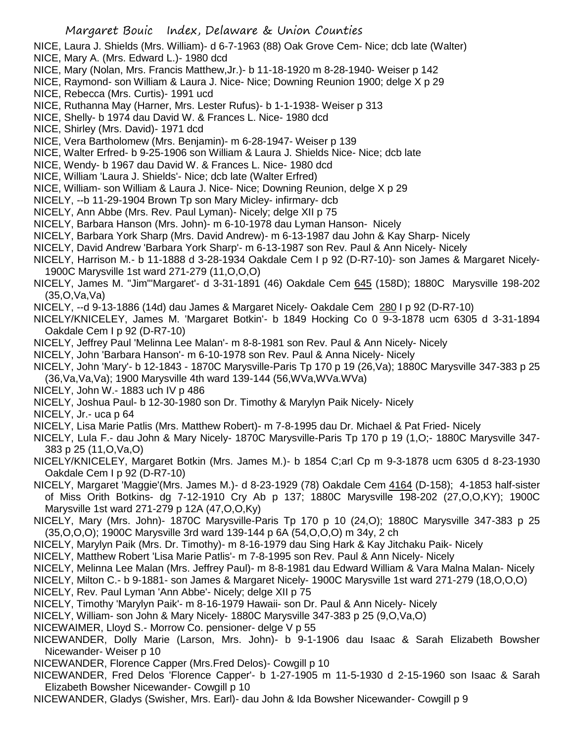- NICE, Laura J. Shields (Mrs. William)- d 6-7-1963 (88) Oak Grove Cem- Nice; dcb late (Walter)
- NICE, Mary A. (Mrs. Edward L.)- 1980 dcd
- NICE, Mary (Nolan, Mrs. Francis Matthew,Jr.)- b 11-18-1920 m 8-28-1940- Weiser p 142
- NICE, Raymond- son William & Laura J. Nice- Nice; Downing Reunion 1900; delge X p 29
- NICE, Rebecca (Mrs. Curtis)- 1991 ucd
- NICE, Ruthanna May (Harner, Mrs. Lester Rufus)- b 1-1-1938- Weiser p 313
- NICE, Shelly- b 1974 dau David W. & Frances L. Nice- 1980 dcd
- NICE, Shirley (Mrs. David)- 1971 dcd
- NICE, Vera Bartholomew (Mrs. Benjamin)- m 6-28-1947- Weiser p 139
- NICE, Walter Erfred- b 9-25-1906 son William & Laura J. Shields Nice- Nice; dcb late
- NICE, Wendy- b 1967 dau David W. & Frances L. Nice- 1980 dcd
- NICE, William 'Laura J. Shields'- Nice; dcb late (Walter Erfred)
- NICE, William- son William & Laura J. Nice- Nice; Downing Reunion, delge X p 29
- NICELY, --b 11-29-1904 Brown Tp son Mary Micley- infirmary- dcb
- NICELY, Ann Abbe (Mrs. Rev. Paul Lyman)- Nicely; delge XII p 75
- NICELY, Barbara Hanson (Mrs. John)- m 6-10-1978 dau Lyman Hanson- Nicely
- NICELY, Barbara York Sharp (Mrs. David Andrew)- m 6-13-1987 dau John & Kay Sharp- Nicely
- NICELY, David Andrew 'Barbara York Sharp'- m 6-13-1987 son Rev. Paul & Ann Nicely- Nicely
- NICELY, Harrison M.- b 11-1888 d 3-28-1934 Oakdale Cem I p 92 (D-R7-10)- son James & Margaret Nicely-1900C Marysville 1st ward 271-279 (11,O,O,O)
- NICELY, James M. "Jim"'Margaret'- d 3-31-1891 (46) Oakdale Cem 645 (158D); 1880C Marysville 198-202 (35,O,Va,Va)
- NICELY, --d 9-13-1886 (14d) dau James & Margaret Nicely- Oakdale Cem 280 I p 92 (D-R7-10)
- NICELY/KNICELEY, James M. 'Margaret Botkin'- b 1849 Hocking Co 0 9-3-1878 ucm 6305 d 3-31-1894 Oakdale Cem I p 92 (D-R7-10)
- NICELY, Jeffrey Paul 'Melinna Lee Malan'- m 8-8-1981 son Rev. Paul & Ann Nicely- Nicely
- NICELY, John 'Barbara Hanson'- m 6-10-1978 son Rev. Paul & Anna Nicely- Nicely
- NICELY, John 'Mary'- b 12-1843 1870C Marysville-Paris Tp 170 p 19 (26,Va); 1880C Marysville 347-383 p 25
- (36,Va,Va,Va); 1900 Marysville 4th ward 139-144 (56,WVa,WVa.WVa)
- NICELY, John W.- 1883 uch IV p 486
- NICELY, Joshua Paul- b 12-30-1980 son Dr. Timothy & Marylyn Paik Nicely- Nicely

NICELY, Jr.- uca p 64

- NICELY, Lisa Marie Patlis (Mrs. Matthew Robert)- m 7-8-1995 dau Dr. Michael & Pat Fried- Nicely
- NICELY, Lula F.- dau John & Mary Nicely- 1870C Marysville-Paris Tp 170 p 19 (1,O;- 1880C Marysville 347- 383 p 25 (11,O,Va,O)
- NICELY/KNICELEY, Margaret Botkin (Mrs. James M.)- b 1854 C;arl Cp m 9-3-1878 ucm 6305 d 8-23-1930 Oakdale Cem I p 92 (D-R7-10)
- NICELY, Margaret 'Maggie'(Mrs. James M.)- d 8-23-1929 (78) Oakdale Cem 4164 (D-158); 4-1853 half-sister of Miss Orith Botkins- dg 7-12-1910 Cry Ab p 137; 1880C Marysville 198-202 (27,O,O,KY); 1900C Marysville 1st ward 271-279 p 12A (47,O,O,Ky)
- NICELY, Mary (Mrs. John)- 1870C Marysville-Paris Tp 170 p 10 (24,O); 1880C Marysville 347-383 p 25 (35,O,O,O); 1900C Marysville 3rd ward 139-144 p 6A (54,O,O,O) m 34y, 2 ch
- NICELY, Marylyn Paik (Mrs. Dr. Timothy)- m 8-16-1979 dau Sing Hark & Kay Jitchaku Paik- Nicely
- NICELY, Matthew Robert 'Lisa Marie Patlis'- m 7-8-1995 son Rev. Paul & Ann Nicely- Nicely
- NICELY, Melinna Lee Malan (Mrs. Jeffrey Paul)- m 8-8-1981 dau Edward William & Vara Malna Malan- Nicely
- NICELY, Milton C.- b 9-1881- son James & Margaret Nicely- 1900C Marysville 1st ward 271-279 (18,O,O,O)
- NICELY, Rev. Paul Lyman 'Ann Abbe'- Nicely; delge XII p 75
- NICELY, Timothy 'Marylyn Paik'- m 8-16-1979 Hawaii- son Dr. Paul & Ann Nicely- Nicely
- NICELY, William- son John & Mary Nicely- 1880C Marysville 347-383 p 25 (9,O,Va,O)
- NICEWAIMER, Lloyd S.- Morrow Co. pensioner- delge V p 55
- NICEWANDER, Dolly Marie (Larson, Mrs. John)- b 9-1-1906 dau Isaac & Sarah Elizabeth Bowsher Nicewander- Weiser p 10
- NICEWANDER, Florence Capper (Mrs.Fred Delos)- Cowgill p 10
- NICEWANDER, Fred Delos 'Florence Capper'- b 1-27-1905 m 11-5-1930 d 2-15-1960 son Isaac & Sarah Elizabeth Bowsher Nicewander- Cowgill p 10
- NICEWANDER, Gladys (Swisher, Mrs. Earl)- dau John & Ida Bowsher Nicewander- Cowgill p 9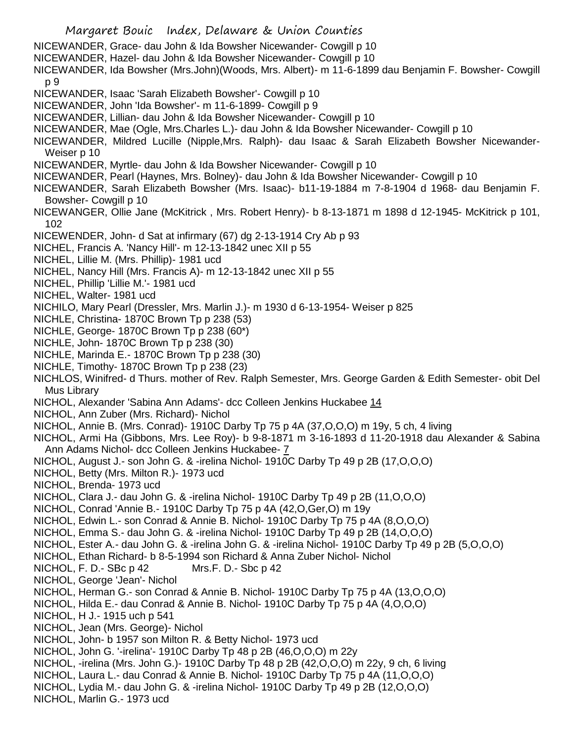- Margaret Bouic Index, Delaware & Union Counties NICEWANDER, Grace- dau John & Ida Bowsher Nicewander- Cowgill p 10 NICEWANDER, Hazel- dau John & Ida Bowsher Nicewander- Cowgill p 10 NICEWANDER, Ida Bowsher (Mrs.John)(Woods, Mrs. Albert)- m 11-6-1899 dau Benjamin F. Bowsher- Cowgill p 9 NICEWANDER, Isaac 'Sarah Elizabeth Bowsher'- Cowgill p 10 NICEWANDER, John 'Ida Bowsher'- m 11-6-1899- Cowgill p 9 NICEWANDER, Lillian- dau John & Ida Bowsher Nicewander- Cowgill p 10 NICEWANDER, Mae (Ogle, Mrs.Charles L.)- dau John & Ida Bowsher Nicewander- Cowgill p 10 NICEWANDER, Mildred Lucille (Nipple,Mrs. Ralph)- dau Isaac & Sarah Elizabeth Bowsher Nicewander-Weiser p 10 NICEWANDER, Myrtle- dau John & Ida Bowsher Nicewander- Cowgill p 10 NICEWANDER, Pearl (Haynes, Mrs. Bolney)- dau John & Ida Bowsher Nicewander- Cowgill p 10 NICEWANDER, Sarah Elizabeth Bowsher (Mrs. Isaac)- b11-19-1884 m 7-8-1904 d 1968- dau Benjamin F. Bowsher- Cowgill p 10 NICEWANGER, Ollie Jane (McKitrick , Mrs. Robert Henry)- b 8-13-1871 m 1898 d 12-1945- McKitrick p 101, 102 NICEWENDER, John- d Sat at infirmary (67) dg 2-13-1914 Cry Ab p 93 NICHEL, Francis A. 'Nancy Hill'- m 12-13-1842 unec XII p 55 NICHEL, Lillie M. (Mrs. Phillip)- 1981 ucd NICHEL, Nancy Hill (Mrs. Francis A)- m 12-13-1842 unec XII p 55 NICHEL, Phillip 'Lillie M.'- 1981 ucd NICHEL, Walter- 1981 ucd NICHILO, Mary Pearl (Dressler, Mrs. Marlin J.)- m 1930 d 6-13-1954- Weiser p 825 NICHLE, Christina- 1870C Brown Tp p 238 (53) NICHLE, George- 1870C Brown Tp p 238 (60\*) NICHLE, John- 1870C Brown Tp p 238 (30) NICHLE, Marinda E.- 1870C Brown Tp p 238 (30) NICHLE, Timothy- 1870C Brown Tp p 238 (23) NICHLOS, Winifred- d Thurs. mother of Rev. Ralph Semester, Mrs. George Garden & Edith Semester- obit Del Mus Library NICHOL, Alexander 'Sabina Ann Adams'- dcc Colleen Jenkins Huckabee 14 NICHOL, Ann Zuber (Mrs. Richard)- Nichol NICHOL, Annie B. (Mrs. Conrad)- 1910C Darby Tp 75 p 4A (37,O,O,O) m 19y, 5 ch, 4 living NICHOL, Armi Ha (Gibbons, Mrs. Lee Roy)- b 9-8-1871 m 3-16-1893 d 11-20-1918 dau Alexander & Sabina Ann Adams Nichol- dcc Colleen Jenkins Huckabee- 7 NICHOL, August J.- son John G. & -irelina Nichol- 1910C Darby Tp 49 p 2B (17,O,O,O) NICHOL, Betty (Mrs. Milton R.)- 1973 ucd NICHOL, Brenda- 1973 ucd NICHOL, Clara J.- dau John G. & -irelina Nichol- 1910C Darby Tp 49 p 2B (11,O,O,O) NICHOL, Conrad 'Annie B.- 1910C Darby Tp 75 p 4A (42,O,Ger,O) m 19y NICHOL, Edwin L.- son Conrad & Annie B. Nichol- 1910C Darby Tp 75 p 4A (8,O,O,O) NICHOL, Emma S.- dau John G. & -irelina Nichol- 1910C Darby Tp 49 p 2B (14,O,O,O) NICHOL, Ester A.- dau John G. & -irelina John G. & -irelina Nichol- 1910C Darby Tp 49 p 2B (5,O,O,O) NICHOL, Ethan Richard- b 8-5-1994 son Richard & Anna Zuber Nichol- Nichol NICHOL, F. D.- SBc p 42 Mrs.F. D.- Sbc p 42 NICHOL, George 'Jean'- Nichol NICHOL, Herman G.- son Conrad & Annie B. Nichol- 1910C Darby Tp 75 p 4A (13,O,O,O) NICHOL, Hilda E.- dau Conrad & Annie B. Nichol- 1910C Darby Tp 75 p 4A (4,O,O,O) NICHOL, H J.- 1915 uch p 541 NICHOL, Jean (Mrs. George)- Nichol NICHOL, John- b 1957 son Milton R. & Betty Nichol- 1973 ucd NICHOL, John G. '-irelina'- 1910C Darby Tp 48 p 2B (46,O,O,O) m 22y NICHOL, -irelina (Mrs. John G.)- 1910C Darby Tp 48 p 2B (42,O,O,O) m 22y, 9 ch, 6 living NICHOL, Laura L.- dau Conrad & Annie B. Nichol- 1910C Darby Tp 75 p 4A (11,O,O,O) NICHOL, Lydia M.- dau John G. & -irelina Nichol- 1910C Darby Tp 49 p 2B (12,O,O,O)
- NICHOL, Marlin G.- 1973 ucd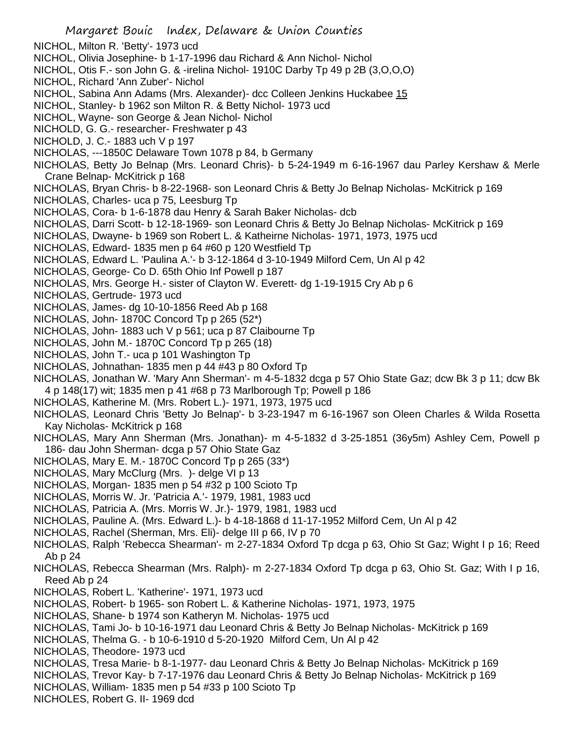- NICHOL, Milton R. 'Betty'- 1973 ucd
- NICHOL, Olivia Josephine- b 1-17-1996 dau Richard & Ann Nichol- Nichol
- NICHOL, Otis F.- son John G. & -irelina Nichol- 1910C Darby Tp 49 p 2B (3,O,O,O)
- NICHOL, Richard 'Ann Zuber'- Nichol
- NICHOL, Sabina Ann Adams (Mrs. Alexander)- dcc Colleen Jenkins Huckabee 15
- NICHOL, Stanley- b 1962 son Milton R. & Betty Nichol- 1973 ucd
- NICHOL, Wayne- son George & Jean Nichol- Nichol
- NICHOLD, G. G.- researcher- Freshwater p 43
- NICHOLD, J. C.- 1883 uch V p 197
- NICHOLAS, ---1850C Delaware Town 1078 p 84, b Germany
- NICHOLAS, Betty Jo Belnap (Mrs. Leonard Chris)- b 5-24-1949 m 6-16-1967 dau Parley Kershaw & Merle Crane Belnap- McKitrick p 168
- NICHOLAS, Bryan Chris- b 8-22-1968- son Leonard Chris & Betty Jo Belnap Nicholas- McKitrick p 169
- NICHOLAS, Charles- uca p 75, Leesburg Tp
- NICHOLAS, Cora- b 1-6-1878 dau Henry & Sarah Baker Nicholas- dcb
- NICHOLAS, Darri Scott- b 12-18-1969- son Leonard Chris & Betty Jo Belnap Nicholas- McKitrick p 169
- NICHOLAS, Dwayne- b 1969 son Robert L. & Katheirne Nicholas- 1971, 1973, 1975 ucd
- NICHOLAS, Edward- 1835 men p 64 #60 p 120 Westfield Tp
- NICHOLAS, Edward L. 'Paulina A.'- b 3-12-1864 d 3-10-1949 Milford Cem, Un Al p 42
- NICHOLAS, George- Co D. 65th Ohio Inf Powell p 187
- NICHOLAS, Mrs. George H.- sister of Clayton W. Everett- dg 1-19-1915 Cry Ab p 6
- NICHOLAS, Gertrude- 1973 ucd
- NICHOLAS, James- dg 10-10-1856 Reed Ab p 168
- NICHOLAS, John- 1870C Concord Tp p 265 (52\*)
- NICHOLAS, John- 1883 uch V p 561; uca p 87 Claibourne Tp
- NICHOLAS, John M.- 1870C Concord Tp p 265 (18)
- NICHOLAS, John T.- uca p 101 Washington Tp
- NICHOLAS, Johnathan- 1835 men p 44 #43 p 80 Oxford Tp
- NICHOLAS, Jonathan W. 'Mary Ann Sherman'- m 4-5-1832 dcga p 57 Ohio State Gaz; dcw Bk 3 p 11; dcw Bk 4 p 148(17) wit; 1835 men p 41 #68 p 73 Marlborough Tp; Powell p 186
- NICHOLAS, Katherine M. (Mrs. Robert L.)- 1971, 1973, 1975 ucd
- NICHOLAS, Leonard Chris 'Betty Jo Belnap'- b 3-23-1947 m 6-16-1967 son Oleen Charles & Wilda Rosetta Kay Nicholas- McKitrick p 168
- NICHOLAS, Mary Ann Sherman (Mrs. Jonathan)- m 4-5-1832 d 3-25-1851 (36y5m) Ashley Cem, Powell p 186- dau John Sherman- dcga p 57 Ohio State Gaz
- NICHOLAS, Mary E. M.- 1870C Concord Tp p 265 (33\*)
- NICHOLAS, Mary McClurg (Mrs. )- delge VI p 13
- NICHOLAS, Morgan- 1835 men p 54 #32 p 100 Scioto Tp
- NICHOLAS, Morris W. Jr. 'Patricia A.'- 1979, 1981, 1983 ucd
- NICHOLAS, Patricia A. (Mrs. Morris W. Jr.)- 1979, 1981, 1983 ucd
- NICHOLAS, Pauline A. (Mrs. Edward L.)- b 4-18-1868 d 11-17-1952 Milford Cem, Un Al p 42
- NICHOLAS, Rachel (Sherman, Mrs. Eli)- delge III p 66, IV p 70
- NICHOLAS, Ralph 'Rebecca Shearman'- m 2-27-1834 Oxford Tp dcga p 63, Ohio St Gaz; Wight I p 16; Reed Ab p 24
- NICHOLAS, Rebecca Shearman (Mrs. Ralph)- m 2-27-1834 Oxford Tp dcga p 63, Ohio St. Gaz; With I p 16, Reed Ab p 24
- NICHOLAS, Robert L. 'Katherine'- 1971, 1973 ucd
- NICHOLAS, Robert- b 1965- son Robert L. & Katherine Nicholas- 1971, 1973, 1975
- NICHOLAS, Shane- b 1974 son Katheryn M. Nicholas- 1975 ucd
- NICHOLAS, Tami Jo- b 10-16-1971 dau Leonard Chris & Betty Jo Belnap Nicholas- McKitrick p 169
- NICHOLAS, Thelma G. b 10-6-1910 d 5-20-1920 Milford Cem, Un Al p 42
- NICHOLAS, Theodore- 1973 ucd
- NICHOLAS, Tresa Marie- b 8-1-1977- dau Leonard Chris & Betty Jo Belnap Nicholas- McKitrick p 169
- NICHOLAS, Trevor Kay- b 7-17-1976 dau Leonard Chris & Betty Jo Belnap Nicholas- McKitrick p 169
- NICHOLAS, William- 1835 men p 54 #33 p 100 Scioto Tp
- NICHOLES, Robert G. II- 1969 dcd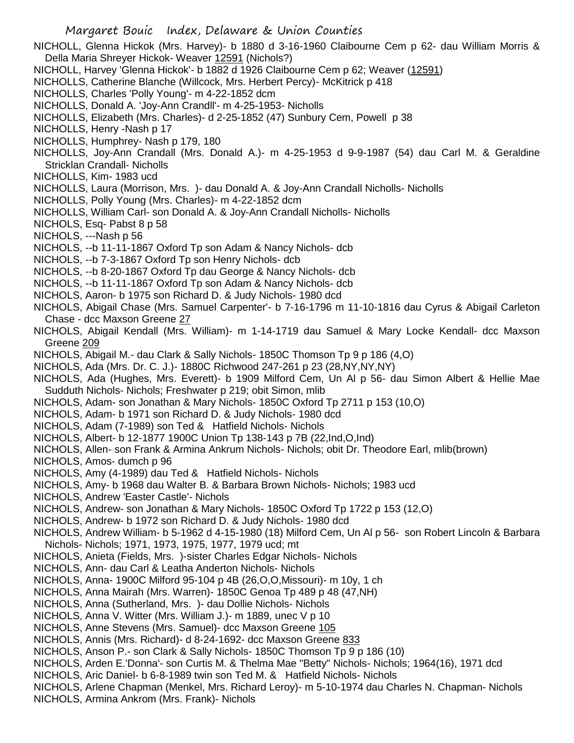NICHOLL, Glenna Hickok (Mrs. Harvey)- b 1880 d 3-16-1960 Claibourne Cem p 62- dau William Morris & Della Maria Shreyer Hickok- Weaver 12591 (Nichols?)

- NICHOLL, Harvey 'Glenna Hickok'- b 1882 d 1926 Claibourne Cem p 62; Weaver (12591)
- NICHOLLS, Catherine Blanche (Willcock, Mrs. Herbert Percy)- McKitrick p 418
- NICHOLLS, Charles 'Polly Young'- m 4-22-1852 dcm
- NICHOLLS, Donald A. 'Joy-Ann Crandll'- m 4-25-1953- Nicholls
- NICHOLLS, Elizabeth (Mrs. Charles)- d 2-25-1852 (47) Sunbury Cem, Powell p 38
- NICHOLLS, Henry -Nash p 17
- NICHOLLS, Humphrey- Nash p 179, 180
- NICHOLLS, Joy-Ann Crandall (Mrs. Donald A.)- m 4-25-1953 d 9-9-1987 (54) dau Carl M. & Geraldine Stricklan Crandall- Nicholls
- NICHOLLS, Kim- 1983 ucd
- NICHOLLS, Laura (Morrison, Mrs. )- dau Donald A. & Joy-Ann Crandall Nicholls- Nicholls
- NICHOLLS, Polly Young (Mrs. Charles)- m 4-22-1852 dcm
- NICHOLLS, William Carl- son Donald A. & Joy-Ann Crandall Nicholls- Nicholls
- NICHOLS, Esq- Pabst 8 p 58
- NICHOLS, ---Nash p 56
- NICHOLS, --b 11-11-1867 Oxford Tp son Adam & Nancy Nichols- dcb
- NICHOLS, --b 7-3-1867 Oxford Tp son Henry Nichols- dcb
- NICHOLS, --b 8-20-1867 Oxford Tp dau George & Nancy Nichols- dcb
- NICHOLS, --b 11-11-1867 Oxford Tp son Adam & Nancy Nichols- dcb
- NICHOLS, Aaron- b 1975 son Richard D. & Judy Nichols- 1980 dcd
- NICHOLS, Abigail Chase (Mrs. Samuel Carpenter'- b 7-16-1796 m 11-10-1816 dau Cyrus & Abigail Carleton Chase - dcc Maxson Greene 27
- NICHOLS, Abigail Kendall (Mrs. William)- m 1-14-1719 dau Samuel & Mary Locke Kendall- dcc Maxson Greene 209
- NICHOLS, Abigail M.- dau Clark & Sally Nichols- 1850C Thomson Tp 9 p 186 (4,O)
- NICHOLS, Ada (Mrs. Dr. C. J.)- 1880C Richwood 247-261 p 23 (28,NY,NY,NY)
- NICHOLS, Ada (Hughes, Mrs. Everett)- b 1909 Milford Cem, Un Al p 56- dau Simon Albert & Hellie Mae Sudduth Nichols- Nichols; Freshwater p 219; obit Simon, mlib
- NICHOLS, Adam- son Jonathan & Mary Nichols- 1850C Oxford Tp 2711 p 153 (10,O)
- NICHOLS, Adam- b 1971 son Richard D. & Judy Nichols- 1980 dcd
- NICHOLS, Adam (7-1989) son Ted & Hatfield Nichols- Nichols
- NICHOLS, Albert- b 12-1877 1900C Union Tp 138-143 p 7B (22,Ind,O,Ind)
- NICHOLS, Allen- son Frank & Armina Ankrum Nichols- Nichols; obit Dr. Theodore Earl, mlib(brown)
- NICHOLS, Amos- dumch p 96
- NICHOLS, Amy (4-1989) dau Ted & Hatfield Nichols- Nichols
- NICHOLS, Amy- b 1968 dau Walter B. & Barbara Brown Nichols- Nichols; 1983 ucd
- NICHOLS, Andrew 'Easter Castle'- Nichols
- NICHOLS, Andrew- son Jonathan & Mary Nichols- 1850C Oxford Tp 1722 p 153 (12,O)
- NICHOLS, Andrew- b 1972 son Richard D. & Judy Nichols- 1980 dcd
- NICHOLS, Andrew William- b 5-1962 d 4-15-1980 (18) Milford Cem, Un Al p 56- son Robert Lincoln & Barbara Nichols- Nichols; 1971, 1973, 1975, 1977, 1979 ucd; mt
- NICHOLS, Anieta (Fields, Mrs. )-sister Charles Edgar Nichols- Nichols
- NICHOLS, Ann- dau Carl & Leatha Anderton Nichols- Nichols
- NICHOLS, Anna- 1900C Milford 95-104 p 4B (26,O,O,Missouri)- m 10y, 1 ch
- NICHOLS, Anna Mairah (Mrs. Warren)- 1850C Genoa Tp 489 p 48 (47,NH)
- NICHOLS, Anna (Sutherland, Mrs. )- dau Dollie Nichols- Nichols
- NICHOLS, Anna V. Witter (Mrs. William J.)- m 1889, unec V p 10
- NICHOLS, Anne Stevens (Mrs. Samuel)- dcc Maxson Greene 105
- NICHOLS, Annis (Mrs. Richard)- d 8-24-1692- dcc Maxson Greene 833
- NICHOLS, Anson P.- son Clark & Sally Nichols- 1850C Thomson Tp 9 p 186 (10)
- NICHOLS, Arden E.'Donna'- son Curtis M. & Thelma Mae "Betty" Nichols- Nichols; 1964(16), 1971 dcd
- NICHOLS, Aric Daniel- b 6-8-1989 twin son Ted M. & Hatfield Nichols- Nichols
- NICHOLS, Arlene Chapman (Menkel, Mrs. Richard Leroy)- m 5-10-1974 dau Charles N. Chapman- Nichols
- NICHOLS, Armina Ankrom (Mrs. Frank)- Nichols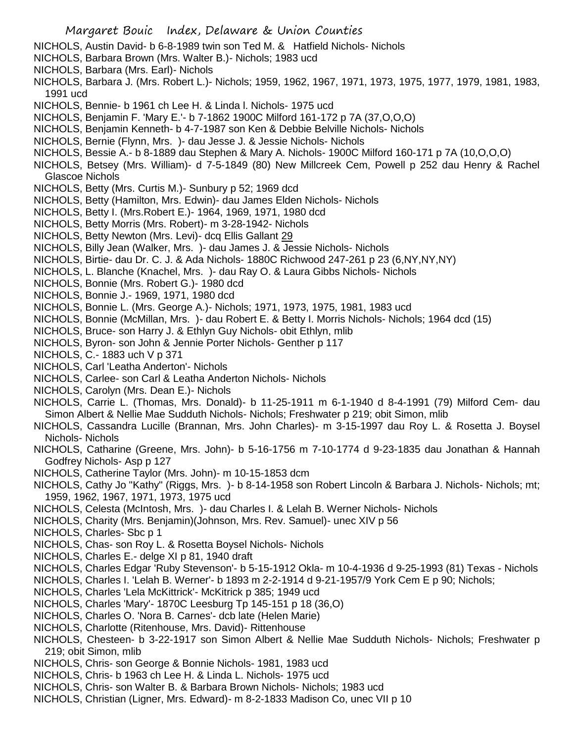- NICHOLS, Austin David- b 6-8-1989 twin son Ted M. & Hatfield Nichols- Nichols
- NICHOLS, Barbara Brown (Mrs. Walter B.)- Nichols; 1983 ucd
- NICHOLS, Barbara (Mrs. Earl)- Nichols
- NICHOLS, Barbara J. (Mrs. Robert L.)- Nichols; 1959, 1962, 1967, 1971, 1973, 1975, 1977, 1979, 1981, 1983, 1991 ucd
- NICHOLS, Bennie- b 1961 ch Lee H. & Linda l. Nichols- 1975 ucd
- NICHOLS, Benjamin F. 'Mary E.'- b 7-1862 1900C Milford 161-172 p 7A (37,O,O,O)
- NICHOLS, Benjamin Kenneth- b 4-7-1987 son Ken & Debbie Belville Nichols- Nichols
- NICHOLS, Bernie (Flynn, Mrs. )- dau Jesse J. & Jessie Nichols- Nichols
- NICHOLS, Bessie A.- b 8-1889 dau Stephen & Mary A. Nichols- 1900C Milford 160-171 p 7A (10,O,O,O)
- NICHOLS, Betsey (Mrs. William)- d 7-5-1849 (80) New Millcreek Cem, Powell p 252 dau Henry & Rachel Glascoe Nichols
- NICHOLS, Betty (Mrs. Curtis M.)- Sunbury p 52; 1969 dcd
- NICHOLS, Betty (Hamilton, Mrs. Edwin)- dau James Elden Nichols- Nichols
- NICHOLS, Betty I. (Mrs.Robert E.)- 1964, 1969, 1971, 1980 dcd
- NICHOLS, Betty Morris (Mrs. Robert)- m 3-28-1942- Nichols
- NICHOLS, Betty Newton (Mrs. Levi)- dcq Ellis Gallant 29
- NICHOLS, Billy Jean (Walker, Mrs. )- dau James J. & Jessie Nichols- Nichols
- NICHOLS, Birtie- dau Dr. C. J. & Ada Nichols- 1880C Richwood 247-261 p 23 (6,NY,NY,NY)
- NICHOLS, L. Blanche (Knachel, Mrs. )- dau Ray O. & Laura Gibbs Nichols- Nichols
- NICHOLS, Bonnie (Mrs. Robert G.)- 1980 dcd
- NICHOLS, Bonnie J.- 1969, 1971, 1980 dcd
- NICHOLS, Bonnie L. (Mrs. George A.)- Nichols; 1971, 1973, 1975, 1981, 1983 ucd
- NICHOLS, Bonnie (McMillan, Mrs. )- dau Robert E. & Betty I. Morris Nichols- Nichols; 1964 dcd (15)
- NICHOLS, Bruce- son Harry J. & Ethlyn Guy Nichols- obit Ethlyn, mlib
- NICHOLS, Byron- son John & Jennie Porter Nichols- Genther p 117
- NICHOLS, C.- 1883 uch V p 371
- NICHOLS, Carl 'Leatha Anderton'- Nichols
- NICHOLS, Carlee- son Carl & Leatha Anderton Nichols- Nichols
- NICHOLS, Carolyn (Mrs. Dean E.)- Nichols
- NICHOLS, Carrie L. (Thomas, Mrs. Donald)- b 11-25-1911 m 6-1-1940 d 8-4-1991 (79) Milford Cem- dau Simon Albert & Nellie Mae Sudduth Nichols- Nichols; Freshwater p 219; obit Simon, mlib
- NICHOLS, Cassandra Lucille (Brannan, Mrs. John Charles)- m 3-15-1997 dau Roy L. & Rosetta J. Boysel Nichols- Nichols
- NICHOLS, Catharine (Greene, Mrs. John)- b 5-16-1756 m 7-10-1774 d 9-23-1835 dau Jonathan & Hannah Godfrey Nichols- Asp p 127
- NICHOLS, Catherine Taylor (Mrs. John)- m 10-15-1853 dcm
- NICHOLS, Cathy Jo "Kathy" (Riggs, Mrs. )- b 8-14-1958 son Robert Lincoln & Barbara J. Nichols- Nichols; mt; 1959, 1962, 1967, 1971, 1973, 1975 ucd
- NICHOLS, Celesta (McIntosh, Mrs. )- dau Charles I. & Lelah B. Werner Nichols- Nichols
- NICHOLS, Charity (Mrs. Benjamin)(Johnson, Mrs. Rev. Samuel)- unec XIV p 56
- NICHOLS, Charles- Sbc p 1
- NICHOLS, Chas- son Roy L. & Rosetta Boysel Nichols- Nichols
- NICHOLS, Charles E.- delge XI p 81, 1940 draft
- NICHOLS, Charles Edgar 'Ruby Stevenson'- b 5-15-1912 Okla- m 10-4-1936 d 9-25-1993 (81) Texas Nichols
- NICHOLS, Charles I. 'Lelah B. Werner'- b 1893 m 2-2-1914 d 9-21-1957/9 York Cem E p 90; Nichols;
- NICHOLS, Charles 'Lela McKittrick'- McKitrick p 385; 1949 ucd
- NICHOLS, Charles 'Mary'- 1870C Leesburg Tp 145-151 p 18 (36,O)
- NICHOLS, Charles O. 'Nora B. Carnes'- dcb late (Helen Marie)
- NICHOLS, Charlotte (Ritenhouse, Mrs. David)- Rittenhouse
- NICHOLS, Chesteen- b 3-22-1917 son Simon Albert & Nellie Mae Sudduth Nichols- Nichols; Freshwater p 219; obit Simon, mlib
- NICHOLS, Chris- son George & Bonnie Nichols- 1981, 1983 ucd
- NICHOLS, Chris- b 1963 ch Lee H. & Linda L. Nichols- 1975 ucd
- NICHOLS, Chris- son Walter B. & Barbara Brown Nichols- Nichols; 1983 ucd
- NICHOLS, Christian (Ligner, Mrs. Edward)- m 8-2-1833 Madison Co, unec VII p 10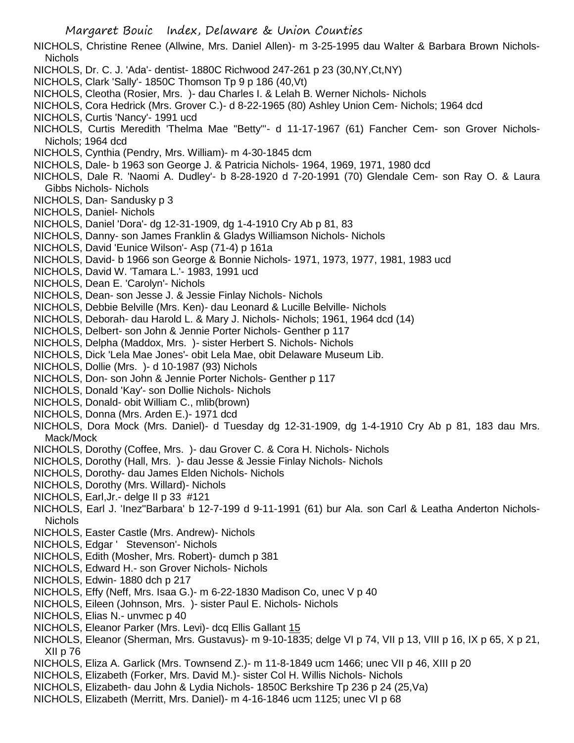NICHOLS, Christine Renee (Allwine, Mrs. Daniel Allen)- m 3-25-1995 dau Walter & Barbara Brown Nichols-Nichols

- NICHOLS, Dr. C. J. 'Ada'- dentist- 1880C Richwood 247-261 p 23 (30,NY,Ct,NY)
- NICHOLS, Clark 'Sally'- 1850C Thomson Tp 9 p 186 (40,Vt)
- NICHOLS, Cleotha (Rosier, Mrs. )- dau Charles I. & Lelah B. Werner Nichols- Nichols
- NICHOLS, Cora Hedrick (Mrs. Grover C.)- d 8-22-1965 (80) Ashley Union Cem- Nichols; 1964 dcd
- NICHOLS, Curtis 'Nancy'- 1991 ucd
- NICHOLS, Curtis Meredith 'Thelma Mae "Betty"'- d 11-17-1967 (61) Fancher Cem- son Grover Nichols-Nichols; 1964 dcd
- NICHOLS, Cynthia (Pendry, Mrs. William)- m 4-30-1845 dcm
- NICHOLS, Dale- b 1963 son George J. & Patricia Nichols- 1964, 1969, 1971, 1980 dcd
- NICHOLS, Dale R. 'Naomi A. Dudley'- b 8-28-1920 d 7-20-1991 (70) Glendale Cem- son Ray O. & Laura Gibbs Nichols- Nichols
- NICHOLS, Dan- Sandusky p 3
- NICHOLS, Daniel- Nichols
- NICHOLS, Daniel 'Dora'- dg 12-31-1909, dg 1-4-1910 Cry Ab p 81, 83
- NICHOLS, Danny- son James Franklin & Gladys Williamson Nichols- Nichols
- NICHOLS, David 'Eunice Wilson'- Asp (71-4) p 161a
- NICHOLS, David- b 1966 son George & Bonnie Nichols- 1971, 1973, 1977, 1981, 1983 ucd
- NICHOLS, David W. 'Tamara L.'- 1983, 1991 ucd
- NICHOLS, Dean E. 'Carolyn'- Nichols
- NICHOLS, Dean- son Jesse J. & Jessie Finlay Nichols- Nichols
- NICHOLS, Debbie Belville (Mrs. Ken)- dau Leonard & Lucille Belville- Nichols
- NICHOLS, Deborah- dau Harold L. & Mary J. Nichols- Nichols; 1961, 1964 dcd (14)
- NICHOLS, Delbert- son John & Jennie Porter Nichols- Genther p 117
- NICHOLS, Delpha (Maddox, Mrs. )- sister Herbert S. Nichols- Nichols
- NICHOLS, Dick 'Lela Mae Jones'- obit Lela Mae, obit Delaware Museum Lib.
- NICHOLS, Dollie (Mrs. )- d 10-1987 (93) Nichols
- NICHOLS, Don- son John & Jennie Porter Nichols- Genther p 117
- NICHOLS, Donald 'Kay'- son Dollie Nichols- Nichols
- NICHOLS, Donald- obit William C., mlib(brown)
- NICHOLS, Donna (Mrs. Arden E.)- 1971 dcd
- NICHOLS, Dora Mock (Mrs. Daniel)- d Tuesday dg 12-31-1909, dg 1-4-1910 Cry Ab p 81, 183 dau Mrs. Mack/Mock
- NICHOLS, Dorothy (Coffee, Mrs. )- dau Grover C. & Cora H. Nichols- Nichols
- NICHOLS, Dorothy (Hall, Mrs. )- dau Jesse & Jessie Finlay Nichols- Nichols
- NICHOLS, Dorothy- dau James Elden Nichols- Nichols
- NICHOLS, Dorothy (Mrs. Willard)- Nichols
- NICHOLS, Earl,Jr.- delge II p 33 #121
- NICHOLS, Earl J. 'Inez''Barbara' b 12-7-199 d 9-11-1991 (61) bur Ala. son Carl & Leatha Anderton Nichols-**Nichols**
- NICHOLS, Easter Castle (Mrs. Andrew)- Nichols
- NICHOLS, Edgar ' Stevenson'- Nichols
- NICHOLS, Edith (Mosher, Mrs. Robert)- dumch p 381
- NICHOLS, Edward H.- son Grover Nichols- Nichols
- NICHOLS, Edwin- 1880 dch p 217
- NICHOLS, Effy (Neff, Mrs. Isaa G.)- m 6-22-1830 Madison Co, unec V p 40
- NICHOLS, Eileen (Johnson, Mrs. )- sister Paul E. Nichols- Nichols
- NICHOLS, Elias N.- unvmec p 40
- NICHOLS, Eleanor Parker (Mrs. Levi)- dcq Ellis Gallant 15
- NICHOLS, Eleanor (Sherman, Mrs. Gustavus)- m 9-10-1835; delge VI p 74, VII p 13, VIII p 16, IX p 65, X p 21, XII p 76
- NICHOLS, Eliza A. Garlick (Mrs. Townsend Z.)- m 11-8-1849 ucm 1466; unec VII p 46, XIII p 20
- NICHOLS, Elizabeth (Forker, Mrs. David M.)- sister Col H. Willis Nichols- Nichols
- NICHOLS, Elizabeth- dau John & Lydia Nichols- 1850C Berkshire Tp 236 p 24 (25,Va)
- NICHOLS, Elizabeth (Merritt, Mrs. Daniel)- m 4-16-1846 ucm 1125; unec VI p 68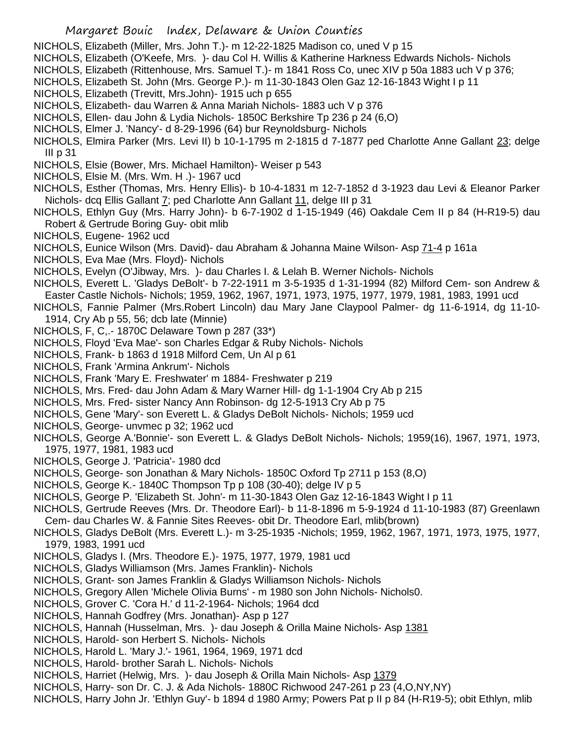- NICHOLS, Elizabeth (Miller, Mrs. John T.)- m 12-22-1825 Madison co, uned V p 15
- NICHOLS, Elizabeth (O'Keefe, Mrs. )- dau Col H. Willis & Katherine Harkness Edwards Nichols- Nichols
- NICHOLS, Elizabeth (Rittenhouse, Mrs. Samuel T.)- m 1841 Ross Co, unec XIV p 50a 1883 uch V p 376;
- NICHOLS, Elizabeth St. John (Mrs. George P.)- m 11-30-1843 Olen Gaz 12-16-1843 Wight I p 11
- NICHOLS, Elizabeth (Trevitt, Mrs.John)- 1915 uch p 655
- NICHOLS, Elizabeth- dau Warren & Anna Mariah Nichols- 1883 uch V p 376
- NICHOLS, Ellen- dau John & Lydia Nichols- 1850C Berkshire Tp 236 p 24 (6,O)
- NICHOLS, Elmer J. 'Nancy'- d 8-29-1996 (64) bur Reynoldsburg- Nichols
- NICHOLS, Elmira Parker (Mrs. Levi II) b 10-1-1795 m 2-1815 d 7-1877 ped Charlotte Anne Gallant 23; delge III p 31
- NICHOLS, Elsie (Bower, Mrs. Michael Hamilton)- Weiser p 543
- NICHOLS, Elsie M. (Mrs. Wm. H .)- 1967 ucd
- NICHOLS, Esther (Thomas, Mrs. Henry Ellis)- b 10-4-1831 m 12-7-1852 d 3-1923 dau Levi & Eleanor Parker Nichols- dcq Ellis Gallant 7; ped Charlotte Ann Gallant 11, delge III p 31
- NICHOLS, Ethlyn Guy (Mrs. Harry John)- b 6-7-1902 d 1-15-1949 (46) Oakdale Cem II p 84 (H-R19-5) dau Robert & Gertrude Boring Guy- obit mlib
- NICHOLS, Eugene- 1962 ucd
- NICHOLS, Eunice Wilson (Mrs. David)- dau Abraham & Johanna Maine Wilson- Asp 71-4 p 161a
- NICHOLS, Eva Mae (Mrs. Floyd)- Nichols
- NICHOLS, Evelyn (O'Jibway, Mrs. )- dau Charles I. & Lelah B. Werner Nichols- Nichols
- NICHOLS, Everett L. 'Gladys DeBolt'- b 7-22-1911 m 3-5-1935 d 1-31-1994 (82) Milford Cem- son Andrew & Easter Castle Nichols- Nichols; 1959, 1962, 1967, 1971, 1973, 1975, 1977, 1979, 1981, 1983, 1991 ucd
- NICHOLS, Fannie Palmer (Mrs.Robert Lincoln) dau Mary Jane Claypool Palmer- dg 11-6-1914, dg 11-10- 1914, Cry Ab p 55, 56; dcb late (Minnie)
- NICHOLS, F, C,.- 1870C Delaware Town p 287 (33\*)
- NICHOLS, Floyd 'Eva Mae'- son Charles Edgar & Ruby Nichols- Nichols
- NICHOLS, Frank- b 1863 d 1918 Milford Cem, Un Al p 61
- NICHOLS, Frank 'Armina Ankrum'- Nichols
- NICHOLS, Frank 'Mary E. Freshwater' m 1884- Freshwater p 219
- NICHOLS, Mrs. Fred- dau John Adam & Mary Warner Hill- dg 1-1-1904 Cry Ab p 215
- NICHOLS, Mrs. Fred- sister Nancy Ann Robinson- dg 12-5-1913 Cry Ab p 75
- NICHOLS, Gene 'Mary'- son Everett L. & Gladys DeBolt Nichols- Nichols; 1959 ucd
- NICHOLS, George- unvmec p 32; 1962 ucd
- NICHOLS, George A.'Bonnie'- son Everett L. & Gladys DeBolt Nichols- Nichols; 1959(16), 1967, 1971, 1973, 1975, 1977, 1981, 1983 ucd
- NICHOLS, George J. 'Patricia'- 1980 dcd
- NICHOLS, George- son Jonathan & Mary Nichols- 1850C Oxford Tp 2711 p 153 (8,O)
- NICHOLS, George K.- 1840C Thompson Tp p 108 (30-40); delge IV p 5
- NICHOLS, George P. 'Elizabeth St. John'- m 11-30-1843 Olen Gaz 12-16-1843 Wight I p 11
- NICHOLS, Gertrude Reeves (Mrs. Dr. Theodore Earl)- b 11-8-1896 m 5-9-1924 d 11-10-1983 (87) Greenlawn
- Cem- dau Charles W. & Fannie Sites Reeves- obit Dr. Theodore Earl, mlib(brown)
- NICHOLS, Gladys DeBolt (Mrs. Everett L.)- m 3-25-1935 -Nichols; 1959, 1962, 1967, 1971, 1973, 1975, 1977, 1979, 1983, 1991 ucd
- NICHOLS, Gladys I. (Mrs. Theodore E.)- 1975, 1977, 1979, 1981 ucd
- NICHOLS, Gladys Williamson (Mrs. James Franklin)- Nichols
- NICHOLS, Grant- son James Franklin & Gladys Williamson Nichols- Nichols
- NICHOLS, Gregory Allen 'Michele Olivia Burns' m 1980 son John Nichols- Nichols0.
- NICHOLS, Grover C. 'Cora H.' d 11-2-1964- Nichols; 1964 dcd
- NICHOLS, Hannah Godfrey (Mrs. Jonathan)- Asp p 127
- NICHOLS, Hannah (Husselman, Mrs. )- dau Joseph & Orilla Maine Nichols- Asp 1381
- NICHOLS, Harold- son Herbert S. Nichols- Nichols
- NICHOLS, Harold L. 'Mary J.'- 1961, 1964, 1969, 1971 dcd
- NICHOLS, Harold- brother Sarah L. Nichols- Nichols
- NICHOLS, Harriet (Helwig, Mrs. )- dau Joseph & Orilla Main Nichols- Asp 1379
- NICHOLS, Harry- son Dr. C. J. & Ada Nichols- 1880C Richwood 247-261 p 23 (4,O,NY,NY)
- NICHOLS, Harry John Jr. 'Ethlyn Guy'- b 1894 d 1980 Army; Powers Pat p II p 84 (H-R19-5); obit Ethlyn, mlib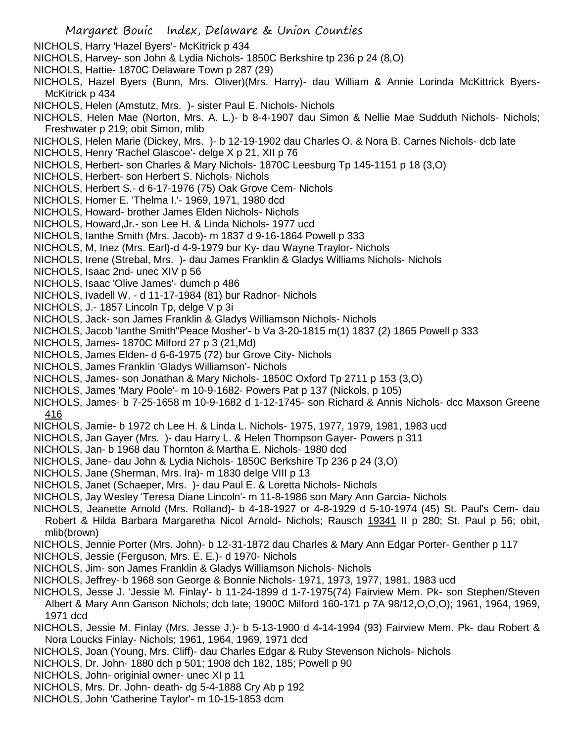- NICHOLS, Harry 'Hazel Byers'- McKitrick p 434
- NICHOLS, Harvey- son John & Lydia Nichols- 1850C Berkshire tp 236 p 24 (8,O)
- NICHOLS, Hattie- 1870C Delaware Town p 287 (29)
- NICHOLS, Hazel Byers (Bunn, Mrs. Oliver)(Mrs. Harry)- dau William & Annie Lorinda McKittrick Byers-McKitrick p 434
- NICHOLS, Helen (Amstutz, Mrs. )- sister Paul E. Nichols- Nichols
- NICHOLS, Helen Mae (Norton, Mrs. A. L.)- b 8-4-1907 dau Simon & Nellie Mae Sudduth Nichols- Nichols; Freshwater p 219; obit Simon, mlib
- NICHOLS, Helen Marie (Dickey, Mrs. )- b 12-19-1902 dau Charles O. & Nora B. Carnes Nichols- dcb late
- NICHOLS, Henry 'Rachel Glascoe'- delge X p 21, XII p 76
- NICHOLS, Herbert- son Charles & Mary Nichols- 1870C Leesburg Tp 145-1151 p 18 (3,O)
- NICHOLS, Herbert- son Herbert S. Nichols- Nichols
- NICHOLS, Herbert S.- d 6-17-1976 (75) Oak Grove Cem- Nichols
- NICHOLS, Homer E. 'Thelma I.'- 1969, 1971, 1980 dcd
- NICHOLS, Howard- brother James Elden Nichols- Nichols
- NICHOLS, Howard,Jr.- son Lee H. & Linda Nichols- 1977 ucd
- NICHOLS, Ianthe Smith (Mrs. Jacob)- m 1837 d 9-16-1864 Powell p 333
- NICHOLS, M, Inez (Mrs. Earl)-d 4-9-1979 bur Ky- dau Wayne Traylor- Nichols
- NICHOLS, Irene (Strebal, Mrs. )- dau James Franklin & Gladys Williams Nichols- Nichols
- NICHOLS, Isaac 2nd- unec XIV p 56
- NICHOLS, Isaac 'Olive James'- dumch p 486
- NICHOLS, Ivadell W. d 11-17-1984 (81) bur Radnor- Nichols
- NICHOLS, J.- 1857 Lincoln Tp, delge V p 3i
- NICHOLS, Jack- son James Franklin & Gladys Williamson Nichols- Nichols
- NICHOLS, Jacob 'Ianthe Smith''Peace Mosher'- b Va 3-20-1815 m(1) 1837 (2) 1865 Powell p 333
- NICHOLS, James- 1870C Milford 27 p 3 (21,Md)
- NICHOLS, James Elden- d 6-6-1975 (72) bur Grove City- Nichols
- NICHOLS, James Franklin 'Gladys Williamson'- Nichols
- NICHOLS, James- son Jonathan & Mary Nichols- 1850C Oxford Tp 2711 p 153 (3,O)
- NICHOLS, James 'Mary Poole'- m 10-9-1682- Powers Pat p 137 (Nickols, p 105)
- NICHOLS, James- b 7-25-1658 m 10-9-1682 d 1-12-1745- son Richard & Annis Nichols- dcc Maxson Greene 416
- NICHOLS, Jamie- b 1972 ch Lee H. & Linda L. Nichols- 1975, 1977, 1979, 1981, 1983 ucd
- NICHOLS, Jan Gayer (Mrs. )- dau Harry L. & Helen Thompson Gayer- Powers p 311
- NICHOLS, Jan- b 1968 dau Thornton & Martha E. Nichols- 1980 dcd
- NICHOLS, Jane- dau John & Lydia Nichols- 1850C Berkshire Tp 236 p 24 (3,O)
- NICHOLS, Jane (Sherman, Mrs. Ira)- m 1830 delge VIII p 13
- NICHOLS, Janet (Schaeper, Mrs. )- dau Paul E. & Loretta Nichols- Nichols
- NICHOLS, Jay Wesley 'Teresa Diane Lincoln'- m 11-8-1986 son Mary Ann Garcia- Nichols
- NICHOLS, Jeanette Arnold (Mrs. Rolland)- b 4-18-1927 or 4-8-1929 d 5-10-1974 (45) St. Paul's Cem- dau Robert & Hilda Barbara Margaretha Nicol Arnold- Nichols; Rausch 19341 II p 280; St. Paul p 56; obit, mlib(brown)
- NICHOLS, Jennie Porter (Mrs. John)- b 12-31-1872 dau Charles & Mary Ann Edgar Porter- Genther p 117
- NICHOLS, Jessie (Ferguson, Mrs. E. E.)- d 1970- Nichols
- NICHOLS, Jim- son James Franklin & Gladys Williamson Nichols- Nichols
- NICHOLS, Jeffrey- b 1968 son George & Bonnie Nichols- 1971, 1973, 1977, 1981, 1983 ucd
- NICHOLS, Jesse J. 'Jessie M. Finlay'- b 11-24-1899 d 1-7-1975(74) Fairview Mem. Pk- son Stephen/Steven Albert & Mary Ann Ganson Nichols; dcb late; 1900C Milford 160-171 p 7A 98/12,O,O,O); 1961, 1964, 1969, 1971 dcd
- NICHOLS, Jessie M. Finlay (Mrs. Jesse J.)- b 5-13-1900 d 4-14-1994 (93) Fairview Mem. Pk- dau Robert & Nora Loucks Finlay- Nichols; 1961, 1964, 1969, 1971 dcd
- NICHOLS, Joan (Young, Mrs. Cliff)- dau Charles Edgar & Ruby Stevenson Nichols- Nichols
- NICHOLS, Dr. John- 1880 dch p 501; 1908 dch 182, 185; Powell p 90
- NICHOLS, John- originial owner- unec XI p 11
- NICHOLS, Mrs. Dr. John- death- dg 5-4-1888 Cry Ab p 192
- NICHOLS, John 'Catherine Taylor'- m 10-15-1853 dcm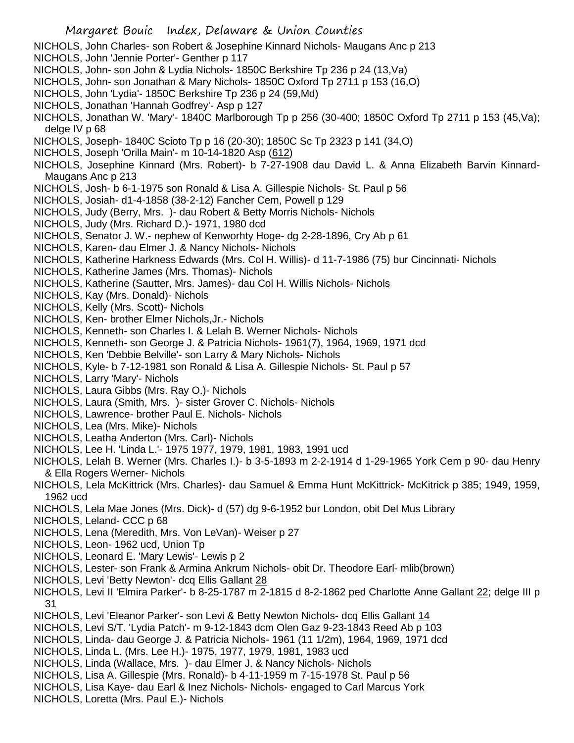- NICHOLS, John Charles- son Robert & Josephine Kinnard Nichols- Maugans Anc p 213
- NICHOLS, John 'Jennie Porter'- Genther p 117
- NICHOLS, John- son John & Lydia Nichols- 1850C Berkshire Tp 236 p 24 (13,Va)
- NICHOLS, John- son Jonathan & Mary Nichols- 1850C Oxford Tp 2711 p 153 (16,O)
- NICHOLS, John 'Lydia'- 1850C Berkshire Tp 236 p 24 (59,Md)
- NICHOLS, Jonathan 'Hannah Godfrey'- Asp p 127
- NICHOLS, Jonathan W. 'Mary'- 1840C Marlborough Tp p 256 (30-400; 1850C Oxford Tp 2711 p 153 (45,Va); delge IV p 68
- NICHOLS, Joseph- 1840C Scioto Tp p 16 (20-30); 1850C Sc Tp 2323 p 141 (34,O)
- NICHOLS, Joseph 'Orilla Main'- m 10-14-1820 Asp (612)
- NICHOLS, Josephine Kinnard (Mrs. Robert)- b 7-27-1908 dau David L. & Anna Elizabeth Barvin Kinnard-Maugans Anc p 213
- NICHOLS, Josh- b 6-1-1975 son Ronald & Lisa A. Gillespie Nichols- St. Paul p 56
- NICHOLS, Josiah- d1-4-1858 (38-2-12) Fancher Cem, Powell p 129
- NICHOLS, Judy (Berry, Mrs. )- dau Robert & Betty Morris Nichols- Nichols
- NICHOLS, Judy (Mrs. Richard D.)- 1971, 1980 dcd
- NICHOLS, Senator J. W.- nephew of Kenworhty Hoge- dg 2-28-1896, Cry Ab p 61
- NICHOLS, Karen- dau Elmer J. & Nancy Nichols- Nichols
- NICHOLS, Katherine Harkness Edwards (Mrs. Col H. Willis)- d 11-7-1986 (75) bur Cincinnati- Nichols
- NICHOLS, Katherine James (Mrs. Thomas)- Nichols
- NICHOLS, Katherine (Sautter, Mrs. James)- dau Col H. Willis Nichols- Nichols
- NICHOLS, Kay (Mrs. Donald)- Nichols
- NICHOLS, Kelly (Mrs. Scott)- Nichols
- NICHOLS, Ken- brother Elmer Nichols,Jr.- Nichols
- NICHOLS, Kenneth- son Charles I. & Lelah B. Werner Nichols- Nichols
- NICHOLS, Kenneth- son George J. & Patricia Nichols- 1961(7), 1964, 1969, 1971 dcd
- NICHOLS, Ken 'Debbie Belville'- son Larry & Mary Nichols- Nichols
- NICHOLS, Kyle- b 7-12-1981 son Ronald & Lisa A. Gillespie Nichols- St. Paul p 57
- NICHOLS, Larry 'Mary'- Nichols
- NICHOLS, Laura Gibbs (Mrs. Ray O.)- Nichols
- NICHOLS, Laura (Smith, Mrs. )- sister Grover C. Nichols- Nichols
- NICHOLS, Lawrence- brother Paul E. Nichols- Nichols
- NICHOLS, Lea (Mrs. Mike)- Nichols
- NICHOLS, Leatha Anderton (Mrs. Carl)- Nichols
- NICHOLS, Lee H. 'Linda L.'- 1975 1977, 1979, 1981, 1983, 1991 ucd
- NICHOLS, Lelah B. Werner (Mrs. Charles I.)- b 3-5-1893 m 2-2-1914 d 1-29-1965 York Cem p 90- dau Henry & Ella Rogers Werner- Nichols
- NICHOLS, Lela McKittrick (Mrs. Charles)- dau Samuel & Emma Hunt McKittrick- McKitrick p 385; 1949, 1959, 1962 ucd
- NICHOLS, Lela Mae Jones (Mrs. Dick)- d (57) dg 9-6-1952 bur London, obit Del Mus Library
- NICHOLS, Leland- CCC p 68
- NICHOLS, Lena (Meredith, Mrs. Von LeVan)- Weiser p 27
- NICHOLS, Leon- 1962 ucd, Union Tp
- NICHOLS, Leonard E. 'Mary Lewis'- Lewis p 2
- NICHOLS, Lester- son Frank & Armina Ankrum Nichols- obit Dr. Theodore Earl- mlib(brown)
- NICHOLS, Levi 'Betty Newton'- dcq Ellis Gallant 28
- NICHOLS, Levi II 'Elmira Parker'- b 8-25-1787 m 2-1815 d 8-2-1862 ped Charlotte Anne Gallant 22; delge III p 31
- NICHOLS, Levi 'Eleanor Parker'- son Levi & Betty Newton Nichols- dcq Ellis Gallant 14
- NICHOLS, Levi S/T. 'Lydia Patch'- m 9-12-1843 dcm Olen Gaz 9-23-1843 Reed Ab p 103
- NICHOLS, Linda- dau George J. & Patricia Nichols- 1961 (11 1/2m), 1964, 1969, 1971 dcd
- NICHOLS, Linda L. (Mrs. Lee H.)- 1975, 1977, 1979, 1981, 1983 ucd
- NICHOLS, Linda (Wallace, Mrs. )- dau Elmer J. & Nancy Nichols- Nichols
- NICHOLS, Lisa A. Gillespie (Mrs. Ronald)- b 4-11-1959 m 7-15-1978 St. Paul p 56
- NICHOLS, Lisa Kaye- dau Earl & Inez Nichols- Nichols- engaged to Carl Marcus York
- NICHOLS, Loretta (Mrs. Paul E.)- Nichols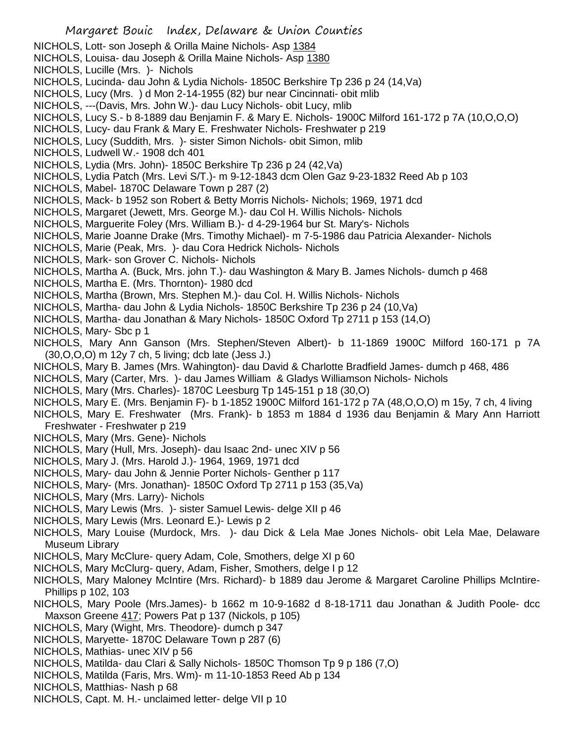- NICHOLS, Lott- son Joseph & Orilla Maine Nichols- Asp 1384
- NICHOLS, Louisa- dau Joseph & Orilla Maine Nichols- Asp 1380
- NICHOLS, Lucille (Mrs. )- Nichols
- NICHOLS, Lucinda- dau John & Lydia Nichols- 1850C Berkshire Tp 236 p 24 (14,Va)
- NICHOLS, Lucy (Mrs. ) d Mon 2-14-1955 (82) bur near Cincinnati- obit mlib
- NICHOLS, ---(Davis, Mrs. John W.)- dau Lucy Nichols- obit Lucy, mlib
- NICHOLS, Lucy S.- b 8-1889 dau Benjamin F. & Mary E. Nichols- 1900C Milford 161-172 p 7A (10,O,O,O)
- NICHOLS, Lucy- dau Frank & Mary E. Freshwater Nichols- Freshwater p 219
- NICHOLS, Lucy (Suddith, Mrs. )- sister Simon Nichols- obit Simon, mlib
- NICHOLS, Ludwell W.- 1908 dch 401
- NICHOLS, Lydia (Mrs. John)- 1850C Berkshire Tp 236 p 24 (42,Va)
- NICHOLS, Lydia Patch (Mrs. Levi S/T.)- m 9-12-1843 dcm Olen Gaz 9-23-1832 Reed Ab p 103
- NICHOLS, Mabel- 1870C Delaware Town p 287 (2)
- NICHOLS, Mack- b 1952 son Robert & Betty Morris Nichols- Nichols; 1969, 1971 dcd
- NICHOLS, Margaret (Jewett, Mrs. George M.)- dau Col H. Willis Nichols- Nichols
- NICHOLS, Marguerite Foley (Mrs. William B.)- d 4-29-1964 bur St. Mary's- Nichols
- NICHOLS, Marie Joanne Drake (Mrs. Timothy Michael)- m 7-5-1986 dau Patricia Alexander- Nichols
- NICHOLS, Marie (Peak, Mrs. )- dau Cora Hedrick Nichols- Nichols
- NICHOLS, Mark- son Grover C. Nichols- Nichols
- NICHOLS, Martha A. (Buck, Mrs. john T.)- dau Washington & Mary B. James Nichols- dumch p 468
- NICHOLS, Martha E. (Mrs. Thornton)- 1980 dcd
- NICHOLS, Martha (Brown, Mrs. Stephen M.)- dau Col. H. Willis Nichols- Nichols
- NICHOLS, Martha- dau John & Lydia Nichols- 1850C Berkshire Tp 236 p 24 (10,Va)
- NICHOLS, Martha- dau Jonathan & Mary Nichols- 1850C Oxford Tp 2711 p 153 (14,O)
- NICHOLS, Mary- Sbc p 1
- NICHOLS, Mary Ann Ganson (Mrs. Stephen/Steven Albert)- b 11-1869 1900C Milford 160-171 p 7A (30,O,O,O) m 12y 7 ch, 5 living; dcb late (Jess J.)
- NICHOLS, Mary B. James (Mrs. Wahington)- dau David & Charlotte Bradfield James- dumch p 468, 486
- NICHOLS, Mary (Carter, Mrs. )- dau James William & Gladys Williamson Nichols- Nichols
- NICHOLS, Mary (Mrs. Charles)- 1870C Leesburg Tp 145-151 p 18 (30,O)
- NICHOLS, Mary E. (Mrs. Benjamin F)- b 1-1852 1900C Milford 161-172 p 7A (48,O,O,O) m 15y, 7 ch, 4 living
- NICHOLS, Mary E. Freshwater (Mrs. Frank)- b 1853 m 1884 d 1936 dau Benjamin & Mary Ann Harriott Freshwater - Freshwater p 219
- NICHOLS, Mary (Mrs. Gene)- Nichols
- NICHOLS, Mary (Hull, Mrs. Joseph)- dau Isaac 2nd- unec XIV p 56
- NICHOLS, Mary J. (Mrs. Harold J.)- 1964, 1969, 1971 dcd
- NICHOLS, Mary- dau John & Jennie Porter Nichols- Genther p 117
- NICHOLS, Mary- (Mrs. Jonathan)- 1850C Oxford Tp 2711 p 153 (35,Va)
- NICHOLS, Mary (Mrs. Larry)- Nichols
- NICHOLS, Mary Lewis (Mrs. )- sister Samuel Lewis- delge XII p 46
- NICHOLS, Mary Lewis (Mrs. Leonard E.)- Lewis p 2
- NICHOLS, Mary Louise (Murdock, Mrs. )- dau Dick & Lela Mae Jones Nichols- obit Lela Mae, Delaware Museum Library
- NICHOLS, Mary McClure- query Adam, Cole, Smothers, delge XI p 60
- NICHOLS, Mary McClurg- query, Adam, Fisher, Smothers, delge I p 12
- NICHOLS, Mary Maloney McIntire (Mrs. Richard)- b 1889 dau Jerome & Margaret Caroline Phillips McIntire-Phillips p 102, 103
- NICHOLS, Mary Poole (Mrs.James)- b 1662 m 10-9-1682 d 8-18-1711 dau Jonathan & Judith Poole- dcc Maxson Greene 417; Powers Pat p 137 (Nickols, p 105)
- NICHOLS, Mary (Wight, Mrs. Theodore)- dumch p 347
- NICHOLS, Maryette- 1870C Delaware Town p 287 (6)
- NICHOLS, Mathias- unec XIV p 56
- NICHOLS, Matilda- dau Clari & Sally Nichols- 1850C Thomson Tp 9 p 186 (7,O)
- NICHOLS, Matilda (Faris, Mrs. Wm)- m 11-10-1853 Reed Ab p 134
- NICHOLS, Matthias- Nash p 68
- NICHOLS, Capt. M. H.- unclaimed letter- delge VII p 10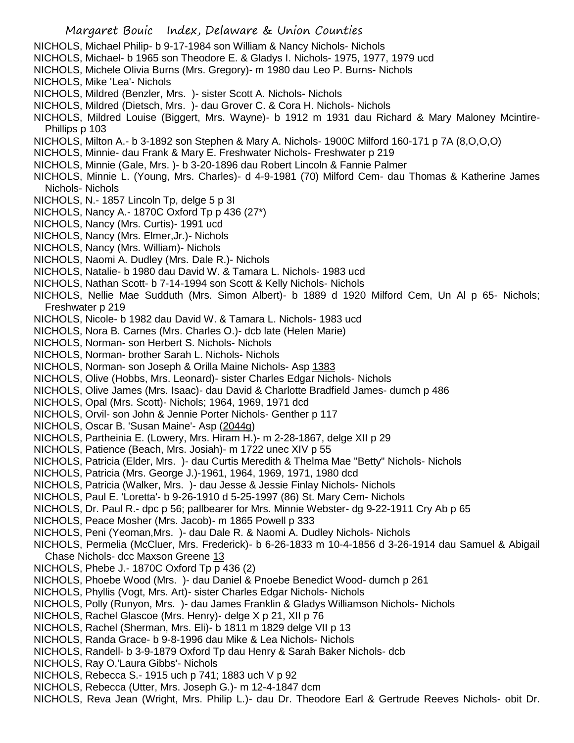- NICHOLS, Michael Philip- b 9-17-1984 son William & Nancy Nichols- Nichols
- NICHOLS, Michael- b 1965 son Theodore E. & Gladys I. Nichols- 1975, 1977, 1979 ucd
- NICHOLS, Michele Olivia Burns (Mrs. Gregory)- m 1980 dau Leo P. Burns- Nichols
- NICHOLS, Mike 'Lea'- Nichols
- NICHOLS, Mildred (Benzler, Mrs. )- sister Scott A. Nichols- Nichols
- NICHOLS, Mildred (Dietsch, Mrs. )- dau Grover C. & Cora H. Nichols- Nichols
- NICHOLS, Mildred Louise (Biggert, Mrs. Wayne)- b 1912 m 1931 dau Richard & Mary Maloney Mcintire-Phillips p 103
- NICHOLS, Milton A.- b 3-1892 son Stephen & Mary A. Nichols- 1900C Milford 160-171 p 7A (8,O,O,O)
- NICHOLS, Minnie- dau Frank & Mary E. Freshwater Nichols- Freshwater p 219
- NICHOLS, Minnie (Gale, Mrs. )- b 3-20-1896 dau Robert Lincoln & Fannie Palmer
- NICHOLS, Minnie L. (Young, Mrs. Charles)- d 4-9-1981 (70) Milford Cem- dau Thomas & Katherine James Nichols- Nichols
- NICHOLS, N.- 1857 Lincoln Tp, delge 5 p 3I
- NICHOLS, Nancy A.- 1870C Oxford Tp p 436 (27\*)
- NICHOLS, Nancy (Mrs. Curtis)- 1991 ucd
- NICHOLS, Nancy (Mrs. Elmer,Jr.)- Nichols
- NICHOLS, Nancy (Mrs. William)- Nichols
- NICHOLS, Naomi A. Dudley (Mrs. Dale R.)- Nichols
- NICHOLS, Natalie- b 1980 dau David W. & Tamara L. Nichols- 1983 ucd
- NICHOLS, Nathan Scott- b 7-14-1994 son Scott & Kelly Nichols- Nichols
- NICHOLS, Nellie Mae Sudduth (Mrs. Simon Albert)- b 1889 d 1920 Milford Cem, Un Al p 65- Nichols; Freshwater p 219
- NICHOLS, Nicole- b 1982 dau David W. & Tamara L. Nichols- 1983 ucd
- NICHOLS, Nora B. Carnes (Mrs. Charles O.)- dcb late (Helen Marie)
- NICHOLS, Norman- son Herbert S. Nichols- Nichols
- NICHOLS, Norman- brother Sarah L. Nichols- Nichols
- NICHOLS, Norman- son Joseph & Orilla Maine Nichols- Asp 1383
- NICHOLS, Olive (Hobbs, Mrs. Leonard)- sister Charles Edgar Nichols- Nichols
- NICHOLS, Olive James (Mrs. Isaac)- dau David & Charlotte Bradfield James- dumch p 486
- NICHOLS, Opal (Mrs. Scott)- Nichols; 1964, 1969, 1971 dcd
- NICHOLS, Orvil- son John & Jennie Porter Nichols- Genther p 117
- NICHOLS, Oscar B. 'Susan Maine'- Asp (2044g)
- NICHOLS, Partheinia E. (Lowery, Mrs. Hiram H.)- m 2-28-1867, delge XII p 29
- NICHOLS, Patience (Beach, Mrs. Josiah)- m 1722 unec XIV p 55
- NICHOLS, Patricia (Elder, Mrs. )- dau Curtis Meredith & Thelma Mae "Betty" Nichols- Nichols
- NICHOLS, Patricia (Mrs. George J.)-1961, 1964, 1969, 1971, 1980 dcd
- NICHOLS, Patricia (Walker, Mrs. )- dau Jesse & Jessie Finlay Nichols- Nichols
- NICHOLS, Paul E. 'Loretta'- b 9-26-1910 d 5-25-1997 (86) St. Mary Cem- Nichols
- NICHOLS, Dr. Paul R.- dpc p 56; pallbearer for Mrs. Minnie Webster- dg 9-22-1911 Cry Ab p 65
- NICHOLS, Peace Mosher (Mrs. Jacob)- m 1865 Powell p 333
- NICHOLS, Peni (Yeoman,Mrs. )- dau Dale R. & Naomi A. Dudley Nichols- Nichols
- NICHOLS, Permelia (McCluer, Mrs. Frederick)- b 6-26-1833 m 10-4-1856 d 3-26-1914 dau Samuel & Abigail Chase Nichols- dcc Maxson Greene 13
- NICHOLS, Phebe J.- 1870C Oxford Tp p 436 (2)
- NICHOLS, Phoebe Wood (Mrs. )- dau Daniel & Pnoebe Benedict Wood- dumch p 261
- NICHOLS, Phyllis (Vogt, Mrs. Art)- sister Charles Edgar Nichols- Nichols
- NICHOLS, Polly (Runyon, Mrs. )- dau James Franklin & Gladys Williamson Nichols- Nichols
- NICHOLS, Rachel Glascoe (Mrs. Henry)- delge X p 21, XII p 76
- NICHOLS, Rachel (Sherman, Mrs. Eli)- b 1811 m 1829 delge VII p 13
- NICHOLS, Randa Grace- b 9-8-1996 dau Mike & Lea Nichols- Nichols
- NICHOLS, Randell- b 3-9-1879 Oxford Tp dau Henry & Sarah Baker Nichols- dcb
- NICHOLS, Ray O.'Laura Gibbs'- Nichols
- NICHOLS, Rebecca S.- 1915 uch p 741; 1883 uch V p 92
- NICHOLS, Rebecca (Utter, Mrs. Joseph G.)- m 12-4-1847 dcm
- NICHOLS, Reva Jean (Wright, Mrs. Philip L.)- dau Dr. Theodore Earl & Gertrude Reeves Nichols- obit Dr.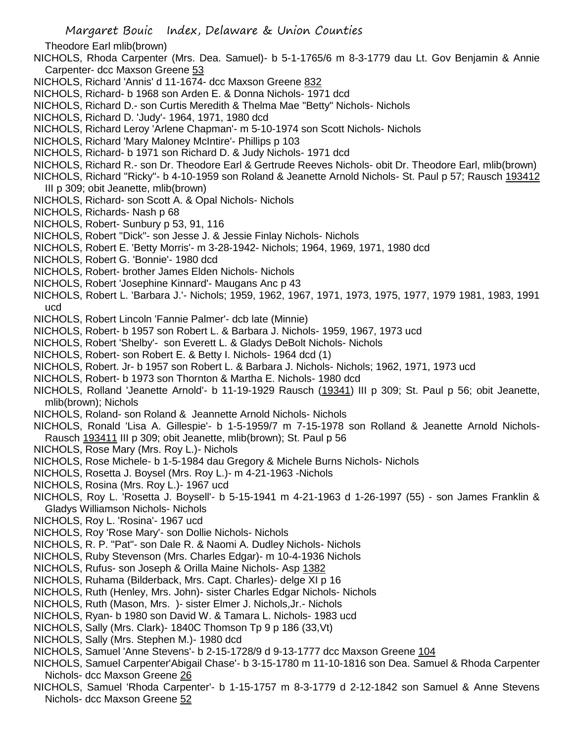Theodore Earl mlib(brown)

- NICHOLS, Rhoda Carpenter (Mrs. Dea. Samuel)- b 5-1-1765/6 m 8-3-1779 dau Lt. Gov Benjamin & Annie Carpenter- dcc Maxson Greene 53
- NICHOLS. Richard 'Annis' d 11-1674- dcc Maxson Greene 832
- NICHOLS, Richard- b 1968 son Arden E. & Donna Nichols- 1971 dcd
- NICHOLS, Richard D.- son Curtis Meredith & Thelma Mae "Betty" Nichols- Nichols
- NICHOLS, Richard D. 'Judy'- 1964, 1971, 1980 dcd
- NICHOLS, Richard Leroy 'Arlene Chapman'- m 5-10-1974 son Scott Nichols- Nichols
- NICHOLS, Richard 'Mary Maloney McIntire'- Phillips p 103
- NICHOLS, Richard- b 1971 son Richard D. & Judy Nichols- 1971 dcd
- NICHOLS, Richard R.- son Dr. Theodore Earl & Gertrude Reeves Nichols- obit Dr. Theodore Earl, mlib(brown)
- NICHOLS, Richard "Ricky"- b 4-10-1959 son Roland & Jeanette Arnold Nichols- St. Paul p 57; Rausch 193412 III p 309; obit Jeanette, mlib(brown)
- NICHOLS, Richard- son Scott A. & Opal Nichols- Nichols
- NICHOLS, Richards- Nash p 68
- NICHOLS, Robert- Sunbury p 53, 91, 116
- NICHOLS, Robert "Dick"- son Jesse J. & Jessie Finlay Nichols- Nichols
- NICHOLS, Robert E. 'Betty Morris'- m 3-28-1942- Nichols; 1964, 1969, 1971, 1980 dcd
- NICHOLS, Robert G. 'Bonnie'- 1980 dcd
- NICHOLS, Robert- brother James Elden Nichols- Nichols
- NICHOLS, Robert 'Josephine Kinnard'- Maugans Anc p 43
- NICHOLS, Robert L. 'Barbara J.'- Nichols; 1959, 1962, 1967, 1971, 1973, 1975, 1977, 1979 1981, 1983, 1991 ucd
- NICHOLS, Robert Lincoln 'Fannie Palmer'- dcb late (Minnie)
- NICHOLS, Robert- b 1957 son Robert L. & Barbara J. Nichols- 1959, 1967, 1973 ucd
- NICHOLS, Robert 'Shelby'- son Everett L. & Gladys DeBolt Nichols- Nichols
- NICHOLS, Robert- son Robert E. & Betty I. Nichols- 1964 dcd (1)
- NICHOLS, Robert. Jr- b 1957 son Robert L. & Barbara J. Nichols- Nichols; 1962, 1971, 1973 ucd
- NICHOLS, Robert- b 1973 son Thornton & Martha E. Nichols- 1980 dcd
- NICHOLS, Rolland 'Jeanette Arnold'- b 11-19-1929 Rausch (19341) III p 309; St. Paul p 56; obit Jeanette, mlib(brown); Nichols
- NICHOLS, Roland- son Roland & Jeannette Arnold Nichols- Nichols
- NICHOLS, Ronald 'Lisa A. Gillespie'- b 1-5-1959/7 m 7-15-1978 son Rolland & Jeanette Arnold Nichols-Rausch 193411 III p 309; obit Jeanette, mlib(brown); St. Paul p 56
- NICHOLS, Rose Mary (Mrs. Roy L.)- Nichols
- NICHOLS, Rose Michele- b 1-5-1984 dau Gregory & Michele Burns Nichols- Nichols
- NICHOLS, Rosetta J. Boysel (Mrs. Roy L.)- m 4-21-1963 -Nichols
- NICHOLS, Rosina (Mrs. Roy L.)- 1967 ucd
- NICHOLS, Roy L. 'Rosetta J. Boysell'- b 5-15-1941 m 4-21-1963 d 1-26-1997 (55) son James Franklin & Gladys Williamson Nichols- Nichols
- NICHOLS, Roy L. 'Rosina'- 1967 ucd
- NICHOLS, Roy 'Rose Mary'- son Dollie Nichols- Nichols
- NICHOLS, R. P. "Pat"- son Dale R. & Naomi A. Dudley Nichols- Nichols
- NICHOLS, Ruby Stevenson (Mrs. Charles Edgar)- m 10-4-1936 Nichols
- NICHOLS, Rufus- son Joseph & Orilla Maine Nichols- Asp 1382
- NICHOLS, Ruhama (Bilderback, Mrs. Capt. Charles)- delge XI p 16
- NICHOLS, Ruth (Henley, Mrs. John)- sister Charles Edgar Nichols- Nichols
- NICHOLS, Ruth (Mason, Mrs. )- sister Elmer J. Nichols,Jr.- Nichols
- NICHOLS, Ryan- b 1980 son David W. & Tamara L. Nichols- 1983 ucd
- NICHOLS, Sally (Mrs. Clark)- 1840C Thomson Tp 9 p 186 (33,Vt)
- NICHOLS, Sally (Mrs. Stephen M.)- 1980 dcd
- NICHOLS, Samuel 'Anne Stevens'- b 2-15-1728/9 d 9-13-1777 dcc Maxson Greene 104
- NICHOLS, Samuel Carpenter'Abigail Chase'- b 3-15-1780 m 11-10-1816 son Dea. Samuel & Rhoda Carpenter Nichols- dcc Maxson Greene 26
- NICHOLS, Samuel 'Rhoda Carpenter'- b 1-15-1757 m 8-3-1779 d 2-12-1842 son Samuel & Anne Stevens Nichols- dcc Maxson Greene 52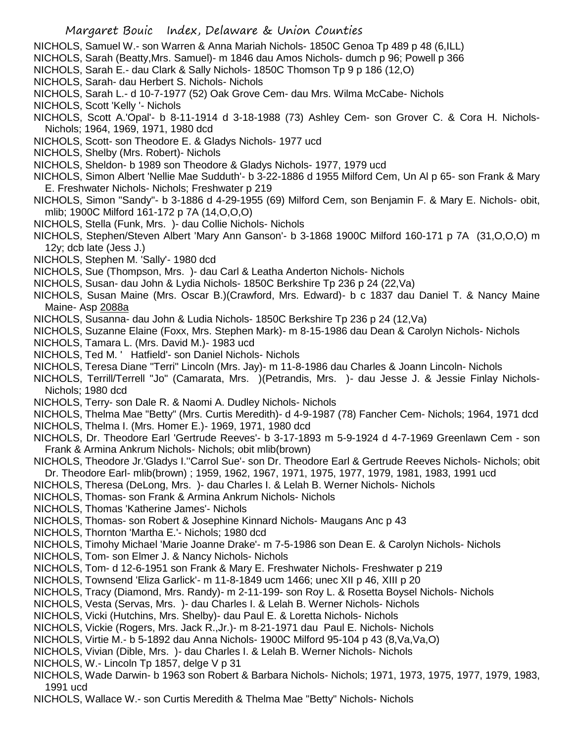- NICHOLS, Samuel W.- son Warren & Anna Mariah Nichols- 1850C Genoa Tp 489 p 48 (6,ILL)
- NICHOLS, Sarah (Beatty,Mrs. Samuel)- m 1846 dau Amos Nichols- dumch p 96; Powell p 366
- NICHOLS, Sarah E.- dau Clark & Sally Nichols- 1850C Thomson Tp 9 p 186 (12,O)
- NICHOLS, Sarah- dau Herbert S. Nichols- Nichols
- NICHOLS, Sarah L.- d 10-7-1977 (52) Oak Grove Cem- dau Mrs. Wilma McCabe- Nichols
- NICHOLS, Scott 'Kelly '- Nichols
- NICHOLS, Scott A.'Opal'- b 8-11-1914 d 3-18-1988 (73) Ashley Cem- son Grover C. & Cora H. Nichols-Nichols; 1964, 1969, 1971, 1980 dcd
- NICHOLS, Scott- son Theodore E. & Gladys Nichols- 1977 ucd
- NICHOLS, Shelby (Mrs. Robert)- Nichols
- NICHOLS, Sheldon- b 1989 son Theodore & Gladys Nichols- 1977, 1979 ucd
- NICHOLS, Simon Albert 'Nellie Mae Sudduth'- b 3-22-1886 d 1955 Milford Cem, Un Al p 65- son Frank & Mary E. Freshwater Nichols- Nichols; Freshwater p 219
- NICHOLS, Simon "Sandy"- b 3-1886 d 4-29-1955 (69) Milford Cem, son Benjamin F. & Mary E. Nichols- obit, mlib; 1900C Milford 161-172 p 7A (14,O,O,O)
- NICHOLS, Stella (Funk, Mrs. )- dau Collie Nichols- Nichols
- NICHOLS, Stephen/Steven Albert 'Mary Ann Ganson'- b 3-1868 1900C Milford 160-171 p 7A (31,O,O,O) m 12y; dcb late (Jess J.)
- NICHOLS, Stephen M. 'Sally'- 1980 dcd
- NICHOLS, Sue (Thompson, Mrs. )- dau Carl & Leatha Anderton Nichols- Nichols
- NICHOLS, Susan- dau John & Lydia Nichols- 1850C Berkshire Tp 236 p 24 (22,Va)
- NICHOLS, Susan Maine (Mrs. Oscar B.)(Crawford, Mrs. Edward)- b c 1837 dau Daniel T. & Nancy Maine Maine- Asp 2088a
- NICHOLS, Susanna- dau John & Ludia Nichols- 1850C Berkshire Tp 236 p 24 (12,Va)
- NICHOLS, Suzanne Elaine (Foxx, Mrs. Stephen Mark)- m 8-15-1986 dau Dean & Carolyn Nichols- Nichols
- NICHOLS, Tamara L. (Mrs. David M.)- 1983 ucd
- NICHOLS, Ted M. ' Hatfield'- son Daniel Nichols- Nichols
- NICHOLS, Teresa Diane "Terri" Lincoln (Mrs. Jay)- m 11-8-1986 dau Charles & Joann Lincoln- Nichols
- NICHOLS, Terrill/Terrell "Jo" (Camarata, Mrs. )(Petrandis, Mrs. )- dau Jesse J. & Jessie Finlay Nichols-Nichols; 1980 dcd
- NICHOLS, Terry- son Dale R. & Naomi A. Dudley Nichols- Nichols
- NICHOLS, Thelma Mae "Betty" (Mrs. Curtis Meredith)- d 4-9-1987 (78) Fancher Cem- Nichols; 1964, 1971 dcd
- NICHOLS, Thelma I. (Mrs. Homer E.)- 1969, 1971, 1980 dcd
- NICHOLS, Dr. Theodore Earl 'Gertrude Reeves'- b 3-17-1893 m 5-9-1924 d 4-7-1969 Greenlawn Cem son Frank & Armina Ankrum Nichols- Nichols; obit mlib(brown)
- NICHOLS, Theodore Jr.'Gladys I.''Carrol Sue'- son Dr. Theodore Earl & Gertrude Reeves Nichols- Nichols; obit Dr. Theodore Earl- mlib(brown) ; 1959, 1962, 1967, 1971, 1975, 1977, 1979, 1981, 1983, 1991 ucd
- NICHOLS, Theresa (DeLong, Mrs. )- dau Charles I. & Lelah B. Werner Nichols- Nichols
- NICHOLS, Thomas- son Frank & Armina Ankrum Nichols- Nichols
- NICHOLS, Thomas 'Katherine James'- Nichols
- NICHOLS, Thomas- son Robert & Josephine Kinnard Nichols- Maugans Anc p 43
- NICHOLS, Thornton 'Martha E.'- Nichols; 1980 dcd
- NICHOLS, Timohy Michael 'Marie Joanne Drake'- m 7-5-1986 son Dean E. & Carolyn Nichols- Nichols
- NICHOLS, Tom- son Elmer J. & Nancy Nichols- Nichols
- NICHOLS, Tom- d 12-6-1951 son Frank & Mary E. Freshwater Nichols- Freshwater p 219
- NICHOLS, Townsend 'Eliza Garlick'- m 11-8-1849 ucm 1466; unec XII p 46, XIII p 20
- NICHOLS, Tracy (Diamond, Mrs. Randy)- m 2-11-199- son Roy L. & Rosetta Boysel Nichols- Nichols
- NICHOLS, Vesta (Servas, Mrs. )- dau Charles I. & Lelah B. Werner Nichols- Nichols
- NICHOLS, Vicki (Hutchins, Mrs. Shelby)- dau Paul E. & Loretta Nichols- Nichols
- NICHOLS, Vickie (Rogers, Mrs. Jack R.,Jr.)- m 8-21-1971 dau Paul E. Nichols- Nichols
- NICHOLS, Virtie M.- b 5-1892 dau Anna Nichols- 1900C Milford 95-104 p 43 (8,Va,Va,O)
- NICHOLS, Vivian (Dible, Mrs. )- dau Charles I. & Lelah B. Werner Nichols- Nichols
- NICHOLS, W.- Lincoln Tp 1857, delge V p 31
- NICHOLS, Wade Darwin- b 1963 son Robert & Barbara Nichols- Nichols; 1971, 1973, 1975, 1977, 1979, 1983, 1991 ucd
- NICHOLS, Wallace W.- son Curtis Meredith & Thelma Mae "Betty" Nichols- Nichols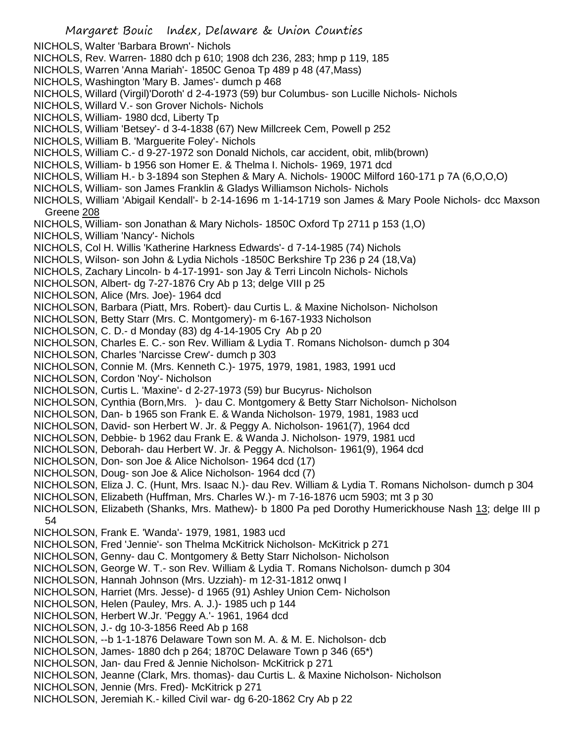NICHOLS, Walter 'Barbara Brown'- Nichols NICHOLS, Rev. Warren- 1880 dch p 610; 1908 dch 236, 283; hmp p 119, 185 NICHOLS, Warren 'Anna Mariah'- 1850C Genoa Tp 489 p 48 (47,Mass) NICHOLS, Washington 'Mary B. James'- dumch p 468 NICHOLS, Willard (Virgil)'Doroth' d 2-4-1973 (59) bur Columbus- son Lucille Nichols- Nichols NICHOLS, Willard V.- son Grover Nichols- Nichols NICHOLS, William- 1980 dcd, Liberty Tp NICHOLS, William 'Betsey'- d 3-4-1838 (67) New Millcreek Cem, Powell p 252 NICHOLS, William B. 'Marguerite Foley'- Nichols NICHOLS, William C.- d 9-27-1972 son Donald Nichols, car accident, obit, mlib(brown) NICHOLS, William- b 1956 son Homer E. & Thelma I. Nichols- 1969, 1971 dcd NICHOLS, William H.- b 3-1894 son Stephen & Mary A. Nichols- 1900C Milford 160-171 p 7A (6,O,O,O) NICHOLS, William- son James Franklin & Gladys Williamson Nichols- Nichols NICHOLS, William 'Abigail Kendall'- b 2-14-1696 m 1-14-1719 son James & Mary Poole Nichols- dcc Maxson Greene 208 NICHOLS, William- son Jonathan & Mary Nichols- 1850C Oxford Tp 2711 p 153 (1,O) NICHOLS, William 'Nancy'- Nichols NICHOLS, Col H. Willis 'Katherine Harkness Edwards'- d 7-14-1985 (74) Nichols NICHOLS, Wilson- son John & Lydia Nichols -1850C Berkshire Tp 236 p 24 (18,Va) NICHOLS, Zachary Lincoln- b 4-17-1991- son Jay & Terri Lincoln Nichols- Nichols NICHOLSON, Albert- dg 7-27-1876 Cry Ab p 13; delge VIII p 25 NICHOLSON, Alice (Mrs. Joe)- 1964 dcd NICHOLSON, Barbara (Piatt, Mrs. Robert)- dau Curtis L. & Maxine Nicholson- Nicholson NICHOLSON, Betty Starr (Mrs. C. Montgomery)- m 6-167-1933 Nicholson NICHOLSON, C. D.- d Monday (83) dg 4-14-1905 Cry Ab p 20 NICHOLSON, Charles E. C.- son Rev. William & Lydia T. Romans Nicholson- dumch p 304 NICHOLSON, Charles 'Narcisse Crew'- dumch p 303 NICHOLSON, Connie M. (Mrs. Kenneth C.)- 1975, 1979, 1981, 1983, 1991 ucd NICHOLSON, Cordon 'Noy'- Nicholson NICHOLSON, Curtis L. 'Maxine'- d 2-27-1973 (59) bur Bucyrus- Nicholson NICHOLSON, Cynthia (Born,Mrs. )- dau C. Montgomery & Betty Starr Nicholson- Nicholson NICHOLSON, Dan- b 1965 son Frank E. & Wanda Nicholson- 1979, 1981, 1983 ucd NICHOLSON, David- son Herbert W. Jr. & Peggy A. Nicholson- 1961(7), 1964 dcd NICHOLSON, Debbie- b 1962 dau Frank E. & Wanda J. Nicholson- 1979, 1981 ucd NICHOLSON, Deborah- dau Herbert W. Jr. & Peggy A. Nicholson- 1961(9), 1964 dcd NICHOLSON, Don- son Joe & Alice Nicholson- 1964 dcd (17) NICHOLSON, Doug- son Joe & Alice Nicholson- 1964 dcd (7) NICHOLSON, Eliza J. C. (Hunt, Mrs. Isaac N.)- dau Rev. William & Lydia T. Romans Nicholson- dumch p 304 NICHOLSON, Elizabeth (Huffman, Mrs. Charles W.)- m 7-16-1876 ucm 5903; mt 3 p 30 NICHOLSON, Elizabeth (Shanks, Mrs. Mathew)- b 1800 Pa ped Dorothy Humerickhouse Nash 13; delge III p 54 NICHOLSON, Frank E. 'Wanda'- 1979, 1981, 1983 ucd NICHOLSON, Fred 'Jennie'- son Thelma McKitrick Nicholson- McKitrick p 271 NICHOLSON, Genny- dau C. Montgomery & Betty Starr Nicholson- Nicholson NICHOLSON, George W. T.- son Rev. William & Lydia T. Romans Nicholson- dumch p 304 NICHOLSON, Hannah Johnson (Mrs. Uzziah)- m 12-31-1812 onwq I NICHOLSON, Harriet (Mrs. Jesse)- d 1965 (91) Ashley Union Cem- Nicholson NICHOLSON, Helen (Pauley, Mrs. A. J.)- 1985 uch p 144 NICHOLSON, Herbert W.Jr. 'Peggy A.'- 1961, 1964 dcd NICHOLSON, J.- dg 10-3-1856 Reed Ab p 168 NICHOLSON, --b 1-1-1876 Delaware Town son M. A. & M. E. Nicholson- dcb NICHOLSON, James- 1880 dch p 264; 1870C Delaware Town p 346 (65\*) NICHOLSON, Jan- dau Fred & Jennie Nicholson- McKitrick p 271 NICHOLSON, Jeanne (Clark, Mrs. thomas)- dau Curtis L. & Maxine Nicholson- Nicholson NICHOLSON, Jennie (Mrs. Fred)- McKitrick p 271 NICHOLSON, Jeremiah K.- killed Civil war- dg 6-20-1862 Cry Ab p 22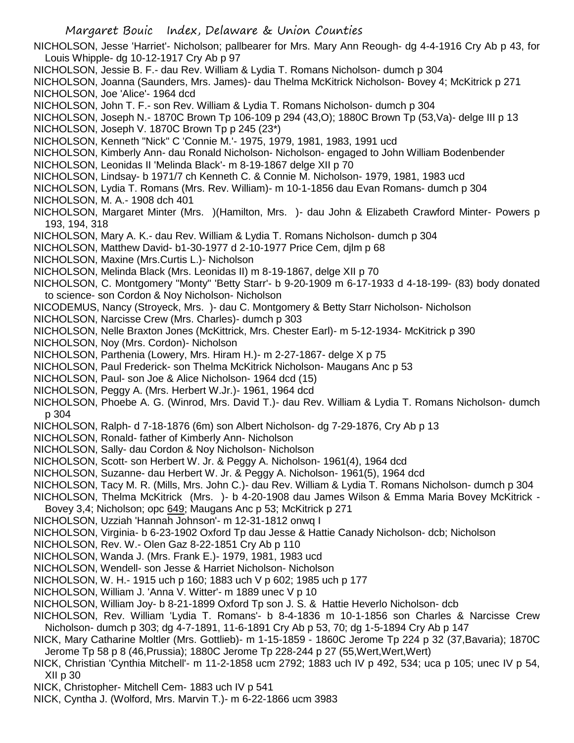NICHOLSON, Jesse 'Harriet'- Nicholson; pallbearer for Mrs. Mary Ann Reough- dg 4-4-1916 Cry Ab p 43, for Louis Whipple- dg 10-12-1917 Cry Ab p 97

NICHOLSON, Jessie B. F.- dau Rev. William & Lydia T. Romans Nicholson- dumch p 304

NICHOLSON, Joanna (Saunders, Mrs. James)- dau Thelma McKitrick Nicholson- Bovey 4; McKitrick p 271 NICHOLSON, Joe 'Alice'- 1964 dcd

NICHOLSON, John T. F.- son Rev. William & Lydia T. Romans Nicholson- dumch p 304

NICHOLSON, Joseph N.- 1870C Brown Tp 106-109 p 294 (43,O); 1880C Brown Tp (53,Va)- delge III p 13 NICHOLSON, Joseph V. 1870C Brown Tp p 245 (23\*)

NICHOLSON, Kenneth "Nick" C 'Connie M.'- 1975, 1979, 1981, 1983, 1991 ucd

NICHOLSON, Kimberly Ann- dau Ronald Nicholson- Nicholson- engaged to John William Bodenbender

NICHOLSON, Leonidas II 'Melinda Black'- m 8-19-1867 delge XII p 70

NICHOLSON, Lindsay- b 1971/7 ch Kenneth C. & Connie M. Nicholson- 1979, 1981, 1983 ucd

NICHOLSON, Lydia T. Romans (Mrs. Rev. William)- m 10-1-1856 dau Evan Romans- dumch p 304

NICHOLSON, M. A.- 1908 dch 401

NICHOLSON, Margaret Minter (Mrs. )(Hamilton, Mrs. )- dau John & Elizabeth Crawford Minter- Powers p 193, 194, 318

NICHOLSON, Mary A. K.- dau Rev. William & Lydia T. Romans Nicholson- dumch p 304

NICHOLSON, Matthew David- b1-30-1977 d 2-10-1977 Price Cem, djlm p 68

NICHOLSON, Maxine (Mrs.Curtis L.)- Nicholson

NICHOLSON, Melinda Black (Mrs. Leonidas II) m 8-19-1867, delge XII p 70

NICHOLSON, C. Montgomery "Monty" 'Betty Starr'- b 9-20-1909 m 6-17-1933 d 4-18-199- (83) body donated to science- son Cordon & Noy Nicholson- Nicholson

NICODEMUS, Nancy (Stroyeck, Mrs. )- dau C. Montgomery & Betty Starr Nicholson- Nicholson

NICHOLSON, Narcisse Crew (Mrs. Charles)- dumch p 303

NICHOLSON, Nelle Braxton Jones (McKittrick, Mrs. Chester Earl)- m 5-12-1934- McKitrick p 390

NICHOLSON, Noy (Mrs. Cordon)- Nicholson

NICHOLSON, Parthenia (Lowery, Mrs. Hiram H.)- m 2-27-1867- delge X p 75

NICHOLSON, Paul Frederick- son Thelma McKitrick Nicholson- Maugans Anc p 53

NICHOLSON, Paul- son Joe & Alice Nicholson- 1964 dcd (15)

NICHOLSON, Peggy A. (Mrs. Herbert W.Jr.)- 1961, 1964 dcd

NICHOLSON, Phoebe A. G. (Winrod, Mrs. David T.)- dau Rev. William & Lydia T. Romans Nicholson- dumch p 304

NICHOLSON, Ralph- d 7-18-1876 (6m) son Albert Nicholson- dg 7-29-1876, Cry Ab p 13

- NICHOLSON, Ronald- father of Kimberly Ann- Nicholson
- NICHOLSON, Sally- dau Cordon & Noy Nicholson- Nicholson
- NICHOLSON, Scott- son Herbert W. Jr. & Peggy A. Nicholson- 1961(4), 1964 dcd

NICHOLSON, Suzanne- dau Herbert W. Jr. & Peggy A. Nicholson- 1961(5), 1964 dcd

NICHOLSON, Tacy M. R. (Mills, Mrs. John C.)- dau Rev. William & Lydia T. Romans Nicholson- dumch p 304

NICHOLSON, Thelma McKitrick (Mrs. )- b 4-20-1908 dau James Wilson & Emma Maria Bovey McKitrick -

- Bovey 3,4; Nicholson; opc 649; Maugans Anc p 53; McKitrick p 271
- NICHOLSON, Uzziah 'Hannah Johnson'- m 12-31-1812 onwq I

NICHOLSON, Virginia- b 6-23-1902 Oxford Tp dau Jesse & Hattie Canady Nicholson- dcb; Nicholson

- NICHOLSON, Rev. W.- Olen Gaz 8-22-1851 Cry Ab p 110
- NICHOLSON, Wanda J. (Mrs. Frank E.)- 1979, 1981, 1983 ucd

NICHOLSON, Wendell- son Jesse & Harriet Nicholson- Nicholson

- NICHOLSON, W. H.- 1915 uch p 160; 1883 uch V p 602; 1985 uch p 177
- NICHOLSON, William J. 'Anna V. Witter'- m 1889 unec V p 10

NICHOLSON, William Joy- b 8-21-1899 Oxford Tp son J. S. & Hattie Heverlo Nicholson- dcb

NICHOLSON, Rev. William 'Lydia T. Romans'- b 8-4-1836 m 10-1-1856 son Charles & Narcisse Crew Nicholson- dumch p 303; dg 4-7-1891, 11-6-1891 Cry Ab p 53, 70; dg 1-5-1894 Cry Ab p 147

NICK, Mary Catharine Moltler (Mrs. Gottlieb)- m 1-15-1859 - 1860C Jerome Tp 224 p 32 (37,Bavaria); 1870C Jerome Tp 58 p 8 (46,Prussia); 1880C Jerome Tp 228-244 p 27 (55,Wert,Wert,Wert)

NICK, Christian 'Cynthia Mitchell'- m 11-2-1858 ucm 2792; 1883 uch IV p 492, 534; uca p 105; unec IV p 54, XII p 30

NICK, Christopher- Mitchell Cem- 1883 uch IV p 541

NICK, Cyntha J. (Wolford, Mrs. Marvin T.)- m 6-22-1866 ucm 3983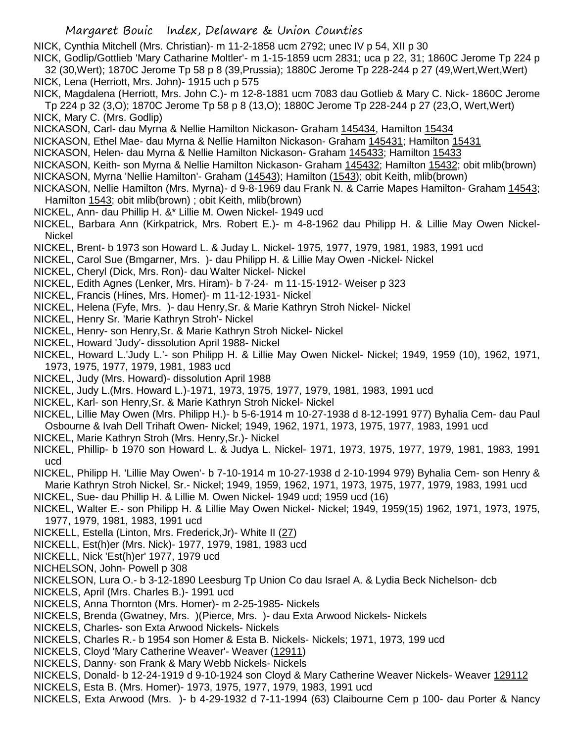NICK, Cynthia Mitchell (Mrs. Christian)- m 11-2-1858 ucm 2792; unec IV p 54, XII p 30

NICK, Godlip/Gottlieb 'Mary Catharine Moltler'- m 1-15-1859 ucm 2831; uca p 22, 31; 1860C Jerome Tp 224 p 32 (30,Wert); 1870C Jerome Tp 58 p 8 (39,Prussia); 1880C Jerome Tp 228-244 p 27 (49,Wert,Wert,Wert) NICK, Lena (Herriott, Mrs. John)- 1915 uch p 575

NICK, Magdalena (Herriott, Mrs. John C.)- m 12-8-1881 ucm 7083 dau Gotlieb & Mary C. Nick- 1860C Jerome Tp 224 p 32 (3,O); 1870C Jerome Tp 58 p 8 (13,O); 1880C Jerome Tp 228-244 p 27 (23,O, Wert,Wert) NICK, Mary C. (Mrs. Godlip)

NICKASON, Carl- dau Myrna & Nellie Hamilton Nickason- Graham 145434, Hamilton 15434

- NICKASON, Ethel Mae- dau Myrna & Nellie Hamilton Nickason- Graham 145431; Hamilton 15431
- NICKASON, Helen- dau Myrna & Nellie Hamilton Nickason- Graham 145433; Hamilton 15433
- NICKASON, Keith- son Myrna & Nellie Hamilton Nickason- Graham 145432; Hamilton 15432; obit mlib(brown) NICKASON, Myrna 'Nellie Hamilton'- Graham (14543); Hamilton (1543); obit Keith, mlib(brown)
- NICKASON, Nellie Hamilton (Mrs. Myrna)- d 9-8-1969 dau Frank N. & Carrie Mapes Hamilton- Graham 14543; Hamilton 1543; obit mlib(brown) ; obit Keith, mlib(brown)
- NICKEL, Ann- dau Phillip H. &\* Lillie M. Owen Nickel- 1949 ucd
- NICKEL, Barbara Ann (Kirkpatrick, Mrs. Robert E.)- m 4-8-1962 dau Philipp H. & Lillie May Owen Nickel-Nickel
- NICKEL, Brent- b 1973 son Howard L. & Juday L. Nickel- 1975, 1977, 1979, 1981, 1983, 1991 ucd
- NICKEL, Carol Sue (Bmgarner, Mrs. )- dau Philipp H. & Lillie May Owen -Nickel- Nickel
- NICKEL, Cheryl (Dick, Mrs. Ron)- dau Walter Nickel- Nickel
- NICKEL, Edith Agnes (Lenker, Mrs. Hiram)- b 7-24- m 11-15-1912- Weiser p 323
- NICKEL, Francis (Hines, Mrs. Homer)- m 11-12-1931- Nickel
- NICKEL, Helena (Fyfe, Mrs. )- dau Henry,Sr. & Marie Kathryn Stroh Nickel- Nickel
- NICKEL, Henry Sr. 'Marie Kathryn Stroh'- Nickel
- NICKEL, Henry- son Henry,Sr. & Marie Kathryn Stroh Nickel- Nickel
- NICKEL, Howard 'Judy'- dissolution April 1988- Nickel
- NICKEL, Howard L.'Judy L.'- son Philipp H. & Lillie May Owen Nickel- Nickel; 1949, 1959 (10), 1962, 1971, 1973, 1975, 1977, 1979, 1981, 1983 ucd
- NICKEL, Judy (Mrs. Howard)- dissolution April 1988
- NICKEL, Judy L.(Mrs. Howard L.)-1971, 1973, 1975, 1977, 1979, 1981, 1983, 1991 ucd
- NICKEL, Karl- son Henry,Sr. & Marie Kathryn Stroh Nickel- Nickel
- NICKEL, Lillie May Owen (Mrs. Philipp H.)- b 5-6-1914 m 10-27-1938 d 8-12-1991 977) Byhalia Cem- dau Paul Osbourne & Ivah Dell Trihaft Owen- Nickel; 1949, 1962, 1971, 1973, 1975, 1977, 1983, 1991 ucd
- NICKEL, Marie Kathryn Stroh (Mrs. Henry,Sr.)- Nickel
- NICKEL, Phillip- b 1970 son Howard L. & Judya L. Nickel- 1971, 1973, 1975, 1977, 1979, 1981, 1983, 1991 ucd
- NICKEL, Philipp H. 'Lillie May Owen'- b 7-10-1914 m 10-27-1938 d 2-10-1994 979) Byhalia Cem- son Henry & Marie Kathryn Stroh Nickel, Sr.- Nickel; 1949, 1959, 1962, 1971, 1973, 1975, 1977, 1979, 1983, 1991 ucd
- NICKEL, Sue- dau Phillip H. & Lillie M. Owen Nickel- 1949 ucd; 1959 ucd (16)
- NICKEL, Walter E.- son Philipp H. & Lillie May Owen Nickel- Nickel; 1949, 1959(15) 1962, 1971, 1973, 1975, 1977, 1979, 1981, 1983, 1991 ucd
- NICKELL, Estella (Linton, Mrs. Frederick,Jr)- White II (27)
- NICKELL, Est(h)er (Mrs. Nick)- 1977, 1979, 1981, 1983 ucd
- NICKELL, Nick 'Est(h)er' 1977, 1979 ucd
- NICHELSON, John- Powell p 308
- NICKELSON, Lura O.- b 3-12-1890 Leesburg Tp Union Co dau Israel A. & Lydia Beck Nichelson- dcb
- NICKELS, April (Mrs. Charles B.)- 1991 ucd
- NICKELS, Anna Thornton (Mrs. Homer)- m 2-25-1985- Nickels
- NICKELS, Brenda (Gwatney, Mrs. )(Pierce, Mrs. )- dau Exta Arwood Nickels- Nickels
- NICKELS, Charles- son Exta Arwood Nickels- Nickels
- NICKELS, Charles R.- b 1954 son Homer & Esta B. Nickels- Nickels; 1971, 1973, 199 ucd
- NICKELS, Cloyd 'Mary Catherine Weaver'- Weaver (12911)
- NICKELS, Danny- son Frank & Mary Webb Nickels- Nickels
- NICKELS, Donald- b 12-24-1919 d 9-10-1924 son Cloyd & Mary Catherine Weaver Nickels- Weaver 129112
- NICKELS, Esta B. (Mrs. Homer)- 1973, 1975, 1977, 1979, 1983, 1991 ucd
- NICKELS, Exta Arwood (Mrs. )- b 4-29-1932 d 7-11-1994 (63) Claibourne Cem p 100- dau Porter & Nancy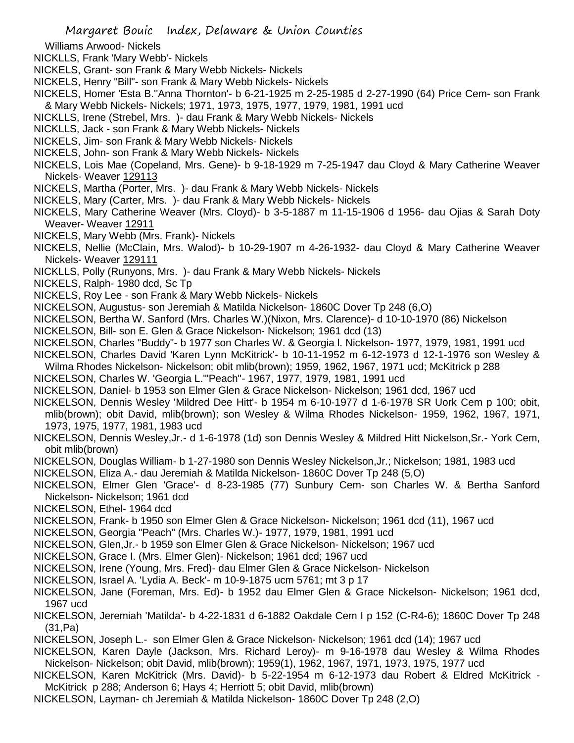Williams Arwood- Nickels

NICKLLS, Frank 'Mary Webb'- Nickels

- NICKELS, Grant- son Frank & Mary Webb Nickels- Nickels
- NICKELS, Henry "Bill"- son Frank & Mary Webb Nickels- Nickels
- NICKELS, Homer 'Esta B.''Anna Thornton'- b 6-21-1925 m 2-25-1985 d 2-27-1990 (64) Price Cem- son Frank & Mary Webb Nickels- Nickels; 1971, 1973, 1975, 1977, 1979, 1981, 1991 ucd
- NICKLLS, Irene (Strebel, Mrs. )- dau Frank & Mary Webb Nickels- Nickels
- NICKLLS, Jack son Frank & Mary Webb Nickels- Nickels
- NICKELS, Jim- son Frank & Mary Webb Nickels- Nickels
- NICKELS, John- son Frank & Mary Webb Nickels- Nickels
- NICKELS, Lois Mae (Copeland, Mrs. Gene)- b 9-18-1929 m 7-25-1947 dau Cloyd & Mary Catherine Weaver Nickels- Weaver 129113
- NICKELS, Martha (Porter, Mrs. )- dau Frank & Mary Webb Nickels- Nickels
- NICKELS, Mary (Carter, Mrs. )- dau Frank & Mary Webb Nickels- Nickels
- NICKELS, Mary Catherine Weaver (Mrs. Cloyd)- b 3-5-1887 m 11-15-1906 d 1956- dau Ojias & Sarah Doty Weaver- Weaver 12911
- NICKELS, Mary Webb (Mrs. Frank)- Nickels
- NICKELS, Nellie (McClain, Mrs. Walod)- b 10-29-1907 m 4-26-1932- dau Cloyd & Mary Catherine Weaver Nickels- Weaver 129111
- NICKLLS, Polly (Runyons, Mrs. )- dau Frank & Mary Webb Nickels- Nickels
- NICKELS, Ralph- 1980 dcd, Sc Tp
- NICKELS, Roy Lee son Frank & Mary Webb Nickels- Nickels
- NICKELSON, Augustus- son Jeremiah & Matilda Nickelson- 1860C Dover Tp 248 (6,O)
- NICKELSON, Bertha W. Sanford (Mrs. Charles W.)(Nixon, Mrs. Clarence)- d 10-10-1970 (86) Nickelson
- NICKELSON, Bill- son E. Glen & Grace Nickelson- Nickelson; 1961 dcd (13)
- NICKELSON, Charles "Buddy"- b 1977 son Charles W. & Georgia l. Nickelson- 1977, 1979, 1981, 1991 ucd
- NICKELSON, Charles David 'Karen Lynn McKitrick'- b 10-11-1952 m 6-12-1973 d 12-1-1976 son Wesley & Wilma Rhodes Nickelson- Nickelson; obit mlib(brown); 1959, 1962, 1967, 1971 ucd; McKitrick p 288
- NICKELSON, Charles W. 'Georgia L.'"Peach"- 1967, 1977, 1979, 1981, 1991 ucd
- NICKELSON, Daniel- b 1953 son Elmer Glen & Grace Nickelson- Nickelson; 1961 dcd, 1967 ucd
- NICKELSON, Dennis Wesley 'Mildred Dee Hitt'- b 1954 m 6-10-1977 d 1-6-1978 SR Uork Cem p 100; obit, mlib(brown); obit David, mlib(brown); son Wesley & Wilma Rhodes Nickelson- 1959, 1962, 1967, 1971, 1973, 1975, 1977, 1981, 1983 ucd
- NICKELSON, Dennis Wesley,Jr.- d 1-6-1978 (1d) son Dennis Wesley & Mildred Hitt Nickelson,Sr.- York Cem, obit mlib(brown)
- NICKELSON, Douglas William- b 1-27-1980 son Dennis Wesley Nickelson,Jr.; Nickelson; 1981, 1983 ucd
- NICKELSON, Eliza A.- dau Jeremiah & Matilda Nickelson- 1860C Dover Tp 248 (5,O)
- NICKELSON, Elmer Glen 'Grace'- d 8-23-1985 (77) Sunbury Cem- son Charles W. & Bertha Sanford Nickelson- Nickelson; 1961 dcd
- NICKELSON, Ethel- 1964 dcd
- NICKELSON, Frank- b 1950 son Elmer Glen & Grace Nickelson- Nickelson; 1961 dcd (11), 1967 ucd
- NICKELSON, Georgia "Peach" (Mrs. Charles W.)- 1977, 1979, 1981, 1991 ucd
- NICKELSON, Glen,Jr.- b 1959 son Elmer Glen & Grace Nickelson- Nickelson; 1967 ucd
- NICKELSON, Grace I. (Mrs. Elmer Glen)- Nickelson; 1961 dcd; 1967 ucd
- NICKELSON, Irene (Young, Mrs. Fred)- dau Elmer Glen & Grace Nickelson- Nickelson
- NICKELSON, Israel A. 'Lydia A. Beck'- m 10-9-1875 ucm 5761; mt 3 p 17
- NICKELSON, Jane (Foreman, Mrs. Ed)- b 1952 dau Elmer Glen & Grace Nickelson- Nickelson; 1961 dcd, 1967 ucd
- NICKELSON, Jeremiah 'Matilda'- b 4-22-1831 d 6-1882 Oakdale Cem I p 152 (C-R4-6); 1860C Dover Tp 248 (31,Pa)
- NICKELSON, Joseph L.- son Elmer Glen & Grace Nickelson- Nickelson; 1961 dcd (14); 1967 ucd
- NICKELSON, Karen Dayle (Jackson, Mrs. Richard Leroy)- m 9-16-1978 dau Wesley & Wilma Rhodes Nickelson- Nickelson; obit David, mlib(brown); 1959(1), 1962, 1967, 1971, 1973, 1975, 1977 ucd
- NICKELSON, Karen McKitrick (Mrs. David)- b 5-22-1954 m 6-12-1973 dau Robert & Eldred McKitrick McKitrick p 288; Anderson 6; Hays 4; Herriott 5; obit David, mlib(brown)
- NICKELSON, Layman- ch Jeremiah & Matilda Nickelson- 1860C Dover Tp 248 (2,O)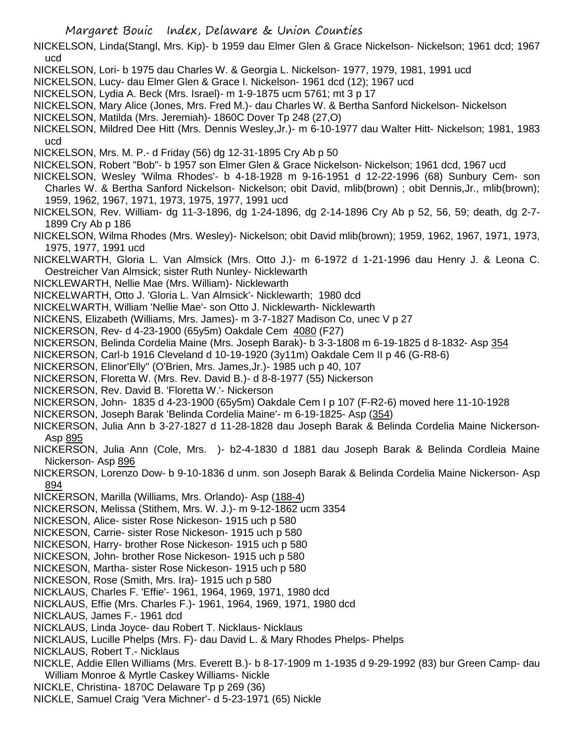NICKELSON, Linda(Stangl, Mrs. Kip)- b 1959 dau Elmer Glen & Grace Nickelson- Nickelson; 1961 dcd; 1967 ucd

NICKELSON, Lori- b 1975 dau Charles W. & Georgia L. Nickelson- 1977, 1979, 1981, 1991 ucd

NICKELSON, Lucy- dau Elmer Glen & Grace I. Nickelson- 1961 dcd (12); 1967 ucd

NICKELSON, Lydia A. Beck (Mrs. Israel)- m 1-9-1875 ucm 5761; mt 3 p 17

NICKELSON, Mary Alice (Jones, Mrs. Fred M.)- dau Charles W. & Bertha Sanford Nickelson- Nickelson

NICKELSON, Matilda (Mrs. Jeremiah)- 1860C Dover Tp 248 (27,O)

NICKELSON, Mildred Dee Hitt (Mrs. Dennis Wesley,Jr.)- m 6-10-1977 dau Walter Hitt- Nickelson; 1981, 1983 ucd

NICKELSON, Mrs. M. P.- d Friday (56) dg 12-31-1895 Cry Ab p 50

NICKELSON, Robert "Bob"- b 1957 son Elmer Glen & Grace Nickelson- Nickelson; 1961 dcd, 1967 ucd

NICKELSON, Wesley 'Wilma Rhodes'- b 4-18-1928 m 9-16-1951 d 12-22-1996 (68) Sunbury Cem- son Charles W. & Bertha Sanford Nickelson- Nickelson; obit David, mlib(brown) ; obit Dennis,Jr., mlib(brown); 1959, 1962, 1967, 1971, 1973, 1975, 1977, 1991 ucd

NICKELSON, Rev. William- dg 11-3-1896, dg 1-24-1896, dg 2-14-1896 Cry Ab p 52, 56, 59; death, dg 2-7- 1899 Cry Ab p 186

NICKELSON, Wilma Rhodes (Mrs. Wesley)- Nickelson; obit David mlib(brown); 1959, 1962, 1967, 1971, 1973, 1975, 1977, 1991 ucd

NICKELWARTH, Gloria L. Van Almsick (Mrs. Otto J.)- m 6-1972 d 1-21-1996 dau Henry J. & Leona C. Oestreicher Van Almsick; sister Ruth Nunley- Nicklewarth

NICKLEWARTH, Nellie Mae (Mrs. William)- Nicklewarth

NICKELWARTH, Otto J. 'Gloria L. Van Almsick'- Nicklewarth; 1980 dcd

NICKELWARTH, William 'Nellie Mae'- son Otto J. Nicklewarth- Nicklewarth

NICKENS, Elizabeth (Williams, Mrs. James)- m 3-7-1827 Madison Co, unec V p 27

NICKERSON, Rev- d 4-23-1900 (65y5m) Oakdale Cem 4080 (F27)

NICKERSON, Belinda Cordelia Maine (Mrs. Joseph Barak)- b 3-3-1808 m 6-19-1825 d 8-1832- Asp 354

NICKERSON, Carl-b 1916 Cleveland d 10-19-1920 (3y11m) Oakdale Cem II p 46 (G-R8-6)

NICKERSON, Elinor'Elly" (O'Brien, Mrs. James,Jr.)- 1985 uch p 40, 107

NICKERSON, Floretta W. (Mrs. Rev. David B.)- d 8-8-1977 (55) Nickerson

NICKERSON, Rev. David B. 'Floretta W.'- Nickerson

NICKERSON, John- 1835 d 4-23-1900 (65y5m) Oakdale Cem I p 107 (F-R2-6) moved here 11-10-1928

NICKERSON, Joseph Barak 'Belinda Cordelia Maine'- m 6-19-1825- Asp (354)

NICKERSON, Julia Ann b 3-27-1827 d 11-28-1828 dau Joseph Barak & Belinda Cordelia Maine Nickerson-Asp 895

NICKERSON, Julia Ann (Cole, Mrs. )- b2-4-1830 d 1881 dau Joseph Barak & Belinda Cordleia Maine Nickerson- Asp 896

NICKERSON, Lorenzo Dow- b 9-10-1836 d unm. son Joseph Barak & Belinda Cordelia Maine Nickerson- Asp 894

NICKERSON, Marilla (Williams, Mrs. Orlando)- Asp (188-4)

NICKERSON, Melissa (Stithem, Mrs. W. J.)- m 9-12-1862 ucm 3354

NICKESON, Alice- sister Rose Nickeson- 1915 uch p 580

NICKESON, Carrie- sister Rose Nickeson- 1915 uch p 580

NICKESON, Harry- brother Rose Nickeson- 1915 uch p 580

NICKESON, John- brother Rose Nickeson- 1915 uch p 580

NICKESON, Martha- sister Rose Nickeson- 1915 uch p 580

NICKESON, Rose (Smith, Mrs. Ira)- 1915 uch p 580

NICKLAUS, Charles F. 'Effie'- 1961, 1964, 1969, 1971, 1980 dcd

NICKLAUS, Effie (Mrs. Charles F.)- 1961, 1964, 1969, 1971, 1980 dcd

NICKLAUS, James F.- 1961 dcd

NICKLAUS, Linda Joyce- dau Robert T. Nicklaus- Nicklaus

NICKLAUS, Lucille Phelps (Mrs. F)- dau David L. & Mary Rhodes Phelps- Phelps

NICKLAUS, Robert T.- Nicklaus

NICKLE, Addie Ellen Williams (Mrs. Everett B.)- b 8-17-1909 m 1-1935 d 9-29-1992 (83) bur Green Camp- dau William Monroe & Myrtle Caskey Williams- Nickle

NICKLE, Christina- 1870C Delaware Tp p 269 (36)

NICKLE, Samuel Craig 'Vera Michner'- d 5-23-1971 (65) Nickle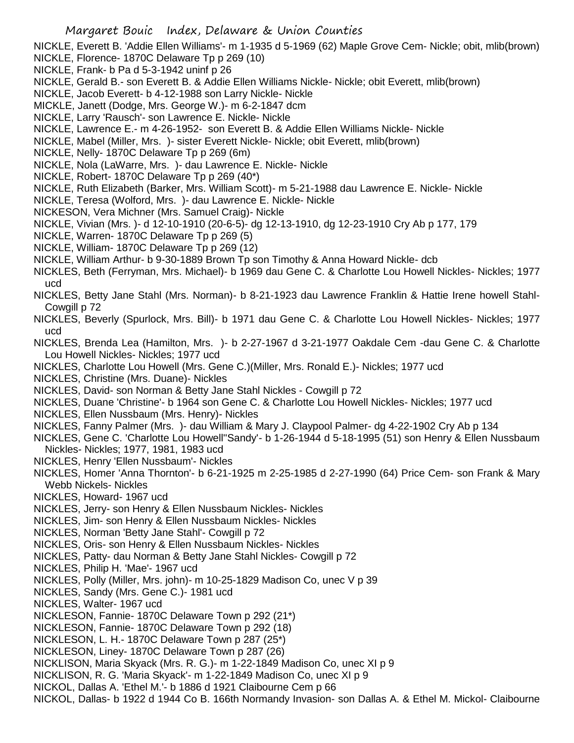NICKLE, Everett B. 'Addie Ellen Williams'- m 1-1935 d 5-1969 (62) Maple Grove Cem- Nickle; obit, mlib(brown)

- NICKLE, Florence- 1870C Delaware Tp p 269 (10)
- NICKLE, Frank- b Pa d 5-3-1942 uninf p 26
- NICKLE, Gerald B.- son Everett B. & Addie Ellen Williams Nickle- Nickle; obit Everett, mlib(brown)
- NICKLE, Jacob Everett- b 4-12-1988 son Larry Nickle- Nickle
- MICKLE, Janett (Dodge, Mrs. George W.)- m 6-2-1847 dcm
- NICKLE, Larry 'Rausch'- son Lawrence E. Nickle- Nickle
- NICKLE, Lawrence E.- m 4-26-1952- son Everett B. & Addie Ellen Williams Nickle- Nickle
- NICKLE, Mabel (Miller, Mrs. )- sister Everett Nickle- Nickle; obit Everett, mlib(brown)
- NICKLE, Nelly- 1870C Delaware Tp p 269 (6m)
- NICKLE, Nola (LaWarre, Mrs. )- dau Lawrence E. Nickle- Nickle
- NICKLE, Robert- 1870C Delaware Tp p 269 (40\*)
- NICKLE, Ruth Elizabeth (Barker, Mrs. William Scott)- m 5-21-1988 dau Lawrence E. Nickle- Nickle
- NICKLE, Teresa (Wolford, Mrs. )- dau Lawrence E. Nickle- Nickle
- NICKESON, Vera Michner (Mrs. Samuel Craig)- Nickle
- NICKLE, Vivian (Mrs. )- d 12-10-1910 (20-6-5)- dg 12-13-1910, dg 12-23-1910 Cry Ab p 177, 179
- NICKLE, Warren- 1870C Delaware Tp p 269 (5)
- NICKLE, William- 1870C Delaware Tp p 269 (12)
- NICKLE, William Arthur- b 9-30-1889 Brown Tp son Timothy & Anna Howard Nickle- dcb
- NICKLES, Beth (Ferryman, Mrs. Michael)- b 1969 dau Gene C. & Charlotte Lou Howell Nickles- Nickles; 1977 ucd
- NICKLES, Betty Jane Stahl (Mrs. Norman)- b 8-21-1923 dau Lawrence Franklin & Hattie Irene howell Stahl-Cowgill p 72
- NICKLES, Beverly (Spurlock, Mrs. Bill)- b 1971 dau Gene C. & Charlotte Lou Howell Nickles- Nickles; 1977 ucd
- NICKLES, Brenda Lea (Hamilton, Mrs. )- b 2-27-1967 d 3-21-1977 Oakdale Cem -dau Gene C. & Charlotte Lou Howell Nickles- Nickles; 1977 ucd
- NICKLES, Charlotte Lou Howell (Mrs. Gene C.)(Miller, Mrs. Ronald E.)- Nickles; 1977 ucd
- NICKLES, Christine (Mrs. Duane)- Nickles
- NICKLES, David- son Norman & Betty Jane Stahl Nickles Cowgill p 72
- NICKLES, Duane 'Christine'- b 1964 son Gene C. & Charlotte Lou Howell Nickles- Nickles; 1977 ucd
- NICKLES, Ellen Nussbaum (Mrs. Henry)- Nickles
- NICKLES, Fanny Palmer (Mrs. )- dau William & Mary J. Claypool Palmer- dg 4-22-1902 Cry Ab p 134
- NICKLES, Gene C. 'Charlotte Lou Howell''Sandy'- b 1-26-1944 d 5-18-1995 (51) son Henry & Ellen Nussbaum Nickles- Nickles; 1977, 1981, 1983 ucd
- NICKLES, Henry 'Ellen Nussbaum'- Nickles
- NICKLES, Homer 'Anna Thornton'- b 6-21-1925 m 2-25-1985 d 2-27-1990 (64) Price Cem- son Frank & Mary Webb Nickels- Nickles
- NICKLES, Howard- 1967 ucd
- NICKLES, Jerry- son Henry & Ellen Nussbaum Nickles- Nickles
- NICKLES, Jim- son Henry & Ellen Nussbaum Nickles- Nickles
- NICKLES, Norman 'Betty Jane Stahl'- Cowgill p 72
- NICKLES, Oris- son Henry & Ellen Nussbaum Nickles- Nickles
- NICKLES, Patty- dau Norman & Betty Jane Stahl Nickles- Cowgill p 72
- NICKLES, Philip H. 'Mae'- 1967 ucd
- NICKLES, Polly (Miller, Mrs. john)- m 10-25-1829 Madison Co, unec V p 39
- NICKLES, Sandy (Mrs. Gene C.)- 1981 ucd
- NICKLES, Walter- 1967 ucd
- NICKLESON, Fannie- 1870C Delaware Town p 292 (21\*)
- NICKLESON, Fannie- 1870C Delaware Town p 292 (18)
- NICKLESON, L. H.- 1870C Delaware Town p 287 (25\*)
- NICKLESON, Liney- 1870C Delaware Town p 287 (26)
- NICKLISON, Maria Skyack (Mrs. R. G.)- m 1-22-1849 Madison Co, unec XI p 9
- NICKLISON, R. G. 'Maria Skyack'- m 1-22-1849 Madison Co, unec XI p 9
- NICKOL, Dallas A. 'Ethel M.'- b 1886 d 1921 Claibourne Cem p 66
- NICKOL, Dallas- b 1922 d 1944 Co B. 166th Normandy Invasion- son Dallas A. & Ethel M. Mickol- Claibourne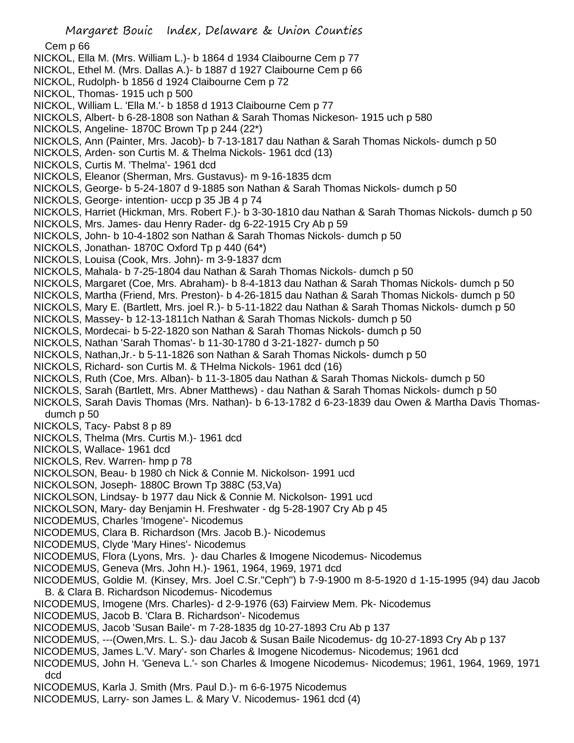Cem p 66

- NICKOL, Ella M. (Mrs. William L.)- b 1864 d 1934 Claibourne Cem p 77
- NICKOL, Ethel M. (Mrs. Dallas A.)- b 1887 d 1927 Claibourne Cem p 66
- NICKOL, Rudolph- b 1856 d 1924 Claibourne Cem p 72
- NICKOL, Thomas- 1915 uch p 500
- NICKOL, William L. 'Ella M.'- b 1858 d 1913 Claibourne Cem p 77
- NICKOLS, Albert- b 6-28-1808 son Nathan & Sarah Thomas Nickeson- 1915 uch p 580
- NICKOLS, Angeline- 1870C Brown Tp p 244 (22\*)
- NICKOLS, Ann (Painter, Mrs. Jacob)- b 7-13-1817 dau Nathan & Sarah Thomas Nickols- dumch p 50
- NICKOLS, Arden- son Curtis M. & Thelma Nickols- 1961 dcd (13)
- NICKOLS, Curtis M. 'Thelma'- 1961 dcd
- NICKOLS, Eleanor (Sherman, Mrs. Gustavus)- m 9-16-1835 dcm
- NICKOLS, George- b 5-24-1807 d 9-1885 son Nathan & Sarah Thomas Nickols- dumch p 50
- NICKOLS, George- intention- uccp p 35 JB 4 p 74
- NICKOLS, Harriet (Hickman, Mrs. Robert F.)- b 3-30-1810 dau Nathan & Sarah Thomas Nickols- dumch p 50
- NICKOLS, Mrs. James- dau Henry Rader- dg 6-22-1915 Cry Ab p 59
- NICKOLS, John- b 10-4-1802 son Nathan & Sarah Thomas Nickols- dumch p 50
- NICKOLS, Jonathan- 1870C Oxford Tp p 440 (64\*)
- NICKOLS, Louisa (Cook, Mrs. John)- m 3-9-1837 dcm
- NICKOLS, Mahala- b 7-25-1804 dau Nathan & Sarah Thomas Nickols- dumch p 50
- NICKOLS, Margaret (Coe, Mrs. Abraham)- b 8-4-1813 dau Nathan & Sarah Thomas Nickols- dumch p 50
- NICKOLS, Martha (Friend, Mrs. Preston)- b 4-26-1815 dau Nathan & Sarah Thomas Nickols- dumch p 50
- NICKOLS, Mary E. (Bartlett, Mrs. joel R.)- b 5-11-1822 dau Nathan & Sarah Thomas Nickols- dumch p 50
- NICKOLS, Massey- b 12-13-1811ch Nathan & Sarah Thomas Nickols- dumch p 50
- NICKOLS, Mordecai- b 5-22-1820 son Nathan & Sarah Thomas Nickols- dumch p 50
- NICKOLS, Nathan 'Sarah Thomas'- b 11-30-1780 d 3-21-1827- dumch p 50
- NICKOLS, Nathan,Jr.- b 5-11-1826 son Nathan & Sarah Thomas Nickols- dumch p 50
- NICKOLS, Richard- son Curtis M. & THelma Nickols- 1961 dcd (16)
- NICKOLS, Ruth (Coe, Mrs. Alban)- b 11-3-1805 dau Nathan & Sarah Thomas Nickols- dumch p 50
- NICKOLS, Sarah (Bartlett, Mrs. Abner Matthews) dau Nathan & Sarah Thomas Nickols- dumch p 50
- NICKOLS, Sarah Davis Thomas (Mrs. Nathan)- b 6-13-1782 d 6-23-1839 dau Owen & Martha Davis Thomasdumch p 50
- NICKOLS, Tacy- Pabst 8 p 89
- NICKOLS, Thelma (Mrs. Curtis M.)- 1961 dcd
- NICKOLS, Wallace- 1961 dcd
- NICKOLS, Rev. Warren- hmp p 78
- NICKOLSON, Beau- b 1980 ch Nick & Connie M. Nickolson- 1991 ucd
- NICKOLSON, Joseph- 1880C Brown Tp 388C (53,Va)
- NICKOLSON, Lindsay- b 1977 dau Nick & Connie M. Nickolson- 1991 ucd
- NICKOLSON, Mary- day Benjamin H. Freshwater dg 5-28-1907 Cry Ab p 45
- NICODEMUS, Charles 'Imogene'- Nicodemus
- NICODEMUS, Clara B. Richardson (Mrs. Jacob B.)- Nicodemus
- NICODEMUS, Clyde 'Mary Hines'- Nicodemus
- NICODEMUS, Flora (Lyons, Mrs. )- dau Charles & Imogene Nicodemus- Nicodemus
- NICODEMUS, Geneva (Mrs. John H.)- 1961, 1964, 1969, 1971 dcd
- NICODEMUS, Goldie M. (Kinsey, Mrs. Joel C.Sr."Ceph") b 7-9-1900 m 8-5-1920 d 1-15-1995 (94) dau Jacob B. & Clara B. Richardson Nicodemus- Nicodemus
- NICODEMUS, Imogene (Mrs. Charles)- d 2-9-1976 (63) Fairview Mem. Pk- Nicodemus
- NICODEMUS, Jacob B. 'Clara B. Richardson'- Nicodemus
- NICODEMUS, Jacob 'Susan Baile'- m 7-28-1835 dg 10-27-1893 Cru Ab p 137
- NICODEMUS, ---(Owen,Mrs. L. S.)- dau Jacob & Susan Baile Nicodemus- dg 10-27-1893 Cry Ab p 137
- NICODEMUS, James L.'V. Mary'- son Charles & Imogene Nicodemus- Nicodemus; 1961 dcd
- NICODEMUS, John H. 'Geneva L.'- son Charles & Imogene Nicodemus- Nicodemus; 1961, 1964, 1969, 1971 dcd
- NICODEMUS, Karla J. Smith (Mrs. Paul D.)- m 6-6-1975 Nicodemus
- NICODEMUS, Larry- son James L. & Mary V. Nicodemus- 1961 dcd (4)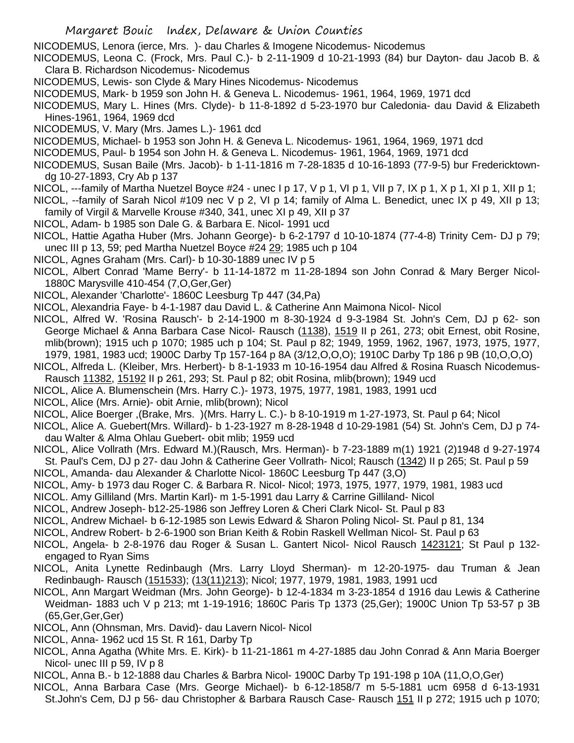- Margaret Bouic Index, Delaware & Union Counties
- NICODEMUS, Lenora (ierce, Mrs. )- dau Charles & Imogene Nicodemus- Nicodemus
- NICODEMUS, Leona C. (Frock, Mrs. Paul C.)- b 2-11-1909 d 10-21-1993 (84) bur Dayton- dau Jacob B. & Clara B. Richardson Nicodemus- Nicodemus
- NICODEMUS, Lewis- son Clyde & Mary Hines Nicodemus- Nicodemus
- NICODEMUS, Mark- b 1959 son John H. & Geneva L. Nicodemus- 1961, 1964, 1969, 1971 dcd
- NICODEMUS, Mary L. Hines (Mrs. Clyde)- b 11-8-1892 d 5-23-1970 bur Caledonia- dau David & Elizabeth Hines-1961, 1964, 1969 dcd
- NICODEMUS, V. Mary (Mrs. James L.)- 1961 dcd
- NICODEMUS, Michael- b 1953 son John H. & Geneva L. Nicodemus- 1961, 1964, 1969, 1971 dcd
- NICODEMUS, Paul- b 1954 son John H. & Geneva L. Nicodemus- 1961, 1964, 1969, 1971 dcd
- NICODEMUS, Susan Baile (Mrs. Jacob)- b 1-11-1816 m 7-28-1835 d 10-16-1893 (77-9-5) bur Fredericktowndg 10-27-1893, Cry Ab p 137
- NICOL, ---family of Martha Nuetzel Boyce #24 unec I p 17, V p 1, VI p 1, VII p 7, IX p 1, X p 1, XI p 1, XII p 1;
- NICOL, --family of Sarah Nicol #109 nec V p 2, VI p 14; family of Alma L. Benedict, unec IX p 49, XII p 13; family of Virgil & Marvelle Krouse #340, 341, unec XI p 49, XII p 37
- NICOL, Adam- b 1985 son Dale G. & Barbara E. Nicol- 1991 ucd
- NICOL, Hattie Agatha Huber (Mrs. Johann George)- b 6-2-1797 d 10-10-1874 (77-4-8) Trinity Cem- DJ p 79; unec III p 13, 59; ped Martha Nuetzel Boyce #24 29; 1985 uch p 104
- NICOL, Agnes Graham (Mrs. Carl)- b 10-30-1889 unec IV p 5
- NICOL, Albert Conrad 'Mame Berry'- b 11-14-1872 m 11-28-1894 son John Conrad & Mary Berger Nicol-1880C Marysville 410-454 (7,O,Ger,Ger)
- NICOL, Alexander 'Charlotte'- 1860C Leesburg Tp 447 (34,Pa)
- NICOL, Alexandria Faye- b 4-1-1987 dau David L. & Catherine Ann Maimona Nicol- Nicol
- NICOL, Alfred W. 'Rosina Rausch'- b 2-14-1900 m 8-30-1924 d 9-3-1984 St. John's Cem, DJ p 62- son George Michael & Anna Barbara Case Nicol- Rausch (1138), 1519 II p 261, 273; obit Ernest, obit Rosine, mlib(brown); 1915 uch p 1070; 1985 uch p 104; St. Paul p 82; 1949, 1959, 1962, 1967, 1973, 1975, 1977, 1979, 1981, 1983 ucd; 1900C Darby Tp 157-164 p 8A (3/12,O,O,O); 1910C Darby Tp 186 p 9B (10,O,O,O)
- NICOL, Alfreda L. (Kleiber, Mrs. Herbert)- b 8-1-1933 m 10-16-1954 dau Alfred & Rosina Ruasch Nicodemus-Rausch 11382, 15192 II p 261, 293; St. Paul p 82; obit Rosina, mlib(brown); 1949 ucd
- NICOL, Alice A. Blumenschein (Mrs. Harry C.)- 1973, 1975, 1977, 1981, 1983, 1991 ucd
- NICOL, Alice (Mrs. Arnie)- obit Arnie, mlib(brown); Nicol
- NICOL, Alice Boerger ,(Brake, Mrs. )(Mrs. Harry L. C.)- b 8-10-1919 m 1-27-1973, St. Paul p 64; Nicol
- NICOL, Alice A. Guebert(Mrs. Willard)- b 1-23-1927 m 8-28-1948 d 10-29-1981 (54) St. John's Cem, DJ p 74 dau Walter & Alma Ohlau Guebert- obit mlib; 1959 ucd
- NICOL, Alice Vollrath (Mrs. Edward M.)(Rausch, Mrs. Herman)- b 7-23-1889 m(1) 1921 (2)1948 d 9-27-1974 St. Paul's Cem, DJ p 27- dau John & Catherine Geer Vollrath- Nicol; Rausch (1342) II p 265; St. Paul p 59
- NICOL, Amanda- dau Alexander & Charlotte Nicol- 1860C Leesburg Tp 447 (3,O)
- NICOL, Amy- b 1973 dau Roger C. & Barbara R. Nicol- Nicol; 1973, 1975, 1977, 1979, 1981, 1983 ucd
- NICOL. Amy Gilliland (Mrs. Martin Karl)- m 1-5-1991 dau Larry & Carrine Gilliland- Nicol
- NICOL, Andrew Joseph- b12-25-1986 son Jeffrey Loren & Cheri Clark Nicol- St. Paul p 83
- NICOL, Andrew Michael- b 6-12-1985 son Lewis Edward & Sharon Poling Nicol- St. Paul p 81, 134
- NICOL, Andrew Robert- b 2-6-1900 son Brian Keith & Robin Raskell Wellman Nicol- St. Paul p 63
- NICOL, Angela- b 2-8-1976 dau Roger & Susan L. Gantert Nicol- Nicol Rausch 1423121; St Paul p 132 engaged to Ryan Sims
- NICOL, Anita Lynette Redinbaugh (Mrs. Larry Lloyd Sherman)- m 12-20-1975- dau Truman & Jean Redinbaugh- Rausch (151533); (13(11)213); Nicol; 1977, 1979, 1981, 1983, 1991 ucd
- NICOL, Ann Margart Weidman (Mrs. John George)- b 12-4-1834 m 3-23-1854 d 1916 dau Lewis & Catherine Weidman- 1883 uch V p 213; mt 1-19-1916; 1860C Paris Tp 1373 (25,Ger); 1900C Union Tp 53-57 p 3B (65,Ger,Ger,Ger)
- NICOL, Ann (Ohnsman, Mrs. David)- dau Lavern Nicol- Nicol
- NICOL, Anna- 1962 ucd 15 St. R 161, Darby Tp
- NICOL, Anna Agatha (White Mrs. E. Kirk)- b 11-21-1861 m 4-27-1885 dau John Conrad & Ann Maria Boerger Nicol- unec III p 59, IV p 8
- NICOL, Anna B.- b 12-1888 dau Charles & Barbra Nicol- 1900C Darby Tp 191-198 p 10A (11,O,O,Ger)
- NICOL, Anna Barbara Case (Mrs. George Michael)- b 6-12-1858/7 m 5-5-1881 ucm 6958 d 6-13-1931 St.John's Cem, DJ p 56- dau Christopher & Barbara Rausch Case- Rausch 151 II p 272; 1915 uch p 1070;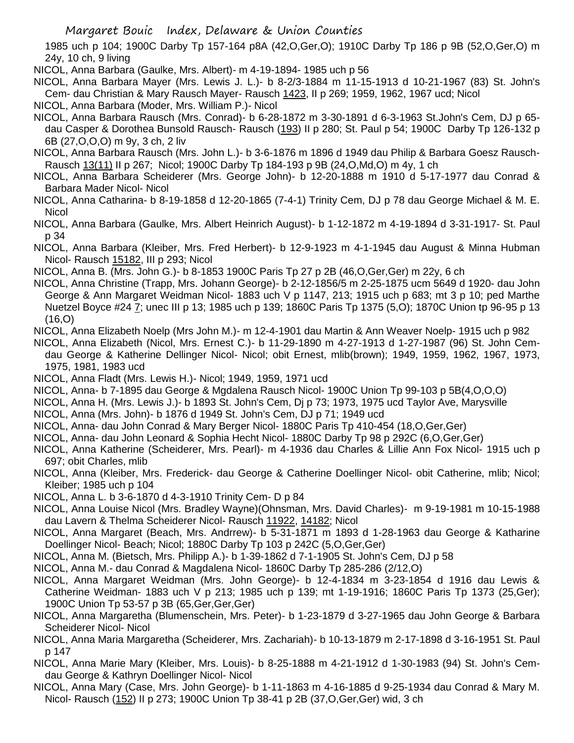1985 uch p 104; 1900C Darby Tp 157-164 p8A (42,O,Ger,O); 1910C Darby Tp 186 p 9B (52,O,Ger,O) m 24y, 10 ch, 9 living

NICOL, Anna Barbara (Gaulke, Mrs. Albert)- m 4-19-1894- 1985 uch p 56

- NICOL, Anna Barbara Mayer (Mrs. Lewis J. L.)- b 8-2/3-1884 m 11-15-1913 d 10-21-1967 (83) St. John's Cem- dau Christian & Mary Rausch Mayer- Rausch 1423, II p 269; 1959, 1962, 1967 ucd; Nicol
- NICOL, Anna Barbara (Moder, Mrs. William P.)- Nicol
- NICOL, Anna Barbara Rausch (Mrs. Conrad)- b 6-28-1872 m 3-30-1891 d 6-3-1963 St.John's Cem, DJ p 65 dau Casper & Dorothea Bunsold Rausch- Rausch (193) II p 280; St. Paul p 54; 1900C Darby Tp 126-132 p 6B (27,O,O,O) m 9y, 3 ch, 2 liv
- NICOL, Anna Barbara Rausch (Mrs. John L.)- b 3-6-1876 m 1896 d 1949 dau Philip & Barbara Goesz Rausch-Rausch 13(11) II p 267; Nicol; 1900C Darby Tp 184-193 p 9B (24,O,Md,O) m 4y, 1 ch
- NICOL, Anna Barbara Scheiderer (Mrs. George John)- b 12-20-1888 m 1910 d 5-17-1977 dau Conrad & Barbara Mader Nicol- Nicol
- NICOL, Anna Catharina- b 8-19-1858 d 12-20-1865 (7-4-1) Trinity Cem, DJ p 78 dau George Michael & M. E. Nicol
- NICOL, Anna Barbara (Gaulke, Mrs. Albert Heinrich August)- b 1-12-1872 m 4-19-1894 d 3-31-1917- St. Paul p 34
- NICOL, Anna Barbara (Kleiber, Mrs. Fred Herbert)- b 12-9-1923 m 4-1-1945 dau August & Minna Hubman Nicol- Rausch 15182. III p 293: Nicol
- NICOL, Anna B. (Mrs. John G.)- b 8-1853 1900C Paris Tp 27 p 2B (46,O,Ger,Ger) m 22y, 6 ch
- NICOL, Anna Christine (Trapp, Mrs. Johann George)- b 2-12-1856/5 m 2-25-1875 ucm 5649 d 1920- dau John George & Ann Margaret Weidman Nicol- 1883 uch V p 1147, 213; 1915 uch p 683; mt 3 p 10; ped Marthe Nuetzel Boyce #24 7; unec III p 13; 1985 uch p 139; 1860C Paris Tp 1375 (5,O); 1870C Union tp 96-95 p 13 (16,O)
- NICOL, Anna Elizabeth Noelp (Mrs John M.)- m 12-4-1901 dau Martin & Ann Weaver Noelp- 1915 uch p 982
- NICOL, Anna Elizabeth (Nicol, Mrs. Ernest C.)- b 11-29-1890 m 4-27-1913 d 1-27-1987 (96) St. John Cemdau George & Katherine Dellinger Nicol- Nicol; obit Ernest, mlib(brown); 1949, 1959, 1962, 1967, 1973, 1975, 1981, 1983 ucd
- NICOL, Anna Fladt (Mrs. Lewis H.)- Nicol; 1949, 1959, 1971 ucd
- NICOL, Anna- b 7-1895 dau George & Mgdalena Rausch Nicol- 1900C Union Tp 99-103 p 5B(4,O,O,O)
- NICOL, Anna H. (Mrs. Lewis J.)- b 1893 St. John's Cem, Dj p 73; 1973, 1975 ucd Taylor Ave, Marysville
- NICOL, Anna (Mrs. John)- b 1876 d 1949 St. John's Cem, DJ p 71; 1949 ucd
- NICOL, Anna- dau John Conrad & Mary Berger Nicol- 1880C Paris Tp 410-454 (18,O,Ger,Ger)
- NICOL, Anna- dau John Leonard & Sophia Hecht Nicol- 1880C Darby Tp 98 p 292C (6,O,Ger,Ger)
- NICOL, Anna Katherine (Scheiderer, Mrs. Pearl)- m 4-1936 dau Charles & Lillie Ann Fox Nicol- 1915 uch p 697; obit Charles, mlib
- NICOL, Anna (Kleiber, Mrs. Frederick- dau George & Catherine Doellinger Nicol- obit Catherine, mlib; Nicol; Kleiber; 1985 uch p 104
- NICOL, Anna L. b 3-6-1870 d 4-3-1910 Trinity Cem- D p 84
- NICOL, Anna Louise Nicol (Mrs. Bradley Wayne)(Ohnsman, Mrs. David Charles)- m 9-19-1981 m 10-15-1988 dau Lavern & Thelma Scheiderer Nicol- Rausch 11922, 14182; Nicol
- NICOL, Anna Margaret (Beach, Mrs. Andrrew)- b 5-31-1871 m 1893 d 1-28-1963 dau George & Katharine Doellinger Nicol- Beach; Nicol; 1880C Darby Tp 103 p 242C (5,O,Ger,Ger)
- NICOL, Anna M. (Bietsch, Mrs. Philipp A.)- b 1-39-1862 d 7-1-1905 St. John's Cem, DJ p 58
- NICOL, Anna M.- dau Conrad & Magdalena Nicol- 1860C Darby Tp 285-286 (2/12,O)
- NICOL, Anna Margaret Weidman (Mrs. John George)- b 12-4-1834 m 3-23-1854 d 1916 dau Lewis & Catherine Weidman- 1883 uch V p 213; 1985 uch p 139; mt 1-19-1916; 1860C Paris Tp 1373 (25,Ger); 1900C Union Tp 53-57 p 3B (65,Ger,Ger,Ger)
- NICOL, Anna Margaretha (Blumenschein, Mrs. Peter)- b 1-23-1879 d 3-27-1965 dau John George & Barbara Scheiderer Nicol- Nicol
- NICOL, Anna Maria Margaretha (Scheiderer, Mrs. Zachariah)- b 10-13-1879 m 2-17-1898 d 3-16-1951 St. Paul p 147
- NICOL, Anna Marie Mary (Kleiber, Mrs. Louis)- b 8-25-1888 m 4-21-1912 d 1-30-1983 (94) St. John's Cemdau George & Kathryn Doellinger Nicol- Nicol
- NICOL, Anna Mary (Case, Mrs. John George)- b 1-11-1863 m 4-16-1885 d 9-25-1934 dau Conrad & Mary M. Nicol- Rausch (152) II p 273; 1900C Union Tp 38-41 p 2B (37,O,Ger,Ger) wid, 3 ch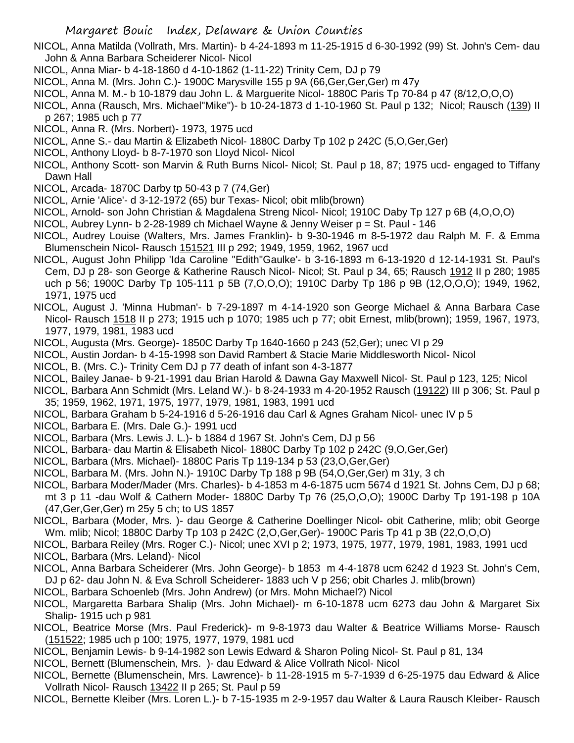NICOL, Anna Matilda (Vollrath, Mrs. Martin)- b 4-24-1893 m 11-25-1915 d 6-30-1992 (99) St. John's Cem- dau John & Anna Barbara Scheiderer Nicol- Nicol

- NICOL, Anna Miar- b 4-18-1860 d 4-10-1862 (1-11-22) Trinity Cem, DJ p 79
- NICOL, Anna M. (Mrs. John C.)- 1900C Marysville 155 p 9A (66,Ger,Ger,Ger) m 47y
- NICOL, Anna M. M.- b 10-1879 dau John L. & Marguerite Nicol- 1880C Paris Tp 70-84 p 47 (8/12,O,O,O)
- NICOL, Anna (Rausch, Mrs. Michael"Mike")- b 10-24-1873 d 1-10-1960 St. Paul p 132; Nicol; Rausch (139) II p 267; 1985 uch p 77
- NICOL, Anna R. (Mrs. Norbert)- 1973, 1975 ucd
- NICOL, Anne S.- dau Martin & Elizabeth Nicol- 1880C Darby Tp 102 p 242C (5,O,Ger,Ger)
- NICOL, Anthony Lloyd- b 8-7-1970 son Lloyd Nicol- Nicol
- NICOL, Anthony Scott- son Marvin & Ruth Burns Nicol- Nicol; St. Paul p 18, 87; 1975 ucd- engaged to Tiffany Dawn Hall
- NICOL, Arcada- 1870C Darby tp 50-43 p 7 (74,Ger)
- NICOL, Arnie 'Alice'- d 3-12-1972 (65) bur Texas- Nicol; obit mlib(brown)
- NICOL, Arnold- son John Christian & Magdalena Streng Nicol- Nicol; 1910C Daby Tp 127 p 6B (4,O,O,O)
- NICOL, Aubrey Lynn- b 2-28-1989 ch Michael Wayne & Jenny Weiser p = St. Paul 146
- NICOL, Audrey Louise (Walters, Mrs. James Franklin)- b 9-30-1946 m 8-5-1972 dau Ralph M. F. & Emma Blumenschein Nicol- Rausch 151521 III p 292; 1949, 1959, 1962, 1967 ucd
- NICOL, August John Philipp 'Ida Caroline "Edith"Gaulke'- b 3-16-1893 m 6-13-1920 d 12-14-1931 St. Paul's Cem, DJ p 28- son George & Katherine Rausch Nicol- Nicol; St. Paul p 34, 65; Rausch 1912 II p 280; 1985 uch p 56; 1900C Darby Tp 105-111 p 5B (7,O,O,O); 1910C Darby Tp 186 p 9B (12,O,O,O); 1949, 1962, 1971, 1975 ucd
- NICOL, August J. 'Minna Hubman'- b 7-29-1897 m 4-14-1920 son George Michael & Anna Barbara Case Nicol- Rausch 1518 II p 273; 1915 uch p 1070; 1985 uch p 77; obit Ernest, mlib(brown); 1959, 1967, 1973, 1977, 1979, 1981, 1983 ucd
- NICOL, Augusta (Mrs. George)- 1850C Darby Tp 1640-1660 p 243 (52,Ger); unec VI p 29
- NICOL, Austin Jordan- b 4-15-1998 son David Rambert & Stacie Marie Middlesworth Nicol- Nicol
- NICOL, B. (Mrs. C.)- Trinity Cem DJ p 77 death of infant son 4-3-1877
- NICOL, Bailey Janae- b 9-21-1991 dau Brian Harold & Dawna Gay Maxwell Nicol- St. Paul p 123, 125; Nicol
- NICOL, Barbara Ann Schmidt (Mrs. Leland W.)- b 8-24-1933 m 4-20-1952 Rausch (19122) III p 306; St. Paul p 35; 1959, 1962, 1971, 1975, 1977, 1979, 1981, 1983, 1991 ucd
- NICOL, Barbara Graham b 5-24-1916 d 5-26-1916 dau Carl & Agnes Graham Nicol- unec IV p 5
- NICOL, Barbara E. (Mrs. Dale G.)- 1991 ucd
- NICOL, Barbara (Mrs. Lewis J. L.)- b 1884 d 1967 St. John's Cem, DJ p 56
- NICOL, Barbara- dau Martin & Elisabeth Nicol- 1880C Darby Tp 102 p 242C (9,O,Ger,Ger)
- NICOL, Barbara (Mrs. Michael)- 1880C Paris Tp 119-134 p 53 (23,O,Ger,Ger)
- NICOL, Barbara M. (Mrs. John N.)- 1910C Darby Tp 188 p 9B (54,O,Ger,Ger) m 31y, 3 ch
- NICOL, Barbara Moder/Mader (Mrs. Charles)- b 4-1853 m 4-6-1875 ucm 5674 d 1921 St. Johns Cem, DJ p 68; mt 3 p 11 -dau Wolf & Cathern Moder- 1880C Darby Tp 76 (25,O,O,O); 1900C Darby Tp 191-198 p 10A (47,Ger,Ger,Ger) m 25y 5 ch; to US 1857
- NICOL, Barbara (Moder, Mrs. )- dau George & Catherine Doellinger Nicol- obit Catherine, mlib; obit George Wm. mlib; Nicol; 1880C Darby Tp 103 p 242C (2,O,Ger,Ger)- 1900C Paris Tp 41 p 3B (22,O,O,O)
- NICOL, Barbara Reiley (Mrs. Roger C.)- Nicol; unec XVI p 2; 1973, 1975, 1977, 1979, 1981, 1983, 1991 ucd NICOL, Barbara (Mrs. Leland)- Nicol
- NICOL, Anna Barbara Scheiderer (Mrs. John George)- b 1853 m 4-4-1878 ucm 6242 d 1923 St. John's Cem, DJ p 62- dau John N. & Eva Schroll Scheiderer- 1883 uch V p 256; obit Charles J. mlib(brown)
- NICOL, Barbara Schoenleb (Mrs. John Andrew) (or Mrs. Mohn Michael?) Nicol
- NICOL, Margaretta Barbara Shalip (Mrs. John Michael)- m 6-10-1878 ucm 6273 dau John & Margaret Six Shalip- 1915 uch p 981
- NICOL, Beatrice Morse (Mrs. Paul Frederick)- m 9-8-1973 dau Walter & Beatrice Williams Morse- Rausch (151522; 1985 uch p 100; 1975, 1977, 1979, 1981 ucd
- NICOL, Benjamin Lewis- b 9-14-1982 son Lewis Edward & Sharon Poling Nicol- St. Paul p 81, 134
- NICOL, Bernett (Blumenschein, Mrs. )- dau Edward & Alice Vollrath Nicol- Nicol
- NICOL, Bernette (Blumenschein, Mrs. Lawrence)- b 11-28-1915 m 5-7-1939 d 6-25-1975 dau Edward & Alice Vollrath Nicol- Rausch 13422 II p 265; St. Paul p 59
- NICOL, Bernette Kleiber (Mrs. Loren L.)- b 7-15-1935 m 2-9-1957 dau Walter & Laura Rausch Kleiber- Rausch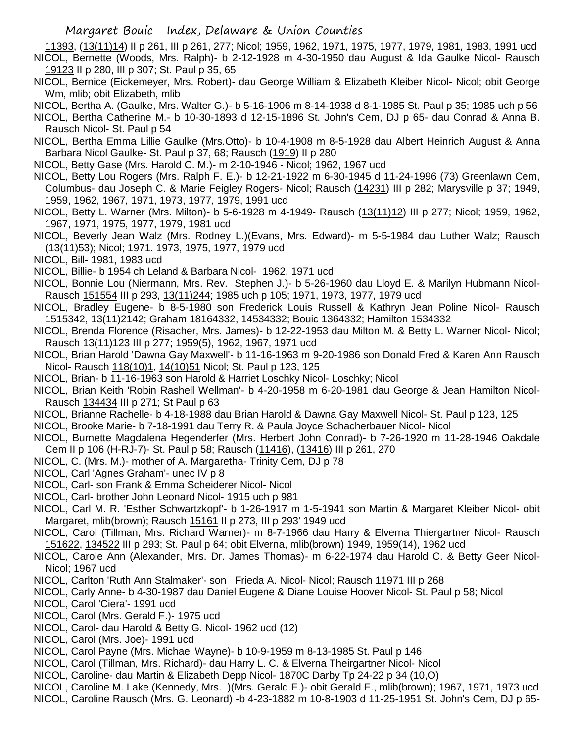11393, (13(11)14) II p 261, III p 261, 277; Nicol; 1959, 1962, 1971, 1975, 1977, 1979, 1981, 1983, 1991 ucd NICOL, Bernette (Woods, Mrs. Ralph)- b 2-12-1928 m 4-30-1950 dau August & Ida Gaulke Nicol- Rausch 19123 II p 280, III p 307; St. Paul p 35, 65

- NICOL, Bernice (Eickemeyer, Mrs. Robert)- dau George William & Elizabeth Kleiber Nicol- Nicol; obit George Wm, mlib; obit Elizabeth, mlib
- NICOL, Bertha A. (Gaulke, Mrs. Walter G.)- b 5-16-1906 m 8-14-1938 d 8-1-1985 St. Paul p 35; 1985 uch p 56
- NICOL, Bertha Catherine M.- b 10-30-1893 d 12-15-1896 St. John's Cem, DJ p 65- dau Conrad & Anna B. Rausch Nicol- St. Paul p 54
- NICOL, Bertha Emma Lillie Gaulke (Mrs.Otto)- b 10-4-1908 m 8-5-1928 dau Albert Heinrich August & Anna Barbara Nicol Gaulke- St. Paul p 37, 68; Rausch (1919) II p 280
- NICOL, Betty Gase (Mrs. Harold C. M.)- m 2-10-1946 Nicol; 1962, 1967 ucd
- NICOL, Betty Lou Rogers (Mrs. Ralph F. E.)- b 12-21-1922 m 6-30-1945 d 11-24-1996 (73) Greenlawn Cem, Columbus- dau Joseph C. & Marie Feigley Rogers- Nicol; Rausch (14231) III p 282; Marysville p 37; 1949, 1959, 1962, 1967, 1971, 1973, 1977, 1979, 1991 ucd
- NICOL, Betty L. Warner (Mrs. Milton)- b 5-6-1928 m 4-1949- Rausch (13(11)12) III p 277; Nicol; 1959, 1962, 1967, 1971, 1975, 1977, 1979, 1981 ucd
- NICOL, Beverly Jean Walz (Mrs. Rodney L.)(Evans, Mrs. Edward)- m 5-5-1984 dau Luther Walz; Rausch (13(11)53); Nicol; 1971. 1973, 1975, 1977, 1979 ucd
- NICOL, Bill- 1981, 1983 ucd
- NICOL, Billie- b 1954 ch Leland & Barbara Nicol- 1962, 1971 ucd
- NICOL, Bonnie Lou (Niermann, Mrs. Rev. Stephen J.)- b 5-26-1960 dau Lloyd E. & Marilyn Hubmann Nicol-Rausch 151554 III p 293, 13(11)244; 1985 uch p 105; 1971, 1973, 1977, 1979 ucd
- NICOL, Bradley Eugene- b 8-5-1980 son Frederick Louis Russell & Kathryn Jean Poline Nicol- Rausch 1515342, 13(11)2142; Graham 18164332, 14534332; Bouic 1364332; Hamilton 1534332
- NICOL, Brenda Florence (Risacher, Mrs. James)- b 12-22-1953 dau Milton M. & Betty L. Warner Nicol- Nicol; Rausch 13(11)123 III p 277; 1959(5), 1962, 1967, 1971 ucd
- NICOL, Brian Harold 'Dawna Gay Maxwell'- b 11-16-1963 m 9-20-1986 son Donald Fred & Karen Ann Rausch Nicol- Rausch 118(10)1, 14(10)51 Nicol; St. Paul p 123, 125
- NICOL, Brian- b 11-16-1963 son Harold & Harriet Loschky Nicol- Loschky; Nicol
- NICOL, Brian Keith 'Robin Rashell Wellman'- b 4-20-1958 m 6-20-1981 dau George & Jean Hamilton Nicol-Rausch 134434 III p 271; St Paul p 63
- NICOL, Brianne Rachelle- b 4-18-1988 dau Brian Harold & Dawna Gay Maxwell Nicol- St. Paul p 123, 125
- NICOL, Brooke Marie- b 7-18-1991 dau Terry R. & Paula Joyce Schacherbauer Nicol- Nicol
- NICOL, Burnette Magdalena Hegenderfer (Mrs. Herbert John Conrad)- b 7-26-1920 m 11-28-1946 Oakdale Cem II p 106 (H-RJ-7)- St. Paul p 58; Rausch (11416), (13416) III p 261, 270
- NICOL, C. (Mrs. M.)- mother of A. Margaretha- Trinity Cem, DJ p 78
- NICOL, Carl 'Agnes Graham'- unec IV p 8
- NICOL, Carl- son Frank & Emma Scheiderer Nicol- Nicol
- NICOL, Carl- brother John Leonard Nicol- 1915 uch p 981
- NICOL, Carl M. R. 'Esther Schwartzkopf'- b 1-26-1917 m 1-5-1941 son Martin & Margaret Kleiber Nicol- obit Margaret, mlib(brown); Rausch 15161 II p 273, III p 293' 1949 ucd
- NICOL, Carol (Tillman, Mrs. Richard Warner)- m 8-7-1966 dau Harry & Elverna Thiergartner Nicol- Rausch 151622, 134522 III p 293; St. Paul p 64; obit Elverna, mlib(brown) 1949, 1959(14), 1962 ucd
- NICOL, Carole Ann (Alexander, Mrs. Dr. James Thomas)- m 6-22-1974 dau Harold C. & Betty Geer Nicol-Nicol; 1967 ucd
- NICOL, Carlton 'Ruth Ann Stalmaker'- son Frieda A. Nicol- Nicol; Rausch 11971 III p 268
- NICOL, Carly Anne- b 4-30-1987 dau Daniel Eugene & Diane Louise Hoover Nicol- St. Paul p 58; Nicol
- NICOL, Carol 'Ciera'- 1991 ucd
- NICOL, Carol (Mrs. Gerald F.)- 1975 ucd
- NICOL, Carol- dau Harold & Betty G. Nicol- 1962 ucd (12)
- NICOL, Carol (Mrs. Joe)- 1991 ucd
- NICOL, Carol Payne (Mrs. Michael Wayne)- b 10-9-1959 m 8-13-1985 St. Paul p 146
- NICOL, Carol (Tillman, Mrs. Richard)- dau Harry L. C. & Elverna Theirgartner Nicol- Nicol
- NICOL, Caroline- dau Martin & Elizabeth Depp Nicol- 1870C Darby Tp 24-22 p 34 (10,O)
- NICOL, Caroline M. Lake (Kennedy, Mrs. )(Mrs. Gerald E.)- obit Gerald E., mlib(brown); 1967, 1971, 1973 ucd
- NICOL, Caroline Rausch (Mrs. G. Leonard) -b 4-23-1882 m 10-8-1903 d 11-25-1951 St. John's Cem, DJ p 65-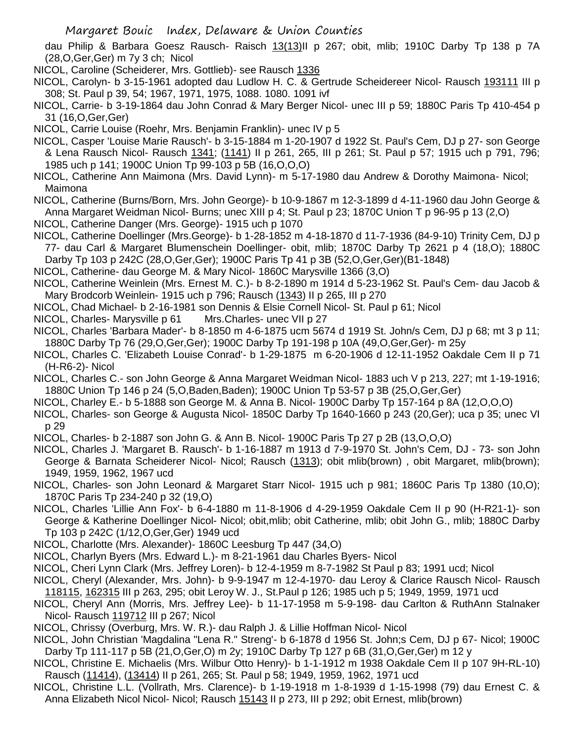dau Philip & Barbara Goesz Rausch- Raisch 13(13)II p 267; obit, mlib; 1910C Darby Tp 138 p 7A (28,O,Ger,Ger) m 7y 3 ch; Nicol

- NICOL, Caroline (Scheiderer, Mrs. Gottlieb)- see Rausch 1336
- NICOL, Carolyn- b 3-15-1961 adopted dau Ludlow H. C. & Gertrude Scheidereer Nicol- Rausch 193111 III p 308; St. Paul p 39, 54; 1967, 1971, 1975, 1088. 1080. 1091 ivf
- NICOL, Carrie- b 3-19-1864 dau John Conrad & Mary Berger Nicol- unec III p 59; 1880C Paris Tp 410-454 p 31 (16,O,Ger,Ger)
- NICOL, Carrie Louise (Roehr, Mrs. Benjamin Franklin)- unec IV p 5
- NICOL, Casper 'Louise Marie Rausch'- b 3-15-1884 m 1-20-1907 d 1922 St. Paul's Cem, DJ p 27- son George & Lena Rausch Nicol- Rausch 1341; (1141) II p 261, 265, III p 261; St. Paul p 57; 1915 uch p 791, 796; 1985 uch p 141; 1900C Union Tp 99-103 p 5B (16,O,O,O)
- NICOL, Catherine Ann Maimona (Mrs. David Lynn)- m 5-17-1980 dau Andrew & Dorothy Maimona- Nicol; Maimona
- NICOL, Catherine (Burns/Born, Mrs. John George)- b 10-9-1867 m 12-3-1899 d 4-11-1960 dau John George & Anna Margaret Weidman Nicol- Burns; unec XIII p 4; St. Paul p 23; 1870C Union T p 96-95 p 13 (2,O)
- NICOL, Catherine Danger (Mrs. George)- 1915 uch p 1070
- NICOL, Catherine Doellinger (Mrs.George)- b 1-28-1852 m 4-18-1870 d 11-7-1936 (84-9-10) Trinity Cem, DJ p 77- dau Carl & Margaret Blumenschein Doellinger- obit, mlib; 1870C Darby Tp 2621 p 4 (18,O); 1880C Darby Tp 103 p 242C (28,O,Ger,Ger); 1900C Paris Tp 41 p 3B (52,O,Ger,Ger)(B1-1848)
- NICOL, Catherine- dau George M. & Mary Nicol- 1860C Marysville 1366 (3,O)
- NICOL, Catherine Weinlein (Mrs. Ernest M. C.)- b 8-2-1890 m 1914 d 5-23-1962 St. Paul's Cem- dau Jacob & Mary Brodcorb Weinlein- 1915 uch p 796; Rausch (1343) II p 265, III p 270
- NICOL, Chad Michael- b 2-16-1981 son Dennis & Elsie Cornell Nicol- St. Paul p 61; Nicol
- NICOL, Charles- Marysville p 61 Mrs.Charles- unec VII p 27
- NICOL, Charles 'Barbara Mader'- b 8-1850 m 4-6-1875 ucm 5674 d 1919 St. John/s Cem, DJ p 68; mt 3 p 11; 1880C Darby Tp 76 (29,O,Ger,Ger); 1900C Darby Tp 191-198 p 10A (49,O,Ger,Ger)- m 25y
- NICOL, Charles C. 'Elizabeth Louise Conrad'- b 1-29-1875 m 6-20-1906 d 12-11-1952 Oakdale Cem II p 71 (H-R6-2)- Nicol
- NICOL, Charles C.- son John George & Anna Margaret Weidman Nicol- 1883 uch V p 213, 227; mt 1-19-1916; 1880C Union Tp 146 p 24 (5,O,Baden,Baden); 1900C Union Tp 53-57 p 3B (25,O,Ger,Ger)
- NICOL, Charley E.- b 5-1888 son George M. & Anna B. Nicol- 1900C Darby Tp 157-164 p 8A (12,O,O,O)
- NICOL, Charles- son George & Augusta Nicol- 1850C Darby Tp 1640-1660 p 243 (20,Ger); uca p 35; unec VI p 29
- NICOL, Charles- b 2-1887 son John G. & Ann B. Nicol- 1900C Paris Tp 27 p 2B (13,O,O,O)
- NICOL, Charles J. 'Margaret B. Rausch'- b 1-16-1887 m 1913 d 7-9-1970 St. John's Cem, DJ 73- son John George & Barnata Scheiderer Nicol- Nicol; Rausch (1313); obit mlib(brown), obit Margaret, mlib(brown); 1949, 1959, 1962, 1967 ucd
- NICOL, Charles- son John Leonard & Margaret Starr Nicol- 1915 uch p 981; 1860C Paris Tp 1380 (10,O); 1870C Paris Tp 234-240 p 32 (19,O)
- NICOL, Charles 'Lillie Ann Fox'- b 6-4-1880 m 11-8-1906 d 4-29-1959 Oakdale Cem II p 90 (H-R21-1)- son George & Katherine Doellinger Nicol- Nicol; obit,mlib; obit Catherine, mlib; obit John G., mlib; 1880C Darby Tp 103 p 242C (1/12,O,Ger,Ger) 1949 ucd
- NICOL, Charlotte (Mrs. Alexander)- 1860C Leesburg Tp 447 (34,O)
- NICOL, Charlyn Byers (Mrs. Edward L.)- m 8-21-1961 dau Charles Byers- Nicol
- NICOL, Cheri Lynn Clark (Mrs. Jeffrey Loren)- b 12-4-1959 m 8-7-1982 St Paul p 83; 1991 ucd; Nicol
- NICOL, Cheryl (Alexander, Mrs. John)- b 9-9-1947 m 12-4-1970- dau Leroy & Clarice Rausch Nicol- Rausch 118115, 162315 III p 263, 295; obit Leroy W. J., St.Paul p 126; 1985 uch p 5; 1949, 1959, 1971 ucd
- NICOL, Cheryl Ann (Morris, Mrs. Jeffrey Lee)- b 11-17-1958 m 5-9-198- dau Carlton & RuthAnn Stalnaker Nicol- Rausch 119712 III p 267; Nicol
- NICOL, Chrissy (Overburg, Mrs. W. R.)- dau Ralph J. & Lillie Hoffman Nicol- Nicol
- NICOL, John Christian 'Magdalina "Lena R." Streng'- b 6-1878 d 1956 St. John;s Cem, DJ p 67- Nicol; 1900C Darby Tp 111-117 p 5B (21,O,Ger,O) m 2y; 1910C Darby Tp 127 p 6B (31,O,Ger,Ger) m 12 y
- NICOL, Christine E. Michaelis (Mrs. Wilbur Otto Henry)- b 1-1-1912 m 1938 Oakdale Cem II p 107 9H-RL-10) Rausch (11414), (13414) II p 261, 265; St. Paul p 58; 1949, 1959, 1962, 1971 ucd
- NICOL, Christine L.L. (Vollrath, Mrs. Clarence)- b 1-19-1918 m 1-8-1939 d 1-15-1998 (79) dau Ernest C. & Anna Elizabeth Nicol Nicol- Nicol; Rausch 15143 II p 273, III p 292; obit Ernest, mlib(brown)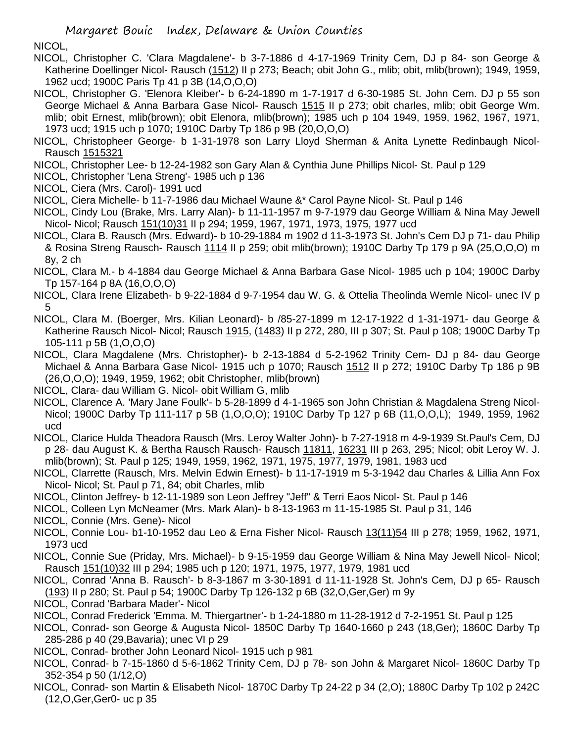# NICOL,

- NICOL, Christopher C. 'Clara Magdalene'- b 3-7-1886 d 4-17-1969 Trinity Cem, DJ p 84- son George & Katherine Doellinger Nicol- Rausch (1512) II p 273; Beach; obit John G., mlib; obit, mlib(brown); 1949, 1959, 1962 ucd; 1900C Paris Tp 41 p 3B (14,O,O,O)
- NICOL, Christopher G. 'Elenora Kleiber'- b 6-24-1890 m 1-7-1917 d 6-30-1985 St. John Cem. DJ p 55 son George Michael & Anna Barbara Gase Nicol- Rausch 1515 II p 273; obit charles, mlib; obit George Wm. mlib; obit Ernest, mlib(brown); obit Elenora, mlib(brown); 1985 uch p 104 1949, 1959, 1962, 1967, 1971, 1973 ucd; 1915 uch p 1070; 1910C Darby Tp 186 p 9B (20,O,O,O)
- NICOL, Christopheer George- b 1-31-1978 son Larry Lloyd Sherman & Anita Lynette Redinbaugh Nicol-Rausch 1515321
- NICOL, Christopher Lee- b 12-24-1982 son Gary Alan & Cynthia June Phillips Nicol- St. Paul p 129
- NICOL, Christopher 'Lena Streng'- 1985 uch p 136
- NICOL, Ciera (Mrs. Carol)- 1991 ucd
- NICOL, Ciera Michelle- b 11-7-1986 dau Michael Waune &\* Carol Payne Nicol- St. Paul p 146
- NICOL, Cindy Lou (Brake, Mrs. Larry Alan)- b 11-11-1957 m 9-7-1979 dau George William & Nina May Jewell Nicol- Nicol; Rausch 151(10)31 II p 294; 1959, 1967, 1971, 1973, 1975, 1977 ucd
- NICOL, Clara B. Rausch (Mrs. Edward)- b 10-29-1884 m 1902 d 11-3-1973 St. John's Cem DJ p 71- dau Philip & Rosina Streng Rausch- Rausch 1114 II p 259; obit mlib(brown); 1910C Darby Tp 179 p 9A (25,O,O,O) m 8y, 2 ch
- NICOL, Clara M.- b 4-1884 dau George Michael & Anna Barbara Gase Nicol- 1985 uch p 104; 1900C Darby Tp 157-164 p 8A (16,O,O,O)
- NICOL, Clara Irene Elizabeth- b 9-22-1884 d 9-7-1954 dau W. G. & Ottelia Theolinda Wernle Nicol- unec IV p 5
- NICOL, Clara M. (Boerger, Mrs. Kilian Leonard)- b /85-27-1899 m 12-17-1922 d 1-31-1971- dau George & Katherine Rausch Nicol- Nicol; Rausch 1915, (1483) II p 272, 280, III p 307; St. Paul p 108; 1900C Darby Tp 105-111 p 5B (1,O,O,O)
- NICOL, Clara Magdalene (Mrs. Christopher)- b 2-13-1884 d 5-2-1962 Trinity Cem- DJ p 84- dau George Michael & Anna Barbara Gase Nicol- 1915 uch p 1070; Rausch 1512 II p 272; 1910C Darby Tp 186 p 9B (26,O,O,O); 1949, 1959, 1962; obit Christopher, mlib(brown)
- NICOL, Clara- dau William G. Nicol- obit William G, mlib
- NICOL, Clarence A. 'Mary Jane Foulk'- b 5-28-1899 d 4-1-1965 son John Christian & Magdalena Streng Nicol-Nicol; 1900C Darby Tp 111-117 p 5B (1,O,O,O); 1910C Darby Tp 127 p 6B (11,O,O,L); 1949, 1959, 1962 ucd
- NICOL, Clarice Hulda Theadora Rausch (Mrs. Leroy Walter John)- b 7-27-1918 m 4-9-1939 St.Paul's Cem, DJ p 28- dau August K. & Bertha Rausch Rausch- Rausch 11811, 16231 III p 263, 295; Nicol; obit Leroy W. J. mlib(brown); St. Paul p 125; 1949, 1959, 1962, 1971, 1975, 1977, 1979, 1981, 1983 ucd
- NICOL, Clarrette (Rausch, Mrs. Melvin Edwin Ernest)- b 11-17-1919 m 5-3-1942 dau Charles & Lillia Ann Fox Nicol- Nicol; St. Paul p 71, 84; obit Charles, mlib
- NICOL, Clinton Jeffrey- b 12-11-1989 son Leon Jeffrey "Jeff" & Terri Eaos Nicol- St. Paul p 146
- NICOL, Colleen Lyn McNeamer (Mrs. Mark Alan)- b 8-13-1963 m 11-15-1985 St. Paul p 31, 146
- NICOL, Connie (Mrs. Gene)- Nicol
- NICOL, Connie Lou- b1-10-1952 dau Leo & Erna Fisher Nicol- Rausch 13(11)54 III p 278; 1959, 1962, 1971, 1973 ucd
- NICOL, Connie Sue (Priday, Mrs. Michael)- b 9-15-1959 dau George William & Nina May Jewell Nicol- Nicol; Rausch 151(10)32 III p 294; 1985 uch p 120; 1971, 1975, 1977, 1979, 1981 ucd
- NICOL, Conrad 'Anna B. Rausch'- b 8-3-1867 m 3-30-1891 d 11-11-1928 St. John's Cem, DJ p 65- Rausch (193) II p 280; St. Paul p 54; 1900C Darby Tp 126-132 p 6B (32,O,Ger,Ger) m 9y
- NICOL, Conrad 'Barbara Mader'- Nicol
- NICOL, Conrad Frederick 'Emma. M. Thiergartner'- b 1-24-1880 m 11-28-1912 d 7-2-1951 St. Paul p 125
- NICOL, Conrad- son George & Augusta Nicol- 1850C Darby Tp 1640-1660 p 243 (18,Ger); 1860C Darby Tp 285-286 p 40 (29,Bavaria); unec VI p 29
- NICOL, Conrad- brother John Leonard Nicol- 1915 uch p 981
- NICOL, Conrad- b 7-15-1860 d 5-6-1862 Trinity Cem, DJ p 78- son John & Margaret Nicol- 1860C Darby Tp 352-354 p 50 (1/12,O)
- NICOL, Conrad- son Martin & Elisabeth Nicol- 1870C Darby Tp 24-22 p 34 (2,O); 1880C Darby Tp 102 p 242C (12,O,Ger,Ger0- uc p 35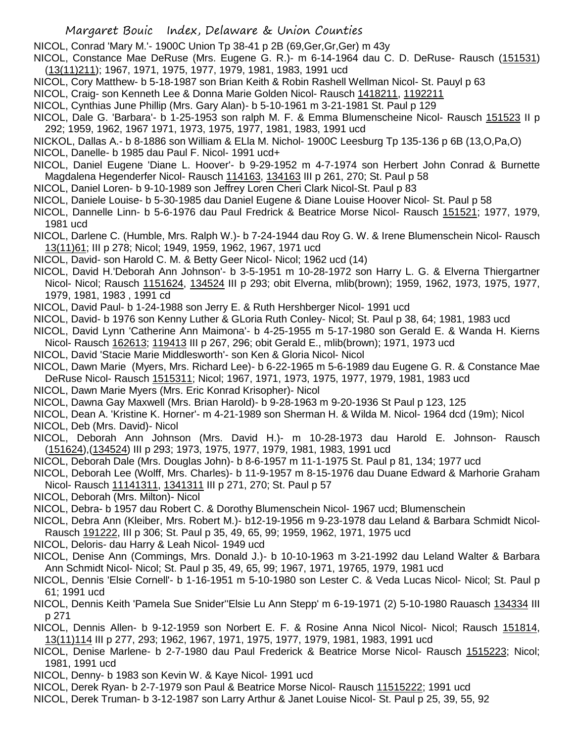NICOL, Conrad 'Mary M.'- 1900C Union Tp 38-41 p 2B (69,Ger,Gr,Ger) m 43y

- NICOL, Constance Mae DeRuse (Mrs. Eugene G. R.)- m 6-14-1964 dau C. D. DeRuse- Rausch (151531) (13(11)211); 1967, 1971, 1975, 1977, 1979, 1981, 1983, 1991 ucd
- NICOL, Cory Matthew- b 5-18-1987 son Brian Keith & Robin Rashell Wellman Nicol- St. Pauyl p 63
- NICOL, Craig- son Kenneth Lee & Donna Marie Golden Nicol- Rausch 1418211, 1192211
- NICOL, Cynthias June Phillip (Mrs. Gary Alan)- b 5-10-1961 m 3-21-1981 St. Paul p 129
- NICOL, Dale G. 'Barbara'- b 1-25-1953 son ralph M. F. & Emma Blumenscheine Nicol- Rausch 151523 II p 292; 1959, 1962, 1967 1971, 1973, 1975, 1977, 1981, 1983, 1991 ucd
- NICKOL, Dallas A.- b 8-1886 son William & ELla M. Nichol- 1900C Leesburg Tp 135-136 p 6B (13,O,Pa,O)
- NICOL, Danelle- b 1985 dau Paul F. Nicol- 1991 ucd+
- NICOL, Daniel Eugene 'Diane L. Hoover'- b 9-29-1952 m 4-7-1974 son Herbert John Conrad & Burnette Magdalena Hegenderfer Nicol- Rausch 114163, 134163 III p 261, 270; St. Paul p 58
- NICOL, Daniel Loren- b 9-10-1989 son Jeffrey Loren Cheri Clark Nicol-St. Paul p 83
- NICOL, Daniele Louise- b 5-30-1985 dau Daniel Eugene & Diane Louise Hoover Nicol- St. Paul p 58
- NICOL, Dannelle Linn- b 5-6-1976 dau Paul Fredrick & Beatrice Morse Nicol- Rausch 151521; 1977, 1979, 1981 ucd
- NICOL, Darlene C. (Humble, Mrs. Ralph W.)- b 7-24-1944 dau Roy G. W. & Irene Blumenschein Nicol- Rausch 13(11)61; III p 278; Nicol; 1949, 1959, 1962, 1967, 1971 ucd
- NICOL, David- son Harold C. M. & Betty Geer Nicol- Nicol; 1962 ucd (14)
- NICOL, David H.'Deborah Ann Johnson'- b 3-5-1951 m 10-28-1972 son Harry L. G. & Elverna Thiergartner Nicol- Nicol; Rausch 1151624, 134524 III p 293; obit Elverna, mlib(brown); 1959, 1962, 1973, 1975, 1977, 1979, 1981, 1983 , 1991 cd
- NICOL, David Paul- b 1-24-1988 son Jerry E. & Ruth Hershberger Nicol- 1991 ucd
- NICOL, David- b 1976 son Kenny Luther & GLoria Ruth Conley- Nicol; St. Paul p 38, 64; 1981, 1983 ucd
- NICOL, David Lynn 'Catherine Ann Maimona'- b 4-25-1955 m 5-17-1980 son Gerald E. & Wanda H. Kierns Nicol- Rausch 162613; 119413 III p 267, 296; obit Gerald E., mlib(brown); 1971, 1973 ucd
- NICOL, David 'Stacie Marie Middlesworth'- son Ken & Gloria Nicol- Nicol
- NICOL, Dawn Marie (Myers, Mrs. Richard Lee)- b 6-22-1965 m 5-6-1989 dau Eugene G. R. & Constance Mae DeRuse Nicol- Rausch 1515311; Nicol; 1967, 1971, 1973, 1975, 1977, 1979, 1981, 1983 ucd
- NICOL, Dawn Marie Myers (Mrs. Eric Konrad Krisopher)- Nicol
- NICOL, Dawna Gay Maxwell (Mrs. Brian Harold)- b 9-28-1963 m 9-20-1936 St Paul p 123, 125
- NICOL, Dean A. 'Kristine K. Horner'- m 4-21-1989 son Sherman H. & Wilda M. Nicol- 1964 dcd (19m); Nicol NICOL, Deb (Mrs. David)- Nicol
- NICOL, Deborah Ann Johnson (Mrs. David H.)- m 10-28-1973 dau Harold E. Johnson- Rausch (151624),(134524) III p 293; 1973, 1975, 1977, 1979, 1981, 1983, 1991 ucd
- NICOL, Deborah Dale (Mrs. Douglas John)- b 8-6-1957 m 11-1-1975 St. Paul p 81, 134; 1977 ucd
- NICOL, Deborah Lee (Wolff, Mrs. Charles)- b 11-9-1957 m 8-15-1976 dau Duane Edward & Marhorie Graham Nicol- Rausch 11141311, 1341311 III p 271, 270; St. Paul p 57
- NICOL, Deborah (Mrs. Milton)- Nicol
- NICOL, Debra- b 1957 dau Robert C. & Dorothy Blumenschein Nicol- 1967 ucd; Blumenschein
- NICOL, Debra Ann (Kleiber, Mrs. Robert M.)- b12-19-1956 m 9-23-1978 dau Leland & Barbara Schmidt Nicol-Rausch 191222, III p 306; St. Paul p 35, 49, 65, 99; 1959, 1962, 1971, 1975 ucd
- NICOL, Deloris- dau Harry & Leah Nicol- 1949 ucd
- NICOL, Denise Ann (Commings, Mrs. Donald J.)- b 10-10-1963 m 3-21-1992 dau Leland Walter & Barbara Ann Schmidt Nicol- Nicol; St. Paul p 35, 49, 65, 99; 1967, 1971, 19765, 1979, 1981 ucd
- NICOL, Dennis 'Elsie Cornell'- b 1-16-1951 m 5-10-1980 son Lester C. & Veda Lucas Nicol- Nicol; St. Paul p 61; 1991 ucd
- NICOL, Dennis Keith 'Pamela Sue Snider''Elsie Lu Ann Stepp' m 6-19-1971 (2) 5-10-1980 Rauasch 134334 III p 271
- NICOL, Dennis Allen- b 9-12-1959 son Norbert E. F. & Rosine Anna Nicol Nicol- Nicol; Rausch 151814, 13(11)114 III p 277, 293; 1962, 1967, 1971, 1975, 1977, 1979, 1981, 1983, 1991 ucd
- NICOL, Denise Marlene- b 2-7-1980 dau Paul Frederick & Beatrice Morse Nicol- Rausch 1515223; Nicol; 1981, 1991 ucd
- NICOL, Denny- b 1983 son Kevin W. & Kaye Nicol- 1991 ucd
- NICOL, Derek Ryan- b 2-7-1979 son Paul & Beatrice Morse Nicol- Rausch 11515222; 1991 ucd
- NICOL, Derek Truman- b 3-12-1987 son Larry Arthur & Janet Louise Nicol- St. Paul p 25, 39, 55, 92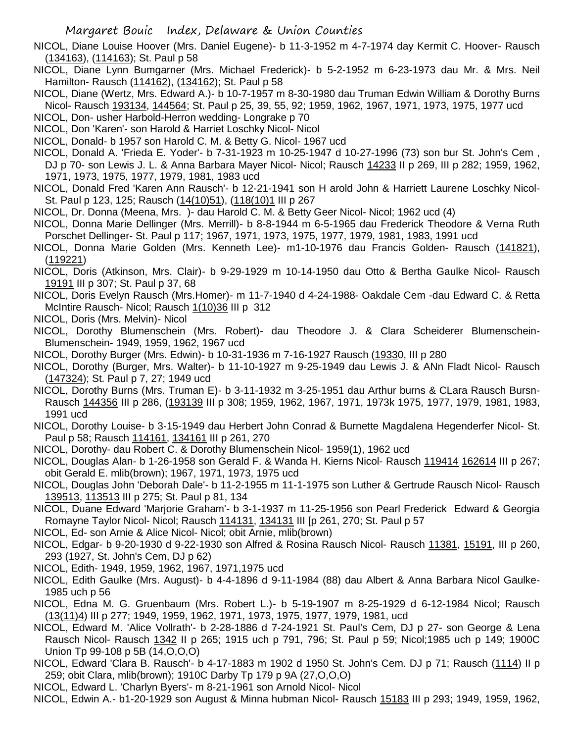NICOL, Diane Louise Hoover (Mrs. Daniel Eugene)- b 11-3-1952 m 4-7-1974 day Kermit C. Hoover- Rausch (134163), (114163); St. Paul p 58

NICOL, Diane Lynn Bumgarner (Mrs. Michael Frederick)- b 5-2-1952 m 6-23-1973 dau Mr. & Mrs. Neil Hamilton- Rausch (114162), (134162); St. Paul p 58

- NICOL, Diane (Wertz, Mrs. Edward A.)- b 10-7-1957 m 8-30-1980 dau Truman Edwin William & Dorothy Burns Nicol- Rausch 193134, 144564; St. Paul p 25, 39, 55, 92; 1959, 1962, 1967, 1971, 1973, 1975, 1977 ucd
- NICOL, Don- usher Harbold-Herron wedding- Longrake p 70
- NICOL, Don 'Karen'- son Harold & Harriet Loschky Nicol- Nicol
- NICOL, Donald- b 1957 son Harold C. M. & Betty G. Nicol- 1967 ucd
- NICOL, Donald A. 'Frieda E. Yoder'- b 7-31-1923 m 10-25-1947 d 10-27-1996 (73) son bur St. John's Cem , DJ p 70- son Lewis J. L. & Anna Barbara Mayer Nicol- Nicol; Rausch 14233 II p 269, III p 282; 1959, 1962, 1971, 1973, 1975, 1977, 1979, 1981, 1983 ucd
- NICOL, Donald Fred 'Karen Ann Rausch'- b 12-21-1941 son H arold John & Harriett Laurene Loschky Nicol-St. Paul p 123, 125; Rausch (14(10)51), (118(10)1 III p 267
- NICOL, Dr. Donna (Meena, Mrs. )- dau Harold C. M. & Betty Geer Nicol- Nicol; 1962 ucd (4)
- NICOL, Donna Marie Dellinger (Mrs. Merrill)- b 8-8-1944 m 6-5-1965 dau Frederick Theodore & Verna Ruth Porschet Dellinger- St. Paul p 117; 1967, 1971, 1973, 1975, 1977, 1979, 1981, 1983, 1991 ucd
- NICOL, Donna Marie Golden (Mrs. Kenneth Lee)- m1-10-1976 dau Francis Golden- Rausch (141821), (119221)
- NICOL, Doris (Atkinson, Mrs. Clair)- b 9-29-1929 m 10-14-1950 dau Otto & Bertha Gaulke Nicol- Rausch 19191 III p 307; St. Paul p 37, 68
- NICOL, Doris Evelyn Rausch (Mrs.Homer)- m 11-7-1940 d 4-24-1988- Oakdale Cem -dau Edward C. & Retta McIntire Rausch- Nicol; Rausch 1(10)36 III p 312
- NICOL, Doris (Mrs. Melvin)- Nicol
- NICOL, Dorothy Blumenschein (Mrs. Robert)- dau Theodore J. & Clara Scheiderer Blumenschein-Blumenschein- 1949, 1959, 1962, 1967 ucd
- NICOL, Dorothy Burger (Mrs. Edwin)- b 10-31-1936 m 7-16-1927 Rausch (19330, III p 280
- NICOL, Dorothy (Burger, Mrs. Walter)- b 11-10-1927 m 9-25-1949 dau Lewis J. & ANn Fladt Nicol- Rausch (147324); St. Paul p 7, 27; 1949 ucd
- NICOL, Dorothy Burns (Mrs. Truman E)- b 3-11-1932 m 3-25-1951 dau Arthur burns & CLara Rausch Bursn-Rausch 144356 III p 286, (193139 III p 308; 1959, 1962, 1967, 1971, 1973k 1975, 1977, 1979, 1981, 1983, 1991 ucd
- NICOL, Dorothy Louise- b 3-15-1949 dau Herbert John Conrad & Burnette Magdalena Hegenderfer Nicol- St. Paul p 58; Rausch 114161, 134161 III p 261, 270
- NICOL, Dorothy- dau Robert C. & Dorothy Blumenschein Nicol- 1959(1), 1962 ucd
- NICOL, Douglas Alan- b 1-26-1958 son Gerald F. & Wanda H. Kierns Nicol- Rausch 119414 162614 III p 267; obit Gerald E. mlib(brown); 1967, 1971, 1973, 1975 ucd
- NICOL, Douglas John 'Deborah Dale'- b 11-2-1955 m 11-1-1975 son Luther & Gertrude Rausch Nicol- Rausch 139513, 113513 III p 275; St. Paul p 81, 134
- NICOL, Duane Edward 'Marjorie Graham'- b 3-1-1937 m 11-25-1956 son Pearl Frederick Edward & Georgia Romayne Taylor Nicol- Nicol; Rausch 114131, 134131 III [p 261, 270; St. Paul p 57
- NICOL, Ed- son Arnie & Alice Nicol- Nicol; obit Arnie, mlib(brown)
- NICOL, Edgar- b 9-20-1930 d 9-22-1930 son Alfred & Rosina Rausch Nicol- Rausch 11381, 15191, III p 260, 293 (1927, St. John's Cem, DJ p 62)
- NICOL, Edith- 1949, 1959, 1962, 1967, 1971,1975 ucd
- NICOL, Edith Gaulke (Mrs. August)- b 4-4-1896 d 9-11-1984 (88) dau Albert & Anna Barbara Nicol Gaulke-1985 uch p 56
- NICOL, Edna M. G. Gruenbaum (Mrs. Robert L.)- b 5-19-1907 m 8-25-1929 d 6-12-1984 Nicol; Rausch (13(11)4) III p 277; 1949, 1959, 1962, 1971, 1973, 1975, 1977, 1979, 1981, ucd
- NICOL, Edward M. 'Alice Vollrath'- b 2-28-1886 d 7-24-1921 St. Paul's Cem, DJ p 27- son George & Lena Rausch Nicol- Rausch 1342 II p 265; 1915 uch p 791, 796; St. Paul p 59; Nicol;1985 uch p 149; 1900C Union Tp 99-108 p 5B (14,O,O,O)
- NICOL, Edward 'Clara B. Rausch'- b 4-17-1883 m 1902 d 1950 St. John's Cem. DJ p 71; Rausch (1114) II p 259; obit Clara, mlib(brown); 1910C Darby Tp 179 p 9A (27,O,O,O)
- NICOL, Edward L. 'Charlyn Byers'- m 8-21-1961 son Arnold Nicol- Nicol
- NICOL, Edwin A.- b1-20-1929 son August & Minna hubman Nicol- Rausch 15183 III p 293; 1949, 1959, 1962,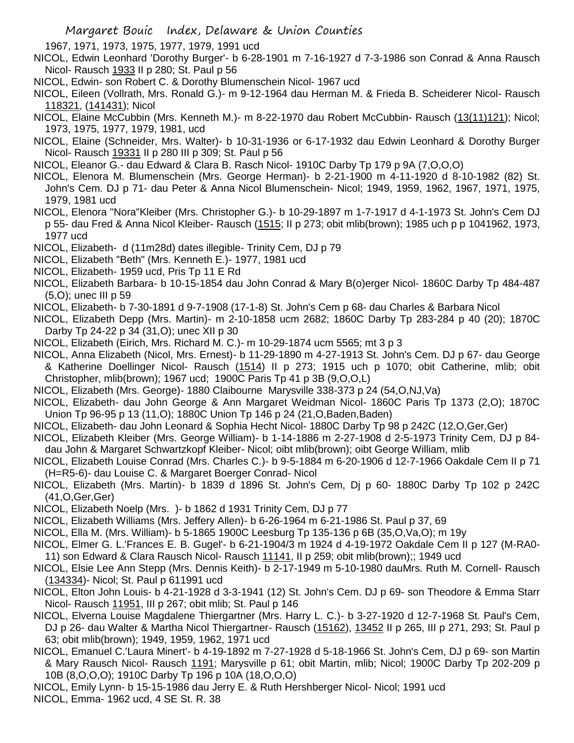1967, 1971, 1973, 1975, 1977, 1979, 1991 ucd

- NICOL, Edwin Leonhard 'Dorothy Burger'- b 6-28-1901 m 7-16-1927 d 7-3-1986 son Conrad & Anna Rausch Nicol- Rausch 1933 II p 280; St. Paul p 56
- NICOL, Edwin- son Robert C. & Dorothy Blumenschein Nicol- 1967 ucd
- NICOL, Eileen (Vollrath, Mrs. Ronald G.)- m 9-12-1964 dau Herman M. & Frieda B. Scheiderer Nicol- Rausch 118321, (141431); Nicol
- NICOL, Elaine McCubbin (Mrs. Kenneth M.)- m 8-22-1970 dau Robert McCubbin- Rausch (13(11)121); Nicol; 1973, 1975, 1977, 1979, 1981, ucd
- NICOL, Elaine (Schneider, Mrs. Walter)- b 10-31-1936 or 6-17-1932 dau Edwin Leonhard & Dorothy Burger Nicol- Rausch 19331 II p 280 III p 309; St. Paul p 56
- NICOL, Eleanor G.- dau Edward & Clara B. Rasch Nicol- 1910C Darby Tp 179 p 9A (7,O,O,O)
- NICOL, Elenora M. Blumenschein (Mrs. George Herman)- b 2-21-1900 m 4-11-1920 d 8-10-1982 (82) St. John's Cem. DJ p 71- dau Peter & Anna Nicol Blumenschein- Nicol; 1949, 1959, 1962, 1967, 1971, 1975, 1979, 1981 ucd
- NICOL, Elenora "Nora"Kleiber (Mrs. Christopher G.)- b 10-29-1897 m 1-7-1917 d 4-1-1973 St. John's Cem DJ p 55- dau Fred & Anna Nicol Kleiber- Rausch (1515; II p 273; obit mlib(brown); 1985 uch p p 1041962, 1973, 1977 ucd
- NICOL, Elizabeth- d (11m28d) dates illegible- Trinity Cem, DJ p 79
- NICOL, Elizabeth "Beth" (Mrs. Kenneth E.)- 1977, 1981 ucd
- NICOL, Elizabeth- 1959 ucd, Pris Tp 11 E Rd
- NICOL, Elizabeth Barbara- b 10-15-1854 dau John Conrad & Mary B(o)erger Nicol- 1860C Darby Tp 484-487 (5,O); unec III p 59
- NICOL, Elizabeth- b 7-30-1891 d 9-7-1908 (17-1-8) St. John's Cem p 68- dau Charles & Barbara Nicol
- NICOL, Elizabeth Depp (Mrs. Martin)- m 2-10-1858 ucm 2682; 1860C Darby Tp 283-284 p 40 (20); 1870C Darby Tp 24-22 p 34 (31,O); unec XII p 30
- NICOL, Elizabeth (Eirich, Mrs. Richard M. C.)- m 10-29-1874 ucm 5565; mt 3 p 3
- NICOL, Anna Elizabeth (Nicol, Mrs. Ernest)- b 11-29-1890 m 4-27-1913 St. John's Cem. DJ p 67- dau George & Katherine Doellinger Nicol- Rausch (1514) II p 273; 1915 uch p 1070; obit Catherine, mlib; obit Christopher, mlib(brown); 1967 ucd; 1900C Paris Tp 41 p 3B (9,O,O,L)
- NICOL, Elizabeth (Mrs. George)- 1880 Claibourne Marysville 338-373 p 24 (54,O,NJ,Va)
- NICOL, Elizabeth- dau John George & Ann Margaret Weidman Nicol- 1860C Paris Tp 1373 (2,O); 1870C Union Tp 96-95 p 13 (11,O); 1880C Union Tp 146 p 24 (21,O,Baden,Baden)
- NICOL, Elizabeth- dau John Leonard & Sophia Hecht Nicol- 1880C Darby Tp 98 p 242C (12,O,Ger,Ger)
- NICOL, Elizabeth Kleiber (Mrs. George William)- b 1-14-1886 m 2-27-1908 d 2-5-1973 Trinity Cem, DJ p 84 dau John & Margaret Schwartzkopf Kleiber- Nicol; oibt mlib(brown); oibt George William, mlib
- NICOL, Elizabeth Louise Conrad (Mrs. Charles C.)- b 9-5-1884 m 6-20-1906 d 12-7-1966 Oakdale Cem II p 71 (H=R5-6)- dau Louise C. & Margaret Boerger Conrad- Nicol
- NICOL, Elizabeth (Mrs. Martin)- b 1839 d 1896 St. John's Cem, Dj p 60- 1880C Darby Tp 102 p 242C (41,O,Ger,Ger)
- NICOL, Elizabeth Noelp (Mrs. )- b 1862 d 1931 Trinity Cem, DJ p 77
- NICOL, Elizabeth Williams (Mrs. Jeffery Allen)- b 6-26-1964 m 6-21-1986 St. Paul p 37, 69
- NICOL, Ella M. (Mrs. William)- b 5-1865 1900C Leesburg Tp 135-136 p 6B (35,O,Va,O); m 19y
- NICOL, Elmer G. L.'Frances E. B. Gugel'- b 6-21-1904/3 m 1924 d 4-19-1972 Oakdale Cem II p 127 (M-RA0- 11) son Edward & Clara Rausch Nicol- Rausch 11141, II p 259; obit mlib(brown);; 1949 ucd
- NICOL, Elsie Lee Ann Stepp (Mrs. Dennis Keith)- b 2-17-1949 m 5-10-1980 dauMrs. Ruth M. Cornell- Rausch (134334)- Nicol; St. Paul p 611991 ucd
- NICOL, Elton John Louis- b 4-21-1928 d 3-3-1941 (12) St. John's Cem. DJ p 69- son Theodore & Emma Starr Nicol- Rausch 11951, III p 267; obit mlib; St. Paul p 146
- NICOL, Elverna Louise Magdalene Thiergartner (Mrs. Harry L. C.)- b 3-27-1920 d 12-7-1968 St. Paul's Cem, DJ p 26- dau Walter & Martha Nicol Thiergartner- Rausch (15162), 13452 II p 265, III p 271, 293; St. Paul p 63; obit mlib(brown); 1949, 1959, 1962, 1971 ucd
- NICOL, Emanuel C.'Laura Minert'- b 4-19-1892 m 7-27-1928 d 5-18-1966 St. John's Cem, DJ p 69- son Martin & Mary Rausch Nicol- Rausch 1191; Marysville p 61; obit Martin, mlib; Nicol; 1900C Darby Tp 202-209 p 10B (8,O,O,O); 1910C Darby Tp 196 p 10A (18,O,O,O)
- NICOL, Emily Lynn- b 15-15-1986 dau Jerry E. & Ruth Hershberger Nicol- Nicol; 1991 ucd NICOL, Emma- 1962 ucd, 4 SE St. R. 38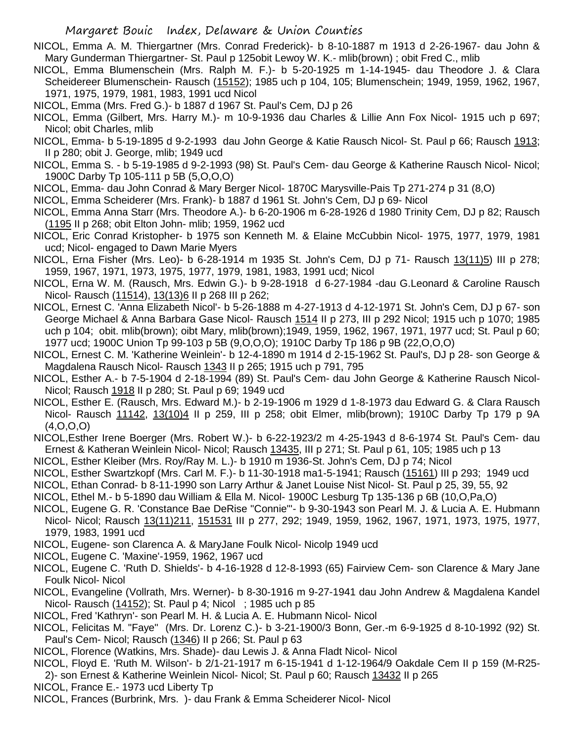- NICOL, Emma A. M. Thiergartner (Mrs. Conrad Frederick)- b 8-10-1887 m 1913 d 2-26-1967- dau John & Mary Gunderman Thiergartner- St. Paul p 125obit Lewoy W. K.- mlib(brown) ; obit Fred C., mlib
- NICOL, Emma Blumenschein (Mrs. Ralph M. F.)- b 5-20-1925 m 1-14-1945- dau Theodore J. & Clara Scheidereer Blumenschein- Rausch (15152); 1985 uch p 104, 105; Blumenschein; 1949, 1959, 1962, 1967, 1971, 1975, 1979, 1981, 1983, 1991 ucd Nicol
- NICOL, Emma (Mrs. Fred G.)- b 1887 d 1967 St. Paul's Cem, DJ p 26
- NICOL, Emma (Gilbert, Mrs. Harry M.)- m 10-9-1936 dau Charles & Lillie Ann Fox Nicol- 1915 uch p 697; Nicol; obit Charles, mlib
- NICOL, Emma- b 5-19-1895 d 9-2-1993 dau John George & Katie Rausch Nicol- St. Paul p 66; Rausch 1913; II p 280; obit J. George, mlib; 1949 ucd
- NICOL, Emma S. b 5-19-1985 d 9-2-1993 (98) St. Paul's Cem- dau George & Katherine Rausch Nicol- Nicol; 1900C Darby Tp 105-111 p 5B (5,O,O,O)
- NICOL, Emma- dau John Conrad & Mary Berger Nicol- 1870C Marysville-Pais Tp 271-274 p 31 (8,O)
- NICOL, Emma Scheiderer (Mrs. Frank)- b 1887 d 1961 St. John's Cem, DJ p 69- Nicol
- NICOL, Emma Anna Starr (Mrs. Theodore A.)- b 6-20-1906 m 6-28-1926 d 1980 Trinity Cem, DJ p 82; Rausch (1195 II p 268; obit Elton John- mlib; 1959, 1962 ucd
- NICOL, Eric Conrad Kristopher- b 1975 son Kenneth M. & Elaine McCubbin Nicol- 1975, 1977, 1979, 1981 ucd; Nicol- engaged to Dawn Marie Myers
- NICOL, Erna Fisher (Mrs. Leo)- b 6-28-1914 m 1935 St. John's Cem, DJ p 71- Rausch 13(11)5) III p 278; 1959, 1967, 1971, 1973, 1975, 1977, 1979, 1981, 1983, 1991 ucd; Nicol
- NICOL, Erna W. M. (Rausch, Mrs. Edwin G.)- b 9-28-1918 d 6-27-1984 -dau G.Leonard & Caroline Rausch Nicol- Rausch (11514), 13(13)6 II p 268 III p 262;
- NICOL, Ernest C. 'Anna Elizabeth Nicol'- b 5-26-1888 m 4-27-1913 d 4-12-1971 St. John's Cem, DJ p 67- son George Michael & Anna Barbara Gase Nicol- Rausch 1514 II p 273, III p 292 Nicol; 1915 uch p 1070; 1985 uch p 104; obit. mlib(brown); oibt Mary, mlib(brown);1949, 1959, 1962, 1967, 1971, 1977 ucd; St. Paul p 60; 1977 ucd; 1900C Union Tp 99-103 p 5B (9,O,O,O); 1910C Darby Tp 186 p 9B (22,O,O,O)
- NICOL, Ernest C. M. 'Katherine Weinlein'- b 12-4-1890 m 1914 d 2-15-1962 St. Paul's, DJ p 28- son George & Magdalena Rausch Nicol- Rausch 1343 II p 265; 1915 uch p 791, 795
- NICOL, Esther A.- b 7-5-1904 d 2-18-1994 (89) St. Paul's Cem- dau John George & Katherine Rausch Nicol-Nicol; Rausch 1918 II p 280; St. Paul p 69; 1949 ucd
- NICOL, Esther E. (Rausch, Mrs. Edward M.)- b 2-19-1906 m 1929 d 1-8-1973 dau Edward G. & Clara Rausch Nicol- Rausch 11142, 13(10)4 II p 259, III p 258; obit Elmer, mlib(brown); 1910C Darby Tp 179 p 9A (4,O,O,O)
- NICOL,Esther Irene Boerger (Mrs. Robert W.)- b 6-22-1923/2 m 4-25-1943 d 8-6-1974 St. Paul's Cem- dau Ernest & Katheran Weinlein Nicol- Nicol; Rausch 13435, III p 271; St. Paul p 61, 105; 1985 uch p 13
- NICOL, Esther Kleiber (Mrs. Roy/Ray M. L.)- b 1910 m 1936-St. John's Cem, DJ p 74; Nicol
- NICOL, Esther Swartzkopf (Mrs. Carl M. F.)- b 11-30-1918 ma1-5-1941; Rausch (15161) III p 293; 1949 ucd
- NICOL, Ethan Conrad- b 8-11-1990 son Larry Arthur & Janet Louise Nist Nicol- St. Paul p 25, 39, 55, 92
- NICOL, Ethel M.- b 5-1890 dau William & Ella M. Nicol- 1900C Lesburg Tp 135-136 p 6B (10,O,Pa,O)
- NICOL, Eugene G. R. 'Constance Bae DeRise "Connie"'- b 9-30-1943 son Pearl M. J. & Lucia A. E. Hubmann Nicol- Nicol; Rausch 13(11)211, 151531 III p 277, 292; 1949, 1959, 1962, 1967, 1971, 1973, 1975, 1977, 1979, 1983, 1991 ucd
- NICOL, Eugene- son Clarenca A. & MaryJane Foulk Nicol- Nicolp 1949 ucd
- NICOL, Eugene C. 'Maxine'-1959, 1962, 1967 ucd
- NICOL, Eugene C. 'Ruth D. Shields'- b 4-16-1928 d 12-8-1993 (65) Fairview Cem- son Clarence & Mary Jane Foulk Nicol- Nicol
- NICOL, Evangeline (Vollrath, Mrs. Werner)- b 8-30-1916 m 9-27-1941 dau John Andrew & Magdalena Kandel Nicol- Rausch (14152); St. Paul p 4; Nicol ; 1985 uch p 85
- NICOL, Fred 'Kathryn'- son Pearl M. H. & Lucia A. E. Hubmann Nicol- Nicol
- NICOL, Felicitas M. "Faye" (Mrs. Dr. Lorenz C.)- b 3-21-1900/3 Bonn, Ger.-m 6-9-1925 d 8-10-1992 (92) St. Paul's Cem- Nicol; Rausch (1346) II p 266; St. Paul p 63
- NICOL, Florence (Watkins, Mrs. Shade)- dau Lewis J. & Anna Fladt Nicol- Nicol
- NICOL, Floyd E. 'Ruth M. Wilson'- b 2/1-21-1917 m 6-15-1941 d 1-12-1964/9 Oakdale Cem II p 159 (M-R25- 2)- son Ernest & Katherine Weinlein Nicol- Nicol; St. Paul p 60; Rausch 13432 II p 265
- 
- NICOL, France E.- 1973 ucd Liberty Tp
- NICOL, Frances (Burbrink, Mrs. )- dau Frank & Emma Scheiderer Nicol- Nicol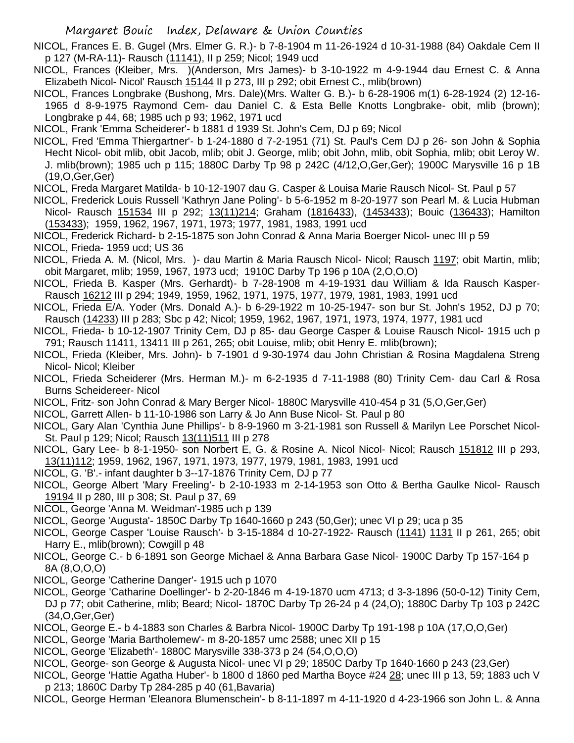NICOL, Frances E. B. Gugel (Mrs. Elmer G. R.)- b 7-8-1904 m 11-26-1924 d 10-31-1988 (84) Oakdale Cem II p 127 (M-RA-11)- Rausch (11141), II p 259; Nicol; 1949 ucd

NICOL, Frances (Kleiber, Mrs. )(Anderson, Mrs James)- b 3-10-1922 m 4-9-1944 dau Ernest C. & Anna Elizabeth Nicol- Nicol' Rausch 15144 II p 273, III p 292; obit Ernest C., mlib(brown)

NICOL, Frances Longbrake (Bushong, Mrs. Dale)(Mrs. Walter G. B.)- b 6-28-1906 m(1) 6-28-1924 (2) 12-16- 1965 d 8-9-1975 Raymond Cem- dau Daniel C. & Esta Belle Knotts Longbrake- obit, mlib (brown); Longbrake p 44, 68; 1985 uch p 93; 1962, 1971 ucd

NICOL, Frank 'Emma Scheiderer'- b 1881 d 1939 St. John's Cem, DJ p 69; Nicol

NICOL, Fred 'Emma Thiergartner'- b 1-24-1880 d 7-2-1951 (71) St. Paul's Cem DJ p 26- son John & Sophia Hecht Nicol- obit mlib, obit Jacob, mlib; obit J. George, mlib; obit John, mlib, obit Sophia, mlib; obit Leroy W. J. mlib(brown); 1985 uch p 115; 1880C Darby Tp 98 p 242C (4/12,O,Ger,Ger); 1900C Marysville 16 p 1B (19,O,Ger,Ger)

NICOL, Freda Margaret Matilda- b 10-12-1907 dau G. Casper & Louisa Marie Rausch Nicol- St. Paul p 57

- NICOL, Frederick Louis Russell 'Kathryn Jane Poling'- b 5-6-1952 m 8-20-1977 son Pearl M. & Lucia Hubman Nicol- Rausch 151534 III p 292; 13(11)214; Graham (1816433), (1453433); Bouic (136433); Hamilton (153433); 1959, 1962, 1967, 1971, 1973; 1977, 1981, 1983, 1991 ucd
- NICOL, Frederick Richard- b 2-15-1875 son John Conrad & Anna Maria Boerger Nicol- unec III p 59
- NICOL, Frieda- 1959 ucd; US 36
- NICOL, Frieda A. M. (Nicol, Mrs. )- dau Martin & Maria Rausch Nicol- Nicol; Rausch 1197; obit Martin, mlib; obit Margaret, mlib; 1959, 1967, 1973 ucd; 1910C Darby Tp 196 p 10A (2,O,O,O)
- NICOL, Frieda B. Kasper (Mrs. Gerhardt)- b 7-28-1908 m 4-19-1931 dau William & Ida Rausch Kasper-Rausch 16212 III p 294; 1949, 1959, 1962, 1971, 1975, 1977, 1979, 1981, 1983, 1991 ucd
- NICOL, Frieda E/A. Yoder (Mrs. Donald A.)- b 6-29-1922 m 10-25-1947- son bur St. John's 1952, DJ p 70; Rausch (14233) III p 283; Sbc p 42; Nicol; 1959, 1962, 1967, 1971, 1973, 1974, 1977, 1981 ucd
- NICOL, Frieda- b 10-12-1907 Trinity Cem, DJ p 85- dau George Casper & Louise Rausch Nicol- 1915 uch p 791; Rausch 11411, 13411 III p 261, 265; obit Louise, mlib; obit Henry E. mlib(brown);
- NICOL, Frieda (Kleiber, Mrs. John)- b 7-1901 d 9-30-1974 dau John Christian & Rosina Magdalena Streng Nicol- Nicol; Kleiber
- NICOL, Frieda Scheiderer (Mrs. Herman M.)- m 6-2-1935 d 7-11-1988 (80) Trinity Cem- dau Carl & Rosa Burns Scheidereer- Nicol
- NICOL, Fritz- son John Conrad & Mary Berger Nicol- 1880C Marysville 410-454 p 31 (5,O,Ger,Ger)
- NICOL, Garrett Allen- b 11-10-1986 son Larry & Jo Ann Buse Nicol- St. Paul p 80
- NICOL, Gary Alan 'Cynthia June Phillips'- b 8-9-1960 m 3-21-1981 son Russell & Marilyn Lee Porschet Nicol-St. Paul p 129; Nicol; Rausch 13(11)511 III p 278
- NICOL, Gary Lee- b 8-1-1950- son Norbert E, G. & Rosine A. Nicol Nicol- Nicol; Rausch 151812 III p 293, 13(11)112; 1959, 1962, 1967, 1971, 1973, 1977, 1979, 1981, 1983, 1991 ucd
- NICOL, G. 'B'.- infant daughter b 3--17-1876 Trinity Cem, DJ p 77
- NICOL, George Albert 'Mary Freeling'- b 2-10-1933 m 2-14-1953 son Otto & Bertha Gaulke Nicol- Rausch 19194 II p 280, III p 308; St. Paul p 37, 69
- NICOL, George 'Anna M. Weidman'-1985 uch p 139
- NICOL, George 'Augusta'- 1850C Darby Tp 1640-1660 p 243 (50,Ger); unec VI p 29; uca p 35
- NICOL, George Casper 'Louise Rausch'- b 3-15-1884 d 10-27-1922- Rausch (1141) 1131 II p 261, 265; obit Harry E., mlib(brown); Cowgill p 48
- NICOL, George C.- b 6-1891 son George Michael & Anna Barbara Gase Nicol- 1900C Darby Tp 157-164 p 8A (8,O,O,O)
- NICOL, George 'Catherine Danger'- 1915 uch p 1070
- NICOL, George 'Catharine Doellinger'- b 2-20-1846 m 4-19-1870 ucm 4713; d 3-3-1896 (50-0-12) Tinity Cem, DJ p 77; obit Catherine, mlib; Beard; Nicol- 1870C Darby Tp 26-24 p 4 (24,O); 1880C Darby Tp 103 p 242C (34,O,Ger,Ger)
- NICOL, George E.- b 4-1883 son Charles & Barbra Nicol- 1900C Darby Tp 191-198 p 10A (17,O,O,Ger)
- NICOL, George 'Maria Bartholemew'- m 8-20-1857 umc 2588; unec XII p 15
- NICOL, George 'Elizabeth'- 1880C Marysville 338-373 p 24 (54,O,O,O)
- NICOL, George- son George & Augusta Nicol- unec VI p 29; 1850C Darby Tp 1640-1660 p 243 (23,Ger)
- NICOL, George 'Hattie Agatha Huber'- b 1800 d 1860 ped Martha Boyce #24 28; unec III p 13, 59; 1883 uch V p 213; 1860C Darby Tp 284-285 p 40 (61,Bavaria)

NICOL, George Herman 'Eleanora Blumenschein'- b 8-11-1897 m 4-11-1920 d 4-23-1966 son John L. & Anna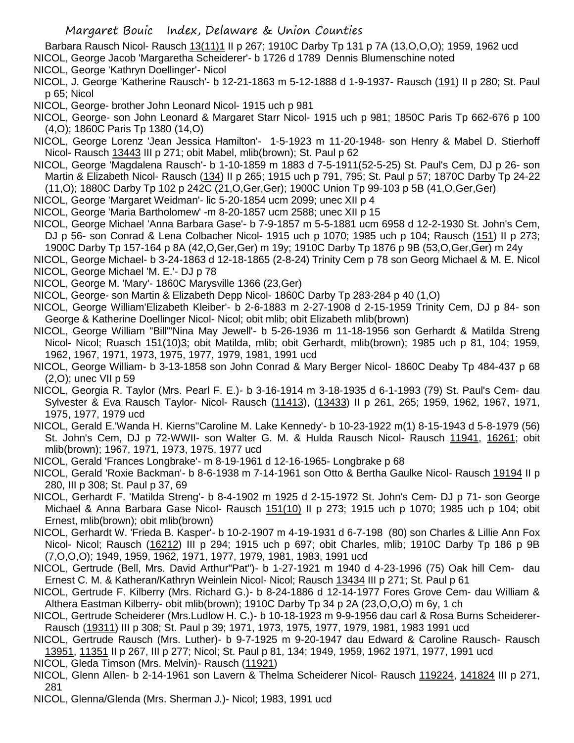Barbara Rausch Nicol- Rausch 13(11)1 II p 267; 1910C Darby Tp 131 p 7A (13, O, O, O); 1959, 1962 ucd NICOL, George Jacob 'Margaretha Scheiderer'- b 1726 d 1789 Dennis Blumenschine noted

- NICOL, George 'Kathryn Doellinger'- Nicol
- NICOL, J. George 'Katherine Rausch'- b 12-21-1863 m 5-12-1888 d 1-9-1937- Rausch (191) II p 280; St. Paul p 65; Nicol
- NICOL, George- brother John Leonard Nicol- 1915 uch p 981
- NICOL, George- son John Leonard & Margaret Starr Nicol- 1915 uch p 981; 1850C Paris Tp 662-676 p 100 (4,O); 1860C Paris Tp 1380 (14,O)
- NICOL, George Lorenz 'Jean Jessica Hamilton'- 1-5-1923 m 11-20-1948- son Henry & Mabel D. Stierhoff Nicol- Rausch 13443 III p 271; obit Mabel, mlib(brown); St. Paul p 62
- NICOL, George 'Magdalena Rausch'- b 1-10-1859 m 1883 d 7-5-1911(52-5-25) St. Paul's Cem, DJ p 26- son Martin & Elizabeth Nicol- Rausch (134) II p 265; 1915 uch p 791, 795; St. Paul p 57; 1870C Darby Tp 24-22 (11,O); 1880C Darby Tp 102 p 242C (21,O,Ger,Ger); 1900C Union Tp 99-103 p 5B (41,O,Ger,Ger)
- NICOL, George 'Margaret Weidman'- lic 5-20-1854 ucm 2099; unec XII p 4
- NICOL, George 'Maria Bartholomew' -m 8-20-1857 ucm 2588; unec XII p 15
- NICOL, George Michael 'Anna Barbara Gase'- b 7-9-1857 m 5-5-1881 ucm 6958 d 12-2-1930 St. John's Cem, DJ p 56- son Conrad & Lena Colbacher Nicol- 1915 uch p 1070; 1985 uch p 104; Rausch (151) II p 273;
- 1900C Darby Tp 157-164 p 8A (42,O,Ger,Ger) m 19y; 1910C Darby Tp 1876 p 9B (53,O,Ger,Ger) m 24y
- NICOL, George Michael- b 3-24-1863 d 12-18-1865 (2-8-24) Trinity Cem p 78 son Georg Michael & M. E. Nicol NICOL, George Michael 'M. E.'- DJ p 78
- NICOL, George M. 'Mary'- 1860C Marysville 1366 (23,Ger)
- NICOL, George- son Martin & Elizabeth Depp Nicol- 1860C Darby Tp 283-284 p 40 (1,O)
- NICOL, George William'Elizabeth Kleiber'- b 2-6-1883 m 2-27-1908 d 2-15-1959 Trinity Cem, DJ p 84- son George & Katherine Doellinger Nicol- Nicol; obit mlib; obit Elizabeth mlib(brown)
- NICOL, George William "Bill"'Nina May Jewell'- b 5-26-1936 m 11-18-1956 son Gerhardt & Matilda Streng Nicol- Nicol; Ruasch 151(10)3; obit Matilda, mlib; obit Gerhardt, mlib(brown); 1985 uch p 81, 104; 1959, 1962, 1967, 1971, 1973, 1975, 1977, 1979, 1981, 1991 ucd
- NICOL, George William- b 3-13-1858 son John Conrad & Mary Berger Nicol- 1860C Deaby Tp 484-437 p 68 (2,O); unec VII p 59
- NICOL, Georgia R. Taylor (Mrs. Pearl F. E.)- b 3-16-1914 m 3-18-1935 d 6-1-1993 (79) St. Paul's Cem- dau Sylvester & Eva Rausch Taylor- Nicol- Rausch (11413), (13433) II p 261, 265; 1959, 1962, 1967, 1971, 1975, 1977, 1979 ucd
- NICOL, Gerald E.'Wanda H. Kierns''Caroline M. Lake Kennedy'- b 10-23-1922 m(1) 8-15-1943 d 5-8-1979 (56) St. John's Cem, DJ p 72-WWII- son Walter G. M. & Hulda Rausch Nicol- Rausch 11941, 16261; obit mlib(brown); 1967, 1971, 1973, 1975, 1977 ucd
- NICOL, Gerald 'Frances Longbrake'- m 8-19-1961 d 12-16-1965- Longbrake p 68
- NICOL, Gerald 'Roxie Backman'- b 8-6-1938 m 7-14-1961 son Otto & Bertha Gaulke Nicol- Rausch 19194 II p 280, III p 308; St. Paul p 37, 69
- NICOL, Gerhardt F. 'Matilda Streng'- b 8-4-1902 m 1925 d 2-15-1972 St. John's Cem- DJ p 71- son George Michael & Anna Barbara Gase Nicol- Rausch 151(10) II p 273; 1915 uch p 1070; 1985 uch p 104; obit Ernest, mlib(brown); obit mlib(brown)
- NICOL, Gerhardt W. 'Frieda B. Kasper'- b 10-2-1907 m 4-19-1931 d 6-7-198 (80) son Charles & Lillie Ann Fox Nicol- Nicol; Rausch (16212) III p 294; 1915 uch p 697; obit Charles, mlib; 1910C Darby Tp 186 p 9B (7,O,O,O); 1949, 1959, 1962, 1971, 1977, 1979, 1981, 1983, 1991 ucd
- NICOL, Gertrude (Bell, Mrs. David Arthur"Pat")- b 1-27-1921 m 1940 d 4-23-1996 (75) Oak hill Cem- dau Ernest C. M. & Katheran/Kathryn Weinlein Nicol- Nicol; Rausch 13434 III p 271; St. Paul p 61
- NICOL, Gertrude F. Kilberry (Mrs. Richard G.)- b 8-24-1886 d 12-14-1977 Fores Grove Cem- dau William & Althera Eastman Kilberry- obit mlib(brown); 1910C Darby Tp 34 p 2A (23,O,O,O) m 6y, 1 ch
- NICOL, Gertrude Scheiderer (Mrs.Ludlow H. C.)- b 10-18-1923 m 9-9-1956 dau carl & Rosa Burns Scheiderer-Rausch (19311) III p 308; St. Paul p 39; 1971, 1973, 1975, 1977, 1979, 1981, 1983 1991 ucd
- NICOL, Gertrude Rausch (Mrs. Luther)- b 9-7-1925 m 9-20-1947 dau Edward & Caroline Rausch- Rausch 13951, 11351 II p 267, III p 277; Nicol; St. Paul p 81, 134; 1949, 1959, 1962 1971, 1977, 1991 ucd
- NICOL, Gleda Timson (Mrs. Melvin)- Rausch (11921)
- NICOL, Glenn Allen- b 2-14-1961 son Lavern & Thelma Scheiderer Nicol- Rausch 119224, 141824 III p 271, 281
- NICOL, Glenna/Glenda (Mrs. Sherman J.)- Nicol; 1983, 1991 ucd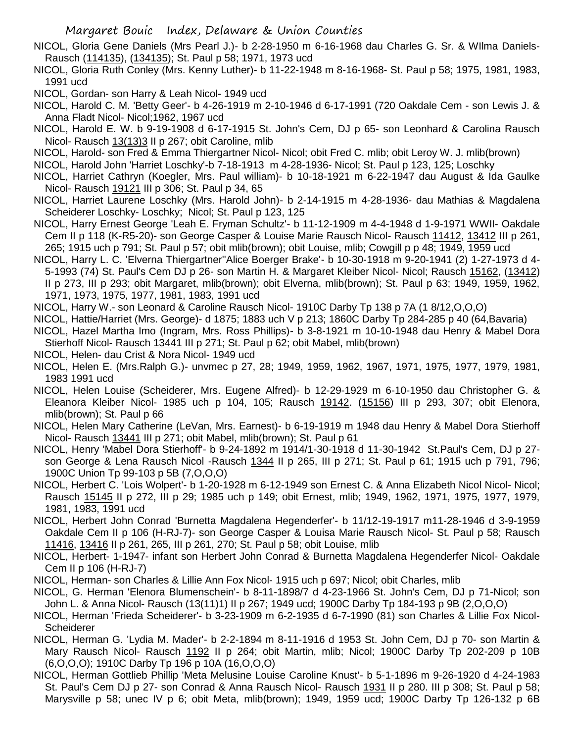- NICOL, Gloria Gene Daniels (Mrs Pearl J.)- b 2-28-1950 m 6-16-1968 dau Charles G. Sr. & WIlma Daniels-Rausch (114135), (134135); St. Paul p 58; 1971, 1973 ucd
- NICOL, Gloria Ruth Conley (Mrs. Kenny Luther)- b 11-22-1948 m 8-16-1968- St. Paul p 58; 1975, 1981, 1983, 1991 ucd

NICOL, Gordan- son Harry & Leah Nicol- 1949 ucd

- NICOL, Harold C. M. 'Betty Geer'- b 4-26-1919 m 2-10-1946 d 6-17-1991 (720 Oakdale Cem son Lewis J. & Anna Fladt Nicol- Nicol;1962, 1967 ucd
- NICOL, Harold E. W. b 9-19-1908 d 6-17-1915 St. John's Cem, DJ p 65- son Leonhard & Carolina Rausch Nicol- Rausch 13(13)3 II p 267; obit Caroline, mlib
- NICOL, Harold- son Fred & Emma Thiergartner Nicol- Nicol; obit Fred C. mlib; obit Leroy W. J. mlib(brown)

NICOL, Harold John 'Harriet Loschky'-b 7-18-1913 m 4-28-1936- Nicol; St. Paul p 123, 125; Loschky

- NICOL, Harriet Cathryn (Koegler, Mrs. Paul william)- b 10-18-1921 m 6-22-1947 dau August & Ida Gaulke Nicol- Rausch 19121 III p 306; St. Paul p 34, 65
- NICOL, Harriet Laurene Loschky (Mrs. Harold John)- b 2-14-1915 m 4-28-1936- dau Mathias & Magdalena Scheiderer Loschky- Loschky; Nicol; St. Paul p 123, 125
- NICOL, Harry Ernest George 'Leah E. Fryman Schultz'- b 11-12-1909 m 4-4-1948 d 1-9-1971 WWII- Oakdale Cem II p 118 (K-R5-20)- son George Casper & Louise Marie Rausch Nicol- Rausch 11412, 13412 III p 261, 265; 1915 uch p 791; St. Paul p 57; obit mlib(brown); obit Louise, mlib; Cowgill p p 48; 1949, 1959 ucd
- NICOL, Harry L. C. 'Elverna Thiergartner''Alice Boerger Brake'- b 10-30-1918 m 9-20-1941 (2) 1-27-1973 d 4- 5-1993 (74) St. Paul's Cem DJ p 26- son Martin H. & Margaret Kleiber Nicol- Nicol; Rausch 15162, (13412) II p 273, III p 293; obit Margaret, mlib(brown); obit Elverna, mlib(brown); St. Paul p 63; 1949, 1959, 1962, 1971, 1973, 1975, 1977, 1981, 1983, 1991 ucd
- NICOL, Harry W.- son Leonard & Caroline Rausch Nicol- 1910C Darby Tp 138 p 7A (1 8/12,O,O,O)
- NICOL, Hattie/Harriet (Mrs. George)- d 1875; 1883 uch V p 213; 1860C Darby Tp 284-285 p 40 (64,Bavaria)
- NICOL, Hazel Martha Imo (Ingram, Mrs. Ross Phillips)- b 3-8-1921 m 10-10-1948 dau Henry & Mabel Dora Stierhoff Nicol- Rausch 13441 III p 271; St. Paul p 62; obit Mabel, mlib(brown)
- NICOL, Helen- dau Crist & Nora Nicol- 1949 ucd
- NICOL, Helen E. (Mrs.Ralph G.)- unvmec p 27, 28; 1949, 1959, 1962, 1967, 1971, 1975, 1977, 1979, 1981, 1983 1991 ucd
- NICOL, Helen Louise (Scheiderer, Mrs. Eugene Alfred)- b 12-29-1929 m 6-10-1950 dau Christopher G. & Eleanora Kleiber Nicol- 1985 uch p 104, 105; Rausch 19142. (15156) III p 293, 307; obit Elenora, mlib(brown); St. Paul p 66
- NICOL, Helen Mary Catherine (LeVan, Mrs. Earnest)- b 6-19-1919 m 1948 dau Henry & Mabel Dora Stierhoff Nicol- Rausch 13441 III p 271; obit Mabel, mlib(brown); St. Paul p 61
- NICOL, Henry 'Mabel Dora Stierhoff'- b 9-24-1892 m 1914/1-30-1918 d 11-30-1942 St.Paul's Cem, DJ p 27 son George & Lena Rausch Nicol -Rausch 1344 II p 265, III p 271; St. Paul p 61; 1915 uch p 791, 796; 1900C Union Tp 99-103 p 5B (7,O,O,O)
- NICOL, Herbert C. 'Lois Wolpert'- b 1-20-1928 m 6-12-1949 son Ernest C. & Anna Elizabeth Nicol Nicol- Nicol; Rausch 15145 II p 272, III p 29; 1985 uch p 149; obit Ernest, mlib; 1949, 1962, 1971, 1975, 1977, 1979, 1981, 1983, 1991 ucd
- NICOL, Herbert John Conrad 'Burnetta Magdalena Hegenderfer'- b 11/12-19-1917 m11-28-1946 d 3-9-1959 Oakdale Cem II p 106 (H-RJ-7)- son George Casper & Louisa Marie Rausch Nicol- St. Paul p 58; Rausch 11416, 13416 II p 261, 265, III p 261, 270; St. Paul p 58; obit Louise, mlib
- NICOL, Herbert- 1-1947- infant son Herbert John Conrad & Burnetta Magdalena Hegenderfer Nicol- Oakdale Cem II p 106 (H-RJ-7)
- NICOL, Herman- son Charles & Lillie Ann Fox Nicol- 1915 uch p 697; Nicol; obit Charles, mlib
- NICOL, G. Herman 'Elenora Blumenschein'- b 8-11-1898/7 d 4-23-1966 St. John's Cem, DJ p 71-Nicol; son John L. & Anna Nicol- Rausch (13(11)1) II p 267; 1949 ucd; 1900C Darby Tp 184-193 p 9B (2,O,O,O)
- NICOL, Herman 'Frieda Scheiderer'- b 3-23-1909 m 6-2-1935 d 6-7-1990 (81) son Charles & Lillie Fox Nicol-Scheiderer
- NICOL, Herman G. 'Lydia M. Mader'- b 2-2-1894 m 8-11-1916 d 1953 St. John Cem, DJ p 70- son Martin & Mary Rausch Nicol- Rausch 1192 II p 264; obit Martin, mlib; Nicol; 1900C Darby Tp 202-209 p 10B (6,O,O,O); 1910C Darby Tp 196 p 10A (16,O,O,O)
- NICOL, Herman Gottlieb Phillip 'Meta Melusine Louise Caroline Knust'- b 5-1-1896 m 9-26-1920 d 4-24-1983 St. Paul's Cem DJ p 27- son Conrad & Anna Rausch Nicol- Rausch 1931 II p 280. III p 308; St. Paul p 58; Marysville p 58; unec IV p 6; obit Meta, mlib(brown); 1949, 1959 ucd; 1900C Darby Tp 126-132 p 6B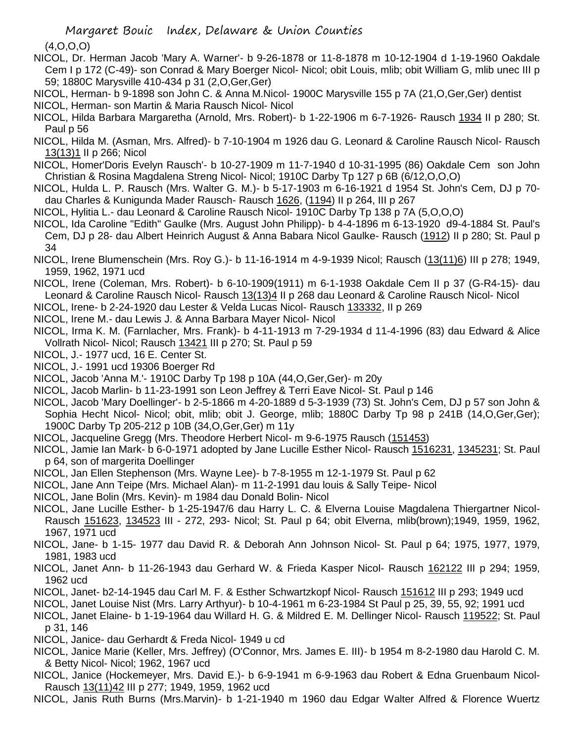(4,O,O,O)

- NICOL, Dr. Herman Jacob 'Mary A. Warner'- b 9-26-1878 or 11-8-1878 m 10-12-1904 d 1-19-1960 Oakdale Cem I p 172 (C-49)- son Conrad & Mary Boerger Nicol- Nicol; obit Louis, mlib; obit William G, mlib unec III p 59; 1880C Marysville 410-434 p 31 (2,O,Ger,Ger)
- NICOL, Herman- b 9-1898 son John C. & Anna M.Nicol- 1900C Marysville 155 p 7A (21,O,Ger,Ger) dentist NICOL, Herman- son Martin & Maria Rausch Nicol- Nicol
- NICOL, Hilda Barbara Margaretha (Arnold, Mrs. Robert)- b 1-22-1906 m 6-7-1926- Rausch 1934 II p 280; St. Paul p 56
- NICOL, Hilda M. (Asman, Mrs. Alfred)- b 7-10-1904 m 1926 dau G. Leonard & Caroline Rausch Nicol- Rausch 13(13)1 II p 266; Nicol
- NICOL, Homer'Doris Evelyn Rausch'- b 10-27-1909 m 11-7-1940 d 10-31-1995 (86) Oakdale Cem son John Christian & Rosina Magdalena Streng Nicol- Nicol; 1910C Darby Tp 127 p 6B (6/12,O,O,O)
- NICOL, Hulda L. P. Rausch (Mrs. Walter G. M.)- b 5-17-1903 m 6-16-1921 d 1954 St. John's Cem, DJ p 70 dau Charles & Kunigunda Mader Rausch- Rausch 1626, (1194) II p 264, III p 267
- NICOL, Hylitia L.- dau Leonard & Caroline Rausch Nicol- 1910C Darby Tp 138 p 7A (5,O,O,O)
- NICOL, Ida Caroline "Edith" Gaulke (Mrs. August John Philipp)- b 4-4-1896 m 6-13-1920 d9-4-1884 St. Paul's Cem, DJ p 28- dau Albert Heinrich August & Anna Babara Nicol Gaulke- Rausch (1912) II p 280; St. Paul p 34
- NICOL, Irene Blumenschein (Mrs. Roy G.)- b 11-16-1914 m 4-9-1939 Nicol; Rausch (13(11)6) III p 278; 1949, 1959, 1962, 1971 ucd
- NICOL, Irene (Coleman, Mrs. Robert)- b 6-10-1909(1911) m 6-1-1938 Oakdale Cem II p 37 (G-R4-15)- dau Leonard & Caroline Rausch Nicol- Rausch 13(13)4 II p 268 dau Leonard & Caroline Rausch Nicol- Nicol
- NICOL, Irene- b 2-24-1920 dau Lester & Velda Lucas Nicol- Rausch 133332, II p 269
- NICOL, Irene M.- dau Lewis J. & Anna Barbara Mayer Nicol- Nicol
- NICOL, Irma K. M. (Farnlacher, Mrs. Frank)- b 4-11-1913 m 7-29-1934 d 11-4-1996 (83) dau Edward & Alice Vollrath Nicol- Nicol; Rausch 13421 III p 270; St. Paul p 59
- NICOL, J.- 1977 ucd, 16 E. Center St.
- NICOL, J.- 1991 ucd 19306 Boerger Rd
- NICOL, Jacob 'Anna M.'- 1910C Darby Tp 198 p 10A (44,O,Ger,Ger)- m 20y
- NICOL, Jacob Marlin- b 11-23-1991 son Leon Jeffrey & Terri Eave Nicol- St. Paul p 146
- NICOL, Jacob 'Mary Doellinger'- b 2-5-1866 m 4-20-1889 d 5-3-1939 (73) St. John's Cem, DJ p 57 son John & Sophia Hecht Nicol- Nicol; obit, mlib; obit J. George, mlib; 1880C Darby Tp 98 p 241B (14,O,Ger,Ger); 1900C Darby Tp 205-212 p 10B (34,O,Ger,Ger) m 11y
- NICOL, Jacqueline Gregg (Mrs. Theodore Herbert Nicol- m 9-6-1975 Rausch (151453)
- NICOL, Jamie Ian Mark- b 6-0-1971 adopted by Jane Lucille Esther Nicol- Rausch 1516231, 1345231; St. Paul p 64, son of margerita Doellinger
- NICOL, Jan Ellen Stephenson (Mrs. Wayne Lee)- b 7-8-1955 m 12-1-1979 St. Paul p 62
- NICOL, Jane Ann Teipe (Mrs. Michael Alan)- m 11-2-1991 dau louis & Sally Teipe- Nicol
- NICOL, Jane Bolin (Mrs. Kevin)- m 1984 dau Donald Bolin- Nicol
- NICOL, Jane Lucille Esther- b 1-25-1947/6 dau Harry L. C. & Elverna Louise Magdalena Thiergartner Nicol-Rausch 151623, 134523 III - 272, 293- Nicol; St. Paul p 64; obit Elverna, mlib(brown);1949, 1959, 1962, 1967, 1971 ucd
- NICOL, Jane- b 1-15- 1977 dau David R. & Deborah Ann Johnson Nicol- St. Paul p 64; 1975, 1977, 1979, 1981, 1983 ucd
- NICOL, Janet Ann- b 11-26-1943 dau Gerhard W. & Frieda Kasper Nicol- Rausch 162122 III p 294; 1959, 1962 ucd
- NICOL, Janet- b2-14-1945 dau Carl M. F. & Esther Schwartzkopf Nicol- Rausch 151612 III p 293; 1949 ucd
- NICOL, Janet Louise Nist (Mrs. Larry Arthyur)- b 10-4-1961 m 6-23-1984 St Paul p 25, 39, 55, 92; 1991 ucd
- NICOL, Janet Elaine- b 1-19-1964 dau Willard H. G. & Mildred E. M. Dellinger Nicol- Rausch 119522; St. Paul p 31, 146
- NICOL, Janice- dau Gerhardt & Freda Nicol- 1949 u cd
- NICOL, Janice Marie (Keller, Mrs. Jeffrey) (O'Connor, Mrs. James E. III)- b 1954 m 8-2-1980 dau Harold C. M. & Betty Nicol- Nicol; 1962, 1967 ucd
- NICOL, Janice (Hockemeyer, Mrs. David E.)- b 6-9-1941 m 6-9-1963 dau Robert & Edna Gruenbaum Nicol-Rausch 13(11)42 III p 277; 1949, 1959, 1962 ucd
- NICOL, Janis Ruth Burns (Mrs.Marvin)- b 1-21-1940 m 1960 dau Edgar Walter Alfred & Florence Wuertz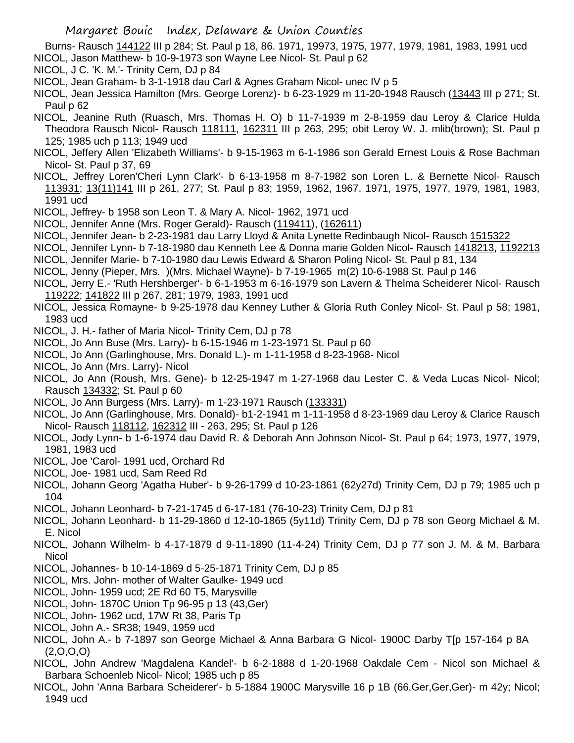Burns- Rausch 144122 III p 284; St. Paul p 18, 86. 1971, 19973, 1975, 1977, 1979, 1981, 1983, 1991 ucd NICOL, Jason Matthew- b 10-9-1973 son Wayne Lee Nicol- St. Paul p 62

- NICOL, J C. 'K. M.'- Trinity Cem, DJ p 84
- NICOL, Jean Graham- b 3-1-1918 dau Carl & Agnes Graham Nicol- unec IV p 5
- NICOL, Jean Jessica Hamilton (Mrs. George Lorenz)- b 6-23-1929 m 11-20-1948 Rausch (13443 III p 271; St. Paul p 62
- NICOL, Jeanine Ruth (Ruasch, Mrs. Thomas H. O) b 11-7-1939 m 2-8-1959 dau Leroy & Clarice Hulda Theodora Rausch Nicol- Rausch 118111, 162311 III p 263, 295; obit Leroy W. J. mlib(brown); St. Paul p 125; 1985 uch p 113; 1949 ucd
- NICOL, Jeffery Allen 'Elizabeth Williams'- b 9-15-1963 m 6-1-1986 son Gerald Ernest Louis & Rose Bachman Nicol- St. Paul p 37, 69
- NICOL, Jeffrey Loren'Cheri Lynn Clark'- b 6-13-1958 m 8-7-1982 son Loren L. & Bernette Nicol- Rausch 113931; 13(11)141 III p 261, 277; St. Paul p 83; 1959, 1962, 1967, 1971, 1975, 1977, 1979, 1981, 1983, 1991 ucd
- NICOL, Jeffrey- b 1958 son Leon T. & Mary A. Nicol- 1962, 1971 ucd
- NICOL, Jennifer Anne (Mrs. Roger Gerald)- Rausch (119411), (162611)
- NICOL, Jennifer Jean- b 2-23-1981 dau Larry Lloyd & Anita Lynette Redinbaugh Nicol- Rausch 1515322
- NICOL, Jennifer Lynn- b 7-18-1980 dau Kenneth Lee & Donna marie Golden Nicol- Rausch 1418213, 1192213
- NICOL, Jennifer Marie- b 7-10-1980 dau Lewis Edward & Sharon Poling Nicol- St. Paul p 81, 134
- NICOL, Jenny (Pieper, Mrs. )(Mrs. Michael Wayne)- b 7-19-1965 m(2) 10-6-1988 St. Paul p 146
- NICOL, Jerry E.- 'Ruth Hershberger'- b 6-1-1953 m 6-16-1979 son Lavern & Thelma Scheiderer Nicol- Rausch 119222; 141822 III p 267, 281; 1979, 1983, 1991 ucd
- NICOL, Jessica Romayne- b 9-25-1978 dau Kenney Luther & Gloria Ruth Conley Nicol- St. Paul p 58; 1981, 1983 ucd
- NICOL, J. H.- father of Maria Nicol- Trinity Cem, DJ p 78
- NICOL, Jo Ann Buse (Mrs. Larry)- b 6-15-1946 m 1-23-1971 St. Paul p 60
- NICOL, Jo Ann (Garlinghouse, Mrs. Donald L.)- m 1-11-1958 d 8-23-1968- Nicol
- NICOL, Jo Ann (Mrs. Larry)- Nicol
- NICOL, Jo Ann (Roush, Mrs. Gene)- b 12-25-1947 m 1-27-1968 dau Lester C. & Veda Lucas Nicol- Nicol; Rausch 134332; St. Paul p 60
- NICOL, Jo Ann Burgess (Mrs. Larry)- m 1-23-1971 Rausch (133331)
- NICOL, Jo Ann (Garlinghouse, Mrs. Donald)- b1-2-1941 m 1-11-1958 d 8-23-1969 dau Leroy & Clarice Rausch Nicol- Rausch 118112, 162312 III - 263, 295; St. Paul p 126
- NICOL, Jody Lynn- b 1-6-1974 dau David R. & Deborah Ann Johnson Nicol- St. Paul p 64; 1973, 1977, 1979, 1981, 1983 ucd
- NICOL, Joe 'Carol- 1991 ucd, Orchard Rd
- NICOL, Joe- 1981 ucd, Sam Reed Rd
- NICOL, Johann Georg 'Agatha Huber'- b 9-26-1799 d 10-23-1861 (62y27d) Trinity Cem, DJ p 79; 1985 uch p 104
- NICOL, Johann Leonhard- b 7-21-1745 d 6-17-181 (76-10-23) Trinity Cem, DJ p 81
- NICOL, Johann Leonhard- b 11-29-1860 d 12-10-1865 (5y11d) Trinity Cem, DJ p 78 son Georg Michael & M. E. Nicol
- NICOL, Johann Wilhelm- b 4-17-1879 d 9-11-1890 (11-4-24) Trinity Cem, DJ p 77 son J. M. & M. Barbara **Nicol**
- NICOL, Johannes- b 10-14-1869 d 5-25-1871 Trinity Cem, DJ p 85
- NICOL, Mrs. John- mother of Walter Gaulke- 1949 ucd
- NICOL, John- 1959 ucd; 2E Rd 60 T5, Marysville
- NICOL, John- 1870C Union Tp 96-95 p 13 (43,Ger)
- NICOL, John- 1962 ucd, 17W Rt 38, Paris Tp
- NICOL, John A.- SR38; 1949, 1959 ucd
- NICOL, John A.- b 7-1897 son George Michael & Anna Barbara G Nicol- 1900C Darby T[p 157-164 p 8A  $(2,0,0,0)$
- NICOL, John Andrew 'Magdalena Kandel'- b 6-2-1888 d 1-20-1968 Oakdale Cem Nicol son Michael & Barbara Schoenleb Nicol- Nicol; 1985 uch p 85
- NICOL, John 'Anna Barbara Scheiderer'- b 5-1884 1900C Marysville 16 p 1B (66,Ger,Ger,Ger)- m 42y; Nicol; 1949 ucd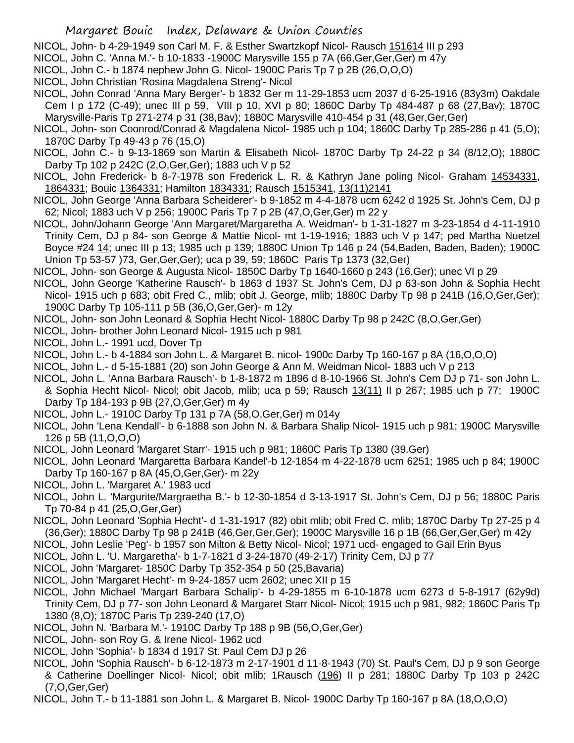NICOL, John- b 4-29-1949 son Carl M. F. & Esther Swartzkopf Nicol- Rausch 151614 III p 293

- NICOL, John C. 'Anna M.'- b 10-1833 -1900C Marysville 155 p 7A (66,Ger,Ger,Ger) m 47y
- NICOL, John C.- b 1874 nephew John G. Nicol- 1900C Paris Tp 7 p 2B (26,O,O,O)
- NICOL, John Christian 'Rosina Magdalena Streng'- Nicol
- NICOL, John Conrad 'Anna Mary Berger'- b 1832 Ger m 11-29-1853 ucm 2037 d 6-25-1916 (83y3m) Oakdale Cem I p 172 (C-49); unec III p 59, VIII p 10, XVI p 80; 1860C Darby Tp 484-487 p 68 (27,Bav); 1870C Marysville-Paris Tp 271-274 p 31 (38,Bav); 1880C Marysville 410-454 p 31 (48,Ger,Ger,Ger)
- NICOL, John- son Coonrod/Conrad & Magdalena Nicol- 1985 uch p 104; 1860C Darby Tp 285-286 p 41 (5,O); 1870C Darby Tp 49-43 p 76 (15,O)
- NICOL, John C.- b 9-13-1869 son Martin & Elisabeth Nicol- 1870C Darby Tp 24-22 p 34 (8/12,O); 1880C Darby Tp 102 p 242C (2,O,Ger,Ger); 1883 uch V p 52
- NICOL, John Frederick- b 8-7-1978 son Frederick L. R. & Kathryn Jane poling Nicol- Graham 14534331, 1864331; Bouic 1364331; Hamilton 1834331; Rausch 1515341, 13(11)2141
- NICOL, John George 'Anna Barbara Scheiderer'- b 9-1852 m 4-4-1878 ucm 6242 d 1925 St. John's Cem, DJ p 62; Nicol; 1883 uch V p 256; 1900C Paris Tp 7 p 2B (47,O,Ger,Ger) m 22 y
- NICOL, John/Johann George 'Ann Margaret/Margaretha A. Weidman'- b 1-31-1827 m 3-23-1854 d 4-11-1910 Trinity Cem, DJ p 84- son George & Mattie Nicol- mt 1-19-1916; 1883 uch V p 147; ped Martha Nuetzel Boyce #24 14; unec III p 13; 1985 uch p 139; 1880C Union Tp 146 p 24 (54,Baden, Baden, Baden); 1900C Union Tp 53-57 )73, Ger,Ger,Ger); uca p 39, 59; 1860C Paris Tp 1373 (32,Ger)
- NICOL, John- son George & Augusta Nicol- 1850C Darby Tp 1640-1660 p 243 (16,Ger); unec VI p 29
- NICOL, John George 'Katherine Rausch'- b 1863 d 1937 St. John's Cem, DJ p 63-son John & Sophia Hecht Nicol- 1915 uch p 683; obit Fred C., mlib; obit J. George, mlib; 1880C Darby Tp 98 p 241B (16,O,Ger,Ger); 1900C Darby Tp 105-111 p 5B (36,O,Ger,Ger)- m 12y
- NICOL, John- son John Leonard & Sophia Hecht Nicol- 1880C Darby Tp 98 p 242C (8,O,Ger,Ger)
- NICOL, John- brother John Leonard Nicol- 1915 uch p 981
- NICOL, John L.- 1991 ucd, Dover Tp
- NICOL, John L.- b 4-1884 son John L. & Margaret B. nicol- 1900c Darby Tp 160-167 p 8A (16,O,O,O)
- NICOL, John L.- d 5-15-1881 (20) son John George & Ann M. Weidman Nicol- 1883 uch V p 213
- NICOL, John L. 'Anna Barbara Rausch'- b 1-8-1872 m 1896 d 8-10-1966 St. John's Cem DJ p 71- son John L. & Sophia Hecht Nicol- Nicol; obit Jacob, mlib; uca p 59; Rausch 13(11) II p 267; 1985 uch p 77; 1900C Darby Tp 184-193 p 9B (27,O,Ger,Ger) m 4y
- NICOL, John L.- 1910C Darby Tp 131 p 7A (58,O,Ger,Ger) m 014y
- NICOL, John 'Lena Kendall'- b 6-1888 son John N. & Barbara Shalip Nicol- 1915 uch p 981; 1900C Marysville 126 p 5B (11,O,O,O)
- NICOL, John Leonard 'Margaret Starr'- 1915 uch p 981; 1860C Paris Tp 1380 (39.Ger)
- NICOL, John Leonard 'Margaretta Barbara Kandel'-b 12-1854 m 4-22-1878 ucm 6251; 1985 uch p 84; 1900C Darby Tp 160-167 p 8A (45,O,Ger,Ger)- m 22y
- NICOL, John L. 'Margaret A.' 1983 ucd
- NICOL, John L. 'Margurite/Margraetha B.'- b 12-30-1854 d 3-13-1917 St. John's Cem, DJ p 56; 1880C Paris Tp 70-84 p 41 (25,O,Ger,Ger)
- NICOL, John Leonard 'Sophia Hecht'- d 1-31-1917 (82) obit mlib; obit Fred C. mlib; 1870C Darby Tp 27-25 p 4 (36,Ger); 1880C Darby Tp 98 p 241B (46,Ger,Ger,Ger); 1900C Marysville 16 p 1B (66,Ger,Ger,Ger) m 42y
- NICOL, John Leslie 'Peg'- b 1957 son Milton & Betty Nicol- Nicol; 1971 ucd- engaged to Gail Erin Byus
- NICOL, John L. 'U. Margaretha'- b 1-7-1821 d 3-24-1870 (49-2-17) Trinity Cem, DJ p 77
- NICOL, John 'Margaret- 1850C Darby Tp 352-354 p 50 (25,Bavaria)
- NICOL, John 'Margaret Hecht'- m 9-24-1857 ucm 2602; unec XII p 15
- NICOL, John Michael 'Margart Barbara Schalip'- b 4-29-1855 m 6-10-1878 ucm 6273 d 5-8-1917 (62y9d) Trinity Cem, DJ p 77- son John Leonard & Margaret Starr Nicol- Nicol; 1915 uch p 981, 982; 1860C Paris Tp 1380 (8,O); 1870C Paris Tp 239-240 (17,O)
- NICOL, John N. 'Barbara M.'- 1910C Darby Tp 188 p 9B (56,O,Ger,Ger)
- NICOL, John- son Roy G. & Irene Nicol- 1962 ucd
- NICOL, John 'Sophia'- b 1834 d 1917 St. Paul Cem DJ p 26
- NICOL, John 'Sophia Rausch'- b 6-12-1873 m 2-17-1901 d 11-8-1943 (70) St. Paul's Cem, DJ p 9 son George & Catherine Doellinger Nicol- Nicol; obit mlib; 1Rausch (196) II p 281; 1880C Darby Tp 103 p 242C (7,O,Ger,Ger)
- NICOL, John T.- b 11-1881 son John L. & Margaret B. Nicol- 1900C Darby Tp 160-167 p 8A (18,O,O,O)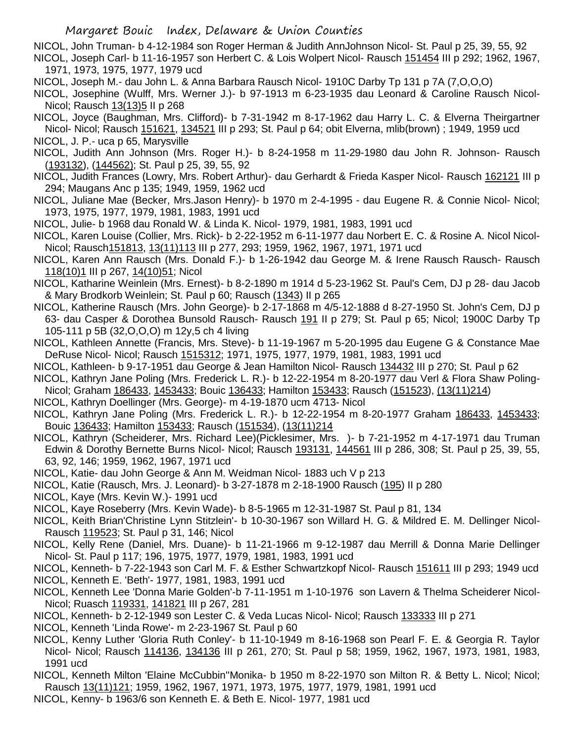NICOL, John Truman- b 4-12-1984 son Roger Herman & Judith AnnJohnson Nicol- St. Paul p 25, 39, 55, 92

NICOL, Joseph Carl- b 11-16-1957 son Herbert C. & Lois Wolpert Nicol- Rausch 151454 III p 292; 1962, 1967, 1971, 1973, 1975, 1977, 1979 ucd

- NICOL, Joseph M.- dau John L. & Anna Barbara Rausch Nicol- 1910C Darby Tp 131 p 7A (7,O,O,O)
- NICOL, Josephine (Wulff, Mrs. Werner J.)- b 97-1913 m 6-23-1935 dau Leonard & Caroline Rausch Nicol-Nicol; Rausch 13(13)5 II p 268

NICOL, Joyce (Baughman, Mrs. Clifford)- b 7-31-1942 m 8-17-1962 dau Harry L. C. & Elverna Theirgartner Nicol- Nicol; Rausch 151621, 134521 III p 293; St. Paul p 64; obit Elverna, mlib(brown) ; 1949, 1959 ucd NICOL, J. P.- uca p 65, Marysville

- NICOL, Judith Ann Johnson (Mrs. Roger H.)- b 8-24-1958 m 11-29-1980 dau John R. Johnson- Rausch (193132), (144562); St. Paul p 25, 39, 55, 92
- NICOL, Judith Frances (Lowry, Mrs. Robert Arthur)- dau Gerhardt & Frieda Kasper Nicol- Rausch 162121 III p 294; Maugans Anc p 135; 1949, 1959, 1962 ucd
- NICOL, Juliane Mae (Becker, Mrs.Jason Henry)- b 1970 m 2-4-1995 dau Eugene R. & Connie Nicol- Nicol; 1973, 1975, 1977, 1979, 1981, 1983, 1991 ucd
- NICOL, Julie- b 1968 dau Ronald W. & Linda K. Nicol- 1979, 1981, 1983, 1991 ucd
- NICOL, Karen Louise (Collier, Mrs. Rick)- b 2-22-1952 m 6-11-1977 dau Norbert E. C. & Rosine A. Nicol Nicol-Nicol; Rausch151813, 13(11)113 III p 277, 293; 1959, 1962, 1967, 1971, 1971 ucd
- NICOL, Karen Ann Rausch (Mrs. Donald F.)- b 1-26-1942 dau George M. & Irene Rausch Rausch- Rausch 118(10)1 III p 267, 14(10)51; Nicol
- NICOL, Katharine Weinlein (Mrs. Ernest)- b 8-2-1890 m 1914 d 5-23-1962 St. Paul's Cem, DJ p 28- dau Jacob & Mary Brodkorb Weinlein; St. Paul p 60; Rausch (1343) II p 265
- NICOL, Katherine Rausch (Mrs. John George)- b 2-17-1868 m 4/5-12-1888 d 8-27-1950 St. John's Cem, DJ p 63- dau Casper & Dorothea Bunsold Rausch- Rausch 191 II p 279; St. Paul p 65; Nicol; 1900C Darby Tp 105-111 p 5B (32,O,O,O) m 12y,5 ch 4 living
- NICOL, Kathleen Annette (Francis, Mrs. Steve)- b 11-19-1967 m 5-20-1995 dau Eugene G & Constance Mae DeRuse Nicol- Nicol; Rausch 1515312; 1971, 1975, 1977, 1979, 1981, 1983, 1991 ucd
- NICOL, Kathleen- b 9-17-1951 dau George & Jean Hamilton Nicol- Rausch 134432 III p 270; St. Paul p 62
- NICOL, Kathryn Jane Poling (Mrs. Frederick L. R.)- b 12-22-1954 m 8-20-1977 dau Verl & Flora Shaw Poling-Nicol; Graham 186433, 1453433; Bouic 136433; Hamilton 153433; Rausch (151523), (13(11)214)
- NICOL, Kathryn Doellinger (Mrs. George)- m 4-19-1870 ucm 4713- Nicol
- NICOL, Kathryn Jane Poling (Mrs. Frederick L. R.)- b 12-22-1954 m 8-20-1977 Graham 186433, 1453433; Bouic 136433; Hamilton 153433; Rausch (151534), (13(11)214
- NICOL, Kathryn (Scheiderer, Mrs. Richard Lee)(Picklesimer, Mrs. )- b 7-21-1952 m 4-17-1971 dau Truman Edwin & Dorothy Bernette Burns Nicol- Nicol; Rausch 193131, 144561 III p 286, 308; St. Paul p 25, 39, 55, 63, 92, 146; 1959, 1962, 1967, 1971 ucd
- NICOL, Katie- dau John George & Ann M. Weidman Nicol- 1883 uch V p 213
- NICOL, Katie (Rausch, Mrs. J. Leonard)- b 3-27-1878 m 2-18-1900 Rausch (195) II p 280
- NICOL, Kaye (Mrs. Kevin W.)- 1991 ucd
- NICOL, Kaye Roseberry (Mrs. Kevin Wade)- b 8-5-1965 m 12-31-1987 St. Paul p 81, 134
- NICOL, Keith Brian'Christine Lynn Stitzlein'- b 10-30-1967 son Willard H. G. & Mildred E. M. Dellinger Nicol-Rausch 119523; St. Paul p 31, 146; Nicol
- NICOL, Kelly Rene (Daniel, Mrs. Duane)- b 11-21-1966 m 9-12-1987 dau Merrill & Donna Marie Dellinger Nicol- St. Paul p 117; 196, 1975, 1977, 1979, 1981, 1983, 1991 ucd
- NICOL, Kenneth- b 7-22-1943 son Carl M. F. & Esther Schwartzkopf Nicol- Rausch 151611 III p 293; 1949 ucd
- NICOL, Kenneth E. 'Beth'- 1977, 1981, 1983, 1991 ucd
- NICOL, Kenneth Lee 'Donna Marie Golden'-b 7-11-1951 m 1-10-1976 son Lavern & Thelma Scheiderer Nicol-Nicol; Ruasch 119331, 141821 III p 267, 281
- NICOL, Kenneth- b 2-12-1949 son Lester C. & Veda Lucas Nicol- Nicol; Rausch 133333 III p 271
- NICOL, Kenneth 'Linda Rowe'- m 2-23-1967 St. Paul p 60
- NICOL, Kenny Luther 'Gloria Ruth Conley'- b 11-10-1949 m 8-16-1968 son Pearl F. E. & Georgia R. Taylor Nicol- Nicol; Rausch 114136, 134136 III p 261, 270; St. Paul p 58; 1959, 1962, 1967, 1973, 1981, 1983, 1991 ucd
- NICOL, Kenneth Milton 'Elaine McCubbin''Monika- b 1950 m 8-22-1970 son Milton R. & Betty L. Nicol; Nicol; Rausch 13(11)121; 1959, 1962, 1967, 1971, 1973, 1975, 1977, 1979, 1981, 1991 ucd
- NICOL, Kenny- b 1963/6 son Kenneth E. & Beth E. Nicol- 1977, 1981 ucd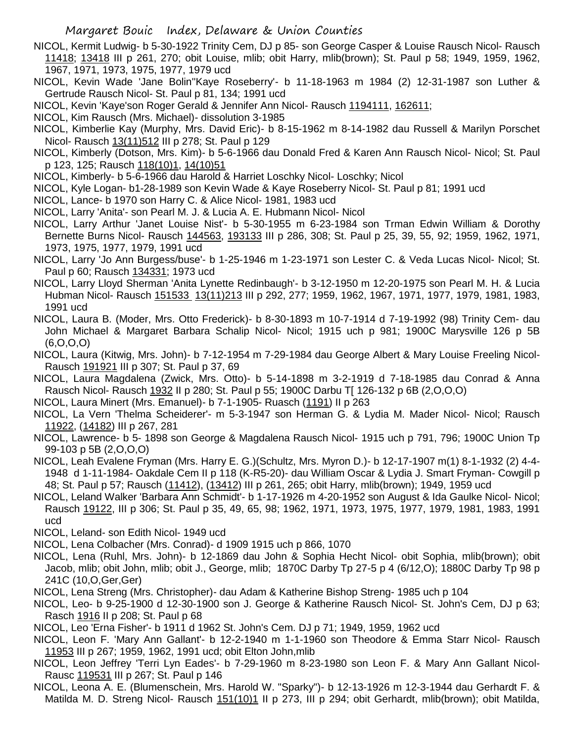- NICOL, Kermit Ludwig- b 5-30-1922 Trinity Cem, DJ p 85- son George Casper & Louise Rausch Nicol- Rausch 11418; 13418 III p 261, 270; obit Louise, mlib; obit Harry, mlib(brown); St. Paul p 58; 1949, 1959, 1962, 1967, 1971, 1973, 1975, 1977, 1979 ucd
- NICOL, Kevin Wade 'Jane Bolin''Kaye Roseberry'- b 11-18-1963 m 1984 (2) 12-31-1987 son Luther & Gertrude Rausch Nicol- St. Paul p 81, 134; 1991 ucd
- NICOL, Kevin 'Kaye'son Roger Gerald & Jennifer Ann Nicol- Rausch 1194111, 162611;
- NICOL, Kim Rausch (Mrs. Michael)- dissolution 3-1985
- NICOL, Kimberlie Kay (Murphy, Mrs. David Eric)- b 8-15-1962 m 8-14-1982 dau Russell & Marilyn Porschet Nicol- Rausch 13(11)512 III p 278; St. Paul p 129
- NICOL, Kimberly (Dotson, Mrs. Kim)- b 5-6-1966 dau Donald Fred & Karen Ann Rausch Nicol- Nicol; St. Paul p 123, 125; Rausch 118(10)1, 14(10)51
- NICOL, Kimberly- b 5-6-1966 dau Harold & Harriet Loschky Nicol- Loschky; Nicol
- NICOL, Kyle Logan- b1-28-1989 son Kevin Wade & Kaye Roseberry Nicol- St. Paul p 81; 1991 ucd
- NICOL, Lance- b 1970 son Harry C. & Alice Nicol- 1981, 1983 ucd
- NICOL, Larry 'Anita'- son Pearl M. J. & Lucia A. E. Hubmann Nicol- Nicol
- NICOL, Larry Arthur 'Janet Louise Nist'- b 5-30-1955 m 6-23-1984 son Trman Edwin William & Dorothy Bernette Burns Nicol- Rausch 144563, 193133 III p 286, 308; St. Paul p 25, 39, 55, 92; 1959, 1962, 1971, 1973, 1975, 1977, 1979, 1991 ucd
- NICOL, Larry 'Jo Ann Burgess/buse'- b 1-25-1946 m 1-23-1971 son Lester C. & Veda Lucas Nicol- Nicol; St. Paul p 60; Rausch 134331; 1973 ucd
- NICOL, Larry Lloyd Sherman 'Anita Lynette Redinbaugh'- b 3-12-1950 m 12-20-1975 son Pearl M. H. & Lucia Hubman Nicol- Rausch 151533 13(11)213 III p 292, 277; 1959, 1962, 1967, 1971, 1977, 1979, 1981, 1983, 1991 ucd
- NICOL, Laura B. (Moder, Mrs. Otto Frederick)- b 8-30-1893 m 10-7-1914 d 7-19-1992 (98) Trinity Cem- dau John Michael & Margaret Barbara Schalip Nicol- Nicol; 1915 uch p 981; 1900C Marysville 126 p 5B (6,O,O,O)
- NICOL, Laura (Kitwig, Mrs. John)- b 7-12-1954 m 7-29-1984 dau George Albert & Mary Louise Freeling Nicol-Rausch 191921 III p 307; St. Paul p 37, 69
- NICOL, Laura Magdalena (Zwick, Mrs. Otto)- b 5-14-1898 m 3-2-1919 d 7-18-1985 dau Conrad & Anna Rausch Nicol- Rausch 1932 II p 280; St. Paul p 55; 1900C Darbu T[ 126-132 p 6B (2,O,O,O)
- NICOL, Laura Minert (Mrs. Emanuel)- b 7-1-1905- Ruasch (1191) II p 263
- NICOL, La Vern 'Thelma Scheiderer'- m 5-3-1947 son Herman G. & Lydia M. Mader Nicol- Nicol; Rausch 11922, (14182) III p 267, 281
- NICOL, Lawrence- b 5- 1898 son George & Magdalena Rausch Nicol- 1915 uch p 791, 796; 1900C Union Tp 99-103 p 5B (2,O,O,O)
- NICOL, Leah Evalene Fryman (Mrs. Harry E. G.)(Schultz, Mrs. Myron D.)- b 12-17-1907 m(1) 8-1-1932 (2) 4-4- 1948 d 1-11-1984- Oakdale Cem II p 118 (K-R5-20)- dau William Oscar & Lydia J. Smart Fryman- Cowgill p 48; St. Paul p 57; Rausch (11412), (13412) III p 261, 265; obit Harry, mlib(brown); 1949, 1959 ucd
- NICOL, Leland Walker 'Barbara Ann Schmidt'- b 1-17-1926 m 4-20-1952 son August & Ida Gaulke Nicol- Nicol; Rausch 19122, III p 306; St. Paul p 35, 49, 65, 98; 1962, 1971, 1973, 1975, 1977, 1979, 1981, 1983, 1991 ucd
- NICOL, Leland- son Edith Nicol- 1949 ucd
- NICOL, Lena Colbacher (Mrs. Conrad)- d 1909 1915 uch p 866, 1070
- NICOL, Lena (Ruhl, Mrs. John)- b 12-1869 dau John & Sophia Hecht Nicol- obit Sophia, mlib(brown); obit Jacob, mlib; obit John, mlib; obit J., George, mlib; 1870C Darby Tp 27-5 p 4 (6/12,O); 1880C Darby Tp 98 p 241C (10,O,Ger,Ger)
- NICOL, Lena Streng (Mrs. Christopher)- dau Adam & Katherine Bishop Streng- 1985 uch p 104
- NICOL, Leo- b 9-25-1900 d 12-30-1900 son J. George & Katherine Rausch Nicol- St. John's Cem, DJ p 63; Rasch 1916 II p 208; St. Paul p 68
- NICOL, Leo 'Erna Fisher'- b 1911 d 1962 St. John's Cem. DJ p 71; 1949, 1959, 1962 ucd
- NICOL, Leon F. 'Mary Ann Gallant'- b 12-2-1940 m 1-1-1960 son Theodore & Emma Starr Nicol- Rausch 11953 III p 267; 1959, 1962, 1991 ucd; obit Elton John,mlib
- NICOL, Leon Jeffrey 'Terri Lyn Eades'- b 7-29-1960 m 8-23-1980 son Leon F. & Mary Ann Gallant Nicol-Rausc 119531 III p 267; St. Paul p 146
- NICOL, Leona A. E. (Blumenschein, Mrs. Harold W. "Sparky")- b 12-13-1926 m 12-3-1944 dau Gerhardt F. & Matilda M. D. Streng Nicol- Rausch 151(10)1 II p 273, III p 294; obit Gerhardt, mlib(brown); obit Matilda,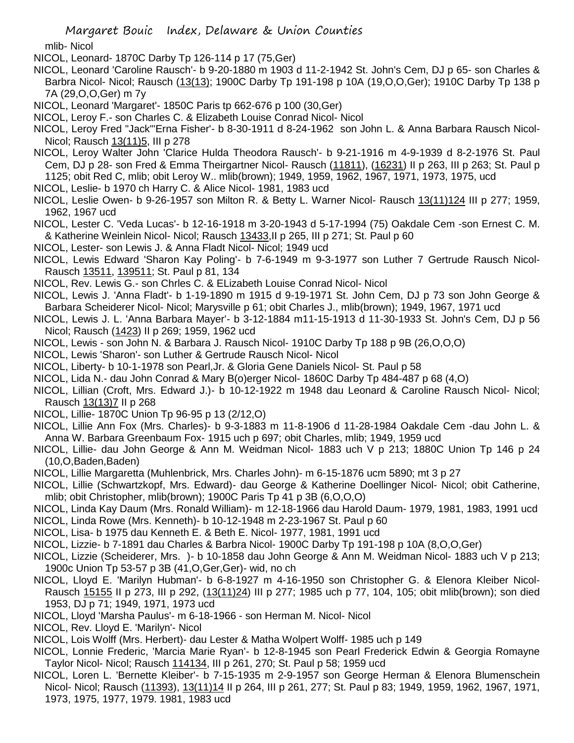mlib- Nicol

- NICOL, Leonard- 1870C Darby Tp 126-114 p 17 (75,Ger)
- NICOL, Leonard 'Caroline Rausch'- b 9-20-1880 m 1903 d 11-2-1942 St. John's Cem, DJ p 65- son Charles & Barbra Nicol- Nicol; Rausch (13(13); 1900C Darby Tp 191-198 p 10A (19,O,O,Ger); 1910C Darby Tp 138 p 7A (29,O,O,Ger) m 7y
- NICOL, Leonard 'Margaret'- 1850C Paris tp 662-676 p 100 (30,Ger)
- NICOL, Leroy F.- son Charles C. & Elizabeth Louise Conrad Nicol- Nicol
- NICOL, Leroy Fred "Jack"'Erna Fisher'- b 8-30-1911 d 8-24-1962 son John L. & Anna Barbara Rausch Nicol-Nicol; Rausch 13(11)5, III p 278
- NICOL, Leroy Walter John 'Clarice Hulda Theodora Rausch'- b 9-21-1916 m 4-9-1939 d 8-2-1976 St. Paul Cem, DJ p 28- son Fred & Emma Theirgartner Nicol- Rausch (11811), (16231) II p 263, III p 263; St. Paul p 1125; obit Red C, mlib; obit Leroy W.. mlib(brown); 1949, 1959, 1962, 1967, 1971, 1973, 1975, ucd
- NICOL, Leslie- b 1970 ch Harry C. & Alice Nicol- 1981, 1983 ucd
- NICOL, Leslie Owen- b 9-26-1957 son Milton R. & Betty L. Warner Nicol- Rausch 13(11)124 III p 277; 1959, 1962, 1967 ucd
- NICOL, Lester C. 'Veda Lucas'- b 12-16-1918 m 3-20-1943 d 5-17-1994 (75) Oakdale Cem -son Ernest C. M. & Katherine Weinlein Nicol- Nicol; Rausch 13433,II p 265, III p 271; St. Paul p 60
- NICOL, Lester- son Lewis J. & Anna Fladt Nicol- Nicol; 1949 ucd
- NICOL, Lewis Edward 'Sharon Kay Poling'- b 7-6-1949 m 9-3-1977 son Luther 7 Gertrude Rausch Nicol-Rausch 13511, 139511; St. Paul p 81, 134
- NICOL, Rev. Lewis G.- son Chrles C. & ELizabeth Louise Conrad Nicol- Nicol
- NICOL, Lewis J. 'Anna Fladt'- b 1-19-1890 m 1915 d 9-19-1971 St. John Cem, DJ p 73 son John George & Barbara Scheiderer Nicol- Nicol; Marysville p 61; obit Charles J., mlib(brown); 1949, 1967, 1971 ucd
- NICOL, Lewis J. L. 'Anna Barbara Mayer'- b 3-12-1884 m11-15-1913 d 11-30-1933 St. John's Cem, DJ p 56 Nicol; Rausch (1423) II p 269; 1959, 1962 ucd
- NICOL, Lewis son John N. & Barbara J. Rausch Nicol- 1910C Darby Tp 188 p 9B (26,O,O,O)
- NICOL, Lewis 'Sharon'- son Luther & Gertrude Rausch Nicol- Nicol
- NICOL, Liberty- b 10-1-1978 son Pearl,Jr. & Gloria Gene Daniels Nicol- St. Paul p 58
- NICOL, Lida N.- dau John Conrad & Mary B(o)erger Nicol- 1860C Darby Tp 484-487 p 68 (4,O)
- NICOL, Lillian (Croft, Mrs. Edward J.)- b 10-12-1922 m 1948 dau Leonard & Caroline Rausch Nicol- Nicol; Rausch 13(13)7 II p 268
- NICOL, Lillie- 1870C Union Tp 96-95 p 13 (2/12,O)
- NICOL, Lillie Ann Fox (Mrs. Charles)- b 9-3-1883 m 11-8-1906 d 11-28-1984 Oakdale Cem -dau John L. & Anna W. Barbara Greenbaum Fox- 1915 uch p 697; obit Charles, mlib; 1949, 1959 ucd
- NICOL, Lillie- dau John George & Ann M. Weidman Nicol- 1883 uch V p 213; 1880C Union Tp 146 p 24 (10,O,Baden,Baden)
- NICOL, Lillie Margaretta (Muhlenbrick, Mrs. Charles John)- m 6-15-1876 ucm 5890; mt 3 p 27
- NICOL, Lillie (Schwartzkopf, Mrs. Edward)- dau George & Katherine Doellinger Nicol- Nicol; obit Catherine, mlib; obit Christopher, mlib(brown); 1900C Paris Tp 41 p 3B (6,O,O,O)
- NICOL, Linda Kay Daum (Mrs. Ronald William)- m 12-18-1966 dau Harold Daum- 1979, 1981, 1983, 1991 ucd
- NICOL, Linda Rowe (Mrs. Kenneth)- b 10-12-1948 m 2-23-1967 St. Paul p 60
- NICOL, Lisa- b 1975 dau Kenneth E. & Beth E. Nicol- 1977, 1981, 1991 ucd
- NICOL, Lizzie- b 7-1891 dau Charles & Barbra Nicol- 1900C Darby Tp 191-198 p 10A (8,O,O,Ger)
- NICOL, Lizzie (Scheiderer, Mrs. )- b 10-1858 dau John George & Ann M. Weidman Nicol- 1883 uch V p 213; 1900c Union Tp 53-57 p 3B (41,O,Ger,Ger)- wid, no ch
- NICOL, Lloyd E. 'Marilyn Hubman'- b 6-8-1927 m 4-16-1950 son Christopher G. & Elenora Kleiber Nicol-Rausch 15155 II p 273, III p 292, (13(11)24) III p 277; 1985 uch p 77, 104, 105; obit mlib(brown); son died 1953, DJ p 71; 1949, 1971, 1973 ucd
- NICOL, Lloyd 'Marsha Paulus'- m 6-18-1966 son Herman M. Nicol- Nicol
- NICOL, Rev. Lloyd E. 'Marilyn'- Nicol
- NICOL, Lois Wolff (Mrs. Herbert)- dau Lester & Matha Wolpert Wolff- 1985 uch p 149
- NICOL, Lonnie Frederic, 'Marcia Marie Ryan'- b 12-8-1945 son Pearl Frederick Edwin & Georgia Romayne Taylor Nicol- Nicol; Rausch 114134, III p 261, 270; St. Paul p 58; 1959 ucd
- NICOL, Loren L. 'Bernette Kleiber'- b 7-15-1935 m 2-9-1957 son George Herman & Elenora Blumenschein Nicol- Nicol; Rausch (11393), 13(11)14 II p 264, III p 261, 277; St. Paul p 83; 1949, 1959, 1962, 1967, 1971, 1973, 1975, 1977, 1979. 1981, 1983 ucd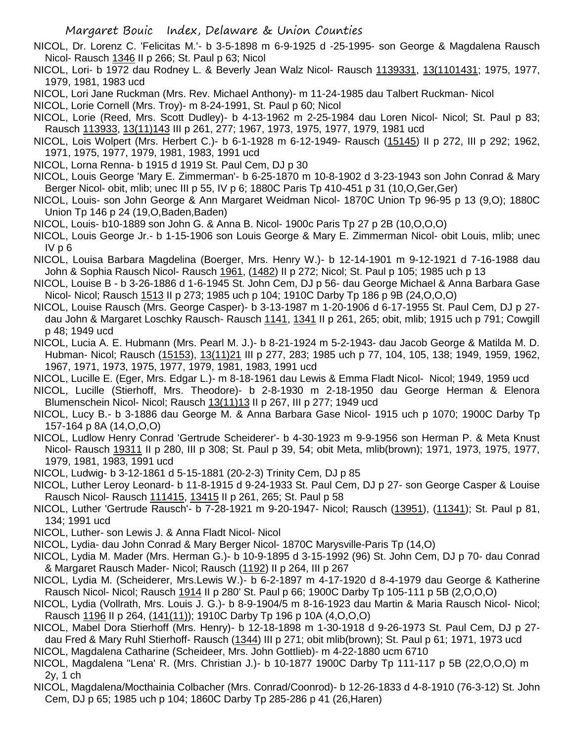- NICOL, Dr. Lorenz C. 'Felicitas M.'- b 3-5-1898 m 6-9-1925 d -25-1995- son George & Magdalena Rausch Nicol- Rausch 1346 II p 266; St. Paul p 63; Nicol
- NICOL, Lori- b 1972 dau Rodney L. & Beverly Jean Walz Nicol- Rausch 1139331, 13(1101431; 1975, 1977, 1979, 1981, 1983 ucd
- NICOL, Lori Jane Ruckman (Mrs. Rev. Michael Anthony)- m 11-24-1985 dau Talbert Ruckman- Nicol
- NICOL, Lorie Cornell (Mrs. Troy)- m 8-24-1991, St. Paul p 60; Nicol
- NICOL, Lorie (Reed, Mrs. Scott Dudley)- b 4-13-1962 m 2-25-1984 dau Loren Nicol- Nicol; St. Paul p 83; Rausch 113933, 13(11)143 III p 261, 277; 1967, 1973, 1975, 1977, 1979, 1981 ucd
- NICOL, Lois Wolpert (Mrs. Herbert C.)- b 6-1-1928 m 6-12-1949- Rausch (15145) II p 272, III p 292; 1962, 1971, 1975, 1977, 1979, 1981, 1983, 1991 ucd
- NICOL, Lorna Renna- b 1915 d 1919 St. Paul Cem, DJ p 30
- NICOL, Louis George 'Mary E. Zimmerman'- b 6-25-1870 m 10-8-1902 d 3-23-1943 son John Conrad & Mary Berger Nicol- obit, mlib; unec III p 55, IV p 6; 1880C Paris Tp 410-451 p 31 (10,O,Ger,Ger)
- NICOL, Louis- son John George & Ann Margaret Weidman Nicol- 1870C Union Tp 96-95 p 13 (9,O); 1880C Union Tp 146 p 24 (19,O,Baden,Baden)
- NICOL, Louis- b10-1889 son John G. & Anna B. Nicol- 1900c Paris Tp 27 p 2B (10,O,O,O)
- NICOL, Louis George Jr.- b 1-15-1906 son Louis George & Mary E. Zimmerman Nicol- obit Louis, mlib; unec IV p 6
- NICOL, Louisa Barbara Magdelina (Boerger, Mrs. Henry W.)- b 12-14-1901 m 9-12-1921 d 7-16-1988 dau John & Sophia Rausch Nicol- Rausch 1961, (1482) II p 272; Nicol; St. Paul p 105; 1985 uch p 13
- NICOL, Louise B b 3-26-1886 d 1-6-1945 St. John Cem, DJ p 56- dau George Michael & Anna Barbara Gase Nicol- Nicol; Rausch 1513 II p 273; 1985 uch p 104; 1910C Darby Tp 186 p 9B (24,O,O,O)
- NICOL, Louise Rausch (Mrs. George Casper)- b 3-13-1987 m 1-20-1906 d 6-17-1955 St. Paul Cem, DJ p 27 dau John & Margaret Loschky Rausch- Rausch 1141, 1341 II p 261, 265; obit, mlib; 1915 uch p 791; Cowgill p 48; 1949 ucd
- NICOL, Lucia A. E. Hubmann (Mrs. Pearl M. J.)- b 8-21-1924 m 5-2-1943- dau Jacob George & Matilda M. D. Hubman- Nicol; Rausch (15153), 13(11)21 III p 277, 283; 1985 uch p 77, 104, 105, 138; 1949, 1959, 1962, 1967, 1971, 1973, 1975, 1977, 1979, 1981, 1983, 1991 ucd
- NICOL, Lucille E. (Eger, Mrs. Edgar L.)- m 8-18-1961 dau Lewis & Emma Fladt Nicol- Nicol; 1949, 1959 ucd
- NICOL, Lucille (Stierhoff, Mrs. Theodore)- b 2-8-1930 m 2-18-1950 dau George Herman & Elenora Blumenschein Nicol- Nicol; Rausch 13(11)13 II p 267, III p 277; 1949 ucd
- NICOL, Lucy B.- b 3-1886 dau George M. & Anna Barbara Gase Nicol- 1915 uch p 1070; 1900C Darby Tp 157-164 p 8A (14,O,O,O)
- NICOL, Ludlow Henry Conrad 'Gertrude Scheiderer'- b 4-30-1923 m 9-9-1956 son Herman P. & Meta Knust Nicol- Rausch 19311 II p 280, III p 308; St. Paul p 39, 54; obit Meta, mlib(brown); 1971, 1973, 1975, 1977, 1979, 1981, 1983, 1991 ucd
- NICOL, Ludwig- b 3-12-1861 d 5-15-1881 (20-2-3) Trinity Cem, DJ p 85
- NICOL, Luther Leroy Leonard- b 11-8-1915 d 9-24-1933 St. Paul Cem, DJ p 27- son George Casper & Louise Rausch Nicol- Rausch 111415, 13415 II p 261, 265; St. Paul p 58
- NICOL, Luther 'Gertrude Rausch'- b 7-28-1921 m 9-20-1947- Nicol; Rausch (13951), (11341); St. Paul p 81, 134; 1991 ucd
- NICOL, Luther- son Lewis J. & Anna Fladt Nicol- Nicol
- NICOL, Lydia- dau John Conrad & Mary Berger Nicol- 1870C Marysville-Paris Tp (14,O)
- NICOL, Lydia M. Mader (Mrs. Herman G.)- b 10-9-1895 d 3-15-1992 (96) St. John Cem, DJ p 70- dau Conrad & Margaret Rausch Mader- Nicol; Rausch (1192) II p 264, III p 267
- NICOL, Lydia M. (Scheiderer, Mrs.Lewis W.)- b 6-2-1897 m 4-17-1920 d 8-4-1979 dau George & Katherine Rausch Nicol- Nicol; Rausch 1914 II p 280' St. Paul p 66; 1900C Darby Tp 105-111 p 5B (2,O,O,O)
- NICOL, Lydia (Vollrath, Mrs. Louis J. G.)- b 8-9-1904/5 m 8-16-1923 dau Martin & Maria Rausch Nicol- Nicol; Rausch 1196 II p 264, (141(11)); 1910C Darby Tp 196 p 10A (4,O,O,O)
- NICOL, Mabel Dora Stierhoff (Mrs. Henry)- b 12-18-1898 m 1-30-1918 d 9-26-1973 St. Paul Cem, DJ p 27 dau Fred & Mary Ruhl Stierhoff- Rausch (1344) III p 271; obit mlib(brown); St. Paul p 61; 1971, 1973 ucd
- NICOL, Magdalena Catharine (Scheideer, Mrs. John Gottlieb)- m 4-22-1880 ucm 6710
- NICOL, Magdalena "Lena' R. (Mrs. Christian J.)- b 10-1877 1900C Darby Tp 111-117 p 5B (22,O,O,O) m 2y, 1 ch
- NICOL, Magdalena/Mocthainia Colbacher (Mrs. Conrad/Coonrod)- b 12-26-1833 d 4-8-1910 (76-3-12) St. John Cem, DJ p 65; 1985 uch p 104; 1860C Darby Tp 285-286 p 41 (26,Haren)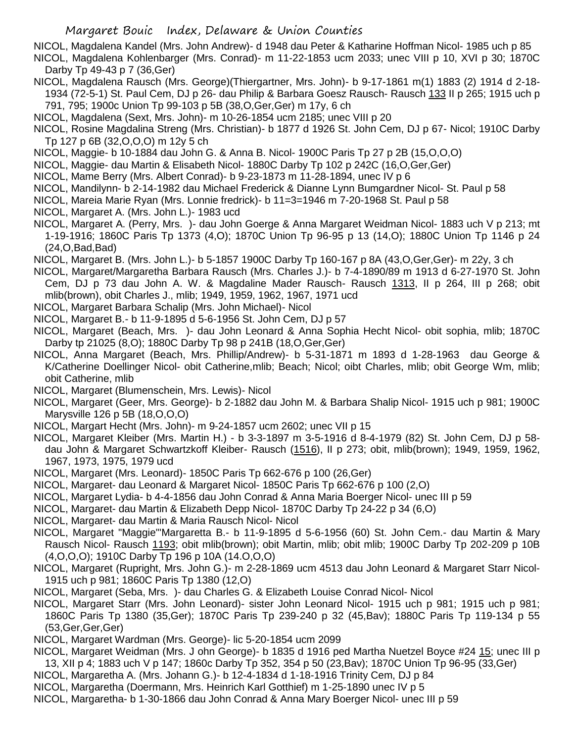NICOL, Magdalena Kandel (Mrs. John Andrew)- d 1948 dau Peter & Katharine Hoffman Nicol- 1985 uch p 85 NICOL, Magdalena Kohlenbarger (Mrs. Conrad)- m 11-22-1853 ucm 2033; unec VIII p 10, XVI p 30; 1870C Darby Tp 49-43 p 7 (36,Ger)

- NICOL, Magdalena Rausch (Mrs. George)(Thiergartner, Mrs. John)- b 9-17-1861 m(1) 1883 (2) 1914 d 2-18- 1934 (72-5-1) St. Paul Cem, DJ p 26- dau Philip & Barbara Goesz Rausch- Rausch 133 II p 265; 1915 uch p 791, 795; 1900c Union Tp 99-103 p 5B (38,O,Ger,Ger) m 17y, 6 ch
- NICOL, Magdalena (Sext, Mrs. John)- m 10-26-1854 ucm 2185; unec VIII p 20
- NICOL, Rosine Magdalina Streng (Mrs. Christian)- b 1877 d 1926 St. John Cem, DJ p 67- Nicol; 1910C Darby Tp 127 p 6B (32,O,O,O) m 12y 5 ch
- NICOL, Maggie- b 10-1884 dau John G. & Anna B. Nicol- 1900C Paris Tp 27 p 2B (15,O,O,O)
- NICOL, Maggie- dau Martin & Elisabeth Nicol- 1880C Darby Tp 102 p 242C (16,O,Ger,Ger)
- NICOL, Mame Berry (Mrs. Albert Conrad)- b 9-23-1873 m 11-28-1894, unec IV p 6
- NICOL, Mandilynn- b 2-14-1982 dau Michael Frederick & Dianne Lynn Bumgardner Nicol- St. Paul p 58
- NICOL, Mareia Marie Ryan (Mrs. Lonnie fredrick)- b 11=3=1946 m 7-20-1968 St. Paul p 58
- NICOL, Margaret A. (Mrs. John L.)- 1983 ucd
- NICOL, Margaret A. (Perry, Mrs. )- dau John Goerge & Anna Margaret Weidman Nicol- 1883 uch V p 213; mt 1-19-1916; 1860C Paris Tp 1373 (4,O); 1870C Union Tp 96-95 p 13 (14,O); 1880C Union Tp 1146 p 24 (24,O,Bad,Bad)
- NICOL, Margaret B. (Mrs. John L.)- b 5-1857 1900C Darby Tp 160-167 p 8A (43,O,Ger,Ger)- m 22y, 3 ch
- NICOL, Margaret/Margaretha Barbara Rausch (Mrs. Charles J.)- b 7-4-1890/89 m 1913 d 6-27-1970 St. John Cem, DJ p 73 dau John A. W. & Magdaline Mader Rausch- Rausch 1313, II p 264, III p 268; obit mlib(brown), obit Charles J., mlib; 1949, 1959, 1962, 1967, 1971 ucd
- NICOL, Margaret Barbara Schalip (Mrs. John Michael)- Nicol
- NICOL, Margaret B.- b 11-9-1895 d 5-6-1956 St. John Cem, DJ p 57
- NICOL, Margaret (Beach, Mrs. )- dau John Leonard & Anna Sophia Hecht Nicol- obit sophia, mlib; 1870C Darby tp 21025 (8,O); 1880C Darby Tp 98 p 241B (18,O,Ger,Ger)
- NICOL, Anna Margaret (Beach, Mrs. Phillip/Andrew)- b 5-31-1871 m 1893 d 1-28-1963 dau George & K/Catherine Doellinger Nicol- obit Catherine,mlib; Beach; Nicol; oibt Charles, mlib; obit George Wm, mlib; obit Catherine, mlib
- NICOL, Margaret (Blumenschein, Mrs. Lewis)- Nicol
- NICOL, Margaret (Geer, Mrs. George)- b 2-1882 dau John M. & Barbara Shalip Nicol- 1915 uch p 981; 1900C Marysville 126 p 5B (18,O,O,O)
- NICOL, Margart Hecht (Mrs. John)- m 9-24-1857 ucm 2602; unec VII p 15
- NICOL, Margaret Kleiber (Mrs. Martin H.) b 3-3-1897 m 3-5-1916 d 8-4-1979 (82) St. John Cem, DJ p 58 dau John & Margaret Schwartzkoff Kleiber- Rausch (1516), II p 273; obit, mlib(brown); 1949, 1959, 1962, 1967, 1973, 1975, 1979 ucd
- NICOL, Margaret (Mrs. Leonard)- 1850C Paris Tp 662-676 p 100 (26,Ger)
- NICOL, Margaret- dau Leonard & Margaret Nicol- 1850C Paris Tp 662-676 p 100 (2,O)
- NICOL, Margaret Lydia- b 4-4-1856 dau John Conrad & Anna Maria Boerger Nicol- unec III p 59
- NICOL, Margaret- dau Martin & Elizabeth Depp Nicol- 1870C Darby Tp 24-22 p 34 (6,O)
- NICOL, Margaret- dau Martin & Maria Rausch Nicol- Nicol
- NICOL, Margaret "Maggie"'Margaretta B.- b 11-9-1895 d 5-6-1956 (60) St. John Cem.- dau Martin & Mary Rausch Nicol- Rausch 1193; obit mlib(brown); obit Martin, mlib; obit mlib; 1900C Darby Tp 202-209 p 10B (4,O,O,O); 1910C Darby Tp 196 p 10A (14.O,O,O)
- NICOL, Margaret (Rupright, Mrs. John G.)- m 2-28-1869 ucm 4513 dau John Leonard & Margaret Starr Nicol-1915 uch p 981; 1860C Paris Tp 1380 (12,O)
- NICOL, Margaret (Seba, Mrs. )- dau Charles G. & Elizabeth Louise Conrad Nicol- Nicol
- NICOL, Margaret Starr (Mrs. John Leonard)- sister John Leonard Nicol- 1915 uch p 981; 1915 uch p 981; 1860C Paris Tp 1380 (35,Ger); 1870C Paris Tp 239-240 p 32 (45,Bav); 1880C Paris Tp 119-134 p 55 (53,Ger,Ger,Ger)
- NICOL, Margaret Wardman (Mrs. George)- lic 5-20-1854 ucm 2099
- NICOL, Margaret Weidman (Mrs. J ohn George)- b 1835 d 1916 ped Martha Nuetzel Boyce #24 15; unec III p 13, XII p 4; 1883 uch V p 147; 1860c Darby Tp 352, 354 p 50 (23,Bav); 1870C Union Tp 96-95 (33,Ger)
- NICOL, Margaretha A. (Mrs. Johann G.)- b 12-4-1834 d 1-18-1916 Trinity Cem, DJ p 84
- NICOL, Margaretha (Doermann, Mrs. Heinrich Karl Gotthief) m 1-25-1890 unec IV p 5
- NICOL, Margaretha- b 1-30-1866 dau John Conrad & Anna Mary Boerger Nicol- unec III p 59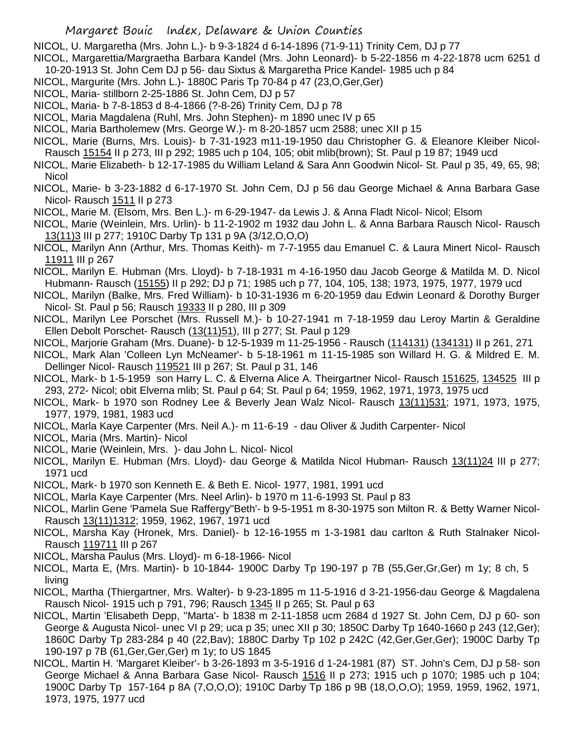NICOL, U. Margaretha (Mrs. John L.)- b 9-3-1824 d 6-14-1896 (71-9-11) Trinity Cem, DJ p 77

- NICOL, Margarettia/Margraetha Barbara Kandel (Mrs. John Leonard)- b 5-22-1856 m 4-22-1878 ucm 6251 d 10-20-1913 St. John Cem DJ p 56- dau Sixtus & Margaretha Price Kandel- 1985 uch p 84
- NICOL, Margurite (Mrs. John L.)- 1880C Paris Tp 70-84 p 47 (23,O,Ger,Ger)
- NICOL, Maria- stillborn 2-25-1886 St. John Cem, DJ p 57
- NICOL, Maria- b 7-8-1853 d 8-4-1866 (?-8-26) Trinity Cem, DJ p 78
- NICOL, Maria Magdalena (Ruhl, Mrs. John Stephen)- m 1890 unec IV p 65
- NICOL, Maria Bartholemew (Mrs. George W.)- m 8-20-1857 ucm 2588; unec XII p 15
- NICOL, Marie (Burns, Mrs. Louis)- b 7-31-1923 m11-19-1950 dau Christopher G. & Eleanore Kleiber Nicol-Rausch 15154 II p 273, III p 292; 1985 uch p 104, 105; obit mlib(brown); St. Paul p 19 87; 1949 ucd
- NICOL, Marie Elizabeth- b 12-17-1985 du William Leland & Sara Ann Goodwin Nicol- St. Paul p 35, 49, 65, 98; **Nicol**
- NICOL, Marie- b 3-23-1882 d 6-17-1970 St. John Cem, DJ p 56 dau George Michael & Anna Barbara Gase Nicol- Rausch 1511 II p 273
- NICOL, Marie M. (Elsom, Mrs. Ben L.)- m 6-29-1947- da Lewis J. & Anna Fladt Nicol- Nicol; Elsom
- NICOL, Marie (Weinlein, Mrs. Urlin)- b 11-2-1902 m 1932 dau John L. & Anna Barbara Rausch Nicol- Rausch 13(11)3 III p 277; 1910C Darby Tp 131 p 9A (3/12,O,O,O)
- NICOL, Marilyn Ann (Arthur, Mrs. Thomas Keith)- m 7-7-1955 dau Emanuel C. & Laura Minert Nicol- Rausch 11911 III p 267
- NICOL, Marilyn E. Hubman (Mrs. Lloyd)- b 7-18-1931 m 4-16-1950 dau Jacob George & Matilda M. D. Nicol Hubmann- Rausch (15155) II p 292; DJ p 71; 1985 uch p 77, 104, 105, 138; 1973, 1975, 1977, 1979 ucd
- NICOL, Marilyn (Balke, Mrs. Fred William)- b 10-31-1936 m 6-20-1959 dau Edwin Leonard & Dorothy Burger Nicol- St. Paul p 56; Rausch 19333 II p 280, III p 309
- NICOL, Marilyn Lee Porschet (Mrs. Russell M.)- b 10-27-1941 m 7-18-1959 dau Leroy Martin & Geraldine Ellen Debolt Porschet- Rausch (13(11)51), III p 277; St. Paul p 129
- NICOL, Marjorie Graham (Mrs. Duane)- b 12-5-1939 m 11-25-1956 Rausch (114131) (134131) II p 261, 271
- NICOL, Mark Alan 'Colleen Lyn McNeamer'- b 5-18-1961 m 11-15-1985 son Willard H. G. & Mildred E. M. Dellinger Nicol- Rausch 119521 III p 267; St. Paul p 31, 146
- NICOL, Mark- b 1-5-1959 son Harry L. C. & Elverna Alice A. Theirgartner Nicol- Rausch 151625, 134525 III p 293, 272- Nicol; obit Elverna mlib; St. Paul p 64; St. Paul p 64; 1959, 1962, 1971, 1973, 1975 ucd
- NICOL, Mark- b 1970 son Rodney Lee & Beverly Jean Walz Nicol- Rausch 13(11)531; 1971, 1973, 1975, 1977, 1979, 1981, 1983 ucd
- NICOL, Marla Kaye Carpenter (Mrs. Neil A.)- m 11-6-19 dau Oliver & Judith Carpenter- Nicol
- NICOL, Maria (Mrs. Martin)- Nicol
- NICOL, Marie (Weinlein, Mrs. )- dau John L. Nicol- Nicol
- NICOL, Marilyn E. Hubman (Mrs. Lloyd)- dau George & Matilda Nicol Hubman- Rausch 13(11)24 III p 277; 1971 ucd
- NICOL, Mark- b 1970 son Kenneth E. & Beth E. Nicol- 1977, 1981, 1991 ucd
- NICOL, Marla Kaye Carpenter (Mrs. Neel Arlin)- b 1970 m 11-6-1993 St. Paul p 83
- NICOL, Marlin Gene 'Pamela Sue Raffergy''Beth'- b 9-5-1951 m 8-30-1975 son Milton R. & Betty Warner Nicol-Rausch 13(11)1312; 1959, 1962, 1967, 1971 ucd
- NICOL, Marsha Kay (Hronek, Mrs. Daniel)- b 12-16-1955 m 1-3-1981 dau carlton & Ruth Stalnaker Nicol-Rausch 119711 III p 267
- NICOL, Marsha Paulus (Mrs. Lloyd)- m 6-18-1966- Nicol
- NICOL, Marta E, (Mrs. Martin)- b 10-1844- 1900C Darby Tp 190-197 p 7B (55,Ger,Gr,Ger) m 1y; 8 ch, 5 living
- NICOL, Martha (Thiergartner, Mrs. Walter)- b 9-23-1895 m 11-5-1916 d 3-21-1956-dau George & Magdalena Rausch Nicol- 1915 uch p 791, 796; Rausch 1345 II p 265; St. Paul p 63
- NICOL, Martin 'Elisabeth Depp, ''Marta'- b 1838 m 2-11-1858 ucm 2684 d 1927 St. John Cem, DJ p 60- son George & Augusta Nicol- unec VI p 29; uca p 35; unec XII p 30; 1850C Darby Tp 1640-1660 p 243 (12,Ger); 1860C Darby Tp 283-284 p 40 (22,Bav); 1880C Darby Tp 102 p 242C (42,Ger,Ger,Ger); 1900C Darby Tp 190-197 p 7B (61,Ger,Ger,Ger) m 1y; to US 1845
- NICOL, Martin H. 'Margaret Kleiber'- b 3-26-1893 m 3-5-1916 d 1-24-1981 (87) ST. John's Cem, DJ p 58- son George Michael & Anna Barbara Gase Nicol- Rausch 1516 II p 273; 1915 uch p 1070; 1985 uch p 104; 1900C Darby Tp 157-164 p 8A (7,O,O,O); 1910C Darby Tp 186 p 9B (18,O,O,O); 1959, 1959, 1962, 1971, 1973, 1975, 1977 ucd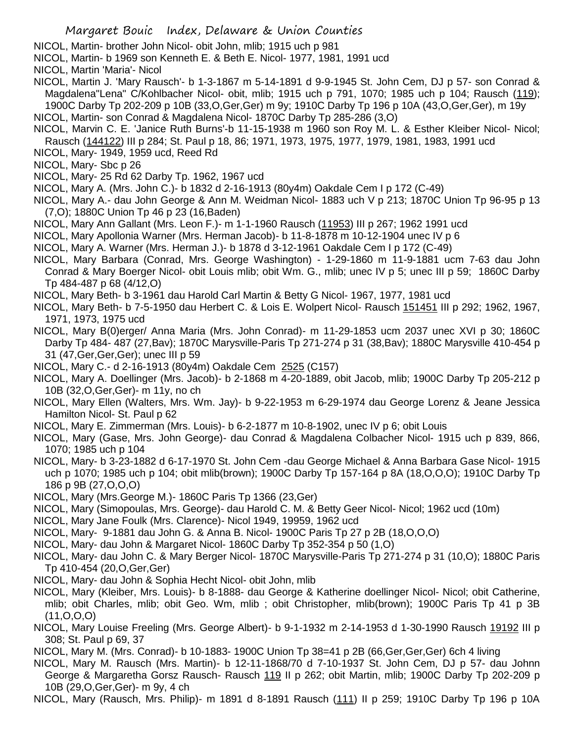NICOL, Martin- brother John Nicol- obit John, mlib; 1915 uch p 981

NICOL, Martin- b 1969 son Kenneth E. & Beth E. Nicol- 1977, 1981, 1991 ucd

NICOL, Martin 'Maria'- Nicol

- NICOL, Martin J. 'Mary Rausch'- b 1-3-1867 m 5-14-1891 d 9-9-1945 St. John Cem, DJ p 57- son Conrad & Magdalena"Lena" C/Kohlbacher Nicol- obit, mlib; 1915 uch p 791, 1070; 1985 uch p 104; Rausch (119); 1900C Darby Tp 202-209 p 10B (33,O,Ger,Ger) m 9y; 1910C Darby Tp 196 p 10A (43,O,Ger,Ger), m 19y
- NICOL, Martin- son Conrad & Magdalena Nicol- 1870C Darby Tp 285-286 (3,O)
- NICOL, Marvin C. E. 'Janice Ruth Burns'-b 11-15-1938 m 1960 son Roy M. L. & Esther Kleiber Nicol- Nicol; Rausch (144122) III p 284; St. Paul p 18, 86; 1971, 1973, 1975, 1977, 1979, 1981, 1983, 1991 ucd
- NICOL, Mary- 1949, 1959 ucd, Reed Rd
- NICOL, Mary- Sbc p 26
- NICOL, Mary- 25 Rd 62 Darby Tp. 1962, 1967 ucd
- NICOL, Mary A. (Mrs. John C.)- b 1832 d 2-16-1913 (80y4m) Oakdale Cem I p 172 (C-49)

NICOL, Mary A.- dau John George & Ann M. Weidman Nicol- 1883 uch V p 213; 1870C Union Tp 96-95 p 13 (7,O); 1880C Union Tp 46 p 23 (16,Baden)

- NICOL, Mary Ann Gallant (Mrs. Leon F.)- m 1-1-1960 Rausch (11953) III p 267; 1962 1991 ucd
- NICOL, Mary Apollonia Warner (Mrs. Herman Jacob)- b 11-8-1878 m 10-12-1904 unec IV p 6
- NICOL, Mary A. Warner (Mrs. Herman J.)- b 1878 d 3-12-1961 Oakdale Cem I p 172 (C-49)
- NICOL, Mary Barbara (Conrad, Mrs. George Washington) 1-29-1860 m 11-9-1881 ucm 7-63 dau John Conrad & Mary Boerger Nicol- obit Louis mlib; obit Wm. G., mlib; unec IV p 5; unec III p 59; 1860C Darby Tp 484-487 p 68 (4/12,O)
- NICOL, Mary Beth- b 3-1961 dau Harold Carl Martin & Betty G Nicol- 1967, 1977, 1981 ucd
- NICOL, Mary Beth- b 7-5-1950 dau Herbert C. & Lois E. Wolpert Nicol- Rausch 151451 III p 292; 1962, 1967, 1971, 1973, 1975 ucd
- NICOL, Mary B(0)erger/ Anna Maria (Mrs. John Conrad)- m 11-29-1853 ucm 2037 unec XVI p 30; 1860C Darby Tp 484- 487 (27,Bav); 1870C Marysville-Paris Tp 271-274 p 31 (38,Bav); 1880C Marysville 410-454 p 31 (47,Ger,Ger,Ger); unec III p 59
- NICOL, Mary C.- d 2-16-1913 (80y4m) Oakdale Cem 2525 (C157)
- NICOL, Mary A. Doellinger (Mrs. Jacob)- b 2-1868 m 4-20-1889, obit Jacob, mlib; 1900C Darby Tp 205-212 p 10B (32,O,Ger,Ger)- m 11y, no ch
- NICOL, Mary Ellen (Walters, Mrs. Wm. Jay)- b 9-22-1953 m 6-29-1974 dau George Lorenz & Jeane Jessica Hamilton Nicol- St. Paul p 62
- NICOL, Mary E. Zimmerman (Mrs. Louis)- b 6-2-1877 m 10-8-1902, unec IV p 6; obit Louis
- NICOL, Mary (Gase, Mrs. John George)- dau Conrad & Magdalena Colbacher Nicol- 1915 uch p 839, 866, 1070; 1985 uch p 104
- NICOL, Mary- b 3-23-1882 d 6-17-1970 St. John Cem -dau George Michael & Anna Barbara Gase Nicol- 1915 uch p 1070; 1985 uch p 104; obit mlib(brown); 1900C Darby Tp 157-164 p 8A (18,O,O,O); 1910C Darby Tp 186 p 9B (27,O,O,O)
- NICOL, Mary (Mrs.George M.)- 1860C Paris Tp 1366 (23,Ger)
- NICOL, Mary (Simopoulas, Mrs. George)- dau Harold C. M. & Betty Geer Nicol- Nicol; 1962 ucd (10m)
- NICOL, Mary Jane Foulk (Mrs. Clarence)- Nicol 1949, 19959, 1962 ucd
- NICOL, Mary- 9-1881 dau John G. & Anna B. Nicol- 1900C Paris Tp 27 p 2B (18,O,O,O)
- NICOL, Mary- dau John & Margaret Nicol- 1860C Darby Tp 352-354 p 50 (1,O)
- NICOL, Mary- dau John C. & Mary Berger Nicol- 1870C Marysville-Paris Tp 271-274 p 31 (10,O); 1880C Paris Tp 410-454 (20,O,Ger,Ger)
- NICOL, Mary- dau John & Sophia Hecht Nicol- obit John, mlib
- NICOL, Mary (Kleiber, Mrs. Louis)- b 8-1888- dau George & Katherine doellinger Nicol- Nicol; obit Catherine, mlib; obit Charles, mlib; obit Geo. Wm, mlib ; obit Christopher, mlib(brown); 1900C Paris Tp 41 p 3B (11,O,O,O)
- NICOL, Mary Louise Freeling (Mrs. George Albert)- b 9-1-1932 m 2-14-1953 d 1-30-1990 Rausch 19192 III p 308; St. Paul p 69, 37
- NICOL, Mary M. (Mrs. Conrad)- b 10-1883- 1900C Union Tp 38=41 p 2B (66,Ger,Ger,Ger) 6ch 4 living
- NICOL, Mary M. Rausch (Mrs. Martin)- b 12-11-1868/70 d 7-10-1937 St. John Cem, DJ p 57- dau Johnn George & Margaretha Gorsz Rausch- Rausch 119 II p 262; obit Martin, mlib; 1900C Darby Tp 202-209 p 10B (29,O,Ger,Ger)- m 9y, 4 ch
- NICOL, Mary (Rausch, Mrs. Philip)- m 1891 d 8-1891 Rausch (111) II p 259; 1910C Darby Tp 196 p 10A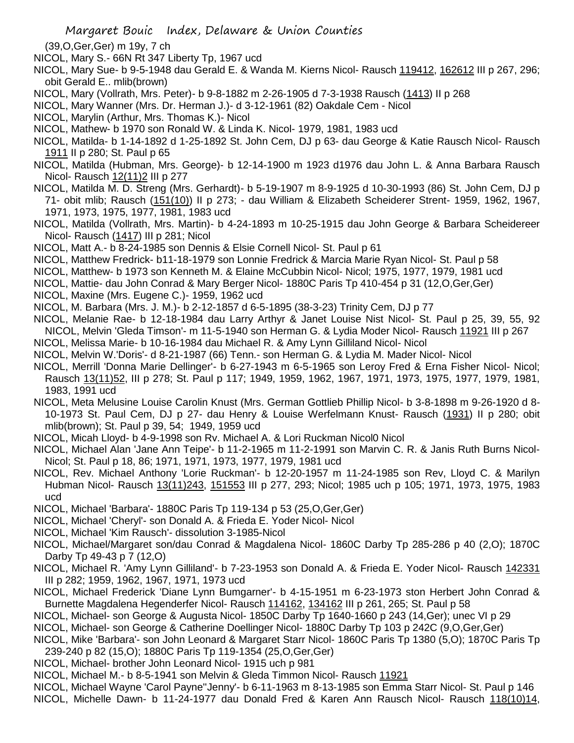- (39,O,Ger,Ger) m 19y, 7 ch
- NICOL, Mary S.- 66N Rt 347 Liberty Tp, 1967 ucd
- NICOL, Mary Sue- b 9-5-1948 dau Gerald E. & Wanda M. Kierns Nicol- Rausch 119412, 162612 III p 267, 296; obit Gerald E.. mlib(brown)
- NICOL, Mary (Vollrath, Mrs. Peter)- b 9-8-1882 m 2-26-1905 d 7-3-1938 Rausch (1413) II p 268
- NICOL, Mary Wanner (Mrs. Dr. Herman J.)- d 3-12-1961 (82) Oakdale Cem Nicol
- NICOL, Marylin (Arthur, Mrs. Thomas K.)- Nicol
- NICOL, Mathew- b 1970 son Ronald W. & Linda K. Nicol- 1979, 1981, 1983 ucd
- NICOL, Matilda- b 1-14-1892 d 1-25-1892 St. John Cem, DJ p 63- dau George & Katie Rausch Nicol- Rausch 1911 II p 280; St. Paul p 65
- NICOL, Matilda (Hubman, Mrs. George)- b 12-14-1900 m 1923 d1976 dau John L. & Anna Barbara Rausch Nicol- Rausch 12(11)2 III p 277
- NICOL, Matilda M. D. Streng (Mrs. Gerhardt)- b 5-19-1907 m 8-9-1925 d 10-30-1993 (86) St. John Cem, DJ p 71- obit mlib; Rausch (151(10)) II p 273; - dau William & Elizabeth Scheiderer Strent- 1959, 1962, 1967, 1971, 1973, 1975, 1977, 1981, 1983 ucd
- NICOL, Matilda (Vollrath, Mrs. Martin)- b 4-24-1893 m 10-25-1915 dau John George & Barbara Scheidereer Nicol- Rausch (1417) III p 281; Nicol
- NICOL, Matt A.- b 8-24-1985 son Dennis & Elsie Cornell Nicol- St. Paul p 61
- NICOL, Matthew Fredrick- b11-18-1979 son Lonnie Fredrick & Marcia Marie Ryan Nicol- St. Paul p 58
- NICOL, Matthew- b 1973 son Kenneth M. & Elaine McCubbin Nicol- Nicol; 1975, 1977, 1979, 1981 ucd
- NICOL, Mattie- dau John Conrad & Mary Berger Nicol- 1880C Paris Tp 410-454 p 31 (12,O,Ger,Ger)
- NICOL, Maxine (Mrs. Eugene C.)- 1959, 1962 ucd
- NICOL, M. Barbara (Mrs. J. M.)- b 2-12-1857 d 6-5-1895 (38-3-23) Trinity Cem, DJ p 77
- NICOL, Melanie Rae- b 12-18-1984 dau Larry Arthyr & Janet Louise Nist Nicol- St. Paul p 25, 39, 55, 92 NICOL, Melvin 'Gleda Timson'- m 11-5-1940 son Herman G. & Lydia Moder Nicol- Rausch 11921 III p 267
- NICOL, Melissa Marie- b 10-16-1984 dau Michael R. & Amy Lynn Gilliland Nicol- Nicol
- NICOL, Melvin W.'Doris'- d 8-21-1987 (66) Tenn.- son Herman G. & Lydia M. Mader Nicol- Nicol
- NICOL, Merrill 'Donna Marie Dellinger'- b 6-27-1943 m 6-5-1965 son Leroy Fred & Erna Fisher Nicol- Nicol; Rausch 13(11)52, III p 278; St. Paul p 117; 1949, 1959, 1962, 1967, 1971, 1973, 1975, 1977, 1979, 1981, 1983, 1991 ucd
- NICOL, Meta Melusine Louise Carolin Knust (Mrs. German Gottlieb Phillip Nicol- b 3-8-1898 m 9-26-1920 d 8- 10-1973 St. Paul Cem, DJ p 27- dau Henry & Louise Werfelmann Knust- Rausch (1931) II p 280; obit mlib(brown); St. Paul p 39, 54; 1949, 1959 ucd
- NICOL, Micah Lloyd- b 4-9-1998 son Rv. Michael A. & Lori Ruckman Nicol0 Nicol
- NICOL, Michael Alan 'Jane Ann Teipe'- b 11-2-1965 m 11-2-1991 son Marvin C. R. & Janis Ruth Burns Nicol-Nicol; St. Paul p 18, 86; 1971, 1971, 1973, 1977, 1979, 1981 ucd
- NICOL, Rev. Michael Anthony 'Lorie Ruckman'- b 12-20-1957 m 11-24-1985 son Rev, Lloyd C. & Marilyn Hubman Nicol- Rausch 13(11)243, 151553 III p 277, 293; Nicol; 1985 uch p 105; 1971, 1973, 1975, 1983 ucd
- NICOL, Michael 'Barbara'- 1880C Paris Tp 119-134 p 53 (25,O,Ger,Ger)
- NICOL, Michael 'Cheryl'- son Donald A. & Frieda E. Yoder Nicol- Nicol
- NICOL, Michael 'Kim Rausch'- dissolution 3-1985-Nicol
- NICOL, Michael/Margaret son/dau Conrad & Magdalena Nicol- 1860C Darby Tp 285-286 p 40 (2,O); 1870C Darby Tp 49-43 p 7 (12,O)
- NICOL, Michael R. 'Amy Lynn Gilliland'- b 7-23-1953 son Donald A. & Frieda E. Yoder Nicol- Rausch 142331 III p 282; 1959, 1962, 1967, 1971, 1973 ucd
- NICOL, Michael Frederick 'Diane Lynn Bumgarner'- b 4-15-1951 m 6-23-1973 ston Herbert John Conrad & Burnette Magdalena Hegenderfer Nicol- Rausch 114162, 134162 III p 261, 265; St. Paul p 58
- NICOL, Michael- son George & Augusta Nicol- 1850C Darby Tp 1640-1660 p 243 (14,Ger); unec VI p 29
- NICOL, Michael- son George & Catherine Doellinger Nicol- 1880C Darby Tp 103 p 242C (9,O,Ger,Ger)
- NICOL, Mike 'Barbara'- son John Leonard & Margaret Starr Nicol- 1860C Paris Tp 1380 (5,O); 1870C Paris Tp 239-240 p 82 (15,O); 1880C Paris Tp 119-1354 (25,O,Ger,Ger)
- NICOL, Michael- brother John Leonard Nicol- 1915 uch p 981
- NICOL, Michael M.- b 8-5-1941 son Melvin & Gleda Timmon Nicol- Rausch 11921
- NICOL, Michael Wayne 'Carol Payne''Jenny'- b 6-11-1963 m 8-13-1985 son Emma Starr Nicol- St. Paul p 146
- NICOL, Michelle Dawn- b 11-24-1977 dau Donald Fred & Karen Ann Rausch Nicol- Rausch 118(10)14,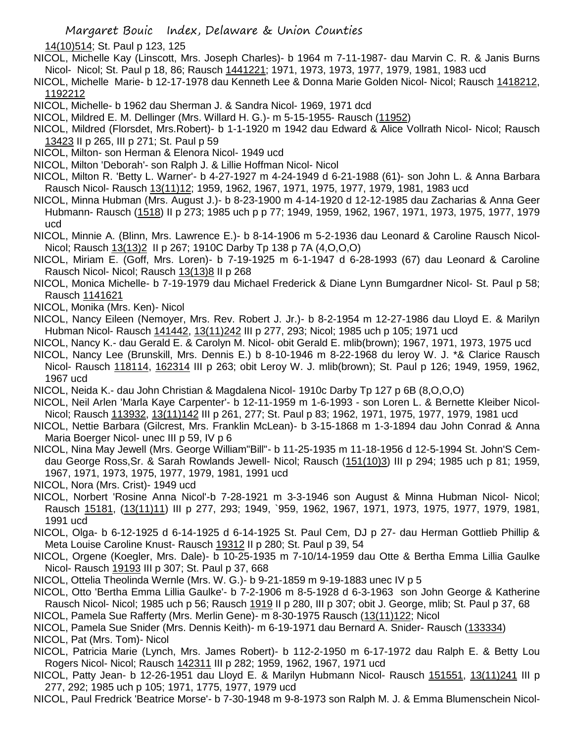14(10)514; St. Paul p 123, 125

NICOL, Michelle Kay (Linscott, Mrs. Joseph Charles)- b 1964 m 7-11-1987- dau Marvin C. R. & Janis Burns Nicol- Nicol; St. Paul p 18, 86; Rausch 1441221; 1971, 1973, 1973, 1977, 1979, 1981, 1983 ucd

NICOL, Michelle Marie- b 12-17-1978 dau Kenneth Lee & Donna Marie Golden Nicol- Nicol; Rausch 1418212, 1192212

NICOL, Michelle- b 1962 dau Sherman J. & Sandra Nicol- 1969, 1971 dcd

NICOL, Mildred E. M. Dellinger (Mrs. Willard H. G.)- m 5-15-1955- Rausch (11952)

NICOL, Mildred (Florsdet, Mrs.Robert)- b 1-1-1920 m 1942 dau Edward & Alice Vollrath Nicol- Nicol; Rausch 13423 II p 265, III p 271; St. Paul p 59

NICOL, Milton- son Herman & Elenora Nicol- 1949 ucd

NICOL, Milton 'Deborah'- son Ralph J. & Lillie Hoffman Nicol- Nicol

NICOL, Milton R. 'Betty L. Warner'- b 4-27-1927 m 4-24-1949 d 6-21-1988 (61)- son John L. & Anna Barbara Rausch Nicol- Rausch 13(11)12; 1959, 1962, 1967, 1971, 1975, 1977, 1979, 1981, 1983 ucd

NICOL, Minna Hubman (Mrs. August J.)- b 8-23-1900 m 4-14-1920 d 12-12-1985 dau Zacharias & Anna Geer Hubmann- Rausch (1518) II p 273; 1985 uch p p 77; 1949, 1959, 1962, 1967, 1971, 1973, 1975, 1977, 1979 ucd

NICOL, Minnie A. (Blinn, Mrs. Lawrence E.)- b 8-14-1906 m 5-2-1936 dau Leonard & Caroline Rausch Nicol-Nicol; Rausch 13(13)2 II p 267; 1910C Darby Tp 138 p 7A (4,O,O,O)

NICOL, Miriam E. (Goff, Mrs. Loren)- b 7-19-1925 m 6-1-1947 d 6-28-1993 (67) dau Leonard & Caroline Rausch Nicol- Nicol; Rausch 13(13)8 II p 268

NICOL, Monica Michelle- b 7-19-1979 dau Michael Frederick & Diane Lynn Bumgardner Nicol- St. Paul p 58; Rausch 1141621

NICOL, Monika (Mrs. Ken)- Nicol

NICOL, Nancy Eileen (Nemoyer, Mrs. Rev. Robert J. Jr.)- b 8-2-1954 m 12-27-1986 dau Lloyd E. & Marilyn Hubman Nicol- Rausch 141442, 13(11)242 III p 277, 293; Nicol; 1985 uch p 105; 1971 ucd

NICOL, Nancy K.- dau Gerald E. & Carolyn M. Nicol- obit Gerald E. mlib(brown); 1967, 1971, 1973, 1975 ucd

NICOL, Nancy Lee (Brunskill, Mrs. Dennis E.) b 8-10-1946 m 8-22-1968 du leroy W. J. \*& Clarice Rausch Nicol- Rausch 118114, 162314 III p 263; obit Leroy W. J. mlib(brown); St. Paul p 126; 1949, 1959, 1962, 1967 ucd

NICOL, Neida K.- dau John Christian & Magdalena Nicol- 1910c Darby Tp 127 p 6B (8,O,O,O)

- NICOL, Neil Arlen 'Marla Kaye Carpenter'- b 12-11-1959 m 1-6-1993 son Loren L. & Bernette Kleiber Nicol-Nicol; Rausch 113932, 13(11)142 III p 261, 277; St. Paul p 83; 1962, 1971, 1975, 1977, 1979, 1981 ucd
- NICOL, Nettie Barbara (Gilcrest, Mrs. Franklin McLean)- b 3-15-1868 m 1-3-1894 dau John Conrad & Anna Maria Boerger Nicol- unec III p 59, IV p 6

NICOL, Nina May Jewell (Mrs. George William"Bill"- b 11-25-1935 m 11-18-1956 d 12-5-1994 St. John'S Cemdau George Ross,Sr. & Sarah Rowlands Jewell- Nicol; Rausch (151(10)3) III p 294; 1985 uch p 81; 1959, 1967, 1971, 1973, 1975, 1977, 1979, 1981, 1991 ucd

NICOL, Nora (Mrs. Crist)- 1949 ucd

NICOL, Norbert 'Rosine Anna Nicol'-b 7-28-1921 m 3-3-1946 son August & Minna Hubman Nicol- Nicol; Rausch 15181, (13(11)11) III p 277, 293; 1949, `959, 1962, 1967, 1971, 1973, 1975, 1977, 1979, 1981, 1991 ucd

NICOL, Olga- b 6-12-1925 d 6-14-1925 d 6-14-1925 St. Paul Cem, DJ p 27- dau Herman Gottlieb Phillip & Meta Louise Caroline Knust- Rausch 19312 II p 280; St. Paul p 39, 54

NICOL, Orgene (Koegler, Mrs. Dale)- b 10-25-1935 m 7-10/14-1959 dau Otte & Bertha Emma Lillia Gaulke Nicol- Rausch 19193 III p 307; St. Paul p 37, 668

NICOL, Ottelia Theolinda Wernle (Mrs. W. G.)- b 9-21-1859 m 9-19-1883 unec IV p 5

NICOL, Otto 'Bertha Emma Lillia Gaulke'- b 7-2-1906 m 8-5-1928 d 6-3-1963 son John George & Katherine Rausch Nicol- Nicol; 1985 uch p 56; Rausch 1919 II p 280, III p 307; obit J. George, mlib; St. Paul p 37, 68 NICOL, Pamela Sue Rafferty (Mrs. Merlin Gene)- m 8-30-1975 Rausch (13(11)122; Nicol

NICOL, Pamela Sue Snider (Mrs. Dennis Keith)- m 6-19-1971 dau Bernard A. Snider- Rausch (133334) NICOL, Pat (Mrs. Tom)- Nicol

NICOL, Patricia Marie (Lynch, Mrs. James Robert)- b 112-2-1950 m 6-17-1972 dau Ralph E. & Betty Lou Rogers Nicol- Nicol; Rausch 142311 III p 282; 1959, 1962, 1967, 1971 ucd

NICOL, Patty Jean- b 12-26-1951 dau Lloyd E. & Marilyn Hubmann Nicol- Rausch 151551, 13(11)241 III p 277, 292; 1985 uch p 105; 1971, 1775, 1977, 1979 ucd

NICOL, Paul Fredrick 'Beatrice Morse'- b 7-30-1948 m 9-8-1973 son Ralph M. J. & Emma Blumenschein Nicol-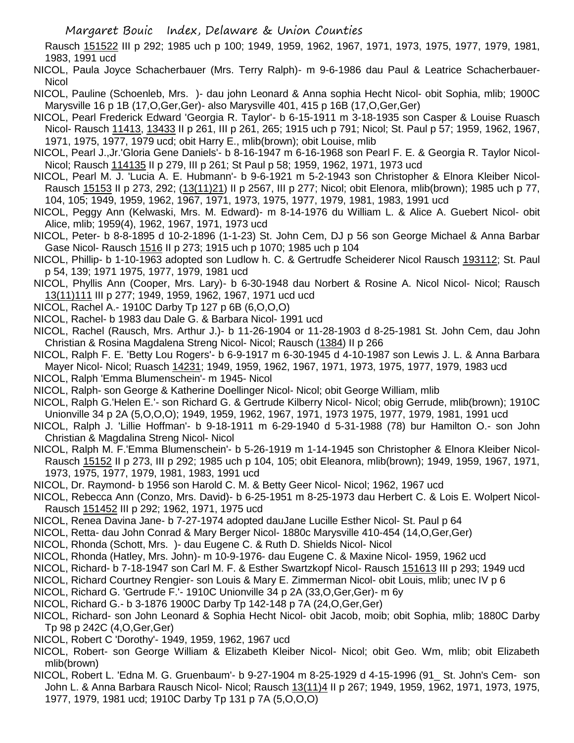Rausch 151522 III p 292; 1985 uch p 100; 1949, 1959, 1962, 1967, 1971, 1973, 1975, 1977, 1979, 1981, 1983, 1991 ucd

- NICOL, Paula Joyce Schacherbauer (Mrs. Terry Ralph)- m 9-6-1986 dau Paul & Leatrice Schacherbauer-**Nicol**
- NICOL, Pauline (Schoenleb, Mrs. )- dau john Leonard & Anna sophia Hecht Nicol- obit Sophia, mlib; 1900C Marysville 16 p 1B (17,O,Ger,Ger)- also Marysville 401, 415 p 16B (17,O,Ger,Ger)
- NICOL, Pearl Frederick Edward 'Georgia R. Taylor'- b 6-15-1911 m 3-18-1935 son Casper & Louise Ruasch Nicol- Rausch 11413, 13433 II p 261, III p 261, 265; 1915 uch p 791; Nicol; St. Paul p 57; 1959, 1962, 1967, 1971, 1975, 1977, 1979 ucd; obit Harry E., mlib(brown); obit Louise, mlib
- NICOL, Pearl J.,Jr.'Gloria Gene Daniels'- b 8-16-1947 m 6-16-1968 son Pearl F. E. & Georgia R. Taylor Nicol-Nicol; Rausch 114135 II p 279, III p 261; St Paul p 58; 1959, 1962, 1971, 1973 ucd
- NICOL, Pearl M. J. 'Lucia A. E. Hubmann'- b 9-6-1921 m 5-2-1943 son Christopher & Elnora Kleiber Nicol-Rausch 15153 II p 273, 292; (13(11)21) II p 2567, III p 277; Nicol; obit Elenora, mlib(brown); 1985 uch p 77, 104, 105; 1949, 1959, 1962, 1967, 1971, 1973, 1975, 1977, 1979, 1981, 1983, 1991 ucd
- NICOL, Peggy Ann (Kelwaski, Mrs. M. Edward)- m 8-14-1976 du William L. & Alice A. Guebert Nicol- obit Alice, mlib; 1959(4), 1962, 1967, 1971, 1973 ucd
- NICOL, Peter- b 8-8-1895 d 10-2-1896 (1-1-23) St. John Cem, DJ p 56 son George Michael & Anna Barbar Gase Nicol- Rausch 1516 II p 273; 1915 uch p 1070; 1985 uch p 104
- NICOL, Phillip- b 1-10-1963 adopted son Ludlow h. C. & Gertrudfe Scheiderer Nicol Rausch 193112; St. Paul p 54, 139; 1971 1975, 1977, 1979, 1981 ucd
- NICOL, Phyllis Ann (Cooper, Mrs. Lary)- b 6-30-1948 dau Norbert & Rosine A. Nicol Nicol- Nicol; Rausch 13(11)111 III p 277; 1949, 1959, 1962, 1967, 1971 ucd ucd
- NICOL, Rachel A.- 1910C Darby Tp 127 p 6B (6,O,O,O)
- NICOL, Rachel- b 1983 dau Dale G. & Barbara Nicol- 1991 ucd
- NICOL, Rachel (Rausch, Mrs. Arthur J.)- b 11-26-1904 or 11-28-1903 d 8-25-1981 St. John Cem, dau John Christian & Rosina Magdalena Streng Nicol- Nicol; Rausch (1384) II p 266
- NICOL, Ralph F. E. 'Betty Lou Rogers'- b 6-9-1917 m 6-30-1945 d 4-10-1987 son Lewis J. L. & Anna Barbara Mayer Nicol- Nicol; Ruasch 14231; 1949, 1959, 1962, 1967, 1971, 1973, 1975, 1977, 1979, 1983 ucd
- NICOL, Ralph 'Emma Blumenschein'- m 1945- Nicol
- NICOL, Ralph- son George & Katherine Doellinger Nicol- Nicol; obit George William, mlib
- NICOL, Ralph G.'Helen E.'- son Richard G. & Gertrude Kilberry Nicol- Nicol; obig Gerrude, mlib(brown); 1910C Unionville 34 p 2A (5,O,O,O); 1949, 1959, 1962, 1967, 1971, 1973 1975, 1977, 1979, 1981, 1991 ucd
- NICOL, Ralph J. 'Lillie Hoffman'- b 9-18-1911 m 6-29-1940 d 5-31-1988 (78) bur Hamilton O.- son John Christian & Magdalina Streng Nicol- Nicol
- NICOL, Ralph M. F.'Emma Blumenschein'- b 5-26-1919 m 1-14-1945 son Christopher & Elnora Kleiber Nicol-Rausch 15152 II p 273, III p 292; 1985 uch p 104, 105; obit Eleanora, mlib(brown); 1949, 1959, 1967, 1971, 1973, 1975, 1977, 1979, 1981, 1983, 1991 ucd
- NICOL, Dr. Raymond- b 1956 son Harold C. M. & Betty Geer Nicol- Nicol; 1962, 1967 ucd
- NICOL, Rebecca Ann (Conzo, Mrs. David)- b 6-25-1951 m 8-25-1973 dau Herbert C. & Lois E. Wolpert Nicol-Rausch 151452 III p 292; 1962, 1971, 1975 ucd
- NICOL, Renea Davina Jane- b 7-27-1974 adopted dauJane Lucille Esther Nicol- St. Paul p 64
- NICOL, Retta- dau John Conrad & Mary Berger Nicol- 1880c Marysville 410-454 (14,O,Ger,Ger)
- NICOL, Rhonda (Schott, Mrs. )- dau Eugene C. & Ruth D. Shields Nicol- Nicol
- NICOL, Rhonda (Hatley, Mrs. John)- m 10-9-1976- dau Eugene C. & Maxine Nicol- 1959, 1962 ucd
- NICOL, Richard- b 7-18-1947 son Carl M. F. & Esther Swartzkopf Nicol- Rausch 151613 III p 293; 1949 ucd
- NICOL, Richard Courtney Rengier- son Louis & Mary E. Zimmerman Nicol- obit Louis, mlib; unec IV p 6
- NICOL, Richard G. 'Gertrude F.'- 1910C Unionville 34 p 2A (33,O,Ger,Ger)- m 6y
- NICOL, Richard G.- b 3-1876 1900C Darby Tp 142-148 p 7A (24,O,Ger,Ger)
- NICOL, Richard- son John Leonard & Sophia Hecht Nicol- obit Jacob, moib; obit Sophia, mlib; 1880C Darby Tp 98 p 242C (4,O,Ger,Ger)
- NICOL, Robert C 'Dorothy'- 1949, 1959, 1962, 1967 ucd
- NICOL, Robert- son George William & Elizabeth Kleiber Nicol- Nicol; obit Geo. Wm, mlib; obit Elizabeth mlib(brown)
- NICOL, Robert L. 'Edna M. G. Gruenbaum'- b 9-27-1904 m 8-25-1929 d 4-15-1996 (91\_ St. John's Cem- son John L. & Anna Barbara Rausch Nicol- Nicol; Rausch 13(11)4 II p 267; 1949, 1959, 1962, 1971, 1973, 1975, 1977, 1979, 1981 ucd; 1910C Darby Tp 131 p 7A (5,O,O,O)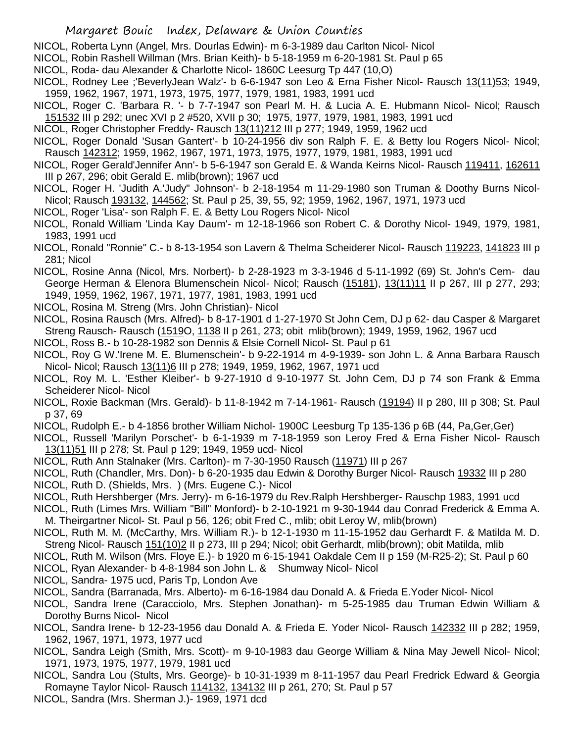- NICOL, Roberta Lynn (Angel, Mrs. Dourlas Edwin)- m 6-3-1989 dau Carlton Nicol- Nicol
- NICOL, Robin Rashell Willman (Mrs. Brian Keith)- b 5-18-1959 m 6-20-1981 St. Paul p 65
- NICOL, Roda- dau Alexander & Charlotte Nicol- 1860C Leesurg Tp 447 (10,O)
- NICOL, Rodney Lee ;'BeverlyJean Walz'- b 6-6-1947 son Leo & Erna Fisher Nicol- Rausch 13(11)53; 1949, 1959, 1962, 1967, 1971, 1973, 1975, 1977, 1979, 1981, 1983, 1991 ucd
- NICOL, Roger C. 'Barbara R. '- b 7-7-1947 son Pearl M. H. & Lucia A. E. Hubmann Nicol- Nicol; Rausch 151532 III p 292; unec XVI p 2 #520, XVII p 30; 1975, 1977, 1979, 1981, 1983, 1991 ucd
- NICOL, Roger Christopher Freddy- Rausch 13(11)212 III p 277; 1949, 1959, 1962 ucd
- NICOL, Roger Donald 'Susan Gantert'- b 10-24-1956 div son Ralph F. E. & Betty lou Rogers Nicol- Nicol; Rausch 142312; 1959, 1962, 1967, 1971, 1973, 1975, 1977, 1979, 1981, 1983, 1991 ucd
- NICOL, Roger Gerald'Jennifer Ann'- b 5-6-1947 son Gerald E. & Wanda Keirns Nicol- Rausch 119411, 162611 III p 267, 296; obit Gerald E. mlib(brown); 1967 ucd
- NICOL, Roger H. 'Judith A.'Judy" Johnson'- b 2-18-1954 m 11-29-1980 son Truman & Doothy Burns Nicol-Nicol; Rausch 193132, 144562; St. Paul p 25, 39, 55, 92; 1959, 1962, 1967, 1971, 1973 ucd
- NICOL, Roger 'Lisa'- son Ralph F. E. & Betty Lou Rogers Nicol- Nicol
- NICOL, Ronald William 'Linda Kay Daum'- m 12-18-1966 son Robert C. & Dorothy Nicol- 1949, 1979, 1981, 1983, 1991 ucd
- NICOL, Ronald "Ronnie" C.- b 8-13-1954 son Lavern & Thelma Scheiderer Nicol- Rausch 119223, 141823 III p 281; Nicol
- NICOL, Rosine Anna (Nicol, Mrs. Norbert)- b 2-28-1923 m 3-3-1946 d 5-11-1992 (69) St. John's Cem- dau George Herman & Elenora Blumenschein Nicol- Nicol; Rausch (15181), 13(11)11 II p 267, III p 277, 293; 1949, 1959, 1962, 1967, 1971, 1977, 1981, 1983, 1991 ucd
- NICOL, Rosina M. Streng (Mrs. John Christian)- Nicol
- NICOL, Rosina Rausch (Mrs. Alfred)- b 8-17-1901 d 1-27-1970 St John Cem, DJ p 62- dau Casper & Margaret Streng Rausch- Rausch (1519O, 1138 II p 261, 273; obit mlib(brown); 1949, 1959, 1962, 1967 ucd
- NICOL, Ross B.- b 10-28-1982 son Dennis & Elsie Cornell Nicol- St. Paul p 61
- NICOL, Roy G W.'Irene M. E. Blumenschein'- b 9-22-1914 m 4-9-1939- son John L. & Anna Barbara Rausch Nicol- Nicol; Rausch 13(11)6 III p 278; 1949, 1959, 1962, 1967, 1971 ucd
- NICOL, Roy M. L. 'Esther Kleiber'- b 9-27-1910 d 9-10-1977 St. John Cem, DJ p 74 son Frank & Emma Scheiderer Nicol- Nicol
- NICOL, Roxie Backman (Mrs. Gerald)- b 11-8-1942 m 7-14-1961- Rausch (19194) II p 280, III p 308; St. Paul p 37, 69
- NICOL, Rudolph E.- b 4-1856 brother William Nichol- 1900C Leesburg Tp 135-136 p 6B (44, Pa,Ger,Ger)
- NICOL, Russell 'Marilyn Porschet'- b 6-1-1939 m 7-18-1959 son Leroy Fred & Erna Fisher Nicol- Rausch 13(11)51 III p 278; St. Paul p 129; 1949, 1959 ucd- Nicol
- NICOL, Ruth Ann Stalnaker (Mrs. Carlton)- m 7-30-1950 Rausch (11971) III p 267
- NICOL, Ruth (Chandler, Mrs. Don)- b 6-20-1935 dau Edwin & Dorothy Burger Nicol- Rausch 19332 III p 280
- NICOL, Ruth D. (Shields, Mrs. ) (Mrs. Eugene C.)- Nicol
- NICOL, Ruth Hershberger (Mrs. Jerry)- m 6-16-1979 du Rev.Ralph Hershberger- Rauschp 1983, 1991 ucd
- NICOL, Ruth (Limes Mrs. William "Bill" Monford)- b 2-10-1921 m 9-30-1944 dau Conrad Frederick & Emma A. M. Theirgartner Nicol- St. Paul p 56, 126; obit Fred C., mlib; obit Leroy W, mlib(brown)
- NICOL, Ruth M. M. (McCarthy, Mrs. William R.)- b 12-1-1930 m 11-15-1952 dau Gerhardt F. & Matilda M. D. Streng Nicol- Rausch 151(10)2 II p 273, III p 294; Nicol; obit Gerhardt, mlib(brown); obit Matilda, mlib
- NICOL, Ruth M. Wilson (Mrs. Floye E.)- b 1920 m 6-15-1941 Oakdale Cem II p 159 (M-R25-2); St. Paul p 60
- NICOL, Ryan Alexander- b 4-8-1984 son John L. & Shumway Nicol- Nicol
- NICOL, Sandra- 1975 ucd, Paris Tp, London Ave
- NICOL, Sandra (Barranada, Mrs. Alberto)- m 6-16-1984 dau Donald A. & Frieda E.Yoder Nicol- Nicol
- NICOL, Sandra Irene (Caracciolo, Mrs. Stephen Jonathan)- m 5-25-1985 dau Truman Edwin William & Dorothy Burns Nicol- Nicol
- NICOL, Sandra Irene- b 12-23-1956 dau Donald A. & Frieda E. Yoder Nicol- Rausch 142332 III p 282; 1959, 1962, 1967, 1971, 1973, 1977 ucd
- NICOL, Sandra Leigh (Smith, Mrs. Scott)- m 9-10-1983 dau George William & Nina May Jewell Nicol- Nicol; 1971, 1973, 1975, 1977, 1979, 1981 ucd
- NICOL, Sandra Lou (Stults, Mrs. George)- b 10-31-1939 m 8-11-1957 dau Pearl Fredrick Edward & Georgia Romayne Taylor Nicol- Rausch 114132, 134132 III p 261, 270; St. Paul p 57
- NICOL, Sandra (Mrs. Sherman J.)- 1969, 1971 dcd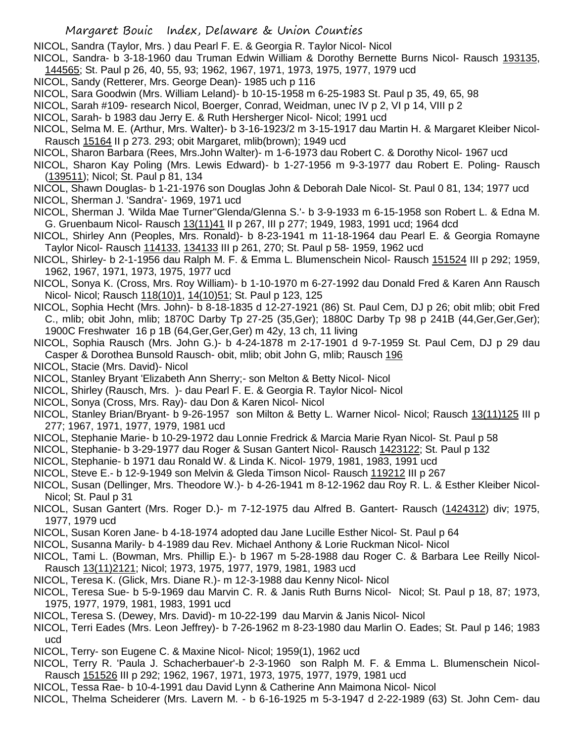NICOL, Sandra (Taylor, Mrs. ) dau Pearl F. E. & Georgia R. Taylor Nicol- Nicol

- NICOL, Sandra- b 3-18-1960 dau Truman Edwin William & Dorothy Bernette Burns Nicol- Rausch 193135,
- 144565; St. Paul p 26, 40, 55, 93; 1962, 1967, 1971, 1973, 1975, 1977, 1979 ucd
- NICOL, Sandy (Retterer, Mrs. George Dean)- 1985 uch p 116
- NICOL, Sara Goodwin (Mrs. William Leland)- b 10-15-1958 m 6-25-1983 St. Paul p 35, 49, 65, 98
- NICOL, Sarah #109- research Nicol, Boerger, Conrad, Weidman, unec IV p 2, VI p 14, VIII p 2
- NICOL, Sarah- b 1983 dau Jerry E. & Ruth Hersherger Nicol- Nicol; 1991 ucd
- NICOL, Selma M. E. (Arthur, Mrs. Walter)- b 3-16-1923/2 m 3-15-1917 dau Martin H. & Margaret Kleiber Nicol-Rausch 15164 II p 273. 293; obit Margaret, mlib(brown); 1949 ucd
- NICOL, Sharon Barbara (Rees, Mrs.John Walter)- m 1-6-1973 dau Robert C. & Dorothy Nicol- 1967 ucd
- NICOL, Sharon Kay Poling (Mrs. Lewis Edward)- b 1-27-1956 m 9-3-1977 dau Robert E. Poling- Rausch (139511); Nicol; St. Paul p 81, 134
- NICOL, Shawn Douglas- b 1-21-1976 son Douglas John & Deborah Dale Nicol- St. Paul 0 81, 134; 1977 ucd NICOL, Sherman J. 'Sandra'- 1969, 1971 ucd
- NICOL, Sherman J. 'Wilda Mae Turner''Glenda/Glenna S.'- b 3-9-1933 m 6-15-1958 son Robert L. & Edna M. G. Gruenbaum Nicol- Rausch 13(11)41 II p 267, III p 277; 1949, 1983, 1991 ucd; 1964 dcd
- NICOL, Shirley Ann (Peoples, Mrs. Ronald)- b 8-23-1941 m 11-18-1964 dau Pearl E. & Georgia Romayne Taylor Nicol- Rausch 114133, 134133 III p 261, 270; St. Paul p 58- 1959, 1962 ucd
- NICOL, Shirley- b 2-1-1956 dau Ralph M. F. & Emma L. Blumenschein Nicol- Rausch 151524 III p 292; 1959, 1962, 1967, 1971, 1973, 1975, 1977 ucd
- NICOL, Sonya K. (Cross, Mrs. Roy William)- b 1-10-1970 m 6-27-1992 dau Donald Fred & Karen Ann Rausch Nicol- Nicol; Rausch 118(10)1, 14(10)51; St. Paul p 123, 125
- NICOL, Sophia Hecht (Mrs. John)- b 8-18-1835 d 12-27-1921 (86) St. Paul Cem, DJ p 26; obit mlib; obit Fred C., mlib; obit John, mlib; 1870C Darby Tp 27-25 (35,Ger); 1880C Darby Tp 98 p 241B (44,Ger,Ger,Ger); 1900C Freshwater 16 p 1B (64,Ger,Ger,Ger) m 42y, 13 ch, 11 living
- NICOL, Sophia Rausch (Mrs. John G.)- b 4-24-1878 m 2-17-1901 d 9-7-1959 St. Paul Cem, DJ p 29 dau Casper & Dorothea Bunsold Rausch- obit, mlib; obit John G, mlib; Rausch 196
- NICOL, Stacie (Mrs. David)- Nicol
- NICOL, Stanley Bryant 'Elizabeth Ann Sherry;- son Melton & Betty Nicol- Nicol
- NICOL, Shirley (Rausch, Mrs. )- dau Pearl F. E. & Georgia R. Taylor Nicol- Nicol
- NICOL, Sonya (Cross, Mrs. Ray)- dau Don & Karen Nicol- Nicol
- NICOL, Stanley Brian/Bryant- b 9-26-1957 son Milton & Betty L. Warner Nicol- Nicol; Rausch 13(11)125 III p 277; 1967, 1971, 1977, 1979, 1981 ucd
- NICOL, Stephanie Marie- b 10-29-1972 dau Lonnie Fredrick & Marcia Marie Ryan Nicol- St. Paul p 58
- NICOL, Stephanie- b 3-29-1977 dau Roger & Susan Gantert Nicol- Rausch 1423122; St. Paul p 132
- NICOL, Stephanie- b 1971 dau Ronald W. & Linda K. Nicol- 1979, 1981, 1983, 1991 ucd
- NICOL, Steve E.- b 12-9-1949 son Melvin & Gleda Timson Nicol- Rausch 119212 III p 267
- NICOL, Susan (Dellinger, Mrs. Theodore W.)- b 4-26-1941 m 8-12-1962 dau Roy R. L. & Esther Kleiber Nicol-Nicol; St. Paul p 31
- NICOL, Susan Gantert (Mrs. Roger D.)- m 7-12-1975 dau Alfred B. Gantert- Rausch (1424312) div; 1975, 1977, 1979 ucd
- NICOL, Susan Koren Jane- b 4-18-1974 adopted dau Jane Lucille Esther Nicol- St. Paul p 64
- NICOL, Susanna Marily- b 4-1989 dau Rev. Michael Anthony & Lorie Ruckman Nicol- Nicol
- NICOL, Tami L. (Bowman, Mrs. Phillip E.)- b 1967 m 5-28-1988 dau Roger C. & Barbara Lee Reilly Nicol-Rausch 13(11)2121; Nicol; 1973, 1975, 1977, 1979, 1981, 1983 ucd
- NICOL, Teresa K. (Glick, Mrs. Diane R.)- m 12-3-1988 dau Kenny Nicol- Nicol
- NICOL, Teresa Sue- b 5-9-1969 dau Marvin C. R. & Janis Ruth Burns Nicol- Nicol; St. Paul p 18, 87; 1973, 1975, 1977, 1979, 1981, 1983, 1991 ucd
- NICOL, Teresa S. (Dewey, Mrs. David)- m 10-22-199 dau Marvin & Janis Nicol- Nicol
- NICOL, Terri Eades (Mrs. Leon Jeffrey)- b 7-26-1962 m 8-23-1980 dau Marlin O. Eades; St. Paul p 146; 1983 ucd
- NICOL, Terry- son Eugene C. & Maxine Nicol- Nicol; 1959(1), 1962 ucd
- NICOL, Terry R. 'Paula J. Schacherbauer'-b 2-3-1960 son Ralph M. F. & Emma L. Blumenschein Nicol-Rausch 151526 III p 292; 1962, 1967, 1971, 1973, 1975, 1977, 1979, 1981 ucd
- NICOL, Tessa Rae- b 10-4-1991 dau David Lynn & Catherine Ann Maimona Nicol- Nicol
- NICOL, Thelma Scheiderer (Mrs. Lavern M. b 6-16-1925 m 5-3-1947 d 2-22-1989 (63) St. John Cem- dau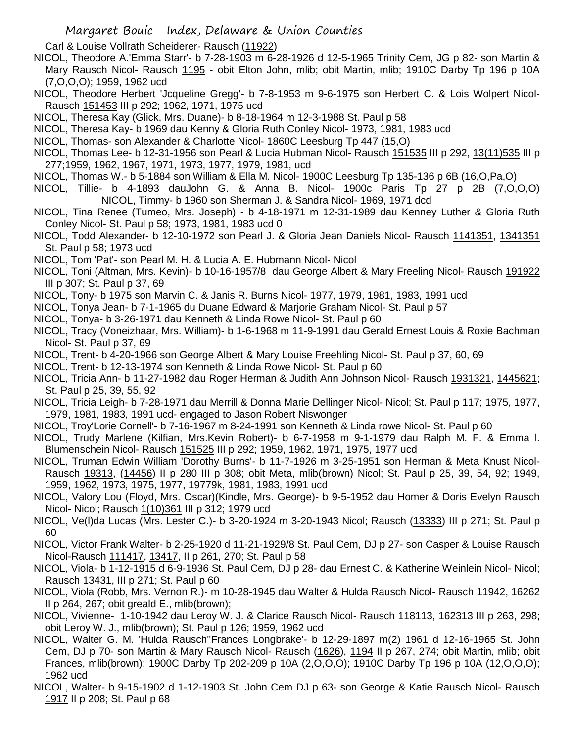Carl & Louise Vollrath Scheiderer- Rausch (11922)

- NICOL, Theodore A.'Emma Starr'- b 7-28-1903 m 6-28-1926 d 12-5-1965 Trinity Cem, JG p 82- son Martin & Mary Rausch Nicol- Rausch 1195 - obit Elton John, mlib; obit Martin, mlib; 1910C Darby Tp 196 p 10A (7,O,O,O); 1959, 1962 ucd
- NICOL, Theodore Herbert 'Jcqueline Gregg'- b 7-8-1953 m 9-6-1975 son Herbert C. & Lois Wolpert Nicol-Rausch 151453 III p 292; 1962, 1971, 1975 ucd
- NICOL, Theresa Kay (Glick, Mrs. Duane)- b 8-18-1964 m 12-3-1988 St. Paul p 58
- NICOL, Theresa Kay- b 1969 dau Kenny & Gloria Ruth Conley Nicol- 1973, 1981, 1983 ucd
- NICOL, Thomas- son Alexander & Charlotte Nicol- 1860C Leesburg Tp 447 (15,O)
- NICOL, Thomas Lee- b 12-31-1956 son Pearl & Lucia Hubman Nicol- Rausch 151535 III p 292, 13(11)535 III p 277;1959, 1962, 1967, 1971, 1973, 1977, 1979, 1981, ucd
- NICOL, Thomas W.- b 5-1884 son William & Ella M. Nicol- 1900C Leesburg Tp 135-136 p 6B (16,O,Pa,O)
- NICOL, Tillie- b 4-1893 dauJohn G. & Anna B. Nicol- 1900c Paris Tp 27 p 2B (7,O,O,O) NICOL, Timmy- b 1960 son Sherman J. & Sandra Nicol- 1969, 1971 dcd
- NICOL, Tina Renee (Tumeo, Mrs. Joseph) b 4-18-1971 m 12-31-1989 dau Kenney Luther & Gloria Ruth Conley Nicol- St. Paul p 58; 1973, 1981, 1983 ucd 0
- NICOL, Todd Alexander- b 12-10-1972 son Pearl J. & Gloria Jean Daniels Nicol- Rausch 1141351, 1341351 St. Paul p 58; 1973 ucd
- NICOL, Tom 'Pat'- son Pearl M. H. & Lucia A. E. Hubmann Nicol- Nicol
- NICOL, Toni (Altman, Mrs. Kevin)- b 10-16-1957/8 dau George Albert & Mary Freeling Nicol- Rausch 191922 III p 307; St. Paul p 37, 69
- NICOL, Tony- b 1975 son Marvin C. & Janis R. Burns Nicol- 1977, 1979, 1981, 1983, 1991 ucd
- NICOL, Tonya Jean- b 7-1-1965 du Duane Edward & Marjorie Graham Nicol- St. Paul p 57
- NICOL, Tonya- b 3-26-1971 dau Kenneth & Linda Rowe Nicol- St. Paul p 60
- NICOL, Tracy (Voneizhaar, Mrs. William)- b 1-6-1968 m 11-9-1991 dau Gerald Ernest Louis & Roxie Bachman Nicol- St. Paul p 37, 69
- NICOL, Trent- b 4-20-1966 son George Albert & Mary Louise Freehling Nicol- St. Paul p 37, 60, 69
- NICOL, Trent- b 12-13-1974 son Kenneth & Linda Rowe Nicol- St. Paul p 60
- NICOL, Tricia Ann- b 11-27-1982 dau Roger Herman & Judith Ann Johnson Nicol- Rausch 1931321, 1445621; St. Paul p 25, 39, 55, 92
- NICOL, Tricia Leigh- b 7-28-1971 dau Merrill & Donna Marie Dellinger Nicol- Nicol; St. Paul p 117; 1975, 1977, 1979, 1981, 1983, 1991 ucd- engaged to Jason Robert Niswonger
- NICOL, Troy'Lorie Cornell'- b 7-16-1967 m 8-24-1991 son Kenneth & Linda rowe Nicol- St. Paul p 60
- NICOL, Trudy Marlene (Kilfian, Mrs.Kevin Robert)- b 6-7-1958 m 9-1-1979 dau Ralph M. F. & Emma l. Blumenschein Nicol- Rausch 151525 III p 292; 1959, 1962, 1971, 1975, 1977 ucd
- NICOL, Truman Edwin William 'Dorothy Burns'- b 11-7-1926 m 3-25-1951 son Herman & Meta Knust Nicol-Rausch 19313, (14456) II p 280 III p 308; obit Meta, mlib(brown) Nicol; St. Paul p 25, 39, 54, 92; 1949, 1959, 1962, 1973, 1975, 1977, 19779k, 1981, 1983, 1991 ucd
- NICOL, Valory Lou (Floyd, Mrs. Oscar)(Kindle, Mrs. George)- b 9-5-1952 dau Homer & Doris Evelyn Rausch Nicol- Nicol; Rausch 1(10)361 III p 312; 1979 ucd
- NICOL, Ve(l)da Lucas (Mrs. Lester C.)- b 3-20-1924 m 3-20-1943 Nicol; Rausch (13333) III p 271; St. Paul p 60
- NICOL, Victor Frank Walter- b 2-25-1920 d 11-21-1929/8 St. Paul Cem, DJ p 27- son Casper & Louise Rausch Nicol-Rausch 111417, 13417, II p 261, 270; St. Paul p 58
- NICOL, Viola- b 1-12-1915 d 6-9-1936 St. Paul Cem, DJ p 28- dau Ernest C. & Katherine Weinlein Nicol- Nicol; Rausch 13431, III p 271; St. Paul p 60
- NICOL, Viola (Robb, Mrs. Vernon R.)- m 10-28-1945 dau Walter & Hulda Rausch Nicol- Rausch 11942, 16262 II p 264, 267; obit greald E., mlib(brown);
- NICOL, Vivienne- 1-10-1942 dau Leroy W. J. & Clarice Rausch Nicol- Rausch 118113, 162313 III p 263, 298; obit Leroy W. J., mlib(brown); St. Paul p 126; 1959, 1962 ucd
- NICOL, Walter G. M. 'Hulda Rausch''Frances Longbrake'- b 12-29-1897 m(2) 1961 d 12-16-1965 St. John Cem, DJ p 70- son Martin & Mary Rausch Nicol- Rausch (1626), 1194 II p 267, 274; obit Martin, mlib; obit Frances, mlib(brown); 1900C Darby Tp 202-209 p 10A (2,O,O,O); 1910C Darby Tp 196 p 10A (12,O,O,O); 1962 ucd
- NICOL, Walter- b 9-15-1902 d 1-12-1903 St. John Cem DJ p 63- son George & Katie Rausch Nicol- Rausch 1917 II p 208; St. Paul p 68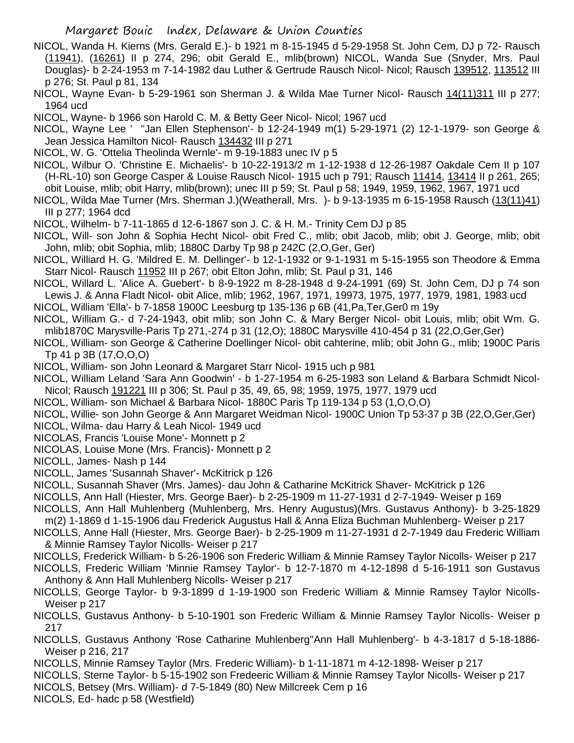- NICOL, Wanda H. Kierns (Mrs. Gerald E.)- b 1921 m 8-15-1945 d 5-29-1958 St. John Cem, DJ p 72- Rausch (11941), (16261) II p 274, 296; obit Gerald E., mlib(brown) NICOL, Wanda Sue (Snyder, Mrs. Paul Douglas)- b 2-24-1953 m 7-14-1982 dau Luther & Gertrude Rausch Nicol- Nicol; Rausch 139512, 113512 III p 276; St. Paul p 81, 134
- NICOL, Wayne Evan- b 5-29-1961 son Sherman J. & Wilda Mae Turner Nicol- Rausch 14(11)311 III p 277; 1964 ucd
- NICOL, Wayne- b 1966 son Harold C. M. & Betty Geer Nicol- Nicol; 1967 ucd
- NICOL, Wayne Lee ' ''Jan Ellen Stephenson'- b 12-24-1949 m(1) 5-29-1971 (2) 12-1-1979- son George & Jean Jessica Hamilton Nicol- Rausch 134432 III p 271
- NICOL, W. G. 'Ottelia Theolinda Wernle'- m 9-19-1883 unec IV p 5
- NICOL, Wilbur O. 'Christine E. Michaelis'- b 10-22-1913/2 m 1-12-1938 d 12-26-1987 Oakdale Cem II p 107 (H-RL-10) son George Casper & Louise Rausch Nicol- 1915 uch p 791; Rausch 11414, 13414 II p 261, 265; obit Louise, mlib; obit Harry, mlib(brown); unec III p 59; St. Paul p 58; 1949, 1959, 1962, 1967, 1971 ucd
- NICOL, Wilda Mae Turner (Mrs. Sherman J.)(Weatherall, Mrs. )- b 9-13-1935 m 6-15-1958 Rausch (13(11)41) III p 277; 1964 dcd
- NICOL, Wilhelm- b 7-11-1865 d 12-6-1867 son J. C. & H. M.- Trinity Cem DJ p 85
- NICOL, Will- son John & Sophia Hecht Nicol- obit Fred C., mlib; obit Jacob, mlib; obit J. George, mlib; obit John, mlib; obit Sophia, mlib; 1880C Darby Tp 98 p 242C (2,O,Ger, Ger)
- NICOL, Williard H. G. 'Mildred E. M. Dellinger'- b 12-1-1932 or 9-1-1931 m 5-15-1955 son Theodore & Emma Starr Nicol- Rausch 11952 III p 267; obit Elton John, mlib; St. Paul p 31, 146
- NICOL, Willard L. 'Alice A. Guebert'- b 8-9-1922 m 8-28-1948 d 9-24-1991 (69) St. John Cem, DJ p 74 son Lewis J. & Anna Fladt Nicol- obit Alice, mlib; 1962, 1967, 1971, 19973, 1975, 1977, 1979, 1981, 1983 ucd
- NICOL, William 'Ella'- b 7-1858 1900C Leesburg tp 135-136 p 6B (41,Pa,Ter,Ger0 m 19y
- NICOL, William G.- d 7-24-1943, obit mlib; son John C. & Mary Berger Nicol- obit Louis, mlib; obit Wm. G. mlib1870C Marysville-Paris Tp 271,-274 p 31 (12,O); 1880C Marysville 410-454 p 31 (22,O,Ger,Ger)
- NICOL, William- son George & Catherine Doellinger Nicol- obit cahterine, mlib; obit John G., mlib; 1900C Paris Tp 41 p 3B (17,O,O,O)
- NICOL, William- son John Leonard & Margaret Starr Nicol- 1915 uch p 981
- NICOL, William Leland 'Sara Ann Goodwin' b 1-27-1954 m 6-25-1983 son Leland & Barbara Schmidt Nicol-Nicol; Rausch 191221 III p 306; St. Paul p 35, 49, 65, 98; 1959, 1975, 1977, 1979 ucd
- NICOL, William- son Michael & Barbara Nicol- 1880C Paris Tp 119-134 p 53 (1,O,O,O)
- NICOL, Willie- son John George & Ann Margaret Weidman Nicol- 1900C Union Tp 53-37 p 3B (22,O,Ger,Ger)
- NICOL, Wilma- dau Harry & Leah Nicol- 1949 ucd
- NICOLAS, Francis 'Louise Mone'- Monnett p 2
- NICOLAS, Louise Mone (Mrs. Francis)- Monnett p 2
- NICOLL, James- Nash p 144
- NICOLL, James 'Susannah Shaver'- McKitrick p 126
- NICOLL, Susannah Shaver (Mrs. James)- dau John & Catharine McKitrick Shaver- McKitrick p 126
- NICOLLS, Ann Hall (Hiester, Mrs. George Baer)- b 2-25-1909 m 11-27-1931 d 2-7-1949- Weiser p 169
- NICOLLS, Ann Hall Muhlenberg (Muhlenberg, Mrs. Henry Augustus)(Mrs. Gustavus Anthony)- b 3-25-1829 m(2) 1-1869 d 1-15-1906 dau Frederick Augustus Hall & Anna Eliza Buchman Muhlenberg- Weiser p 217
- NICOLLS, Anne Hall (Hiester, Mrs. George Baer)- b 2-25-1909 m 11-27-1931 d 2-7-1949 dau Frederic William & Minnie Ramsey Taylor Nicolls- Weiser p 217
- NICOLLS, Frederick William- b 5-26-1906 son Frederic William & Minnie Ramsey Taylor Nicolls- Weiser p 217
- NICOLLS, Frederic William 'Minnie Ramsey Taylor'- b 12-7-1870 m 4-12-1898 d 5-16-1911 son Gustavus Anthony & Ann Hall Muhlenberg Nicolls- Weiser p 217
- NICOLLS, George Taylor- b 9-3-1899 d 1-19-1900 son Frederic William & Minnie Ramsey Taylor Nicolls-Weiser p 217
- NICOLLS, Gustavus Anthony- b 5-10-1901 son Frederic William & Minnie Ramsey Taylor Nicolls- Weiser p 217
- NICOLLS, Gustavus Anthony 'Rose Catharine Muhlenberg''Ann Hall Muhlenberg'- b 4-3-1817 d 5-18-1886- Weiser p 216, 217
- NICOLLS, Minnie Ramsey Taylor (Mrs. Frederic William)- b 1-11-1871 m 4-12-1898- Weiser p 217
- NICOLLS, Sterne Taylor- b 5-15-1902 son Fredeeric William & Minnie Ramsey Taylor Nicolls- Weiser p 217
- NICOLS, Betsey (Mrs. William)- d 7-5-1849 (80) New Millcreek Cem p 16
- NICOLS, Ed- hadc p 58 (Westfield)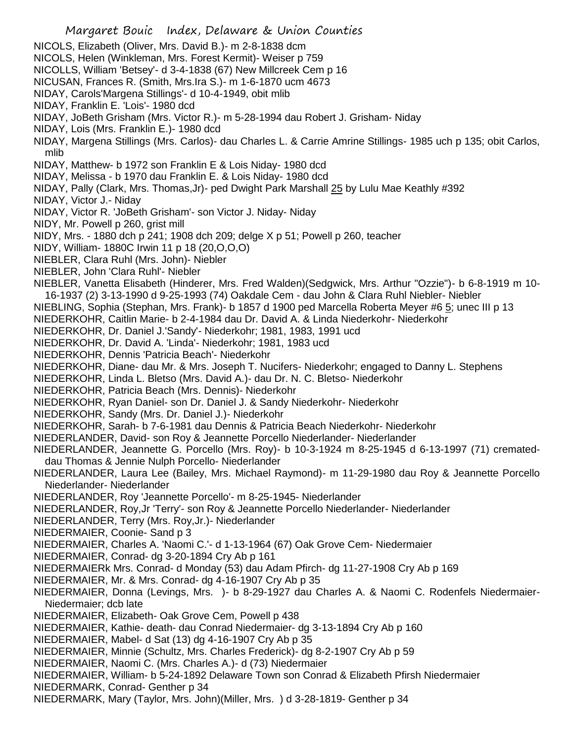- Margaret Bouic Index, Delaware & Union Counties NICOLS, Elizabeth (Oliver, Mrs. David B.)- m 2-8-1838 dcm NICOLS, Helen (Winkleman, Mrs. Forest Kermit)- Weiser p 759 NICOLLS, William 'Betsey'- d 3-4-1838 (67) New Millcreek Cem p 16 NICUSAN, Frances R. (Smith, Mrs.Ira S.)- m 1-6-1870 ucm 4673 NIDAY, Carols'Margena Stillings'- d 10-4-1949, obit mlib NIDAY, Franklin E. 'Lois'- 1980 dcd NIDAY, JoBeth Grisham (Mrs. Victor R.)- m 5-28-1994 dau Robert J. Grisham- Niday NIDAY, Lois (Mrs. Franklin E.)- 1980 dcd NIDAY, Margena Stillings (Mrs. Carlos)- dau Charles L. & Carrie Amrine Stillings- 1985 uch p 135; obit Carlos, mlib NIDAY, Matthew- b 1972 son Franklin E & Lois Niday- 1980 dcd NIDAY, Melissa - b 1970 dau Franklin E. & Lois Niday- 1980 dcd NIDAY, Pally (Clark, Mrs. Thomas,Jr)- ped Dwight Park Marshall 25 by Lulu Mae Keathly #392 NIDAY, Victor J.- Niday NIDAY, Victor R. 'JoBeth Grisham'- son Victor J. Niday- Niday NIDY, Mr. Powell p 260, grist mill NIDY, Mrs. - 1880 dch p 241; 1908 dch 209; delge X p 51; Powell p 260, teacher NIDY, William- 1880C Irwin 11 p 18 (20,O,O,O) NIEBLER, Clara Ruhl (Mrs. John)- Niebler NIEBLER, John 'Clara Ruhl'- Niebler NIEBLER, Vanetta Elisabeth (Hinderer, Mrs. Fred Walden)(Sedgwick, Mrs. Arthur "Ozzie")- b 6-8-1919 m 10- 16-1937 (2) 3-13-1990 d 9-25-1993 (74) Oakdale Cem - dau John & Clara Ruhl Niebler- Niebler NIEBLING, Sophia (Stephan, Mrs. Frank)- b 1857 d 1900 ped Marcella Roberta Meyer #6 5; unec III p 13 NIEDERKOHR, Caitlin Marie- b 2-4-1984 dau Dr. David A. & Linda Niederkohr- Niederkohr NIEDERKOHR, Dr. Daniel J.'Sandy'- Niederkohr; 1981, 1983, 1991 ucd NIEDERKOHR, Dr. David A. 'Linda'- Niederkohr; 1981, 1983 ucd NIEDERKOHR, Dennis 'Patricia Beach'- Niederkohr NIEDERKOHR, Diane- dau Mr. & Mrs. Joseph T. Nucifers- Niederkohr; engaged to Danny L. Stephens NIEDERKOHR, Linda L. Bletso (Mrs. David A.)- dau Dr. N. C. Bletso- Niederkohr NIEDERKOHR, Patricia Beach (Mrs. Dennis)- Niederkohr NIEDERKOHR, Ryan Daniel- son Dr. Daniel J. & Sandy Niederkohr- Niederkohr NIEDERKOHR, Sandy (Mrs. Dr. Daniel J.)- Niederkohr NIEDERKOHR, Sarah- b 7-6-1981 dau Dennis & Patricia Beach Niederkohr- Niederkohr NIEDERLANDER, David- son Roy & Jeannette Porcello Niederlander- Niederlander NIEDERLANDER, Jeannette G. Porcello (Mrs. Roy)- b 10-3-1924 m 8-25-1945 d 6-13-1997 (71) cremateddau Thomas & Jennie Nulph Porcello- Niederlander NIEDERLANDER, Laura Lee (Bailey, Mrs. Michael Raymond)- m 11-29-1980 dau Roy & Jeannette Porcello Niederlander- Niederlander NIEDERLANDER, Roy 'Jeannette Porcello'- m 8-25-1945- Niederlander NIEDERLANDER, Roy,Jr 'Terry'- son Roy & Jeannette Porcello Niederlander- Niederlander NIEDERLANDER, Terry (Mrs. Roy,Jr.)- Niederlander NIEDERMAIER, Coonie- Sand p 3 NIEDERMAIER, Charles A. 'Naomi C.'- d 1-13-1964 (67) Oak Grove Cem- Niedermaier
	- NIEDERMAIER, Conrad- dg 3-20-1894 Cry Ab p 161
	- NIEDERMAIERk Mrs. Conrad- d Monday (53) dau Adam Pfirch- dg 11-27-1908 Cry Ab p 169
	- NIEDERMAIER, Mr. & Mrs. Conrad- dg 4-16-1907 Cry Ab p 35
	- NIEDERMAIER, Donna (Levings, Mrs. )- b 8-29-1927 dau Charles A. & Naomi C. Rodenfels Niedermaier-Niedermaier; dcb late
	- NIEDERMAIER, Elizabeth- Oak Grove Cem, Powell p 438
	- NIEDERMAIER, Kathie- death- dau Conrad Niedermaier- dg 3-13-1894 Cry Ab p 160
	- NIEDERMAIER, Mabel- d Sat (13) dg 4-16-1907 Cry Ab p 35
	- NIEDERMAIER, Minnie (Schultz, Mrs. Charles Frederick)- dg 8-2-1907 Cry Ab p 59
	- NIEDERMAIER, Naomi C. (Mrs. Charles A.)- d (73) Niedermaier
	- NIEDERMAIER, William- b 5-24-1892 Delaware Town son Conrad & Elizabeth Pfirsh Niedermaier
	- NIEDERMARK, Conrad- Genther p 34
	- NIEDERMARK, Mary (Taylor, Mrs. John)(Miller, Mrs. ) d 3-28-1819- Genther p 34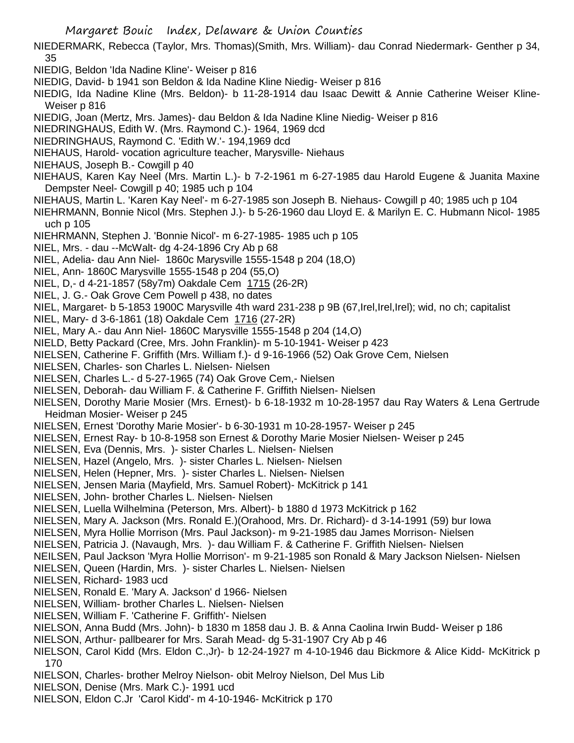- NIEDERMARK, Rebecca (Taylor, Mrs. Thomas)(Smith, Mrs. William)- dau Conrad Niedermark- Genther p 34, 35
- NIEDIG, Beldon 'Ida Nadine Kline'- Weiser p 816
- NIEDIG, David- b 1941 son Beldon & Ida Nadine Kline Niedig- Weiser p 816
- NIEDIG, Ida Nadine Kline (Mrs. Beldon)- b 11-28-1914 dau Isaac Dewitt & Annie Catherine Weiser Kline-Weiser p 816
- NIEDIG, Joan (Mertz, Mrs. James)- dau Beldon & Ida Nadine Kline Niedig- Weiser p 816
- NIEDRINGHAUS, Edith W. (Mrs. Raymond C.)- 1964, 1969 dcd
- NIEDRINGHAUS, Raymond C. 'Edith W.'- 194,1969 dcd
- NIEHAUS, Harold- vocation agriculture teacher, Marysville- Niehaus
- NIEHAUS, Joseph B.- Cowgill p 40
- NIEHAUS, Karen Kay Neel (Mrs. Martin L.)- b 7-2-1961 m 6-27-1985 dau Harold Eugene & Juanita Maxine Dempster Neel- Cowgill p 40; 1985 uch p 104
- NIEHAUS, Martin L. 'Karen Kay Neel'- m 6-27-1985 son Joseph B. Niehaus- Cowgill p 40; 1985 uch p 104
- NIEHRMANN, Bonnie Nicol (Mrs. Stephen J.)- b 5-26-1960 dau Lloyd E. & Marilyn E. C. Hubmann Nicol- 1985 uch p 105
- NIEHRMANN, Stephen J. 'Bonnie Nicol'- m 6-27-1985- 1985 uch p 105
- NIEL, Mrs. dau --McWalt- dg 4-24-1896 Cry Ab p 68
- NIEL, Adelia- dau Ann Niel- 1860c Marysville 1555-1548 p 204 (18,O)
- NIEL, Ann- 1860C Marysville 1555-1548 p 204 (55,O)
- NIEL, D,- d 4-21-1857 (58y7m) Oakdale Cem 1715 (26-2R)
- NIEL, J. G.- Oak Grove Cem Powell p 438, no dates
- NIEL, Margaret- b 5-1853 1900C Marysville 4th ward 231-238 p 9B (67,Irel,Irel,Irel); wid, no ch; capitalist
- NIEL, Mary- d 3-6-1861 (18) Oakdale Cem 1716 (27-2R)
- NIEL, Mary A.- dau Ann Niel- 1860C Marysville 1555-1548 p 204 (14,O)
- NIELD, Betty Packard (Cree, Mrs. John Franklin)- m 5-10-1941- Weiser p 423
- NIELSEN, Catherine F. Griffith (Mrs. William f.)- d 9-16-1966 (52) Oak Grove Cem, Nielsen
- NIELSEN, Charles- son Charles L. Nielsen- Nielsen
- NIELSEN, Charles L.- d 5-27-1965 (74) Oak Grove Cem,- Nielsen
- NIELSEN, Deborah- dau William F. & Catherine F. Griffith Nielsen- Nielsen
- NIELSEN, Dorothy Marie Mosier (Mrs. Ernest)- b 6-18-1932 m 10-28-1957 dau Ray Waters & Lena Gertrude Heidman Mosier- Weiser p 245
- NIELSEN, Ernest 'Dorothy Marie Mosier'- b 6-30-1931 m 10-28-1957- Weiser p 245
- NIELSEN, Ernest Ray- b 10-8-1958 son Ernest & Dorothy Marie Mosier Nielsen- Weiser p 245
- NIELSEN, Eva (Dennis, Mrs. )- sister Charles L. Nielsen- Nielsen
- NIELSEN, Hazel (Angelo, Mrs. )- sister Charles L. Nielsen- Nielsen
- NIELSEN, Helen (Hepner, Mrs. )- sister Charles L. Nielsen- Nielsen
- NIELSEN, Jensen Maria (Mayfield, Mrs. Samuel Robert)- McKitrick p 141
- NIELSEN, John- brother Charles L. Nielsen- Nielsen
- NIELSEN, Luella Wilhelmina (Peterson, Mrs. Albert)- b 1880 d 1973 McKitrick p 162
- NIELSEN, Mary A. Jackson (Mrs. Ronald E.)(Orahood, Mrs. Dr. Richard)- d 3-14-1991 (59) bur Iowa
- NIELSEN, Myra Hollie Morrison (Mrs. Paul Jackson)- m 9-21-1985 dau James Morrison- Nielsen
- NIELSEN, Patricia J. (Navaugh, Mrs. )- dau William F. & Catherine F. Griffith Nielsen- Nielsen
- NEILSEN, Paul Jackson 'Myra Hollie Morrison'- m 9-21-1985 son Ronald & Mary Jackson Nielsen- Nielsen
- NIELSEN, Queen (Hardin, Mrs. )- sister Charles L. Nielsen- Nielsen
- NIELSEN, Richard- 1983 ucd
- NIELSEN, Ronald E. 'Mary A. Jackson' d 1966- Nielsen
- NIELSEN, William- brother Charles L. Nielsen- Nielsen
- NIELSEN, William F. 'Catherine F. Griffith'- Nielsen
- NIELSON, Anna Budd (Mrs. John)- b 1830 m 1858 dau J. B. & Anna Caolina Irwin Budd- Weiser p 186
- NIELSON, Arthur- pallbearer for Mrs. Sarah Mead- dg 5-31-1907 Cry Ab p 46
- NIELSON, Carol Kidd (Mrs. Eldon C.,Jr)- b 12-24-1927 m 4-10-1946 dau Bickmore & Alice Kidd- McKitrick p 170
- NIELSON, Charles- brother Melroy Nielson- obit Melroy Nielson, Del Mus Lib
- NIELSON, Denise (Mrs. Mark C.)- 1991 ucd
- NIELSON, Eldon C.Jr 'Carol Kidd'- m 4-10-1946- McKitrick p 170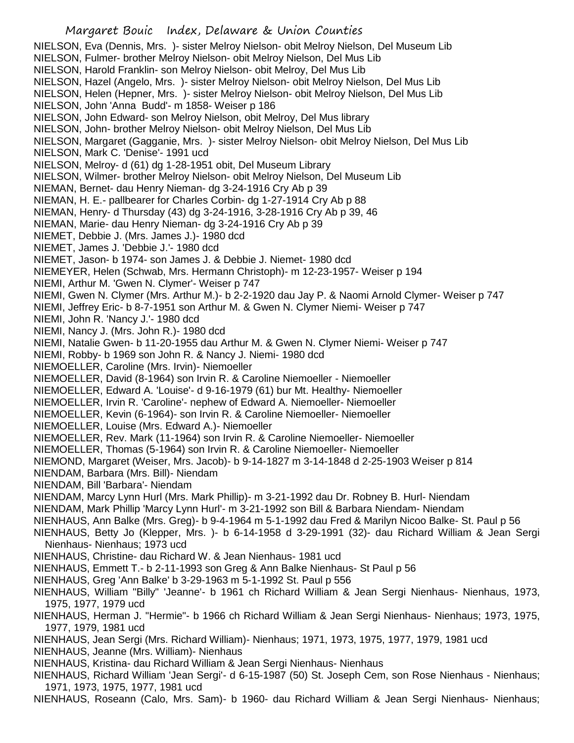NIELSON, Eva (Dennis, Mrs. )- sister Melroy Nielson- obit Melroy Nielson, Del Museum Lib NIELSON, Fulmer- brother Melroy Nielson- obit Melroy Nielson, Del Mus Lib NIELSON, Harold Franklin- son Melroy Nielson- obit Melroy, Del Mus Lib NIELSON, Hazel (Angelo, Mrs. )- sister Melroy Nielson- obit Melroy Nielson, Del Mus Lib NIELSON, Helen (Hepner, Mrs. )- sister Melroy Nielson- obit Melroy Nielson, Del Mus Lib NIELSON, John 'Anna Budd'- m 1858- Weiser p 186 NIELSON, John Edward- son Melroy Nielson, obit Melroy, Del Mus library NIELSON, John- brother Melroy Nielson- obit Melroy Nielson, Del Mus Lib NIELSON, Margaret (Gagganie, Mrs. )- sister Melroy Nielson- obit Melroy Nielson, Del Mus Lib NIELSON, Mark C. 'Denise'- 1991 ucd NIELSON, Melroy- d (61) dg 1-28-1951 obit, Del Museum Library NIELSON, Wilmer- brother Melroy Nielson- obit Melroy Nielson, Del Museum Lib NIEMAN, Bernet- dau Henry Nieman- dg 3-24-1916 Cry Ab p 39 NIEMAN, H. E.- pallbearer for Charles Corbin- dg 1-27-1914 Cry Ab p 88 NIEMAN, Henry- d Thursday (43) dg 3-24-1916, 3-28-1916 Cry Ab p 39, 46 NIEMAN, Marie- dau Henry Nieman- dg 3-24-1916 Cry Ab p 39 NIEMET, Debbie J. (Mrs. James J.)- 1980 dcd NIEMET, James J. 'Debbie J.'- 1980 dcd NIEMET, Jason- b 1974- son James J. & Debbie J. Niemet- 1980 dcd NIEMEYER, Helen (Schwab, Mrs. Hermann Christoph)- m 12-23-1957- Weiser p 194 NIEMI, Arthur M. 'Gwen N. Clymer'- Weiser p 747 NIEMI, Gwen N. Clymer (Mrs. Arthur M.)- b 2-2-1920 dau Jay P. & Naomi Arnold Clymer- Weiser p 747 NIEMI, Jeffrey Eric- b 8-7-1951 son Arthur M. & Gwen N. Clymer Niemi- Weiser p 747 NIEMI, John R. 'Nancy J.'- 1980 dcd NIEMI, Nancy J. (Mrs. John R.)- 1980 dcd NIEMI, Natalie Gwen- b 11-20-1955 dau Arthur M. & Gwen N. Clymer Niemi- Weiser p 747 NIEMI, Robby- b 1969 son John R. & Nancy J. Niemi- 1980 dcd NIEMOELLER, Caroline (Mrs. Irvin)- Niemoeller NIEMOELLER, David (8-1964) son Irvin R. & Caroline Niemoeller - Niemoeller NIEMOELLER, Edward A. 'Louise'- d 9-16-1979 (61) bur Mt. Healthy- Niemoeller NIEMOELLER, Irvin R. 'Caroline'- nephew of Edward A. Niemoeller- Niemoeller NIEMOELLER, Kevin (6-1964)- son Irvin R. & Caroline Niemoeller- Niemoeller NIEMOELLER, Louise (Mrs. Edward A.)- Niemoeller NIEMOELLER, Rev. Mark (11-1964) son Irvin R. & Caroline Niemoeller- Niemoeller NIEMOELLER, Thomas (5-1964) son Irvin R. & Caroline Niemoeller- Niemoeller NIEMOND, Margaret (Weiser, Mrs. Jacob)- b 9-14-1827 m 3-14-1848 d 2-25-1903 Weiser p 814 NIENDAM, Barbara (Mrs. Bill)- Niendam NIENDAM, Bill 'Barbara'- Niendam NIENDAM, Marcy Lynn Hurl (Mrs. Mark Phillip)- m 3-21-1992 dau Dr. Robney B. Hurl- Niendam NIENDAM, Mark Phillip 'Marcy Lynn Hurl'- m 3-21-1992 son Bill & Barbara Niendam- Niendam NIENHAUS, Ann Balke (Mrs. Greg)- b 9-4-1964 m 5-1-1992 dau Fred & Marilyn Nicoo Balke- St. Paul p 56 NIENHAUS, Betty Jo (Klepper, Mrs. )- b 6-14-1958 d 3-29-1991 (32)- dau Richard William & Jean Sergi Nienhaus- Nienhaus; 1973 ucd NIENHAUS, Christine- dau Richard W. & Jean Nienhaus- 1981 ucd NIENHAUS, Emmett T.- b 2-11-1993 son Greg & Ann Balke Nienhaus- St Paul p 56 NIENHAUS, Greg 'Ann Balke' b 3-29-1963 m 5-1-1992 St. Paul p 556 NIENHAUS, William "Billy" 'Jeanne'- b 1961 ch Richard William & Jean Sergi Nienhaus- Nienhaus, 1973, 1975, 1977, 1979 ucd NIENHAUS, Herman J. "Hermie"- b 1966 ch Richard William & Jean Sergi Nienhaus- Nienhaus; 1973, 1975, 1977, 1979, 1981 ucd NIENHAUS, Jean Sergi (Mrs. Richard William)- Nienhaus; 1971, 1973, 1975, 1977, 1979, 1981 ucd NIENHAUS, Jeanne (Mrs. William)- Nienhaus NIENHAUS, Kristina- dau Richard William & Jean Sergi Nienhaus- Nienhaus NIENHAUS, Richard William 'Jean Sergi'- d 6-15-1987 (50) St. Joseph Cem, son Rose Nienhaus - Nienhaus; 1971, 1973, 1975, 1977, 1981 ucd NIENHAUS, Roseann (Calo, Mrs. Sam)- b 1960- dau Richard William & Jean Sergi Nienhaus- Nienhaus;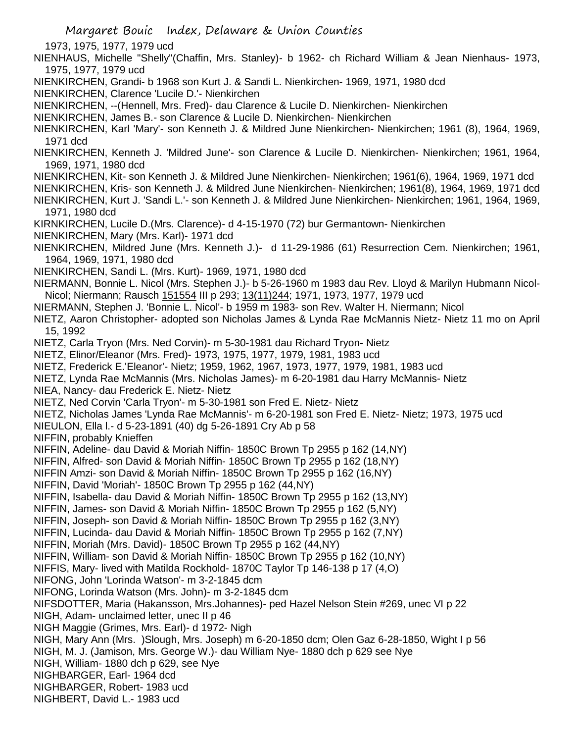1973, 1975, 1977, 1979 ucd

NIENHAUS, Michelle "Shelly"(Chaffin, Mrs. Stanley)- b 1962- ch Richard William & Jean Nienhaus- 1973, 1975, 1977, 1979 ucd

NIENKIRCHEN, Grandi- b 1968 son Kurt J. & Sandi L. Nienkirchen- 1969, 1971, 1980 dcd

NIENKIRCHEN, Clarence 'Lucile D.'- Nienkirchen

NIENKIRCHEN, --(Hennell, Mrs. Fred)- dau Clarence & Lucile D. Nienkirchen- Nienkirchen

NIENKIRCHEN, James B.- son Clarence & Lucile D. Nienkirchen- Nienkirchen

NIENKIRCHEN, Karl 'Mary'- son Kenneth J. & Mildred June Nienkirchen- Nienkirchen; 1961 (8), 1964, 1969, 1971 dcd

NIENKIRCHEN, Kenneth J. 'Mildred June'- son Clarence & Lucile D. Nienkirchen- Nienkirchen; 1961, 1964, 1969, 1971, 1980 dcd

NIENKIRCHEN, Kit- son Kenneth J. & Mildred June Nienkirchen- Nienkirchen; 1961(6), 1964, 1969, 1971 dcd

NIENKIRCHEN, Kris- son Kenneth J. & Mildred June Nienkirchen- Nienkirchen; 1961(8), 1964, 1969, 1971 dcd

NIENKIRCHEN, Kurt J. 'Sandi L.'- son Kenneth J. & Mildred June Nienkirchen- Nienkirchen; 1961, 1964, 1969, 1971, 1980 dcd

KIRNKIRCHEN, Lucile D.(Mrs. Clarence)- d 4-15-1970 (72) bur Germantown- Nienkirchen

NIENKIRCHEN, Mary (Mrs. Karl)- 1971 dcd

- NIENKIRCHEN, Mildred June (Mrs. Kenneth J.)- d 11-29-1986 (61) Resurrection Cem. Nienkirchen; 1961, 1964, 1969, 1971, 1980 dcd
- NIENKIRCHEN, Sandi L. (Mrs. Kurt)- 1969, 1971, 1980 dcd
- NIERMANN, Bonnie L. Nicol (Mrs. Stephen J.)- b 5-26-1960 m 1983 dau Rev. Lloyd & Marilyn Hubmann Nicol-Nicol; Niermann; Rausch 151554 III p 293; 13(11) 244; 1971, 1973, 1977, 1979 ucd
- NIERMANN, Stephen J. 'Bonnie L. Nicol'- b 1959 m 1983- son Rev. Walter H. Niermann; Nicol

NIETZ, Aaron Christopher- adopted son Nicholas James & Lynda Rae McMannis Nietz- Nietz 11 mo on April 15, 1992

NIETZ, Carla Tryon (Mrs. Ned Corvin)- m 5-30-1981 dau Richard Tryon- Nietz

NIETZ, Elinor/Eleanor (Mrs. Fred)- 1973, 1975, 1977, 1979, 1981, 1983 ucd

NIETZ, Frederick E.'Eleanor'- Nietz; 1959, 1962, 1967, 1973, 1977, 1979, 1981, 1983 ucd

NIETZ, Lynda Rae McMannis (Mrs. Nicholas James)- m 6-20-1981 dau Harry McMannis- Nietz

NIEA, Nancy- dau Frederick E. Nietz- Nietz

NIETZ, Ned Corvin 'Carla Tryon'- m 5-30-1981 son Fred E. Nietz- Nietz

NIETZ, Nicholas James 'Lynda Rae McMannis'- m 6-20-1981 son Fred E. Nietz- Nietz; 1973, 1975 ucd

NIEULON, Ella l.- d 5-23-1891 (40) dg 5-26-1891 Cry Ab p 58

NIFFIN, probably Knieffen

NIFFIN, Adeline- dau David & Moriah Niffin- 1850C Brown Tp 2955 p 162 (14,NY)

NIFFIN, Alfred- son David & Moriah Niffin- 1850C Brown Tp 2955 p 162 (18,NY)

NIFFIN Amzi- son David & Moriah Niffin- 1850C Brown Tp 2955 p 162 (16,NY)

NIFFIN, David 'Moriah'- 1850C Brown Tp 2955 p 162 (44,NY)

NIFFIN, Isabella- dau David & Moriah Niffin- 1850C Brown Tp 2955 p 162 (13,NY)

NIFFIN, James- son David & Moriah Niffin- 1850C Brown Tp 2955 p 162 (5,NY)

NIFFIN, Joseph- son David & Moriah Niffin- 1850C Brown Tp 2955 p 162 (3,NY)

NIFFIN, Lucinda- dau David & Moriah Niffin- 1850C Brown Tp 2955 p 162 (7,NY)

NIFFIN, Moriah (Mrs. David)- 1850C Brown Tp 2955 p 162 (44,NY)

NIFFIN, William- son David & Moriah Niffin- 1850C Brown Tp 2955 p 162 (10,NY)

NIFFIS, Mary- lived with Matilda Rockhold- 1870C Taylor Tp 146-138 p 17 (4,O)

NIFONG, John 'Lorinda Watson'- m 3-2-1845 dcm

NIFONG, Lorinda Watson (Mrs. John)- m 3-2-1845 dcm

NIFSDOTTER, Maria (Hakansson, Mrs.Johannes)- ped Hazel Nelson Stein #269, unec VI p 22

NIGH, Adam- unclaimed letter, unec II p 46

NIGH Maggie (Grimes, Mrs. Earl)- d 1972- Nigh

NIGH, Mary Ann (Mrs. )Slough, Mrs. Joseph) m 6-20-1850 dcm; Olen Gaz 6-28-1850, Wight I p 56 NIGH, M. J. (Jamison, Mrs. George W.)- dau William Nye- 1880 dch p 629 see Nye

NIGH, William- 1880 dch p 629, see Nye

NIGHBARGER, Earl- 1964 dcd

NIGHBARGER, Robert- 1983 ucd

NIGHBERT, David L.- 1983 ucd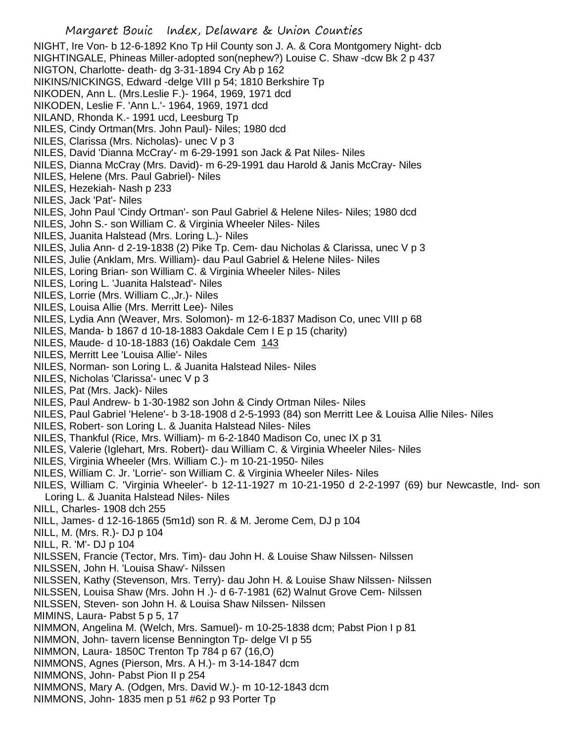NIGHT, Ire Von- b 12-6-1892 Kno Tp Hil County son J. A. & Cora Montgomery Night- dcb NIGHTINGALE, Phineas Miller-adopted son(nephew?) Louise C. Shaw -dcw Bk 2 p 437 NIGTON, Charlotte- death- dg 3-31-1894 Cry Ab p 162 NIKINS/NICKINGS, Edward -delge VIII p 54; 1810 Berkshire Tp NIKODEN, Ann L. (Mrs.Leslie F.)- 1964, 1969, 1971 dcd NIKODEN, Leslie F. 'Ann L.'- 1964, 1969, 1971 dcd NILAND, Rhonda K.- 1991 ucd, Leesburg Tp NILES, Cindy Ortman(Mrs. John Paul)- Niles; 1980 dcd NILES, Clarissa (Mrs. Nicholas)- unec V p 3 NILES, David 'Dianna McCray'- m 6-29-1991 son Jack & Pat Niles- Niles NILES, Dianna McCray (Mrs. David)- m 6-29-1991 dau Harold & Janis McCray- Niles NILES, Helene (Mrs. Paul Gabriel)- Niles NILES, Hezekiah- Nash p 233 NILES, Jack 'Pat'- Niles NILES, John Paul 'Cindy Ortman'- son Paul Gabriel & Helene Niles- Niles; 1980 dcd NILES, John S.- son William C. & Virginia Wheeler Niles- Niles NILES, Juanita Halstead (Mrs. Loring L.)- Niles NILES, Julia Ann- d 2-19-1838 (2) Pike Tp. Cem- dau Nicholas & Clarissa, unec V p 3 NILES, Julie (Anklam, Mrs. William)- dau Paul Gabriel & Helene Niles- Niles NILES, Loring Brian- son William C. & Virginia Wheeler Niles- Niles NILES, Loring L. 'Juanita Halstead'- Niles NILES, Lorrie (Mrs. William C.,Jr.)- Niles NILES, Louisa Allie (Mrs. Merritt Lee)- Niles NILES, Lydia Ann (Weaver, Mrs. Solomon)- m 12-6-1837 Madison Co, unec VIII p 68 NILES, Manda- b 1867 d 10-18-1883 Oakdale Cem I E p 15 (charity) NILES, Maude- d 10-18-1883 (16) Oakdale Cem 143 NILES, Merritt Lee 'Louisa Allie'- Niles NILES, Norman- son Loring L. & Juanita Halstead Niles- Niles NILES, Nicholas 'Clarissa'- unec V p 3 NILES, Pat (Mrs. Jack)- Niles NILES, Paul Andrew- b 1-30-1982 son John & Cindy Ortman Niles- Niles NILES, Paul Gabriel 'Helene'- b 3-18-1908 d 2-5-1993 (84) son Merritt Lee & Louisa Allie Niles- Niles NILES, Robert- son Loring L. & Juanita Halstead Niles- Niles NILES, Thankful (Rice, Mrs. William)- m 6-2-1840 Madison Co, unec IX p 31 NILES, Valerie (Iglehart, Mrs. Robert)- dau William C. & Virginia Wheeler Niles- Niles NILES, Virginia Wheeler (Mrs. William C.)- m 10-21-1950- Niles NILES, William C. Jr. 'Lorrie'- son William C. & Virginia Wheeler Niles- Niles NILES, William C. 'Virginia Wheeler'- b 12-11-1927 m 10-21-1950 d 2-2-1997 (69) bur Newcastle, Ind- son Loring L. & Juanita Halstead Niles- Niles NILL, Charles- 1908 dch 255 NILL, James- d 12-16-1865 (5m1d) son R. & M. Jerome Cem, DJ p 104 NILL, M. (Mrs. R.)- DJ p 104 NILL, R. 'M'- DJ p 104 NILSSEN, Francie (Tector, Mrs. Tim)- dau John H. & Louise Shaw Nilssen- Nilssen NILSSEN, John H. 'Louisa Shaw'- Nilssen NILSSEN, Kathy (Stevenson, Mrs. Terry)- dau John H. & Louise Shaw Nilssen- Nilssen NILSSEN, Louisa Shaw (Mrs. John H .)- d 6-7-1981 (62) Walnut Grove Cem- Nilssen NILSSEN, Steven- son John H. & Louisa Shaw Nilssen- Nilssen MIMINS, Laura- Pabst 5 p 5, 17 NIMMON, Angelina M. (Welch, Mrs. Samuel)- m 10-25-1838 dcm; Pabst Pion I p 81 NIMMON, John- tavern license Bennington Tp- delge VI p 55 NIMMON, Laura- 1850C Trenton Tp 784 p 67 (16,O) NIMMONS, Agnes (Pierson, Mrs. A H.)- m 3-14-1847 dcm NIMMONS, John- Pabst Pion II p 254 NIMMONS, Mary A. (Odgen, Mrs. David W.)- m 10-12-1843 dcm NIMMONS, John- 1835 men p 51 #62 p 93 Porter Tp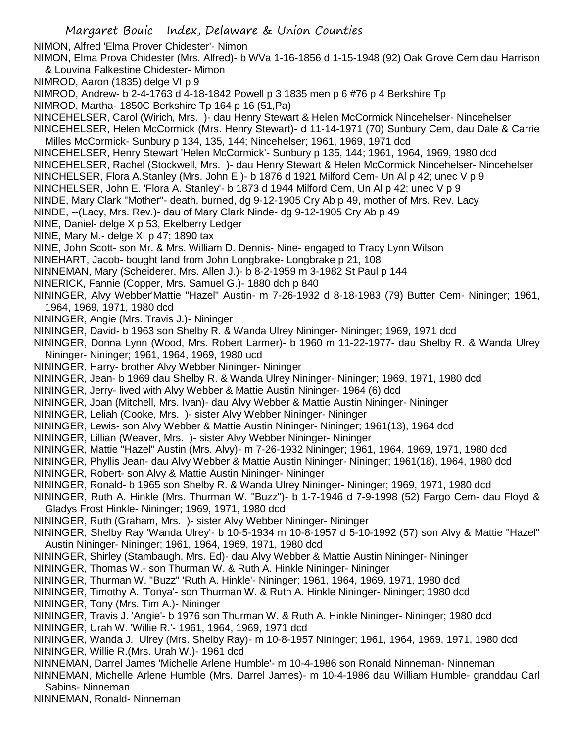NIMON, Alfred 'Elma Prover Chidester'- Nimon

NIMON, Elma Prova Chidester (Mrs. Alfred)- b WVa 1-16-1856 d 1-15-1948 (92) Oak Grove Cem dau Harrison & Louvina Falkestine Chidester- Mimon

NIMROD, Aaron (1835) delge VI p 9

NIMROD, Andrew- b 2-4-1763 d 4-18-1842 Powell p 3 1835 men p 6 #76 p 4 Berkshire Tp

NIMROD, Martha- 1850C Berkshire Tp 164 p 16 (51,Pa)

- NINCEHELSER, Carol (Wirich, Mrs. )- dau Henry Stewart & Helen McCormick Nincehelser- Nincehelser
- NINCEHELSER, Helen McCormick (Mrs. Henry Stewart)- d 11-14-1971 (70) Sunbury Cem, dau Dale & Carrie Milles McCormick- Sunbury p 134, 135, 144; Nincehelser; 1961, 1969, 1971 dcd
- NINCEHELSER, Henry Stewart 'Helen McCormick'- Sunbury p 135, 144; 1961, 1964, 1969, 1980 dcd
- NINCEHELSER, Rachel (Stockwell, Mrs. )- dau Henry Stewart & Helen McCormick Nincehelser- Nincehelser
- NINCHELSER, Flora A.Stanley (Mrs. John E.)- b 1876 d 1921 Milford Cem- Un Al p 42; unec V p 9
- NINCHELSER, John E. 'Flora A. Stanley'- b 1873 d 1944 Milford Cem, Un Al p 42; unec V p 9
- NINDE, Mary Clark "Mother"- death, burned, dg 9-12-1905 Cry Ab p 49, mother of Mrs. Rev. Lacy
- NINDE, --(Lacy, Mrs. Rev.)- dau of Mary Clark Ninde- dg 9-12-1905 Cry Ab p 49
- NINE, Daniel- delge X p 53, Ekelberry Ledger
- NINE, Mary M.- delge XI p 47; 1890 tax
- NINE, John Scott- son Mr. & Mrs. William D. Dennis- Nine- engaged to Tracy Lynn Wilson
- NINEHART, Jacob- bought land from John Longbrake- Longbrake p 21, 108
- NINNEMAN, Mary (Scheiderer, Mrs. Allen J.)- b 8-2-1959 m 3-1982 St Paul p 144
- NINERICK, Fannie (Copper, Mrs. Samuel G.)- 1880 dch p 840
- NININGER, Alvy Webber'Mattie "Hazel" Austin- m 7-26-1932 d 8-18-1983 (79) Butter Cem- Nininger; 1961, 1964, 1969, 1971, 1980 dcd
- NININGER, Angie (Mrs. Travis J.)- Nininger
- NININGER, David- b 1963 son Shelby R. & Wanda Ulrey Nininger- Nininger; 1969, 1971 dcd
- NININGER, Donna Lynn (Wood, Mrs. Robert Larmer)- b 1960 m 11-22-1977- dau Shelby R. & Wanda Ulrey Nininger- Nininger; 1961, 1964, 1969, 1980 ucd
- NININGER, Harry- brother Alvy Webber Nininger- Nininger
- NININGER, Jean- b 1969 dau Shelby R. & Wanda Ulrey Nininger- Nininger; 1969, 1971, 1980 dcd
- NININGER, Jerry- lived with Alvy Webber & Mattie Austin Nininger- 1964 (6) dcd
- NININGER, Joan (Mitchell, Mrs. Ivan)- dau Alvy Webber & Mattie Austin Nininger- Nininger
- NININGER, Leliah (Cooke, Mrs. )- sister Alvy Webber Nininger- Nininger
- NININGER, Lewis- son Alvy Webber & Mattie Austin Nininger- Nininger; 1961(13), 1964 dcd
- NININGER, Lillian (Weaver, Mrs. )- sister Alvy Webber Nininger- Nininger
- NININGER, Mattie "Hazel" Austin (Mrs. Alvy)- m 7-26-1932 Nininger; 1961, 1964, 1969, 1971, 1980 dcd
- NININGER, Phyllis Jean- dau Alvy Webber & Mattie Austin Nininger- Nininger; 1961(18), 1964, 1980 dcd
- NININGER, Robert- son Alvy & Mattie Austin Nininger- Nininger
- NININGER, Ronald- b 1965 son Shelby R. & Wanda Ulrey Nininger- Nininger; 1969, 1971, 1980 dcd
- NININGER, Ruth A. Hinkle (Mrs. Thurman W. "Buzz")- b 1-7-1946 d 7-9-1998 (52) Fargo Cem- dau Floyd & Gladys Frost Hinkle- Nininger; 1969, 1971, 1980 dcd
- NININGER, Ruth (Graham, Mrs. )- sister Alvy Webber Nininger- Nininger
- NININGER, Shelby Ray 'Wanda Ulrey'- b 10-5-1934 m 10-8-1957 d 5-10-1992 (57) son Alvy & Mattie "Hazel" Austin Nininger- Nininger; 1961, 1964, 1969, 1971, 1980 dcd
- NININGER, Shirley (Stambaugh, Mrs. Ed)- dau Alvy Webber & Mattie Austin Nininger- Nininger
- NININGER, Thomas W.- son Thurman W. & Ruth A. Hinkle Nininger- Nininger
- NININGER, Thurman W. "Buzz" 'Ruth A. Hinkle'- Nininger; 1961, 1964, 1969, 1971, 1980 dcd
- NININGER, Timothy A. 'Tonya'- son Thurman W. & Ruth A. Hinkle Nininger- Nininger; 1980 dcd
- NININGER, Tony (Mrs. Tim A.)- Nininger
- NININGER, Travis J. 'Angie'- b 1976 son Thurman W. & Ruth A. Hinkle Nininger- Nininger; 1980 dcd
- NININGER, Urah W. 'Willie R.'- 1961, 1964, 1969, 1971 dcd
- NININGER, Wanda J. Ulrey (Mrs. Shelby Ray)- m 10-8-1957 Nininger; 1961, 1964, 1969, 1971, 1980 dcd NININGER, Willie R.(Mrs. Urah W.)- 1961 dcd
- NINNEMAN, Darrel James 'Michelle Arlene Humble'- m 10-4-1986 son Ronald Ninneman- Ninneman
- NINNEMAN, Michelle Arlene Humble (Mrs. Darrel James)- m 10-4-1986 dau William Humble- granddau Carl Sabins- Ninneman
- NINNEMAN, Ronald- Ninneman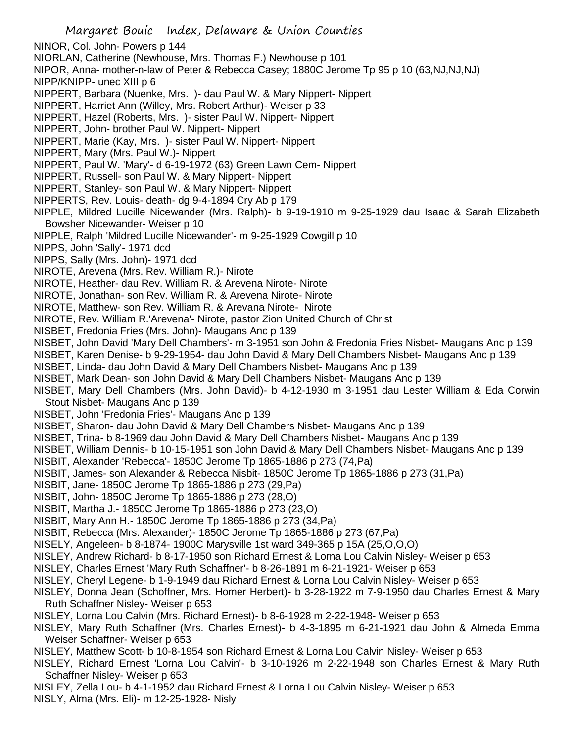NINOR, Col. John- Powers p 144

- NIORLAN, Catherine (Newhouse, Mrs. Thomas F.) Newhouse p 101
- NIPOR, Anna- mother-n-law of Peter & Rebecca Casey; 1880C Jerome Tp 95 p 10 (63,NJ,NJ,NJ)
- NIPP/KNIPP- unec XIII p 6
- NIPPERT, Barbara (Nuenke, Mrs. )- dau Paul W. & Mary Nippert- Nippert
- NIPPERT, Harriet Ann (Willey, Mrs. Robert Arthur)- Weiser p 33
- NIPPERT, Hazel (Roberts, Mrs. )- sister Paul W. Nippert- Nippert
- NIPPERT, John- brother Paul W. Nippert- Nippert
- NIPPERT, Marie (Kay, Mrs. )- sister Paul W. Nippert- Nippert
- NIPPERT, Mary (Mrs. Paul W.)- Nippert
- NIPPERT, Paul W. 'Mary'- d 6-19-1972 (63) Green Lawn Cem- Nippert
- NIPPERT, Russell- son Paul W. & Mary Nippert- Nippert
- NIPPERT, Stanley- son Paul W. & Mary Nippert- Nippert
- NIPPERTS, Rev. Louis- death- dg 9-4-1894 Cry Ab p 179
- NIPPLE, Mildred Lucille Nicewander (Mrs. Ralph)- b 9-19-1910 m 9-25-1929 dau Isaac & Sarah Elizabeth Bowsher Nicewander- Weiser p 10
- NIPPLE, Ralph 'Mildred Lucille Nicewander'- m 9-25-1929 Cowgill p 10
- NIPPS, John 'Sally'- 1971 dcd
- NIPPS, Sally (Mrs. John)- 1971 dcd
- NIROTE, Arevena (Mrs. Rev. William R.)- Nirote
- NIROTE, Heather- dau Rev. William R. & Arevena Nirote- Nirote
- NIROTE, Jonathan- son Rev. William R. & Arevena Nirote- Nirote
- NIROTE, Matthew- son Rev. William R. & Arevana Nirote- Nirote
- NIROTE, Rev. William R.'Arevena'- Nirote, pastor Zion United Church of Christ
- NISBET, Fredonia Fries (Mrs. John)- Maugans Anc p 139
- NISBET, John David 'Mary Dell Chambers'- m 3-1951 son John & Fredonia Fries Nisbet- Maugans Anc p 139
- NISBET, Karen Denise- b 9-29-1954- dau John David & Mary Dell Chambers Nisbet- Maugans Anc p 139
- NISBET, Linda- dau John David & Mary Dell Chambers Nisbet- Maugans Anc p 139
- NISBET, Mark Dean- son John David & Mary Dell Chambers Nisbet- Maugans Anc p 139
- NISBET, Mary Dell Chambers (Mrs. John David)- b 4-12-1930 m 3-1951 dau Lester William & Eda Corwin Stout Nisbet- Maugans Anc p 139
- NISBET, John 'Fredonia Fries'- Maugans Anc p 139
- NISBET, Sharon- dau John David & Mary Dell Chambers Nisbet- Maugans Anc p 139
- NISBET, Trina- b 8-1969 dau John David & Mary Dell Chambers Nisbet- Maugans Anc p 139
- NISBET, William Dennis- b 10-15-1951 son John David & Mary Dell Chambers Nisbet- Maugans Anc p 139
- NISBIT, Alexander 'Rebecca'- 1850C Jerome Tp 1865-1886 p 273 (74,Pa)
- NISBIT, James- son Alexander & Rebecca Nisbit- 1850C Jerome Tp 1865-1886 p 273 (31,Pa)
- NISBIT, Jane- 1850C Jerome Tp 1865-1886 p 273 (29,Pa)
- NISBIT, John- 1850C Jerome Tp 1865-1886 p 273 (28,O)
- NISBIT, Martha J.- 1850C Jerome Tp 1865-1886 p 273 (23,O)
- NISBIT, Mary Ann H.- 1850C Jerome Tp 1865-1886 p 273 (34,Pa)
- NISBIT, Rebecca (Mrs. Alexander)- 1850C Jerome Tp 1865-1886 p 273 (67,Pa)
- NISELY, Angeleen- b 8-1874- 1900C Marysville 1st ward 349-365 p 15A (25,O,O,O)
- NISLEY, Andrew Richard- b 8-17-1950 son Richard Ernest & Lorna Lou Calvin Nisley- Weiser p 653
- NISLEY, Charles Ernest 'Mary Ruth Schaffner'- b 8-26-1891 m 6-21-1921- Weiser p 653
- NISLEY, Cheryl Legene- b 1-9-1949 dau Richard Ernest & Lorna Lou Calvin Nisley- Weiser p 653
- NISLEY, Donna Jean (Schoffner, Mrs. Homer Herbert)- b 3-28-1922 m 7-9-1950 dau Charles Ernest & Mary Ruth Schaffner Nisley- Weiser p 653
- NISLEY, Lorna Lou Calvin (Mrs. Richard Ernest)- b 8-6-1928 m 2-22-1948- Weiser p 653
- NISLEY, Mary Ruth Schaffner (Mrs. Charles Ernest)- b 4-3-1895 m 6-21-1921 dau John & Almeda Emma Weiser Schaffner- Weiser p 653
- NISLEY, Matthew Scott- b 10-8-1954 son Richard Ernest & Lorna Lou Calvin Nisley- Weiser p 653
- NISLEY, Richard Ernest 'Lorna Lou Calvin'- b 3-10-1926 m 2-22-1948 son Charles Ernest & Mary Ruth Schaffner Nisley- Weiser p 653
- NISLEY, Zella Lou- b 4-1-1952 dau Richard Ernest & Lorna Lou Calvin Nisley- Weiser p 653 NISLY, Alma (Mrs. Eli)- m 12-25-1928- Nisly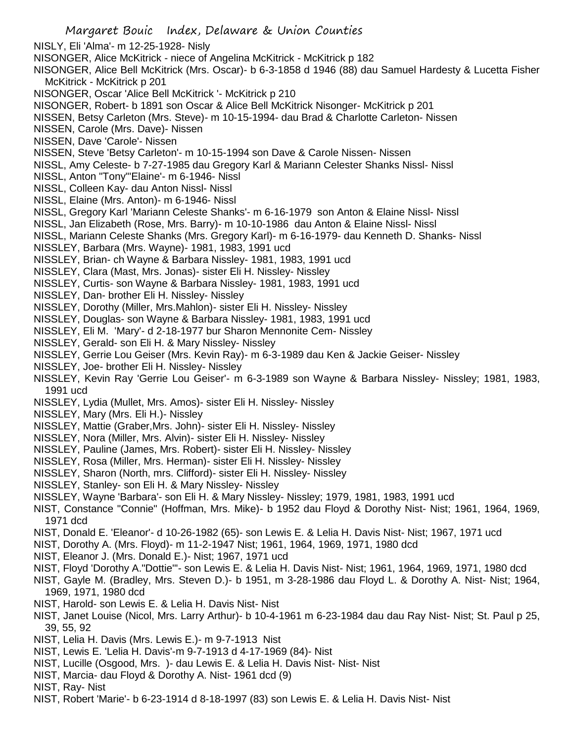- Margaret Bouic Index, Delaware & Union Counties NISLY, Eli 'Alma'- m 12-25-1928- Nisly NISONGER, Alice McKitrick - niece of Angelina McKitrick - McKitrick p 182 NISONGER, Alice Bell McKitrick (Mrs. Oscar)- b 6-3-1858 d 1946 (88) dau Samuel Hardesty & Lucetta Fisher McKitrick - McKitrick p 201 NISONGER, Oscar 'Alice Bell McKitrick '- McKitrick p 210 NISONGER, Robert- b 1891 son Oscar & Alice Bell McKitrick Nisonger- McKitrick p 201 NISSEN, Betsy Carleton (Mrs. Steve)- m 10-15-1994- dau Brad & Charlotte Carleton- Nissen NISSEN, Carole (Mrs. Dave)- Nissen NISSEN, Dave 'Carole'- Nissen NISSEN, Steve 'Betsy Carleton'- m 10-15-1994 son Dave & Carole Nissen- Nissen NISSL, Amy Celeste- b 7-27-1985 dau Gregory Karl & Mariann Celester Shanks Nissl- Nissl NISSL, Anton "Tony"'Elaine'- m 6-1946- Nissl NISSL, Colleen Kay- dau Anton Nissl- Nissl NISSL, Elaine (Mrs. Anton)- m 6-1946- Nissl NISSL, Gregory Karl 'Mariann Celeste Shanks'- m 6-16-1979 son Anton & Elaine Nissl- Nissl NISSL, Jan Elizabeth (Rose, Mrs. Barry)- m 10-10-1986 dau Anton & Elaine Nissl- Nissl NISSL, Mariann Celeste Shanks (Mrs. Gregory Karl)- m 6-16-1979- dau Kenneth D. Shanks- Nissl NISSLEY, Barbara (Mrs. Wayne)- 1981, 1983, 1991 ucd NISSLEY, Brian- ch Wayne & Barbara Nissley- 1981, 1983, 1991 ucd NISSLEY, Clara (Mast, Mrs. Jonas)- sister Eli H. Nissley- Nissley NISSLEY, Curtis- son Wayne & Barbara Nissley- 1981, 1983, 1991 ucd NISSLEY, Dan- brother Eli H. Nissley- Nissley NISSLEY, Dorothy (Miller, Mrs.Mahlon)- sister Eli H. Nissley- Nissley NISSLEY, Douglas- son Wayne & Barbara Nissley- 1981, 1983, 1991 ucd NISSLEY, Eli M. 'Mary'- d 2-18-1977 bur Sharon Mennonite Cem- Nissley NISSLEY, Gerald- son Eli H. & Mary Nissley- Nissley NISSLEY, Gerrie Lou Geiser (Mrs. Kevin Ray)- m 6-3-1989 dau Ken & Jackie Geiser- Nissley NISSLEY, Joe- brother Eli H. Nissley- Nissley NISSLEY, Kevin Ray 'Gerrie Lou Geiser'- m 6-3-1989 son Wayne & Barbara Nissley- Nissley; 1981, 1983, 1991 ucd NISSLEY, Lydia (Mullet, Mrs. Amos)- sister Eli H. Nissley- Nissley NISSLEY, Mary (Mrs. Eli H.)- Nissley NISSLEY, Mattie (Graber,Mrs. John)- sister Eli H. Nissley- Nissley NISSLEY, Nora (Miller, Mrs. Alvin)- sister Eli H. Nissley- Nissley
- NISSLEY, Pauline (James, Mrs. Robert)- sister Eli H. Nissley- Nissley
- NISSLEY, Rosa (Miller, Mrs. Herman)- sister Eli H. Nissley- Nissley
- NISSLEY, Sharon (North, mrs. Clifford)- sister Eli H. Nissley- Nissley
- NISSLEY, Stanley- son Eli H. & Mary Nissley- Nissley
- NISSLEY, Wayne 'Barbara'- son Eli H. & Mary Nissley- Nissley; 1979, 1981, 1983, 1991 ucd
- NIST, Constance "Connie" (Hoffman, Mrs. Mike)- b 1952 dau Floyd & Dorothy Nist- Nist; 1961, 1964, 1969, 1971 dcd
- NIST, Donald E. 'Eleanor'- d 10-26-1982 (65)- son Lewis E. & Lelia H. Davis Nist- Nist; 1967, 1971 ucd
- NIST, Dorothy A. (Mrs. Floyd)- m 11-2-1947 Nist; 1961, 1964, 1969, 1971, 1980 dcd
- NIST, Eleanor J. (Mrs. Donald E.)- Nist; 1967, 1971 ucd
- NIST, Floyd 'Dorothy A."Dottie"'- son Lewis E. & Lelia H. Davis Nist- Nist; 1961, 1964, 1969, 1971, 1980 dcd
- NIST, Gayle M. (Bradley, Mrs. Steven D.)- b 1951, m 3-28-1986 dau Floyd L. & Dorothy A. Nist- Nist; 1964, 1969, 1971, 1980 dcd
- NIST, Harold- son Lewis E. & Lelia H. Davis Nist- Nist
- NIST, Janet Louise (Nicol, Mrs. Larry Arthur)- b 10-4-1961 m 6-23-1984 dau dau Ray Nist- Nist; St. Paul p 25, 39, 55, 92
- NIST, Lelia H. Davis (Mrs. Lewis E.)- m 9-7-1913 Nist
- NIST, Lewis E. 'Lelia H. Davis'-m 9-7-1913 d 4-17-1969 (84)- Nist
- NIST, Lucille (Osgood, Mrs. )- dau Lewis E. & Lelia H. Davis Nist- Nist- Nist
- NIST, Marcia- dau Floyd & Dorothy A. Nist- 1961 dcd (9)
- NIST, Ray- Nist
- NIST, Robert 'Marie'- b 6-23-1914 d 8-18-1997 (83) son Lewis E. & Lelia H. Davis Nist- Nist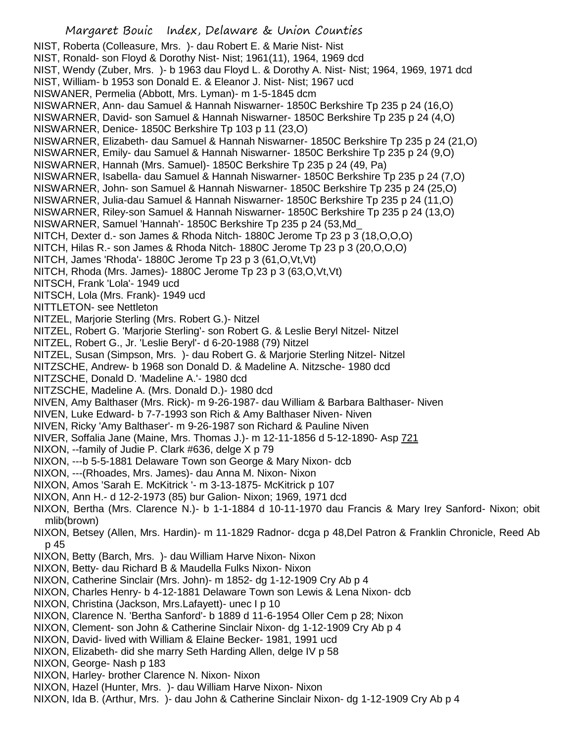NIST, Wendy (Zuber, Mrs. )- b 1963 dau Floyd L. & Dorothy A. Nist- Nist; 1964, 1969, 1971 dcd

- NIST, William- b 1953 son Donald E. & Eleanor J. Nist- Nist; 1967 ucd
- NISWANER, Permelia (Abbott, Mrs. Lyman)- m 1-5-1845 dcm

NISWARNER, Ann- dau Samuel & Hannah Niswarner- 1850C Berkshire Tp 235 p 24 (16,O)

NISWARNER, David- son Samuel & Hannah Niswarner- 1850C Berkshire Tp 235 p 24 (4,O)

NISWARNER, Denice- 1850C Berkshire Tp 103 p 11 (23,O)

NISWARNER, Elizabeth- dau Samuel & Hannah Niswarner- 1850C Berkshire Tp 235 p 24 (21,O)

NISWARNER, Emily- dau Samuel & Hannah Niswarner- 1850C Berkshire Tp 235 p 24 (9,O)

NISWARNER, Hannah (Mrs. Samuel)- 1850C Berkshire Tp 235 p 24 (49, Pa)

- NISWARNER, Isabella- dau Samuel & Hannah Niswarner- 1850C Berkshire Tp 235 p 24 (7,O)
- NISWARNER, John- son Samuel & Hannah Niswarner- 1850C Berkshire Tp 235 p 24 (25,O)
- NISWARNER, Julia-dau Samuel & Hannah Niswarner- 1850C Berkshire Tp 235 p 24 (11,O) NISWARNER, Riley-son Samuel & Hannah Niswarner- 1850C Berkshire Tp 235 p 24 (13,O)
- NISWARNER, Samuel 'Hannah'- 1850C Berkshire Tp 235 p 24 (53,Md\_
- NITCH, Dexter d.- son James & Rhoda Nitch- 1880C Jerome Tp 23 p 3 (18,O,O,O)
- NITCH, Hilas R.- son James & Rhoda Nitch- 1880C Jerome Tp 23 p 3 (20,O,O,O)
- NITCH, James 'Rhoda'- 1880C Jerome Tp 23 p 3 (61,O,Vt,Vt)
- NITCH, Rhoda (Mrs. James)- 1880C Jerome Tp 23 p 3 (63,O,Vt,Vt)
- NITSCH, Frank 'Lola'- 1949 ucd
- NITSCH, Lola (Mrs. Frank)- 1949 ucd
- NITTLETON- see Nettleton
- NITZEL, Marjorie Sterling (Mrs. Robert G.)- Nitzel
- NITZEL, Robert G. 'Marjorie Sterling'- son Robert G. & Leslie Beryl Nitzel- Nitzel
- NITZEL, Robert G., Jr. 'Leslie Beryl'- d 6-20-1988 (79) Nitzel
- NITZEL, Susan (Simpson, Mrs. )- dau Robert G. & Marjorie Sterling Nitzel- Nitzel
- NITZSCHE, Andrew- b 1968 son Donald D. & Madeline A. Nitzsche- 1980 dcd
- NITZSCHE, Donald D. 'Madeline A.'- 1980 dcd
- NITZSCHE, Madeline A. (Mrs. Donald D.)- 1980 dcd
- NIVEN, Amy Balthaser (Mrs. Rick)- m 9-26-1987- dau William & Barbara Balthaser- Niven
- NIVEN, Luke Edward- b 7-7-1993 son Rich & Amy Balthaser Niven- Niven
- NIVEN, Ricky 'Amy Balthaser'- m 9-26-1987 son Richard & Pauline Niven
- NIVER, Soffalia Jane (Maine, Mrs. Thomas J.)- m 12-11-1856 d 5-12-1890- Asp 721
- NIXON, --family of Judie P. Clark #636, delge X p 79
- NIXON, ---b 5-5-1881 Delaware Town son George & Mary Nixon- dcb
- NIXON, ---(Rhoades, Mrs. James)- dau Anna M. Nixon- Nixon
- NIXON, Amos 'Sarah E. McKitrick '- m 3-13-1875- McKitrick p 107
- NIXON, Ann H.- d 12-2-1973 (85) bur Galion- Nixon; 1969, 1971 dcd
- NIXON, Bertha (Mrs. Clarence N.)- b 1-1-1884 d 10-11-1970 dau Francis & Mary Irey Sanford- Nixon; obit mlib(brown)
- NIXON, Betsey (Allen, Mrs. Hardin)- m 11-1829 Radnor- dcga p 48,Del Patron & Franklin Chronicle, Reed Ab p 45
- NIXON, Betty (Barch, Mrs. )- dau William Harve Nixon- Nixon
- NIXON, Betty- dau Richard B & Maudella Fulks Nixon- Nixon
- NIXON, Catherine Sinclair (Mrs. John)- m 1852- dg 1-12-1909 Cry Ab p 4
- NIXON, Charles Henry- b 4-12-1881 Delaware Town son Lewis & Lena Nixon- dcb
- NIXON, Christina (Jackson, Mrs.Lafayett)- unec I p 10
- NIXON, Clarence N. 'Bertha Sanford'- b 1889 d 11-6-1954 Oller Cem p 28; Nixon
- NIXON, Clement- son John & Catherine Sinclair Nixon- dg 1-12-1909 Cry Ab p 4
- NIXON, David- lived with William & Elaine Becker- 1981, 1991 ucd
- NIXON, Elizabeth- did she marry Seth Harding Allen, delge IV p 58
- NIXON, George- Nash p 183
- NIXON, Harley- brother Clarence N. Nixon- Nixon
- NIXON, Hazel (Hunter, Mrs. )- dau William Harve Nixon- Nixon
- NIXON, Ida B. (Arthur, Mrs. )- dau John & Catherine Sinclair Nixon- dg 1-12-1909 Cry Ab p 4